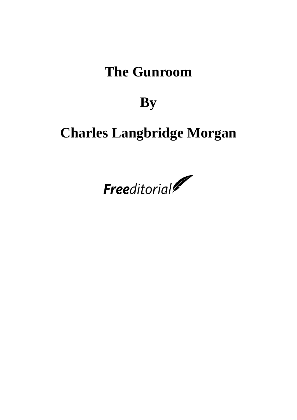# **The Gunroom**

# **By**

# **Charles Langbridge Morgan**

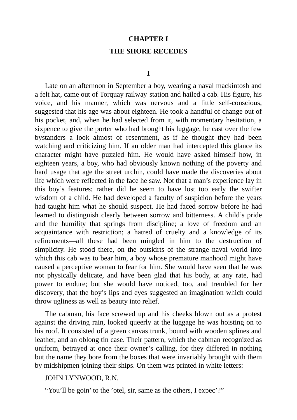#### **CHAPTER I**

#### **THE SHORE RECEDES**

Late on an afternoon in September a boy, wearing a naval mackintosh and a felt hat, came out of Torquay railway-station and hailed a cab. His figure, his voice, and his manner, which was nervous and a little self-conscious, suggested that his age was about eighteen. He took a handful of change out of his pocket, and, when he had selected from it, with momentary hesitation, a sixpence to give the porter who had brought his luggage, he cast over the few bystanders a look almost of resentment, as if he thought they had been watching and criticizing him. If an older man had intercepted this glance its character might have puzzled him. He would have asked himself how, in eighteen years, a boy, who had obviously known nothing of the poverty and hard usage that age the street urchin, could have made the discoveries about life which were reflected in the face he saw. Not that a man's experience lay in this boy's features; rather did he seem to have lost too early the swifter wisdom of a child. He had developed a faculty of suspicion before the years had taught him what he should suspect. He had faced sorrow before he had learned to distinguish clearly between sorrow and bitterness. A child's pride and the humility that springs from discipline; a love of freedom and an acquaintance with restriction; a hatred of cruelty and a knowledge of its refinements—all these had been mingled in him to the destruction of simplicity. He stood there, on the outskirts of the strange naval world into which this cab was to bear him, a boy whose premature manhood might have caused a perceptive woman to fear for him. She would have seen that he was not physically delicate, and have been glad that his body, at any rate, had power to endure; but she would have noticed, too, and trembled for her discovery, that the boy's lips and eyes suggested an imagination which could throw ugliness as well as beauty into relief.

The cabman, his face screwed up and his cheeks blown out as a protest against the driving rain, looked queerly at the luggage he was hoisting on to his roof. It consisted of a green canvas trunk, bound with wooden splines and leather, and an oblong tin case. Their pattern, which the cabman recognized as uniform, betrayed at once their owner's calling, for they differed in nothing but the name they bore from the boxes that were invariably brought with them by midshipmen joining their ships. On them was printed in white letters:

JOHN LYNWOOD, R.N.

"You'll be goin' to the 'otel, sir, same as the others, I expec'?"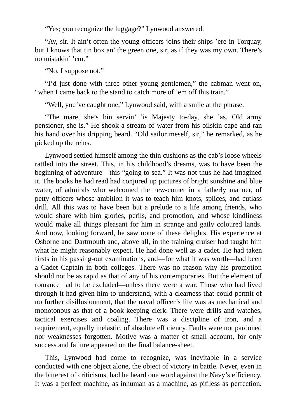"Yes; you recognize the luggage?" Lynwood answered.

"Ay, sir. It ain't often the young officers joins their ships 'ere in Torquay, but I knows that tin box an' the green one, sir, as if they was my own. There's no mistakin' 'em."

"No, I suppose not."

"I'd just done with three other young gentlemen," the cabman went on, "when I came back to the stand to catch more of 'em off this train."

"Well, you've caught one," Lynwood said, with a smile at the phrase.

"The mare, she's bin servin' 'is Majesty to-day, she 'as. Old army pensioner, she is." He shook a stream of water from his oilskin cape and ran his hand over his dripping beard. "Old sailor meself, sir," he remarked, as he picked up the reins.

Lynwood settled himself among the thin cushions as the cab's loose wheels rattled into the street. This, in his childhood's dreams, was to have been the beginning of adventure—this "going to sea." It was not thus he had imagined it. The books he had read had conjured up pictures of bright sunshine and blue water, of admirals who welcomed the new-comer in a fatherly manner, of petty officers whose ambition it was to teach him knots, splices, and cutlass drill. All this was to have been but a prelude to a life among friends, who would share with him glories, perils, and promotion, and whose kindliness would make all things pleasant for him in strange and gaily coloured lands. And now, looking forward, he saw none of these delights. His experience at Osborne and Dartmouth and, above all, in the training cruiser had taught him what he might reasonably expect. He had done well as a cadet. He had taken firsts in his passing-out examinations, and—for what it was worth—had been a Cadet Captain in both colleges. There was no reason why his promotion should not be as rapid as that of any of his contemporaries. But the element of romance had to be excluded—unless there were a war. Those who had lived through it had given him to understand, with a clearness that could permit of no further disillusionment, that the naval officer's life was as mechanical and monotonous as that of a book-keeping clerk. There were drills and watches, tactical exercises and coaling. There was a discipline of iron, and a requirement, equally inelastic, of absolute efficiency. Faults were not pardoned nor weaknesses forgotten. Motive was a matter of small account, for only success and failure appeared on the final balance-sheet.

This, Lynwood had come to recognize, was inevitable in a service conducted with one object alone, the object of victory in battle. Never, even in the bitterest of criticisms, had he heard one word against the Navy's efficiency. It was a perfect machine, as inhuman as a machine, as pitiless as perfection.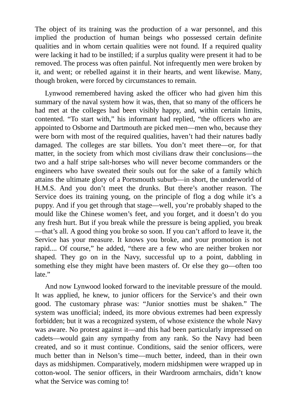The object of its training was the production of a war personnel, and this implied the production of human beings who possessed certain definite qualities and in whom certain qualities were not found. If a required quality were lacking it had to be instilled; if a surplus quality were present it had to be removed. The process was often painful. Not infrequently men were broken by it, and went; or rebelled against it in their hearts, and went likewise. Many, though broken, were forced by circumstances to remain.

Lynwood remembered having asked the officer who had given him this summary of the naval system how it was, then, that so many of the officers he had met at the colleges had been visibly happy, and, within certain limits, contented. "To start with," his informant had replied, "the officers who are appointed to Osborne and Dartmouth are picked men—men who, because they were born with most of the required qualities, haven't had their natures badly damaged. The colleges are star billets. You don't meet there—or, for that matter, in the society from which most civilians draw their conclusions—the two and a half stripe salt-horses who will never become commanders or the engineers who have sweated their souls out for the sake of a family which attains the ultimate glory of a Portsmouth suburb—in short, the underworld of H.M.S. And you don't meet the drunks. But there's another reason. The Service does its training young, on the principle of flog a dog while it's a puppy. And if you get through that stage—well, you're probably shaped to the mould like the Chinese women's feet, and you forget, and it doesn't do you any fresh hurt. But if you break while the pressure is being applied, you break —that's all. A good thing you broke so soon. If you can't afford to leave it, the Service has your measure. It knows you broke, and your promotion is not rapid.... Of course," he added, "there are a few who are neither broken nor shaped. They go on in the Navy, successful up to a point, dabbling in something else they might have been masters of. Or else they go—often too late."

And now Lynwood looked forward to the inevitable pressure of the mould. It was applied, he knew, to junior officers for the Service's and their own good. The customary phrase was: "Junior snotties must be shaken." The system was unofficial; indeed, its more obvious extremes had been expressly forbidden; but it was a recognized system, of whose existence the whole Navy was aware. No protest against it—and this had been particularly impressed on cadets—would gain any sympathy from any rank. So the Navy had been created, and so it must continue. Conditions, said the senior officers, were much better than in Nelson's time—much better, indeed, than in their own days as midshipmen. Comparatively, modern midshipmen were wrapped up in cotton-wool. The senior officers, in their Wardroom armchairs, didn't know what the Service was coming to!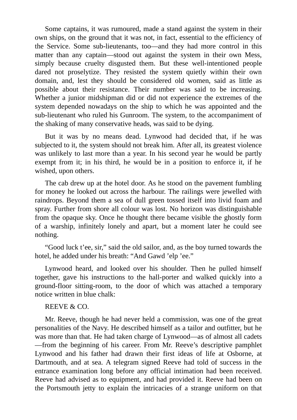Some captains, it was rumoured, made a stand against the system in their own ships, on the ground that it was not, in fact, essential to the efficiency of the Service. Some sub-lieutenants, too—and they had more control in this matter than any captain—stood out against the system in their own Mess, simply because cruelty disgusted them. But these well-intentioned people dared not proselytize. They resisted the system quietly within their own domain, and, lest they should be considered old women, said as little as possible about their resistance. Their number was said to be increasing. Whether a junior midshipman did or did not experience the extremes of the system depended nowadays on the ship to which he was appointed and the sub-lieutenant who ruled his Gunroom. The system, to the accompaniment of the shaking of many conservative heads, was said to be dying.

But it was by no means dead. Lynwood had decided that, if he was subjected to it, the system should not break him. After all, its greatest violence was unlikely to last more than a year. In his second year he would be partly exempt from it; in his third, he would be in a position to enforce it, if he wished, upon others.

The cab drew up at the hotel door. As he stood on the pavement fumbling for money he looked out across the harbour. The railings were jewelled with raindrops. Beyond them a sea of dull green tossed itself into livid foam and spray. Further from shore all colour was lost. No horizon was distinguishable from the opaque sky. Once he thought there became visible the ghostly form of a warship, infinitely lonely and apart, but a moment later he could see nothing.

"Good luck t'ee, sir," said the old sailor, and, as the boy turned towards the hotel, he added under his breath: "And Gawd 'elp 'ee."

Lynwood heard, and looked over his shoulder. Then he pulled himself together, gave his instructions to the hall-porter and walked quickly into a ground-floor sitting-room, to the door of which was attached a temporary notice written in blue chalk:

## REEVE & CO.

Mr. Reeve, though he had never held a commission, was one of the great personalities of the Navy. He described himself as a tailor and outfitter, but he was more than that. He had taken charge of Lynwood—as of almost all cadets —from the beginning of his career. From Mr. Reeve's descriptive pamphlet Lynwood and his father had drawn their first ideas of life at Osborne, at Dartmouth, and at sea. A telegram signed Reeve had told of success in the entrance examination long before any official intimation had been received. Reeve had advised as to equipment, and had provided it. Reeve had been on the Portsmouth jetty to explain the intricacies of a strange uniform on that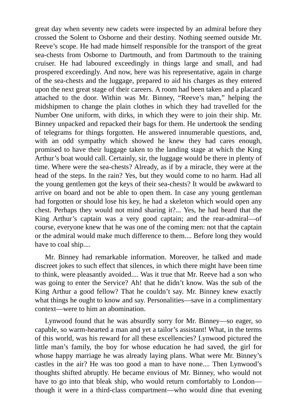great day when seventy new cadets were inspected by an admiral before they crossed the Solent to Osborne and their destiny. Nothing seemed outside Mr. Reeve's scope. He had made himself responsible for the transport of the great sea-chests from Osborne to Dartmouth, and from Dartmouth to the training cruiser. He had laboured exceedingly in things large and small, and had prospered exceedingly. And now, here was his representative, again in charge of the sea-chests and the luggage, prepared to aid his charges as they entered upon the next great stage of their careers. A room had been taken and a placard attached to the door. Within was Mr. Binney, "Reeve's man," helping the midshipmen to change the plain clothes in which they had travelled for the Number One uniform, with dirks, in which they were to join their ship. Mr. Binney unpacked and repacked their bags for them. He undertook the sending of telegrams for things forgotten. He answered innumerable questions, and, with an odd sympathy which showed he knew they had cares enough, promised to have their luggage taken to the landing stage at which the King Arthur's boat would call. Certainly, sir, the luggage would be there in plenty of time. Where were the sea-chests? Already, as if by a miracle, they were at the head of the steps. In the rain? Yes, but they would come to no harm. Had all the young gentlemen got the keys of their sea-chests? It would be awkward to arrive on board and not be able to open them. In case any young gentleman had forgotten or should lose his key, he had a skeleton which would open any chest. Perhaps they would not mind sharing it?... Yes, he had heard that the King Arthur's captain was a very good captain; and the rear-admiral—of course, everyone knew that he was one of the coming men: not that the captain or the admiral would make much difference to them.... Before long they would have to coal ship....

Mr. Binney had remarkable information. Moreover, he talked and made discreet jokes to such effect that silences, in which there might have been time to think, were pleasantly avoided.... Was it true that Mr. Reeve had a son who was going to enter the Service? Ah! that he didn't know. Was the sub of the King Arthur a good fellow? That he couldn't say. Mr. Binney knew exactly what things he ought to know and say. Personalities—save in a complimentary context—were to him an abomination.

Lynwood found that he was absurdly sorry for Mr. Binney—so eager, so capable, so warm-hearted a man and yet a tailor's assistant! What, in the terms of this world, was his reward for all these excellencies? Lynwood pictured the little man's family, the boy for whose education he had saved, the girl for whose happy marriage he was already laying plans. What were Mr. Binney's castles in the air? He was too good a man to have none.... Then Lynwood's thoughts shifted abruptly. He became envious of Mr. Binney, who would not have to go into that bleak ship, who would return comfortably to London though it were in a third-class compartment—who would dine that evening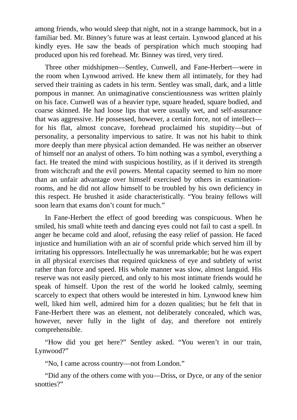among friends, who would sleep that night, not in a strange hammock, but in a familiar bed. Mr. Binney's future was at least certain. Lynwood glanced at his kindly eyes. He saw the beads of perspiration which much stooping had produced upon his red forehead. Mr. Binney was tired, very tired.

Three other midshipmen—Sentley, Cunwell, and Fane-Herbert—were in the room when Lynwood arrived. He knew them all intimately, for they had served their training as cadets in his term. Sentley was small, dark, and a little pompous in manner. An unimaginative conscientiousness was written plainly on his face. Cunwell was of a heavier type, square headed, square bodied, and coarse skinned. He had loose lips that were usually wet, and self-assurance that was aggressive. He possessed, however, a certain force, not of intellect for his flat, almost concave, forehead proclaimed his stupidity—but of personality, a personality impervious to satire. It was not his habit to think more deeply than mere physical action demanded. He was neither an observer of himself nor an analyst of others. To him nothing was a symbol, everything a fact. He treated the mind with suspicious hostility, as if it derived its strength from witchcraft and the evil powers. Mental capacity seemed to him no more than an unfair advantage over himself exercised by others in examinationrooms, and he did not allow himself to be troubled by his own deficiency in this respect. He brushed it aside characteristically. "You brainy fellows will soon learn that exams don't count for much."

In Fane-Herbert the effect of good breeding was conspicuous. When he smiled, his small white teeth and dancing eyes could not fail to cast a spell. In anger he became cold and aloof, refusing the easy relief of passion. He faced injustice and humiliation with an air of scornful pride which served him ill by irritating his oppressors. Intellectually he was unremarkable; but he was expert in all physical exercises that required quickness of eye and subtlety of wrist rather than force and speed. His whole manner was slow, almost languid. His reserve was not easily pierced, and only to his most intimate friends would he speak of himself. Upon the rest of the world he looked calmly, seeming scarcely to expect that others would be interested in him. Lynwood knew him well, liked him well, admired him for a dozen qualities; but he felt that in Fane-Herbert there was an element, not deliberately concealed, which was, however, never fully in the light of day, and therefore not entirely comprehensible.

"How did you get here?" Sentley asked. "You weren't in our train, Lynwood?"

"No, I came across country—not from London."

"Did any of the others come with you—Driss, or Dyce, or any of the senior snotties?"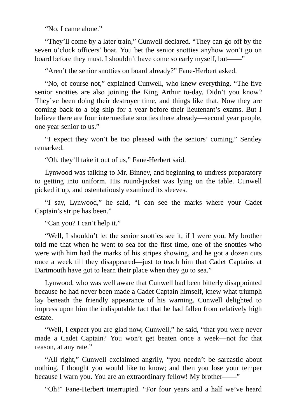"No, I came alone."

"They'll come by a later train," Cunwell declared. "They can go off by the seven o'clock officers' boat. You bet the senior snotties anyhow won't go on board before they must. I shouldn't have come so early myself, but——"

"Aren't the senior snotties on board already?" Fane-Herbert asked.

"No, of course not," explained Cunwell, who knew everything. "The five senior snotties are also joining the King Arthur to-day. Didn't you know? They've been doing their destroyer time, and things like that. Now they are coming back to a big ship for a year before their lieutenant's exams. But I believe there are four intermediate snotties there already—second year people, one year senior to us."

"I expect they won't be too pleased with the seniors' coming," Sentley remarked.

"Oh, they'll take it out of us," Fane-Herbert said.

Lynwood was talking to Mr. Binney, and beginning to undress preparatory to getting into uniform. His round-jacket was lying on the table. Cunwell picked it up, and ostentatiously examined its sleeves.

"I say, Lynwood," he said, "I can see the marks where your Cadet Captain's stripe has been."

"Can you? I can't help it."

"Well, I shouldn't let the senior snotties see it, if I were you. My brother told me that when he went to sea for the first time, one of the snotties who were with him had the marks of his stripes showing, and he got a dozen cuts once a week till they disappeared—just to teach him that Cadet Captains at Dartmouth have got to learn their place when they go to sea."

Lynwood, who was well aware that Cunwell had been bitterly disappointed because he had never been made a Cadet Captain himself, knew what triumph lay beneath the friendly appearance of his warning. Cunwell delighted to impress upon him the indisputable fact that he had fallen from relatively high estate.

"Well, I expect you are glad now, Cunwell," he said, "that you were never made a Cadet Captain? You won't get beaten once a week—not for that reason, at any rate."

"All right," Cunwell exclaimed angrily, "you needn't be sarcastic about nothing. I thought you would like to know; and then you lose your temper because I warn you. You are an extraordinary fellow! My brother——"

"Oh!" Fane-Herbert interrupted. "For four years and a half we've heard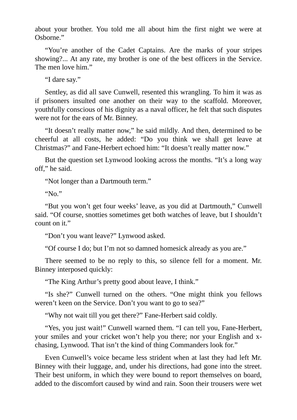about your brother. You told me all about him the first night we were at Osborne."

"You're another of the Cadet Captains. Are the marks of your stripes showing?... At any rate, my brother is one of the best officers in the Service. The men love him."

"I dare say."

Sentley, as did all save Cunwell, resented this wrangling. To him it was as if prisoners insulted one another on their way to the scaffold. Moreover, youthfully conscious of his dignity as a naval officer, he felt that such disputes were not for the ears of Mr. Binney.

"It doesn't really matter now," he said mildly. And then, determined to be cheerful at all costs, he added: "Do you think we shall get leave at Christmas?" and Fane-Herbert echoed him: "It doesn't really matter now."

But the question set Lynwood looking across the months. "It's a long way off," he said.

"Not longer than a Dartmouth term."

"No."

"But you won't get four weeks' leave, as you did at Dartmouth," Cunwell said. "Of course, snotties sometimes get both watches of leave, but I shouldn't count on it."

"Don't you want leave?" Lynwood asked.

"Of course I do; but I'm not so damned homesick already as you are."

There seemed to be no reply to this, so silence fell for a moment. Mr. Binney interposed quickly:

"The King Arthur's pretty good about leave, I think."

"Is she?" Cunwell turned on the others. "One might think you fellows weren't keen on the Service. Don't you want to go to sea?"

"Why not wait till you get there?" Fane-Herbert said coldly.

"Yes, you just wait!" Cunwell warned them. "I can tell you, Fane-Herbert, your smiles and your cricket won't help you there; nor your English and xchasing, Lynwood. That isn't the kind of thing Commanders look for."

Even Cunwell's voice became less strident when at last they had left Mr. Binney with their luggage, and, under his directions, had gone into the street. Their best uniform, in which they were bound to report themselves on board, added to the discomfort caused by wind and rain. Soon their trousers were wet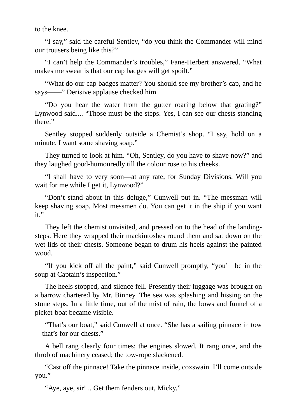to the knee.

"I say," said the careful Sentley, "do you think the Commander will mind our trousers being like this?"

"I can't help the Commander's troubles," Fane-Herbert answered. "What makes me swear is that our cap badges will get spoilt."

"What do our cap badges matter? You should see my brother's cap, and he says——" Derisive applause checked him.

"Do you hear the water from the gutter roaring below that grating?" Lynwood said.... "Those must be the steps. Yes, I can see our chests standing there."

Sentley stopped suddenly outside a Chemist's shop. "I say, hold on a minute. I want some shaving soap."

They turned to look at him. "Oh, Sentley, do you have to shave now?" and they laughed good-humouredly till the colour rose to his cheeks.

"I shall have to very soon—at any rate, for Sunday Divisions. Will you wait for me while I get it, Lynwood?"

"Don't stand about in this deluge," Cunwell put in. "The messman will keep shaving soap. Most messmen do. You can get it in the ship if you want it."

They left the chemist unvisited, and pressed on to the head of the landingsteps. Here they wrapped their mackintoshes round them and sat down on the wet lids of their chests. Someone began to drum his heels against the painted wood.

"If you kick off all the paint," said Cunwell promptly, "you'll be in the soup at Captain's inspection."

The heels stopped, and silence fell. Presently their luggage was brought on a barrow chartered by Mr. Binney. The sea was splashing and hissing on the stone steps. In a little time, out of the mist of rain, the bows and funnel of a picket-boat became visible.

"That's our boat," said Cunwell at once. "She has a sailing pinnace in tow —that's for our chests."

A bell rang clearly four times; the engines slowed. It rang once, and the throb of machinery ceased; the tow-rope slackened.

"Cast off the pinnace! Take the pinnace inside, coxswain. I'll come outside you."

"Aye, aye, sir!... Get them fenders out, Micky."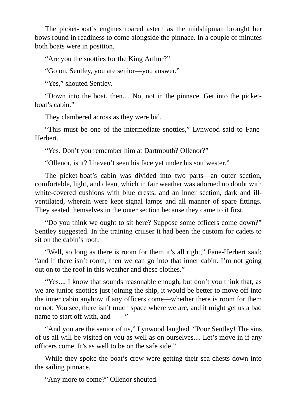The picket-boat's engines roared astern as the midshipman brought her bows round in readiness to come alongside the pinnace. In a couple of minutes both boats were in position.

"Are you the snotties for the King Arthur?"

"Go on, Sentley, you are senior—you answer."

"Yes," shouted Sentley.

"Down into the boat, then.... No, not in the pinnace. Get into the picketboat's cabin."

They clambered across as they were bid.

"This must be one of the intermediate snotties," Lynwood said to Fane-Herbert.

"Yes. Don't you remember him at Dartmouth? Ollenor?"

"Ollenor, is it? I haven't seen his face yet under his sou'wester."

The picket-boat's cabin was divided into two parts—an outer section, comfortable, light, and clean, which in fair weather was adorned no doubt with white-covered cushions with blue crests; and an inner section, dark and illventilated, wherein were kept signal lamps and all manner of spare fittings. They seated themselves in the outer section because they came to it first.

"Do you think we ought to sit here? Suppose some officers come down?" Sentley suggested. In the training cruiser it had been the custom for cadets to sit on the cabin's roof.

"Well, so long as there is room for them it's all right," Fane-Herbert said; "and if there isn't room, then we can go into that inner cabin. I'm not going out on to the roof in this weather and these clothes."

"Yes.... I know that sounds reasonable enough, but don't you think that, as we are junior snotties just joining the ship, it would be better to move off into the inner cabin anyhow if any officers come—whether there is room for them or not. You see, there isn't much space where we are, and it might get us a bad name to start off with, and——"

"And you are the senior of us," Lynwood laughed. "Poor Sentley! The sins of us all will be visited on you as well as on ourselves.... Let's move in if any officers come. It's as well to be on the safe side."

While they spoke the boat's crew were getting their sea-chests down into the sailing pinnace.

"Any more to come?" Ollenor shouted.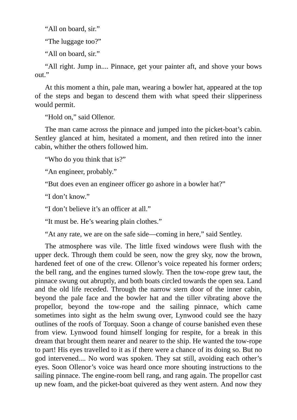"All on board, sir."

"The luggage too?"

"All on board, sir."

"All right. Jump in.... Pinnace, get your painter aft, and shove your bows out."

At this moment a thin, pale man, wearing a bowler hat, appeared at the top of the steps and began to descend them with what speed their slipperiness would permit.

"Hold on," said Ollenor.

The man came across the pinnace and jumped into the picket-boat's cabin. Sentley glanced at him, hesitated a moment, and then retired into the inner cabin, whither the others followed him.

"Who do you think that is?"

"An engineer, probably."

"But does even an engineer officer go ashore in a bowler hat?"

"I don't know."

"I don't believe it's an officer at all."

"It must be. He's wearing plain clothes."

"At any rate, we are on the safe side—coming in here," said Sentley.

The atmosphere was vile. The little fixed windows were flush with the upper deck. Through them could be seen, now the grey sky, now the brown, hardened feet of one of the crew. Ollenor's voice repeated his former orders; the bell rang, and the engines turned slowly. Then the tow-rope grew taut, the pinnace swung out abruptly, and both boats circled towards the open sea. Land and the old life receded. Through the narrow stern door of the inner cabin, beyond the pale face and the bowler hat and the tiller vibrating above the propellor, beyond the tow-rope and the sailing pinnace, which came sometimes into sight as the helm swung over, Lynwood could see the hazy outlines of the roofs of Torquay. Soon a change of course banished even these from view. Lynwood found himself longing for respite, for a break in this dream that brought them nearer and nearer to the ship. He wanted the tow-rope to part! His eyes travelled to it as if there were a chance of its doing so. But no god intervened.... No word was spoken. They sat still, avoiding each other's eyes. Soon Ollenor's voice was heard once more shouting instructions to the sailing pinnace. The engine-room bell rang, and rang again. The propellor cast up new foam, and the picket-boat quivered as they went astern. And now they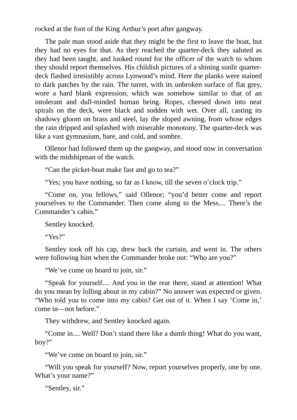rocked at the foot of the King Arthur's port after gangway.

The pale man stood aside that they might be the first to leave the boat, but they had no eyes for that. As they reached the quarter-deck they saluted as they had been taught, and looked round for the officer of the watch to whom they should report themselves. His childish pictures of a shining sunlit quarterdeck flashed irresistibly across Lynwood's mind. Here the planks were stained to dark patches by the rain. The turret, with its unbroken surface of flat grey, wore a hard blank expression, which was somehow similar to that of an intolerant and dull-minded human being. Ropes, cheesed down into neat spirals on the deck, were black and sodden with wet. Over all, casting its shadowy gloom on brass and steel, lay the sloped awning, from whose edges the rain dripped and splashed with miserable monotony. The quarter-deck was like a vast gymnasium, bare, and cold, and sombre.

Ollenor had followed them up the gangway, and stood now in conversation with the midshipman of the watch.

"Can the picket-boat make fast and go to tea?"

"Yes; you have nothing, so far as I know, till the seven o'clock trip."

"Come on, you fellows," said Ollenor; "you'd better come and report yourselves to the Commander. Then come along to the Mess.... There's the Commander's cabin."

Sentley knocked.

"Yes?"

Sentley took off his cap, drew back the curtain, and went in. The others were following him when the Commander broke out: "Who are you?"

"We've come on board to join, sir."

"Speak for yourself.... And you in the rear there, stand at attention! What do you mean by lolling about in my cabin?" No answer was expected or given. "Who told you to come into my cabin? Get out of it. When I say 'Come in,' come in—not before."

They withdrew, and Sentley knocked again.

"Come in.... Well? Don't stand there like a dumb thing! What do you want, boy?"

"We've come on board to join, sir."

"Will you speak for yourself? Now, report yourselves properly, one by one. What's your name?"

"Sentley, sir."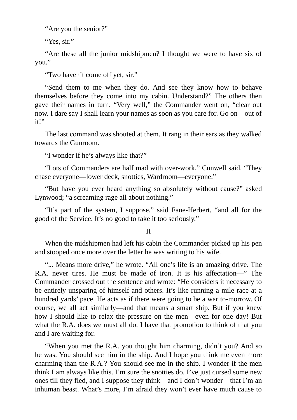"Are you the senior?"

"Yes, sir."

"Are these all the junior midshipmen? I thought we were to have six of you."

"Two haven't come off yet, sir."

"Send them to me when they do. And see they know how to behave themselves before they come into my cabin. Understand?" The others then gave their names in turn. "Very well," the Commander went on, "clear out now. I dare say I shall learn your names as soon as you care for. Go on—out of it!"

The last command was shouted at them. It rang in their ears as they walked towards the Gunroom.

"I wonder if he's always like that?"

"Lots of Commanders are half mad with over-work," Cunwell said. "They chase everyone—lower deck, snotties, Wardroom—everyone."

"But have you ever heard anything so absolutely without cause?" asked Lynwood; "a screaming rage all about nothing."

"It's part of the system, I suppose," said Fane-Herbert, "and all for the good of the Service. It's no good to take it too seriously."

II

When the midshipmen had left his cabin the Commander picked up his pen and stooped once more over the letter he was writing to his wife.

"... Means more drive," he wrote. "All one's life is an amazing drive. The R.A. never tires. He must be made of iron. It is his affectation—" The Commander crossed out the sentence and wrote: "He considers it necessary to be entirely unsparing of himself and others. It's like running a mile race at a hundred yards' pace. He acts as if there were going to be a war to-morrow. Of course, we all act similarly—and that means a smart ship. But if you knew how I should like to relax the pressure on the men—even for one day! But what the R.A. does we must all do. I have that promotion to think of that you and I are waiting for.

"When you met the R.A. you thought him charming, didn't you? And so he was. You should see him in the ship. And I hope you think me even more charming than the R.A.? You should see me in the ship. I wonder if the men think I am always like this. I'm sure the snotties do. I've just cursed some new ones till they fled, and I suppose they think—and I don't wonder—that I'm an inhuman beast. What's more, I'm afraid they won't ever have much cause to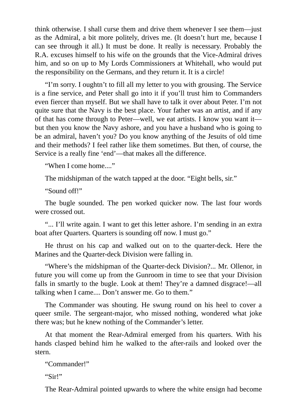think otherwise. I shall curse them and drive them whenever I see them—just as the Admiral, a bit more politely, drives me. (It doesn't hurt me, because I can see through it all.) It must be done. It really is necessary. Probably the R.A. excuses himself to his wife on the grounds that the Vice-Admiral drives him, and so on up to My Lords Commissioners at Whitehall, who would put the responsibility on the Germans, and they return it. It is a circle!

"I'm sorry. I oughtn't to fill all my letter to you with grousing. The Service is a fine service, and Peter shall go into it if you'll trust him to Commanders even fiercer than myself. But we shall have to talk it over about Peter. I'm not quite sure that the Navy is the best place. Your father was an artist, and if any of that has come through to Peter—well, we eat artists. I know you want it but then you know the Navy ashore, and you have a husband who is going to be an admiral, haven't you? Do you know anything of the Jesuits of old time and their methods? I feel rather like them sometimes. But then, of course, the Service is a really fine 'end'—that makes all the difference.

"When I come home...."

The midshipman of the watch tapped at the door. "Eight bells, sir."

"Sound off!"

The bugle sounded. The pen worked quicker now. The last four words were crossed out.

"... I'll write again. I want to get this letter ashore. I'm sending in an extra boat after Quarters. Quarters is sounding off now. I must go."

He thrust on his cap and walked out on to the quarter-deck. Here the Marines and the Quarter-deck Division were falling in.

"Where's the midshipman of the Quarter-deck Division?... Mr. Ollenor, in future you will come up from the Gunroom in time to see that your Division falls in smartly to the bugle. Look at them! They're a damned disgrace!—all talking when I came.... Don't answer me. Go to them."

The Commander was shouting. He swung round on his heel to cover a queer smile. The sergeant-major, who missed nothing, wondered what joke there was; but he knew nothing of the Commander's letter.

At that moment the Rear-Admiral emerged from his quarters. With his hands clasped behind him he walked to the after-rails and looked over the stern.

"Commander!"

"Sir!"

The Rear-Admiral pointed upwards to where the white ensign had become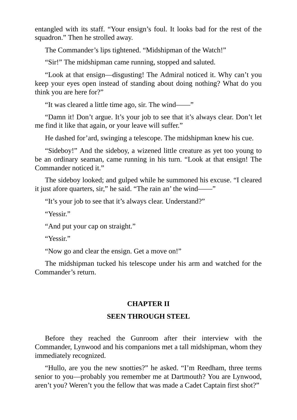entangled with its staff. "Your ensign's foul. It looks bad for the rest of the squadron." Then he strolled away.

The Commander's lips tightened. "Midshipman of the Watch!"

"Sir!" The midshipman came running, stopped and saluted.

"Look at that ensign—disgusting! The Admiral noticed it. Why can't you keep your eyes open instead of standing about doing nothing? What do you think you are here for?"

"It was cleared a little time ago, sir. The wind——"

"Damn it! Don't argue. It's your job to see that it's always clear. Don't let me find it like that again, or your leave will suffer."

He dashed for'ard, swinging a telescope. The midshipman knew his cue.

"Sideboy!" And the sideboy, a wizened little creature as yet too young to be an ordinary seaman, came running in his turn. "Look at that ensign! The Commander noticed it."

The sideboy looked; and gulped while he summoned his excuse. "I cleared it just afore quarters, sir," he said. "The rain an' the wind——"

"It's your job to see that it's always clear. Understand?"

"Yessir."

"And put your cap on straight."

"Yessir."

"Now go and clear the ensign. Get a move on!"

The midshipman tucked his telescope under his arm and watched for the Commander's return.

### **CHAPTER II**

# **SEEN THROUGH STEEL**

Before they reached the Gunroom after their interview with the Commander, Lynwood and his companions met a tall midshipman, whom they immediately recognized.

"Hullo, are you the new snotties?" he asked. "I'm Reedham, three terms senior to you—probably you remember me at Dartmouth? You are Lynwood, aren't you? Weren't you the fellow that was made a Cadet Captain first shot?"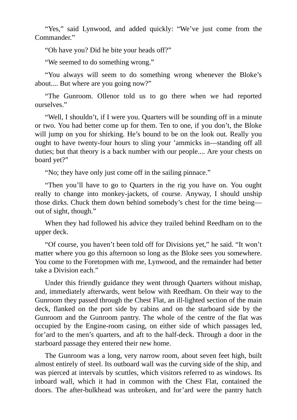"Yes," said Lynwood, and added quickly: "We've just come from the Commander."

"Oh have you? Did he bite your heads off?"

"We seemed to do something wrong."

"You always will seem to do something wrong whenever the Bloke's about.... But where are you going now?"

"The Gunroom. Ollenor told us to go there when we had reported ourselves."

"Well, I shouldn't, if I were you. Quarters will be sounding off in a minute or two. You had better come up for them. Ten to one, if you don't, the Bloke will jump on you for shirking. He's bound to be on the look out. Really you ought to have twenty-four hours to sling your 'ammicks in—standing off all duties; but that theory is a back number with our people.... Are your chests on board yet?"

"No; they have only just come off in the sailing pinnace."

"Then you'll have to go to Quarters in the rig you have on. You ought really to change into monkey-jackets, of course. Anyway, I should unship those dirks. Chuck them down behind somebody's chest for the time being out of sight, though."

When they had followed his advice they trailed behind Reedham on to the upper deck.

"Of course, you haven't been told off for Divisions yet," he said. "It won't matter where you go this afternoon so long as the Bloke sees you somewhere. You come to the Foretopmen with me, Lynwood, and the remainder had better take a Division each."

Under this friendly guidance they went through Quarters without mishap, and, immediately afterwards, went below with Reedham. On their way to the Gunroom they passed through the Chest Flat, an ill-lighted section of the main deck, flanked on the port side by cabins and on the starboard side by the Gunroom and the Gunroom pantry. The whole of the centre of the flat was occupied by the Engine-room casing, on either side of which passages led, for'ard to the men's quarters, and aft to the half-deck. Through a door in the starboard passage they entered their new home.

The Gunroom was a long, very narrow room, about seven feet high, built almost entirely of steel. Its outboard wall was the curving side of the ship, and was pierced at intervals by scuttles, which visitors referred to as windows. Its inboard wall, which it had in common with the Chest Flat, contained the doors. The after-bulkhead was unbroken, and for'ard were the pantry hatch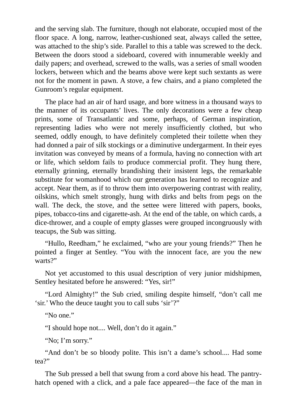and the serving slab. The furniture, though not elaborate, occupied most of the floor space. A long, narrow, leather-cushioned seat, always called the settee, was attached to the ship's side. Parallel to this a table was screwed to the deck. Between the doors stood a sideboard, covered with innumerable weekly and daily papers; and overhead, screwed to the walls, was a series of small wooden lockers, between which and the beams above were kept such sextants as were not for the moment in pawn. A stove, a few chairs, and a piano completed the Gunroom's regular equipment.

The place had an air of hard usage, and bore witness in a thousand ways to the manner of its occupants' lives. The only decorations were a few cheap prints, some of Transatlantic and some, perhaps, of German inspiration, representing ladies who were not merely insufficiently clothed, but who seemed, oddly enough, to have definitely completed their toilette when they had donned a pair of silk stockings or a diminutive undergarment. In their eyes invitation was conveyed by means of a formula, having no connection with art or life, which seldom fails to produce commercial profit. They hung there, eternally grinning, eternally brandishing their insistent legs, the remarkable substitute for womanhood which our generation has learned to recognize and accept. Near them, as if to throw them into overpowering contrast with reality, oilskins, which smelt strongly, hung with dirks and belts from pegs on the wall. The deck, the stove, and the settee were littered with papers, books, pipes, tobacco-tins and cigarette-ash. At the end of the table, on which cards, a dice-thrower, and a couple of empty glasses were grouped incongruously with teacups, the Sub was sitting.

"Hullo, Reedham," he exclaimed, "who are your young friends?" Then he pointed a finger at Sentley. "You with the innocent face, are you the new warts?"

Not yet accustomed to this usual description of very junior midshipmen, Sentley hesitated before he answered: "Yes, sir!"

"Lord Almighty!" the Sub cried, smiling despite himself, "don't call me 'sir.' Who the deuce taught you to call subs 'sir'?"

"No one."

"I should hope not.... Well, don't do it again."

"No; I'm sorry."

"And don't be so bloody polite. This isn't a dame's school.... Had some tea?"

The Sub pressed a bell that swung from a cord above his head. The pantryhatch opened with a click, and a pale face appeared—the face of the man in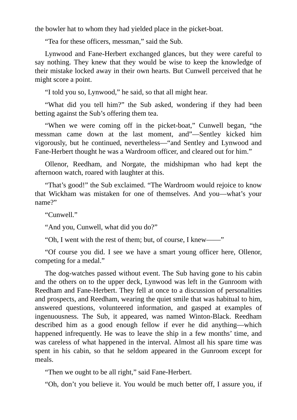the bowler hat to whom they had yielded place in the picket-boat.

"Tea for these officers, messman," said the Sub.

Lynwood and Fane-Herbert exchanged glances, but they were careful to say nothing. They knew that they would be wise to keep the knowledge of their mistake locked away in their own hearts. But Cunwell perceived that he might score a point.

"I told you so, Lynwood," he said, so that all might hear.

"What did you tell him?" the Sub asked, wondering if they had been betting against the Sub's offering them tea.

"When we were coming off in the picket-boat," Cunwell began, "the messman came down at the last moment, and"—Sentley kicked him vigorously, but he continued, nevertheless—"and Sentley and Lynwood and Fane-Herbert thought he was a Wardroom officer, and cleared out for him."

Ollenor, Reedham, and Norgate, the midshipman who had kept the afternoon watch, roared with laughter at this.

"That's good!" the Sub exclaimed. "The Wardroom would rejoice to know that Wickham was mistaken for one of themselves. And you—what's your name?"

"Cunwell."

"And you, Cunwell, what did you do?"

"Oh, I went with the rest of them; but, of course, I knew——"

"Of course you did. I see we have a smart young officer here, Ollenor, competing for a medal."

The dog-watches passed without event. The Sub having gone to his cabin and the others on to the upper deck, Lynwood was left in the Gunroom with Reedham and Fane-Herbert. They fell at once to a discussion of personalities and prospects, and Reedham, wearing the quiet smile that was habitual to him, answered questions, volunteered information, and gasped at examples of ingenuousness. The Sub, it appeared, was named Winton-Black. Reedham described him as a good enough fellow if ever he did anything—which happened infrequently. He was to leave the ship in a few months' time, and was careless of what happened in the interval. Almost all his spare time was spent in his cabin, so that he seldom appeared in the Gunroom except for meals.

"Then we ought to be all right," said Fane-Herbert.

"Oh, don't you believe it. You would be much better off, I assure you, if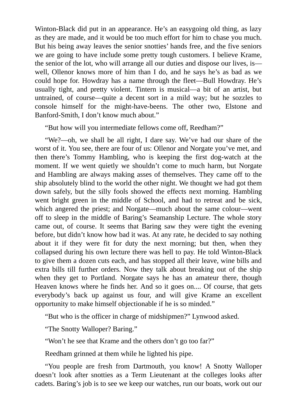Winton-Black did put in an appearance. He's an easygoing old thing, as lazy as they are made, and it would be too much effort for him to chase you much. But his being away leaves the senior snotties' hands free, and the five seniors we are going to have include some pretty tough customers. I believe Krame, the senior of the lot, who will arrange all our duties and dispose our lives, is well, Ollenor knows more of him than I do, and he says he's as bad as we could hope for. Howdray has a name through the fleet—Bull Howdray. He's usually tight, and pretty violent. Tintern is musical—a bit of an artist, but untrained, of course—quite a decent sort in a mild way; but he sozzles to console himself for the might-have-beens. The other two, Elstone and Banford-Smith, I don't know much about."

"But how will you intermediate fellows come off, Reedham?"

"We?—oh, we shall be all right, I dare say. We've had our share of the worst of it. You see, there are four of us: Ollenor and Norgate you've met, and then there's Tommy Hambling, who is keeping the first dog-watch at the moment. If we went quietly we shouldn't come to much harm, but Norgate and Hambling are always making asses of themselves. They came off to the ship absolutely blind to the world the other night. We thought we had got them down safely, but the silly fools showed the effects next morning. Hambling went bright green in the middle of School, and had to retreat and be sick, which angered the priest; and Norgate—much about the same colour—went off to sleep in the middle of Baring's Seamanship Lecture. The whole story came out, of course. It seems that Baring saw they were tight the evening before, but didn't know how bad it was. At any rate, he decided to say nothing about it if they were fit for duty the next morning; but then, when they collapsed during his own lecture there was hell to pay. He told Winton-Black to give them a dozen cuts each, and has stopped all their leave, wine bills and extra bills till further orders. Now they talk about breaking out of the ship when they get to Portland. Norgate says he has an amateur there, though Heaven knows where he finds her. And so it goes on.... Of course, that gets everybody's back up against us four, and will give Krame an excellent opportunity to make himself objectionable if he is so minded."

"But who is the officer in charge of midshipmen?" Lynwood asked.

"The Snotty Walloper? Baring."

"Won't he see that Krame and the others don't go too far?"

Reedham grinned at them while he lighted his pipe.

"You people are fresh from Dartmouth, you know! A Snotty Walloper doesn't look after snotties as a Term Lieutenant at the colleges looks after cadets. Baring's job is to see we keep our watches, run our boats, work out our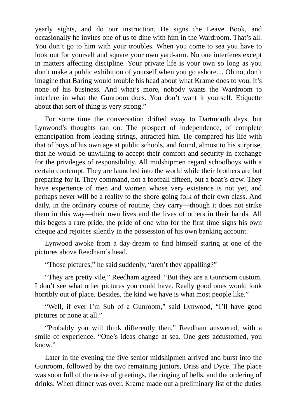yearly sights, and do our instruction. He signs the Leave Book, and occasionally he invites one of us to dine with him in the Wardroom. That's all. You don't go to him with your troubles. When you come to sea you have to look out for yourself and square your own yard-arm. No one interferes except in matters affecting discipline. Your private life is your own so long as you don't make a public exhibition of yourself when you go ashore.... Oh no, don't imagine that Baring would trouble his head about what Krame does to you. It's none of his business. And what's more, nobody wants the Wardroom to interfere in what the Gunroom does. You don't want it yourself. Etiquette about that sort of thing is very strong."

For some time the conversation drifted away to Dartmouth days, but Lynwood's thoughts ran on. The prospect of independence, of complete emancipation from leading-strings, attracted him. He compared his life with that of boys of his own age at public schools, and found, almost to his surprise, that he would be unwilling to accept their comfort and security in exchange for the privileges of responsibility. All midshipmen regard schoolboys with a certain contempt. They are launched into the world while their brothers are but preparing for it. They command, not a football fifteen, but a boat's crew. They have experience of men and women whose very existence is not yet, and perhaps never will be a reality to the shore-going folk of their own class. And daily, in the ordinary course of routine, they carry—though it does not strike them in this way—their own lives and the lives of others in their hands. All this begets a rare pride, the pride of one who for the first time signs his own cheque and rejoices silently in the possession of his own banking account.

Lynwood awoke from a day-dream to find himself staring at one of the pictures above Reedham's head.

"Those pictures," he said suddenly, "aren't they appalling?"

"They are pretty vile," Reedham agreed. "But they are a Gunroom custom. I don't see what other pictures you could have. Really good ones would look horribly out of place. Besides, the kind we have is what most people like."

"Well, if ever I'm Sub of a Gunroom," said Lynwood, "I'll have good pictures or none at all."

"Probably you will think differently then," Reedham answered, with a smile of experience. "One's ideas change at sea. One gets accustomed, you know."

Later in the evening the five senior midshipmen arrived and burst into the Gunroom, followed by the two remaining juniors, Driss and Dyce. The place was soon full of the noise of greetings, the ringing of bells, and the ordering of drinks. When dinner was over, Krame made out a preliminary list of the duties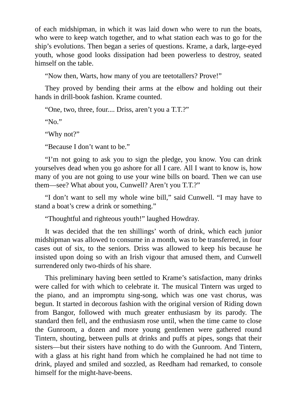of each midshipman, in which it was laid down who were to run the boats, who were to keep watch together, and to what station each was to go for the ship's evolutions. Then began a series of questions. Krame, a dark, large-eyed youth, whose good looks dissipation had been powerless to destroy, seated himself on the table.

"Now then, Warts, how many of you are teetotallers? Prove!"

They proved by bending their arms at the elbow and holding out their hands in drill-book fashion. Krame counted.

"One, two, three, four.... Driss, aren't you a T.T.?"

"No."

"Why not?"

"Because I don't want to be."

"I'm not going to ask you to sign the pledge, you know. You can drink yourselves dead when you go ashore for all I care. All I want to know is, how many of you are not going to use your wine bills on board. Then we can use them—see? What about you, Cunwell? Aren't you T.T.?"

"I don't want to sell my whole wine bill," said Cunwell. "I may have to stand a boat's crew a drink or something."

"Thoughtful and righteous youth!" laughed Howdray.

It was decided that the ten shillings' worth of drink, which each junior midshipman was allowed to consume in a month, was to be transferred, in four cases out of six, to the seniors. Driss was allowed to keep his because he insisted upon doing so with an Irish vigour that amused them, and Cunwell surrendered only two-thirds of his share.

This preliminary having been settled to Krame's satisfaction, many drinks were called for with which to celebrate it. The musical Tintern was urged to the piano, and an impromptu sing-song, which was one vast chorus, was begun. It started in decorous fashion with the original version of Riding down from Bangor, followed with much greater enthusiasm by its parody. The standard then fell, and the enthusiasm rose until, when the time came to close the Gunroom, a dozen and more young gentlemen were gathered round Tintern, shouting, between pulls at drinks and puffs at pipes, songs that their sisters—but their sisters have nothing to do with the Gunroom. And Tintern, with a glass at his right hand from which he complained he had not time to drink, played and smiled and sozzled, as Reedham had remarked, to console himself for the might-have-beens.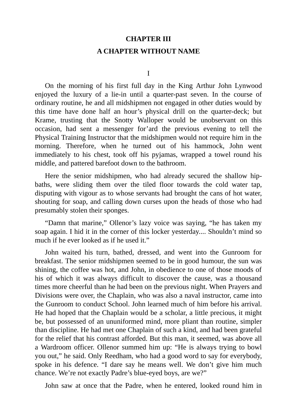#### **CHAPTER III**

### **A CHAPTER WITHOUT NAME**

I

On the morning of his first full day in the King Arthur John Lynwood enjoyed the luxury of a lie-in until a quarter-past seven. In the course of ordinary routine, he and all midshipmen not engaged in other duties would by this time have done half an hour's physical drill on the quarter-deck; but Krame, trusting that the Snotty Walloper would be unobservant on this occasion, had sent a messenger for'ard the previous evening to tell the Physical Training Instructor that the midshipmen would not require him in the morning. Therefore, when he turned out of his hammock, John went immediately to his chest, took off his pyjamas, wrapped a towel round his middle, and pattered barefoot down to the bathroom.

Here the senior midshipmen, who had already secured the shallow hipbaths, were sliding them over the tiled floor towards the cold water tap, disputing with vigour as to whose servants had brought the cans of hot water, shouting for soap, and calling down curses upon the heads of those who had presumably stolen their sponges.

"Damn that marine," Ollenor's lazy voice was saying, "he has taken my soap again. I hid it in the corner of this locker yesterday.... Shouldn't mind so much if he ever looked as if he used it."

John waited his turn, bathed, dressed, and went into the Gunroom for breakfast. The senior midshipmen seemed to be in good humour, the sun was shining, the coffee was hot, and John, in obedience to one of those moods of his of which it was always difficult to discover the cause, was a thousand times more cheerful than he had been on the previous night. When Prayers and Divisions were over, the Chaplain, who was also a naval instructor, came into the Gunroom to conduct School. John learned much of him before his arrival. He had hoped that the Chaplain would be a scholar, a little precious, it might be, but possessed of an ununiformed mind, more pliant than routine, simpler than discipline. He had met one Chaplain of such a kind, and had been grateful for the relief that his contrast afforded. But this man, it seemed, was above all a Wardroom officer. Ollenor summed him up: "He is always trying to bowl you out," he said. Only Reedham, who had a good word to say for everybody, spoke in his defence. "I dare say he means well. We don't give him much chance. We're not exactly Padre's blue-eyed boys, are we?"

John saw at once that the Padre, when he entered, looked round him in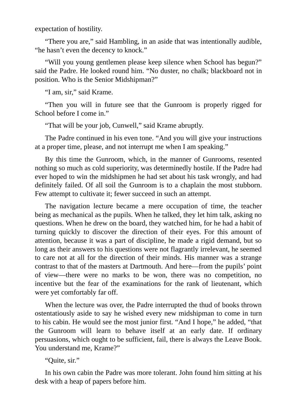expectation of hostility.

"There you are," said Hambling, in an aside that was intentionally audible, "he hasn't even the decency to knock."

"Will you young gentlemen please keep silence when School has begun?" said the Padre. He looked round him. "No duster, no chalk; blackboard not in position. Who is the Senior Midshipman?"

"I am, sir," said Krame.

"Then you will in future see that the Gunroom is properly rigged for School before I come in."

"That will be your job, Cunwell," said Krame abruptly.

The Padre continued in his even tone. "And you will give your instructions at a proper time, please, and not interrupt me when I am speaking."

By this time the Gunroom, which, in the manner of Gunrooms, resented nothing so much as cold superiority, was determinedly hostile. If the Padre had ever hoped to win the midshipmen he had set about his task wrongly, and had definitely failed. Of all soil the Gunroom is to a chaplain the most stubborn. Few attempt to cultivate it; fewer succeed in such an attempt.

The navigation lecture became a mere occupation of time, the teacher being as mechanical as the pupils. When he talked, they let him talk, asking no questions. When he drew on the board, they watched him, for he had a habit of turning quickly to discover the direction of their eyes. For this amount of attention, because it was a part of discipline, he made a rigid demand, but so long as their answers to his questions were not flagrantly irrelevant, he seemed to care not at all for the direction of their minds. His manner was a strange contrast to that of the masters at Dartmouth. And here—from the pupils' point of view—there were no marks to be won, there was no competition, no incentive but the fear of the examinations for the rank of lieutenant, which were yet comfortably far off.

When the lecture was over, the Padre interrupted the thud of books thrown ostentatiously aside to say he wished every new midshipman to come in turn to his cabin. He would see the most junior first. "And I hope," he added, "that the Gunroom will learn to behave itself at an early date. If ordinary persuasions, which ought to be sufficient, fail, there is always the Leave Book. You understand me, Krame?"

"Quite, sir."

In his own cabin the Padre was more tolerant. John found him sitting at his desk with a heap of papers before him.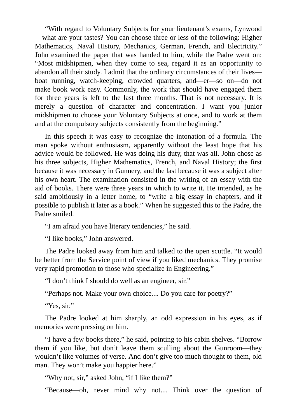"With regard to Voluntary Subjects for your lieutenant's exams, Lynwood —what are your tastes? You can choose three or less of the following: Higher Mathematics, Naval History, Mechanics, German, French, and Electricity." John examined the paper that was handed to him, while the Padre went on: "Most midshipmen, when they come to sea, regard it as an opportunity to abandon all their study. I admit that the ordinary circumstances of their lives boat running, watch-keeping, crowded quarters, and—er—so on—do not make book work easy. Commonly, the work that should have engaged them for three years is left to the last three months. That is not necessary. It is merely a question of character and concentration. I want you junior midshipmen to choose your Voluntary Subjects at once, and to work at them and at the compulsory subjects consistently from the beginning."

In this speech it was easy to recognize the intonation of a formula. The man spoke without enthusiasm, apparently without the least hope that his advice would be followed. He was doing his duty, that was all. John chose as his three subjects, Higher Mathematics, French, and Naval History; the first because it was necessary in Gunnery, and the last because it was a subject after his own heart. The examination consisted in the writing of an essay with the aid of books. There were three years in which to write it. He intended, as he said ambitiously in a letter home, to "write a big essay in chapters, and if possible to publish it later as a book." When he suggested this to the Padre, the Padre smiled.

"I am afraid you have literary tendencies," he said.

"I like books," John answered.

The Padre looked away from him and talked to the open scuttle. "It would be better from the Service point of view if you liked mechanics. They promise very rapid promotion to those who specialize in Engineering."

"I don't think I should do well as an engineer, sir."

"Perhaps not. Make your own choice.... Do you care for poetry?"

"Yes, sir."

The Padre looked at him sharply, an odd expression in his eyes, as if memories were pressing on him.

"I have a few books there," he said, pointing to his cabin shelves. "Borrow them if you like, but don't leave them sculling about the Gunroom—they wouldn't like volumes of verse. And don't give too much thought to them, old man. They won't make you happier here."

"Why not, sir," asked John, "if I like them?"

"Because—oh, never mind why not.... Think over the question of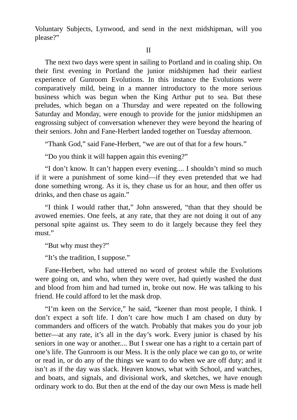Voluntary Subjects, Lynwood, and send in the next midshipman, will you please?"

II

The next two days were spent in sailing to Portland and in coaling ship. On their first evening in Portland the junior midshipmen had their earliest experience of Gunroom Evolutions. In this instance the Evolutions were comparatively mild, being in a manner introductory to the more serious business which was begun when the King Arthur put to sea. But these preludes, which began on a Thursday and were repeated on the following Saturday and Monday, were enough to provide for the junior midshipmen an engrossing subject of conversation whenever they were beyond the hearing of their seniors. John and Fane-Herbert landed together on Tuesday afternoon.

"Thank God," said Fane-Herbert, "we are out of that for a few hours."

"Do you think it will happen again this evening?"

"I don't know. It can't happen every evening.... I shouldn't mind so much if it were a punishment of some kind—if they even pretended that we had done something wrong. As it is, they chase us for an hour, and then offer us drinks, and then chase us again."

"I think I would rather that," John answered, "than that they should be avowed enemies. One feels, at any rate, that they are not doing it out of any personal spite against us. They seem to do it largely because they feel they must."

"But why must they?"

"It's the tradition, I suppose."

Fane-Herbert, who had uttered no word of protest while the Evolutions were going on, and who, when they were over, had quietly washed the dust and blood from him and had turned in, broke out now. He was talking to his friend. He could afford to let the mask drop.

"I'm keen on the Service," he said, "keener than most people, I think. I don't expect a soft life. I don't care how much I am chased on duty by commanders and officers of the watch. Probably that makes you do your job better—at any rate, it's all in the day's work. Every junior is chased by his seniors in one way or another.... But I swear one has a right to a certain part of one's life. The Gunroom is our Mess. It is the only place we can go to, or write or read in, or do any of the things we want to do when we are off duty; and it isn't as if the day was slack. Heaven knows, what with School, and watches, and boats, and signals, and divisional work, and sketches, we have enough ordinary work to do. But then at the end of the day our own Mess is made hell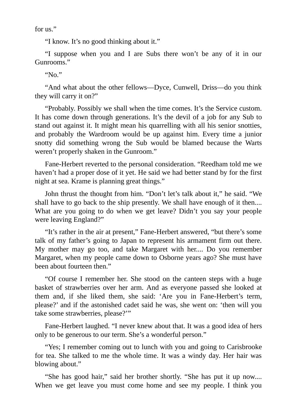for us."

"I know. It's no good thinking about it."

"I suppose when you and I are Subs there won't be any of it in our Gunrooms."

" $N_0$ "

"And what about the other fellows—Dyce, Cunwell, Driss—do you think they will carry it on?"

"Probably. Possibly we shall when the time comes. It's the Service custom. It has come down through generations. It's the devil of a job for any Sub to stand out against it. It might mean his quarrelling with all his senior snotties, and probably the Wardroom would be up against him. Every time a junior snotty did something wrong the Sub would be blamed because the Warts weren't properly shaken in the Gunroom."

Fane-Herbert reverted to the personal consideration. "Reedham told me we haven't had a proper dose of it yet. He said we had better stand by for the first night at sea. Krame is planning great things."

John thrust the thought from him. "Don't let's talk about it," he said. "We shall have to go back to the ship presently. We shall have enough of it then.... What are you going to do when we get leave? Didn't you say your people were leaving England?"

"It's rather in the air at present," Fane-Herbert answered, "but there's some talk of my father's going to Japan to represent his armament firm out there. My mother may go too, and take Margaret with her.... Do you remember Margaret, when my people came down to Osborne years ago? She must have been about fourteen then."

"Of course I remember her. She stood on the canteen steps with a huge basket of strawberries over her arm. And as everyone passed she looked at them and, if she liked them, she said: 'Are you in Fane-Herbert's term, please?' and if the astonished cadet said he was, she went on: 'then will you take some strawberries, please?'"

Fane-Herbert laughed. "I never knew about that. It was a good idea of hers only to be generous to our term. She's a wonderful person."

"Yes; I remember coming out to lunch with you and going to Carisbrooke for tea. She talked to me the whole time. It was a windy day. Her hair was blowing about."

"She has good hair," said her brother shortly. "She has put it up now.... When we get leave you must come home and see my people. I think you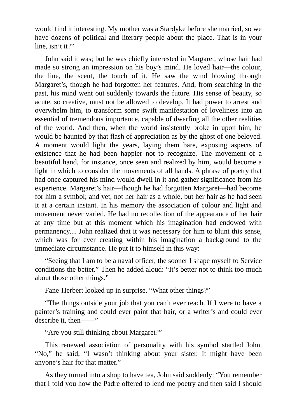would find it interesting. My mother was a Stardyke before she married, so we have dozens of political and literary people about the place. That is in your line, isn't it?"

John said it was; but he was chiefly interested in Margaret, whose hair had made so strong an impression on his boy's mind. He loved hair—the colour, the line, the scent, the touch of it. He saw the wind blowing through Margaret's, though he had forgotten her features. And, from searching in the past, his mind went out suddenly towards the future. His sense of beauty, so acute, so creative, must not be allowed to develop. It had power to arrest and overwhelm him, to transform some swift manifestation of loveliness into an essential of tremendous importance, capable of dwarfing all the other realities of the world. And then, when the world insistently broke in upon him, he would be haunted by that flash of appreciation as by the ghost of one beloved. A moment would light the years, laying them bare, exposing aspects of existence that he had been happier not to recognize. The movement of a beautiful hand, for instance, once seen and realized by him, would become a light in which to consider the movements of all hands. A phrase of poetry that had once captured his mind would dwell in it and gather significance from his experience. Margaret's hair—though he had forgotten Margaret—had become for him a symbol; and yet, not her hair as a whole, but her hair as he had seen it at a certain instant. In his memory the association of colour and light and movement never varied. He had no recollection of the appearance of her hair at any time but at this moment which his imagination had endowed with permanency.... John realized that it was necessary for him to blunt this sense, which was for ever creating within his imagination a background to the immediate circumstance. He put it to himself in this way:

"Seeing that I am to be a naval officer, the sooner I shape myself to Service conditions the better." Then he added aloud: "It's better not to think too much about those other things."

Fane-Herbert looked up in surprise. "What other things?"

"The things outside your job that you can't ever reach. If I were to have a painter's training and could ever paint that hair, or a writer's and could ever describe it, then——"

"Are you still thinking about Margaret?"

This renewed association of personality with his symbol startled John. "No," he said, "I wasn't thinking about your sister. It might have been anyone's hair for that matter."

As they turned into a shop to have tea, John said suddenly: "You remember that I told you how the Padre offered to lend me poetry and then said I should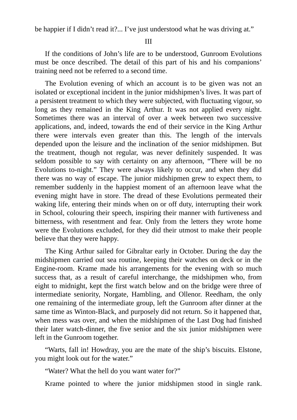be happier if I didn't read it?... I've just understood what he was driving at."

III

If the conditions of John's life are to be understood, Gunroom Evolutions must be once described. The detail of this part of his and his companions' training need not be referred to a second time.

The Evolution evening of which an account is to be given was not an isolated or exceptional incident in the junior midshipmen's lives. It was part of a persistent treatment to which they were subjected, with fluctuating vigour, so long as they remained in the King Arthur. It was not applied every night. Sometimes there was an interval of over a week between two successive applications, and, indeed, towards the end of their service in the King Arthur there were intervals even greater than this. The length of the intervals depended upon the leisure and the inclination of the senior midshipmen. But the treatment, though not regular, was never definitely suspended. It was seldom possible to say with certainty on any afternoon, "There will be no Evolutions to-night." They were always likely to occur, and when they did there was no way of escape. The junior midshipmen grew to expect them, to remember suddenly in the happiest moment of an afternoon leave what the evening might have in store. The dread of these Evolutions permeated their waking life, entering their minds when on or off duty, interrupting their work in School, colouring their speech, inspiring their manner with furtiveness and bitterness, with resentment and fear. Only from the letters they wrote home were the Evolutions excluded, for they did their utmost to make their people believe that they were happy.

The King Arthur sailed for Gibraltar early in October. During the day the midshipmen carried out sea routine, keeping their watches on deck or in the Engine-room. Krame made his arrangements for the evening with so much success that, as a result of careful interchange, the midshipmen who, from eight to midnight, kept the first watch below and on the bridge were three of intermediate seniority, Norgate, Hambling, and Ollenor. Reedham, the only one remaining of the intermediate group, left the Gunroom after dinner at the same time as Winton-Black, and purposely did not return. So it happened that, when mess was over, and when the midshipmen of the Last Dog had finished their later watch-dinner, the five senior and the six junior midshipmen were left in the Gunroom together.

"Warts, fall in! Howdray, you are the mate of the ship's biscuits. Elstone, you might look out for the water."

"Water? What the hell do you want water for?"

Krame pointed to where the junior midshipmen stood in single rank.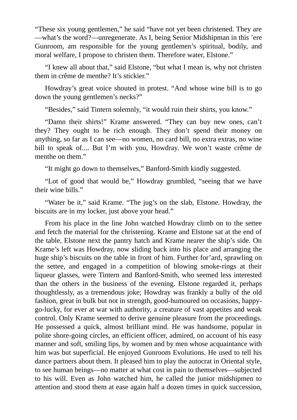"These six young gentlemen," he said "have not yet been christened. They are —what's the word?—unregenerate. As I, being Senior Midshipman in this 'ere Gunroom, am responsible for the young gentlemen's spiritual, bodily, and moral welfare, I propose to christen them. Therefore water, Elstone."

"I knew all about that," said Elstone, "but what I mean is, why not christen them in crême de menthe? It's stickier."

Howdray's great voice shouted in protest. "And whose wine bill is to go down the young gentlemen's necks?"

"Besides," said Tintern solemnly, "it would ruin their shirts, you know."

"Damn their shirts!" Krame answered. "They can buy new ones, can't they? They ought to be rich enough. They don't spend their money on anything, so far as I can see—no women, no card bill, no extra extras, no wine bill to speak of.... But I'm with you, Howdray. We won't waste crême de menthe on them."

"It might go down to themselves," Banford-Smith kindly suggested.

"Lot of good that would be," Howdray grumbled, "seeing that we have their wine bills."

"Water be it," said Krame. "The jug's on the slab, Elstone. Howdray, the biscuits are in my locker, just above your head."

From his place in the line John watched Howdray climb on to the settee and fetch the material for the christening. Krame and Elstone sat at the end of the table, Elstone next the pantry hatch and Krame nearer the ship's side. On Krame's left was Howdray, now sliding back into his place and arranging the huge ship's biscuits on the table in front of him. Further for'ard, sprawling on the settee, and engaged in a competition of blowing smoke-rings at their liqueur glasses, were Tintern and Banford-Smith, who seemed less interested than the others in the business of the evening. Elstone regarded it, perhaps thoughtlessly, as a tremendous joke; Howdray was frankly a bully of the old fashion, great in bulk but not in strength, good-humoured on occasions, happygo-lucky, for ever at war with authority, a creature of vast appetites and weak control. Only Krame seemed to derive genuine pleasure from the proceedings. He possessed a quick, almost brilliant mind. He was handsome, popular in polite shore-going circles, an efficient officer, admired, on account of his easy manner and soft, smiling lips, by women and by men whose acquaintance with him was but superficial. He enjoyed Gunroom Evolutions. He used to tell his dance partners about them. It pleased him to play the autocrat in Oriental style, to see human beings—no matter at what cost in pain to themselves—subjected to his will. Even as John watched him, he called the junior midshipmen to attention and stood them at ease again half a dozen times in quick succession,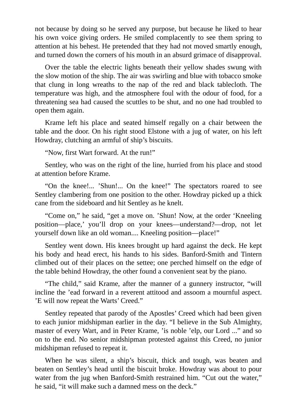not because by doing so he served any purpose, but because he liked to hear his own voice giving orders. He smiled complacently to see them spring to attention at his behest. He pretended that they had not moved smartly enough, and turned down the corners of his mouth in an absurd grimace of disapproval.

Over the table the electric lights beneath their yellow shades swung with the slow motion of the ship. The air was swirling and blue with tobacco smoke that clung in long wreaths to the nap of the red and black tablecloth. The temperature was high, and the atmosphere foul with the odour of food, for a threatening sea had caused the scuttles to be shut, and no one had troubled to open them again.

Krame left his place and seated himself regally on a chair between the table and the door. On his right stood Elstone with a jug of water, on his left Howdray, clutching an armful of ship's biscuits.

"Now, first Wart forward. At the run!"

Sentley, who was on the right of the line, hurried from his place and stood at attention before Krame.

"On the knee!... 'Shun!... On the knee!" The spectators roared to see Sentley clambering from one position to the other. Howdray picked up a thick cane from the sideboard and hit Sentley as he knelt.

"Come on," he said, "get a move on. 'Shun! Now, at the order 'Kneeling position—place,' you'll drop on your knees—understand?—drop, not let yourself down like an old woman.... Kneeling position—place!"

Sentley went down. His knees brought up hard against the deck. He kept his body and head erect, his hands to his sides. Banford-Smith and Tintern climbed out of their places on the settee; one perched himself on the edge of the table behind Howdray, the other found a convenient seat by the piano.

"The child," said Krame, after the manner of a gunnery instructor, "will incline the 'ead forward in a reverent attitood and assoom a mournful aspect. 'E will now repeat the Warts' Creed."

Sentley repeated that parody of the Apostles' Creed which had been given to each junior midshipman earlier in the day. "I believe in the Sub Almighty, master of every Wart, and in Peter Krame, 'is noble 'elp, our Lord ..." and so on to the end. No senior midshipman protested against this Creed, no junior midshipman refused to repeat it.

When he was silent, a ship's biscuit, thick and tough, was beaten and beaten on Sentley's head until the biscuit broke. Howdray was about to pour water from the jug when Banford-Smith restrained him. "Cut out the water," he said, "it will make such a damned mess on the deck."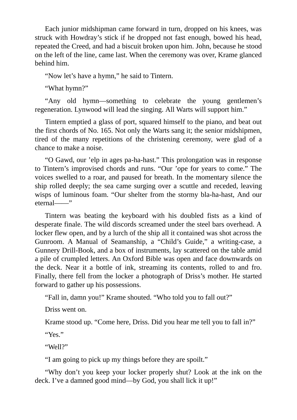Each junior midshipman came forward in turn, dropped on his knees, was struck with Howdray's stick if he dropped not fast enough, bowed his head, repeated the Creed, and had a biscuit broken upon him. John, because he stood on the left of the line, came last. When the ceremony was over, Krame glanced behind him.

"Now let's have a hymn," he said to Tintern.

"What hymn?"

"Any old hymn—something to celebrate the young gentlemen's regeneration. Lynwood will lead the singing. All Warts will support him."

Tintern emptied a glass of port, squared himself to the piano, and beat out the first chords of No. 165. Not only the Warts sang it; the senior midshipmen, tired of the many repetitions of the christening ceremony, were glad of a chance to make a noise.

"O Gawd, our 'elp in ages pa-ha-hast." This prolongation was in response to Tintern's improvised chords and runs. "Our 'ope for years to come." The voices swelled to a roar, and paused for breath. In the momentary silence the ship rolled deeply; the sea came surging over a scuttle and receded, leaving wisps of luminous foam. "Our shelter from the stormy bla-ha-hast, And our eternal——"

Tintern was beating the keyboard with his doubled fists as a kind of desperate finale. The wild discords screamed under the steel bars overhead. A locker flew open, and by a lurch of the ship all it contained was shot across the Gunroom. A Manual of Seamanship, a "Child's Guide," a writing-case, a Gunnery Drill-Book, and a box of instruments, lay scattered on the table amid a pile of crumpled letters. An Oxford Bible was open and face downwards on the deck. Near it a bottle of ink, streaming its contents, rolled to and fro. Finally, there fell from the locker a photograph of Driss's mother. He started forward to gather up his possessions.

"Fall in, damn you!" Krame shouted. "Who told you to fall out?"

Driss went on.

Krame stood up. "Come here, Driss. Did you hear me tell you to fall in?"

"Yes."

"Well?"

"I am going to pick up my things before they are spoilt."

"Why don't you keep your locker properly shut? Look at the ink on the deck. I've a damned good mind—by God, you shall lick it up!"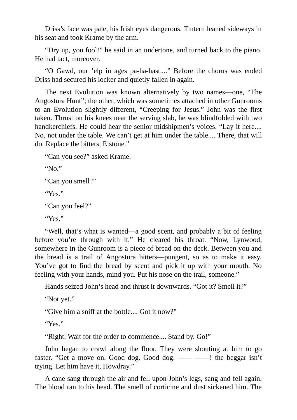Driss's face was pale, his Irish eyes dangerous. Tintern leaned sideways in his seat and took Krame by the arm.

"Dry up, you fool!" he said in an undertone, and turned back to the piano. He had tact, moreover.

"O Gawd, our 'elp in ages pa-ha-hast...." Before the chorus was ended Driss had secured his locker and quietly fallen in again.

The next Evolution was known alternatively by two names—one, "The Angostura Hunt"; the other, which was sometimes attached in other Gunrooms to an Evolution slightly different, "Creeping for Jesus." John was the first taken. Thrust on his knees near the serving slab, he was blindfolded with two handkerchiefs. He could hear the senior midshipmen's voices. "Lay it here.... No, not under the table. We can't get at him under the table.... There, that will do. Replace the bitters, Elstone."

```
"Can you see?" asked Krame.
"No."
"Can you smell?"
"Yes."
"Can you feel?"
"Yes."
```
"Well, that's what is wanted—a good scent, and probably a bit of feeling before you're through with it." He cleared his throat. "Now, Lynwood, somewhere in the Gunroom is a piece of bread on the deck. Between you and the bread is a trail of Angostura bitters—pungent, so as to make it easy. You've got to find the bread by scent and pick it up with your mouth. No feeling with your hands, mind you. Put his nose on the trail, someone."

Hands seized John's head and thrust it downwards. "Got it? Smell it?"

"Not yet."

"Give him a sniff at the bottle.... Got it now?"

"Yes."

"Right. Wait for the order to commence.... Stand by. Go!"

John began to crawl along the floor. They were shouting at him to go faster. "Get a move on. Good dog. Good dog. —— ——! the beggar isn't trying. Let him have it, Howdray."

A cane sang through the air and fell upon John's legs, sang and fell again. The blood ran to his head. The smell of corticine and dust sickened him. The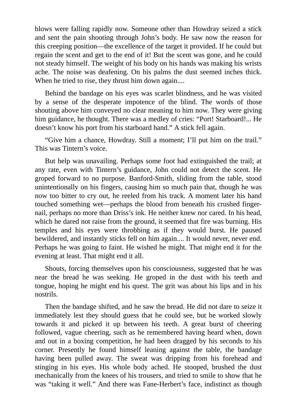blows were falling rapidly now. Someone other than Howdray seized a stick and sent the pain shooting through John's body. He saw now the reason for this creeping position—the excellence of the target it provided. If he could but regain the scent and get to the end of it! But the scent was gone, and he could not steady himself. The weight of his body on his hands was making his wrists ache. The noise was deafening. On his palms the dust seemed inches thick. When he tried to rise, they thrust him down again....

Behind the bandage on his eyes was scarlet blindness, and he was visited by a sense of the desperate impotence of the blind. The words of those shouting above him conveyed no clear meaning to him now. They were giving him guidance, he thought. There was a medley of cries: "Port! Starboard!... He doesn't know his port from his starboard hand." A stick fell again.

"Give him a chance, Howdray. Still a moment; I'll put him on the trail." This was Tintern's voice.

But help was unavailing. Perhaps some foot had extinguished the trail; at any rate, even with Tintern's guidance, John could not detect the scent. He groped forward to no purpose. Banford-Smith, sliding from the table, stood unintentionally on his fingers, causing him so much pain that, though he was now too bitter to cry out, he reeled from his track. A moment later his hand touched something wet—perhaps the blood from beneath his crushed fingernail, perhaps no more than Driss's ink. He neither knew nor cared. In his head, which he dared not raise from the ground, it seemed that fire was burning. His temples and his eyes were throbbing as if they would burst. He paused bewildered, and instantly sticks fell on him again.... It would never, never end. Perhaps he was going to faint. He wished he might. That might end it for the evening at least. That might end it all.

Shouts, forcing themselves upon his consciousness, suggested that he was near the bread he was seeking. He groped in the dust with his teeth and tongue, hoping he might end his quest. The grit was about his lips and in his nostrils.

Then the bandage shifted, and he saw the bread. He did not dare to seize it immediately lest they should guess that he could see, but he worked slowly towards it and picked it up between his teeth. A great burst of cheering followed, vague cheering, such as he remembered having heard when, down and out in a boxing competition, he had been dragged by his seconds to his corner. Presently he found himself leaning against the table, the bandage having been pulled away. The sweat was dripping from his forehead and stinging in his eyes. His whole body ached. He stooped, brushed the dust mechanically from the knees of his trousers, and tried to smile to show that he was "taking it well." And there was Fane-Herbert's face, indistinct as though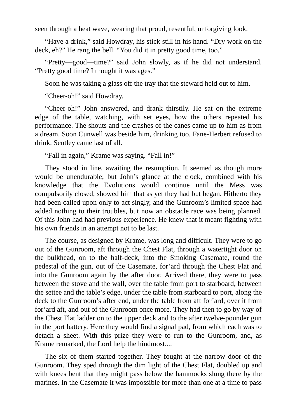seen through a heat wave, wearing that proud, resentful, unforgiving look.

"Have a drink," said Howdray, his stick still in his hand. "Dry work on the deck, eh?" He rang the bell. "You did it in pretty good time, too."

"Pretty—good—time?" said John slowly, as if he did not understand. "Pretty good time? I thought it was ages."

Soon he was taking a glass off the tray that the steward held out to him.

"Cheer-oh!" said Howdray.

"Cheer-oh!" John answered, and drank thirstily. He sat on the extreme edge of the table, watching, with set eyes, how the others repeated his performance. The shouts and the crashes of the canes came up to him as from a dream. Soon Cunwell was beside him, drinking too. Fane-Herbert refused to drink. Sentley came last of all.

"Fall in again," Krame was saying. "Fall in!"

They stood in line, awaiting the resumption. It seemed as though more would be unendurable; but John's glance at the clock, combined with his knowledge that the Evolutions would continue until the Mess was compulsorily closed, showed him that as yet they had but began. Hitherto they had been called upon only to act singly, and the Gunroom's limited space had added nothing to their troubles, but now an obstacle race was being planned. Of this John had had previous experience. He knew that it meant fighting with his own friends in an attempt not to be last.

The course, as designed by Krame, was long and difficult. They were to go out of the Gunroom, aft through the Chest Flat, through a watertight door on the bulkhead, on to the half-deck, into the Smoking Casemate, round the pedestal of the gun, out of the Casemate, for'ard through the Chest Flat and into the Gunroom again by the after door. Arrived there, they were to pass between the stove and the wall, over the table from port to starboard, between the settee and the table's edge, under the table from starboard to port, along the deck to the Gunroom's after end, under the table from aft for'ard, over it from for'ard aft, and out of the Gunroom once more. They had then to go by way of the Chest Flat ladder on to the upper deck and to the after twelve-pounder gun in the port battery. Here they would find a signal pad, from which each was to detach a sheet. With this prize they were to run to the Gunroom, and, as Krame remarked, the Lord help the hindmost....

The six of them started together. They fought at the narrow door of the Gunroom. They sped through the dim light of the Chest Flat, doubled up and with knees bent that they might pass below the hammocks slung there by the marines. In the Casemate it was impossible for more than one at a time to pass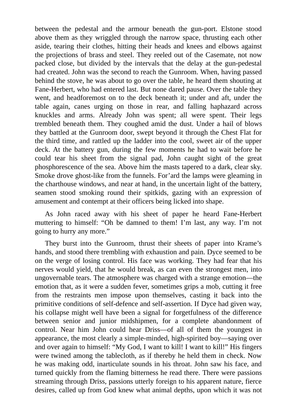between the pedestal and the armour beneath the gun-port. Elstone stood above them as they wriggled through the narrow space, thrusting each other aside, tearing their clothes, hitting their heads and knees and elbows against the projections of brass and steel. They reeled out of the Casemate, not now packed close, but divided by the intervals that the delay at the gun-pedestal had created. John was the second to reach the Gunroom. When, having passed behind the stove, he was about to go over the table, he heard them shouting at Fane-Herbert, who had entered last. But none dared pause. Over the table they went, and headforemost on to the deck beneath it; under and aft, under the table again, canes urging on those in rear, and falling haphazard across knuckles and arms. Already John was spent; all were spent. Their legs trembled beneath them. They coughed amid the dust. Under a hail of blows they battled at the Gunroom door, swept beyond it through the Chest Flat for the third time, and rattled up the ladder into the cool, sweet air of the upper deck. At the battery gun, during the few moments he had to wait before he could tear his sheet from the signal pad, John caught sight of the great phosphorescence of the sea. Above him the masts tapered to a dark, clear sky. Smoke drove ghost-like from the funnels. For'ard the lamps were gleaming in the charthouse windows, and near at hand, in the uncertain light of the battery, seamen stood smoking round their spitkids, gazing with an expression of amusement and contempt at their officers being licked into shape.

As John raced away with his sheet of paper he heard Fane-Herbert muttering to himself: "Oh be damned to them! I'm last, any way. I'm not going to hurry any more."

They burst into the Gunroom, thrust their sheets of paper into Krame's hands, and stood there trembling with exhaustion and pain. Dyce seemed to be on the verge of losing control. His face was working. They had fear that his nerves would yield, that he would break, as can even the strongest men, into ungovernable tears. The atmosphere was charged with a strange emotion—the emotion that, as it were a sudden fever, sometimes grips a mob, cutting it free from the restraints men impose upon themselves, casting it back into the primitive conditions of self-defence and self-assertion. If Dyce had given way, his collapse might well have been a signal for forgetfulness of the difference between senior and junior midshipmen, for a complete abandonment of control. Near him John could hear Driss—of all of them the youngest in appearance, the most clearly a simple-minded, high-spirited boy—saying over and over again to himself: "My God, I want to kill! I want to kill!" His fingers were twined among the tablecloth, as if thereby he held them in check. Now he was making odd, inarticulate sounds in his throat. John saw his face, and turned quickly from the flaming bitterness he read there. There were passions streaming through Driss, passions utterly foreign to his apparent nature, fierce desires, called up from God knew what animal depths, upon which it was not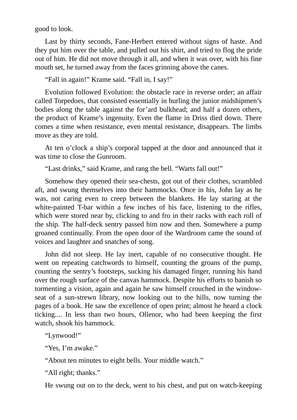good to look.

Last by thirty seconds, Fane-Herbert entered without signs of haste. And they put him over the table, and pulled out his shirt, and tried to flog the pride out of him. He did not move through it all, and when it was over, with his fine mouth set, he turned away from the faces grinning above the canes.

"Fall in again!" Krame said. "Fall in, I say!"

Evolution followed Evolution: the obstacle race in reverse order; an affair called Torpedoes, that consisted essentially in hurling the junior midshipmen's bodies along the table against the for'ard bulkhead; and half a dozen others, the product of Krame's ingenuity. Even the flame in Driss died down. There comes a time when resistance, even mental resistance, disappears. The limbs move as they are told.

At ten o'clock a ship's corporal tapped at the door and announced that it was time to close the Gunroom.

"Last drinks," said Krame, and rang the bell. "Warts fall out!"

Somehow they opened their sea-chests, got out of their clothes, scrambled aft, and swung themselves into their hammocks. Once in his, John lay as he was, not caring even to creep between the blankets. He lay staring at the white-painted T-bar within a few inches of his face, listening to the rifles, which were stored near by, clicking to and fro in their racks with each roll of the ship. The half-deck sentry passed him now and then. Somewhere a pump groaned continually. From the open door of the Wardroom came the sound of voices and laughter and snatches of song.

John did not sleep. He lay inert, capable of no consecutive thought. He went on repeating catchwords to himself, counting the groans of the pump, counting the sentry's footsteps, sucking his damaged finger, running his hand over the rough surface of the canvas hammock. Despite his efforts to banish so tormenting a vision, again and again he saw himself crouched in the windowseat of a sun-strewn library, now looking out to the hills, now turning the pages of a book. He saw the excellence of open print; almost he heard a clock ticking.... In less than two hours, Ollenor, who had been keeping the first watch, shook his hammock.

"Lynwood!"

"Yes, I'm awake."

"About ten minutes to eight bells. Your middle watch."

"All right; thanks."

He swung out on to the deck, went to his chest, and put on watch-keeping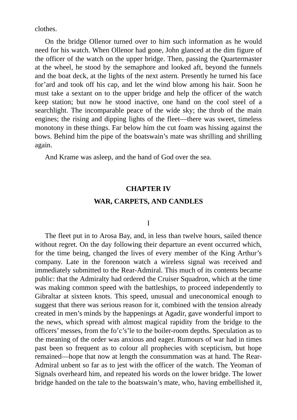clothes.

On the bridge Ollenor turned over to him such information as he would need for his watch. When Ollenor had gone, John glanced at the dim figure of the officer of the watch on the upper bridge. Then, passing the Quartermaster at the wheel, he stood by the semaphore and looked aft, beyond the funnels and the boat deck, at the lights of the next astern. Presently he turned his face for'ard and took off his cap, and let the wind blow among his hair. Soon he must take a sextant on to the upper bridge and help the officer of the watch keep station; but now he stood inactive, one hand on the cool steel of a searchlight. The incomparable peace of the wide sky; the throb of the main engines; the rising and dipping lights of the fleet—there was sweet, timeless monotony in these things. Far below him the cut foam was hissing against the bows. Behind him the pipe of the boatswain's mate was shrilling and shrilling again.

And Krame was asleep, and the hand of God over the sea.

# **CHAPTER IV**

## **WAR, CARPETS, AND CANDLES**

# I

The fleet put in to Arosa Bay, and, in less than twelve hours, sailed thence without regret. On the day following their departure an event occurred which, for the time being, changed the lives of every member of the King Arthur's company. Late in the forenoon watch a wireless signal was received and immediately submitted to the Rear-Admiral. This much of its contents became public: that the Admiralty had ordered the Cruiser Squadron, which at the time was making common speed with the battleships, to proceed independently to Gibraltar at sixteen knots. This speed, unusual and uneconomical enough to suggest that there was serious reason for it, combined with the tension already created in men's minds by the happenings at Agadir, gave wonderful import to the news, which spread with almost magical rapidity from the bridge to the officers' messes, from the fo'c's'le to the boiler-room depths. Speculation as to the meaning of the order was anxious and eager. Rumours of war had in times past been so frequent as to colour all prophecies with scepticism, but hope remained—hope that now at length the consummation was at hand. The Rear-Admiral unbent so far as to jest with the officer of the watch. The Yeoman of Signals overheard him, and repeated his words on the lower bridge. The lower bridge handed on the tale to the boatswain's mate, who, having embellished it,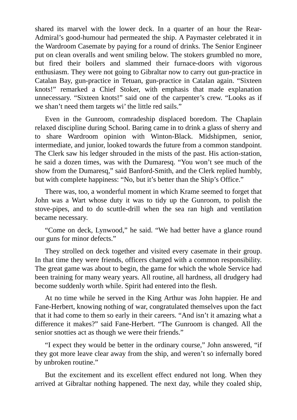shared its marvel with the lower deck. In a quarter of an hour the Rear-Admiral's good-humour had permeated the ship. A Paymaster celebrated it in the Wardroom Casemate by paying for a round of drinks. The Senior Engineer put on clean overalls and went smiling below. The stokers grumbled no more, but fired their boilers and slammed their furnace-doors with vigorous enthusiasm. They were not going to Gibraltar now to carry out gun-practice in Catalan Bay, gun-practice in Tetuan, gun-practice in Catalan again. "Sixteen knots!" remarked a Chief Stoker, with emphasis that made explanation unnecessary. "Sixteen knots!" said one of the carpenter's crew. "Looks as if we shan't need them targets wi' the little red sails."

Even in the Gunroom, comradeship displaced boredom. The Chaplain relaxed discipline during School. Baring came in to drink a glass of sherry and to share Wardroom opinion with Winton-Black. Midshipmen, senior, intermediate, and junior, looked towards the future from a common standpoint. The Clerk saw his ledger shrouded in the mists of the past. His action-station, he said a dozen times, was with the Dumaresq. "You won't see much of the show from the Dumaresq," said Banford-Smith, and the Clerk replied humbly, but with complete happiness: "No, but it's better than the Ship's Office."

There was, too, a wonderful moment in which Krame seemed to forget that John was a Wart whose duty it was to tidy up the Gunroom, to polish the stove-pipes, and to do scuttle-drill when the sea ran high and ventilation became necessary.

"Come on deck, Lynwood," he said. "We had better have a glance round our guns for minor defects."

They strolled on deck together and visited every casemate in their group. In that time they were friends, officers charged with a common responsibility. The great game was about to begin, the game for which the whole Service had been training for many weary years. All routine, all hardness, all drudgery had become suddenly worth while. Spirit had entered into the flesh.

At no time while he served in the King Arthur was John happier. He and Fane-Herbert, knowing nothing of war, congratulated themselves upon the fact that it had come to them so early in their careers. "And isn't it amazing what a difference it makes?" said Fane-Herbert. "The Gunroom is changed. All the senior snotties act as though we were their friends."

"I expect they would be better in the ordinary course," John answered, "if they got more leave clear away from the ship, and weren't so infernally bored by unbroken routine."

But the excitement and its excellent effect endured not long. When they arrived at Gibraltar nothing happened. The next day, while they coaled ship,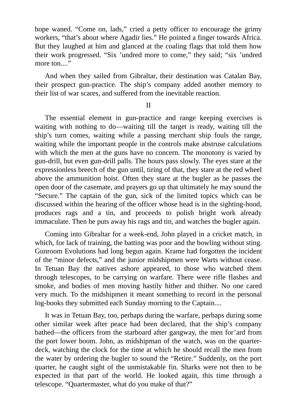hope waned. "Come on, lads," cried a petty officer to encourage the grimy workers, "that's about where Agadir lies." He pointed a finger towards Africa. But they laughed at him and glanced at the coaling flags that told them how their work progressed. "Six 'undred more to come," they said; "six 'undred more ton...."

And when they sailed from Gibraltar, their destination was Catalan Bay, their prospect gun-practice. The ship's company added another memory to their list of war scares, and suffered from the inevitable reaction.

II

The essential element in gun-practice and range keeping exercises is waiting with nothing to do—waiting till the target is ready, waiting till the ship's turn comes, waiting while a passing merchant ship fouls the range, waiting while the important people in the controls make abstruse calculations with which the men at the guns have no concern. The monotony is varied by gun-drill, but even gun-drill palls. The hours pass slowly. The eyes stare at the expressionless breech of the gun until, tiring of that, they stare at the red wheel above the ammunition hoist. Often they stare at the bugler as he passes the open door of the casemate, and prayers go up that ultimately he may sound the "Secure." The captain of the gun, sick of the limited topics which can be discussed within the hearing of the officer whose head is in the sighting-hood, produces rags and a tin, and proceeds to polish bright work already immaculate. Then he puts away his rags and tin, and watches the bugler again.

Coming into Gibraltar for a week-end, John played in a cricket match, in which, for lack of training, the batting was poor and the bowling without sting. Gunroom Evolutions had long begun again. Krame had forgotten the incident of the "minor defects," and the junior midshipmen were Warts without cease. In Tetuan Bay the natives ashore appeared, to those who watched them through telescopes, to be carrying on warfare. There were rifle flashes and smoke, and bodies of men moving hastily hither and thither. No one cared very much. To the midshipmen it meant something to record in the personal log-books they submitted each Sunday morning to the Captain....

It was in Tetuan Bay, too, perhaps during the warfare, perhaps during some other similar week after peace had been declared, that the ship's company bathed—the officers from the starboard after gangway, the men for'ard from the port lower boom. John, as midshipman of the watch, was on the quarterdeck, watching the clock for the time at which he should recall the men from the water by ordering the bugler to sound the "Retire." Suddenly, on the port quarter, he caught sight of the unmistakable fin. Sharks were not then to be expected in that part of the world. He looked again, this time through a telescope. "Quartermaster, what do you make of that?"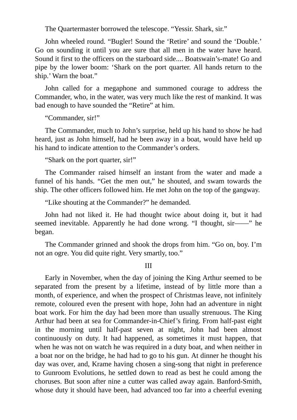The Quartermaster borrowed the telescope. "Yessir. Shark, sir."

John wheeled round. "Bugler! Sound the 'Retire' and sound the 'Double.' Go on sounding it until you are sure that all men in the water have heard. Sound it first to the officers on the starboard side.... Boatswain's-mate! Go and pipe by the lower boom: 'Shark on the port quarter. All hands return to the ship.' Warn the boat."

John called for a megaphone and summoned courage to address the Commander, who, in the water, was very much like the rest of mankind. It was bad enough to have sounded the "Retire" at him.

"Commander, sir!"

The Commander, much to John's surprise, held up his hand to show he had heard, just as John himself, had he been away in a boat, would have held up his hand to indicate attention to the Commander's orders.

"Shark on the port quarter, sir!"

The Commander raised himself an instant from the water and made a funnel of his hands. "Get the men out," he shouted, and swam towards the ship. The other officers followed him. He met John on the top of the gangway.

"Like shouting at the Commander?" he demanded.

John had not liked it. He had thought twice about doing it, but it had seemed inevitable. Apparently he had done wrong. "I thought, sir——" he began.

The Commander grinned and shook the drops from him. "Go on, boy. I'm not an ogre. You did quite right. Very smartly, too."

III

Early in November, when the day of joining the King Arthur seemed to be separated from the present by a lifetime, instead of by little more than a month, of experience, and when the prospect of Christmas leave, not infinitely remote, coloured even the present with hope, John had an adventure in night boat work. For him the day had been more than usually strenuous. The King Arthur had been at sea for Commander-in-Chief's firing. From half-past eight in the morning until half-past seven at night, John had been almost continuously on duty. It had happened, as sometimes it must happen, that when he was not on watch he was required in a duty boat, and when neither in a boat nor on the bridge, he had had to go to his gun. At dinner he thought his day was over, and, Krame having chosen a sing-song that night in preference to Gunroom Evolutions, he settled down to read as best he could among the choruses. But soon after nine a cutter was called away again. Banford-Smith, whose duty it should have been, had advanced too far into a cheerful evening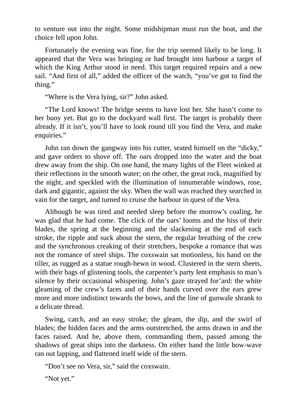to venture out into the night. Some midshipman must run the boat, and the choice fell upon John.

Fortunately the evening was fine, for the trip seemed likely to be long. It appeared that the Vera was bringing or had brought into harbour a target of which the King Arthur stood in need. This target required repairs and a new sail. "And first of all," added the officer of the watch, "you've got to find the thing."

"Where is the Vera lying, sir?" John asked.

"The Lord knows! The bridge seems to have lost her. She hasn't come to her buoy yet. But go to the dockyard wall first. The target is probably there already. If it isn't, you'll have to look round till you find the Vera, and make enquiries."

John ran down the gangway into his cutter, seated himself on the "dicky," and gave orders to shove off. The oars dropped into the water and the boat drew away from the ship. On one hand, the many lights of the Fleet winked at their reflections in the smooth water; on the other, the great rock, magnified by the night, and speckled with the illumination of innumerable windows, rose, dark and gigantic, against the sky. When the wall was reached they searched in vain for the target, and turned to cruise the harbour in quest of the Vera.

Although he was tired and needed sleep before the morrow's coaling, he was glad that he had come. The click of the oars' looms and the hiss of their blades, the spring at the beginning and the slackening at the end of each stroke, the ripple and suck about the stern, the regular breathing of the crew and the synchronous creaking of their stretchers, bespoke a romance that was not the romance of steel ships. The coxswain sat motionless, his hand on the tiller, as rugged as a statue rough-hewn in wood. Clustered in the stern sheets, with their bags of glistening tools, the carpenter's party lent emphasis to man's silence by their occasional whispering. John's gaze strayed for'ard: the white gleaming of the crew's faces and of their hands curved over the ears grew more and more indistinct towards the bows, and the line of gunwale shrank to a delicate thread.

Swing, catch, and an easy stroke; the gleam, the dip, and the swirl of blades; the hidden faces and the arms outstretched, the arms drawn in and the faces raised. And he, above them, commanding them, passed among the shadows of great ships into the darkness. On either hand the little bow-wave ran out lapping, and flattened itself wide of the stern.

"Don't see no Vera, sir," said the coxswain.

"Not yet."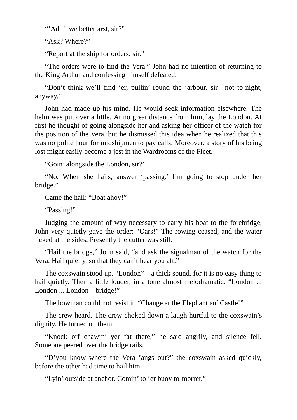"'Adn't we better arst, sir?"

"Ask? Where?"

"Report at the ship for orders, sir."

"The orders were to find the Vera." John had no intention of returning to the King Arthur and confessing himself defeated.

"Don't think we'll find 'er, pullin' round the 'arbour, sir—not to-night, anyway."

John had made up his mind. He would seek information elsewhere. The helm was put over a little. At no great distance from him, lay the London. At first he thought of going alongside her and asking her officer of the watch for the position of the Vera, but he dismissed this idea when he realized that this was no polite hour for midshipmen to pay calls. Moreover, a story of his being lost might easily become a jest in the Wardrooms of the Fleet.

"Goin' alongside the London, sir?"

"No. When she hails, answer 'passing.' I'm going to stop under her bridge."

Came the hail: "Boat ahoy!"

"Passing!"

Judging the amount of way necessary to carry his boat to the forebridge, John very quietly gave the order: "Oars!" The rowing ceased, and the water licked at the sides. Presently the cutter was still.

"Hail the bridge," John said, "and ask the signalman of the watch for the Vera. Hail quietly, so that they can't hear you aft."

The coxswain stood up. "London"—a thick sound, for it is no easy thing to hail quietly. Then a little louder, in a tone almost melodramatic: "London ... London ... London—bridge!"

The bowman could not resist it. "Change at the Elephant an' Castle!"

The crew heard. The crew choked down a laugh hurtful to the coxswain's dignity. He turned on them.

"Knock orf chawin' yer fat there," he said angrily, and silence fell. Someone peered over the bridge rails.

"D'you know where the Vera 'angs out?" the coxswain asked quickly, before the other had time to hail him.

"Lyin' outside at anchor. Comin' to 'er buoy to-morrer."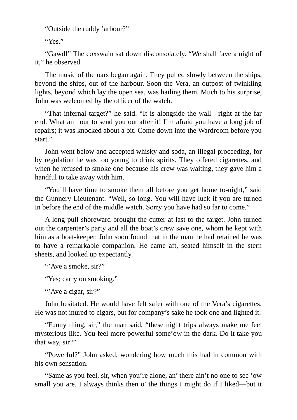"Outside the ruddy 'arbour?"

"Yes."

"Gawd!" The coxswain sat down disconsolately. "We shall 'ave a night of it," he observed.

The music of the oars began again. They pulled slowly between the ships, beyond the ships, out of the harbour. Soon the Vera, an outpost of twinkling lights, beyond which lay the open sea, was hailing them. Much to his surprise, John was welcomed by the officer of the watch.

"That infernal target?" he said. "It is alongside the wall—right at the far end. What an hour to send you out after it! I'm afraid you have a long job of repairs; it was knocked about a bit. Come down into the Wardroom before you start."

John went below and accepted whisky and soda, an illegal proceeding, for by regulation he was too young to drink spirits. They offered cigarettes, and when he refused to smoke one because his crew was waiting, they gave him a handful to take away with him.

"You'll have time to smoke them all before you get home to-night," said the Gunnery Lieutenant. "Well, so long. You will have luck if you are turned in before the end of the middle watch. Sorry you have had so far to come."

A long pull shoreward brought the cutter at last to the target. John turned out the carpenter's party and all the boat's crew save one, whom he kept with him as a boat-keeper. John soon found that in the man he had retained he was to have a remarkable companion. He came aft, seated himself in the stern sheets, and looked up expectantly.

"'Ave a smoke, sir?"

"Yes; carry on smoking."

"'Ave a cigar, sir?"

John hesitated. He would have felt safer with one of the Vera's cigarettes. He was not inured to cigars, but for company's sake he took one and lighted it.

"Funny thing, sir," the man said, "these night trips always make me feel mysterious-like. You feel more powerful some'ow in the dark. Do it take you that way, sir?"

"Powerful?" John asked, wondering how much this had in common with his own sensation.

"Same as you feel, sir, when you're alone, an' there ain't no one to see 'ow small you are. I always thinks then o' the things I might do if I liked—but it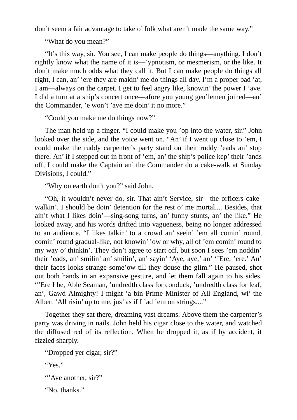don't seem a fair advantage to take o' folk what aren't made the same way."

"What do you mean?"

"It's this way, sir. You see, I can make people do things—anything. I don't rightly know what the name of it is—'ypnotism, or mesmerism, or the like. It don't make much odds what they call it. But I can make people do things all right, I can, an' 'ere they are makin' me do things all day. I'm a proper bad 'at, I am—always on the carpet. I get to feel angry like, knowin' the power I 'ave. I did a turn at a ship's concert once—afore you young gen'lemen joined—an' the Commander, 'e won't 'ave me doin' it no more."

"Could you make me do things now?"

The man held up a finger. "I could make you 'op into the water, sir." John looked over the side, and the voice went on. "An' if I went up close to 'em, I could make the ruddy carpenter's party stand on their ruddy 'eads an' stop there. An' if I stepped out in front of 'em, an' the ship's police kep' their 'ands off, I could make the Captain an' the Commander do a cake-walk at Sunday Divisions, I could."

"Why on earth don't you?" said John.

"Oh, it wouldn't never do, sir. That ain't Service, sir—the orficers cakewalkin'. I should be doin' detention for the rest o' me mortal.... Besides, that ain't what I likes doin'—sing-song turns, an' funny stunts, an' the like." He looked away, and his words drifted into vagueness, being no longer addressed to an audience. "I likes talkin' to a crowd an' seein' 'em all comin' round, comin' round gradual-like, not knowin' 'ow or why, all of 'em comin' round to my way o' thinkin'. They don't agree to start off, but soon I sees 'em noddin' their 'eads, an' smilin' an' smilin', an' sayin' 'Aye, aye,' an' ''Ere, 'ere.' An' their faces looks strange some'ow till they douse the glim." He paused, shot out both hands in an expansive gesture, and let them fall again to his sides. "'Ere I be, Able Seaman, 'undredth class for conduck, 'undredth class for leaf, an', Gawd Almighty! I might 'a bin Prime Minister of All England, wi' the Albert 'All risin' up to me, jus' as if I 'ad 'em on strings...."

Together they sat there, dreaming vast dreams. Above them the carpenter's party was driving in nails. John held his cigar close to the water, and watched the diffused red of its reflection. When he dropped it, as if by accident, it fizzled sharply.

```
"Dropped yer cigar, sir?"
```
"Yes."

```
"'Ave another, sir?"
```
"No, thanks."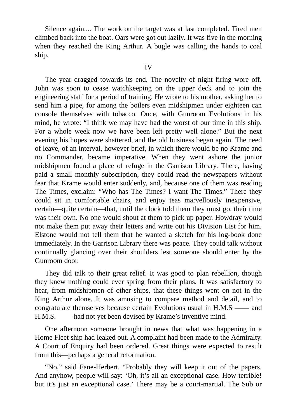Silence again.... The work on the target was at last completed. Tired men climbed back into the boat. Oars were got out lazily. It was five in the morning when they reached the King Arthur. A bugle was calling the hands to coal ship.

The year dragged towards its end. The novelty of night firing wore off. John was soon to cease watchkeeping on the upper deck and to join the engineering staff for a period of training. He wrote to his mother, asking her to send him a pipe, for among the boilers even midshipmen under eighteen can console themselves with tobacco. Once, with Gunroom Evolutions in his mind, he wrote: "I think we may have had the worst of our time in this ship. For a whole week now we have been left pretty well alone." But the next evening his hopes were shattered, and the old business began again. The need of leave, of an interval, however brief, in which there would be no Krame and no Commander, became imperative. When they went ashore the junior midshipmen found a place of refuge in the Garrison Library. There, having paid a small monthly subscription, they could read the newspapers without fear that Krame would enter suddenly, and, because one of them was reading The Times, exclaim: "Who has The Times? I want The Times." There they could sit in comfortable chairs, and enjoy teas marvellously inexpensive, certain—quite certain—that, until the clock told them they must go, their time was their own. No one would shout at them to pick up paper. Howdray would not make them put away their letters and write out his Division List for him. Elstone would not tell them that he wanted a sketch for his log-book done immediately. In the Garrison Library there was peace. They could talk without continually glancing over their shoulders lest someone should enter by the Gunroom door.

They did talk to their great relief. It was good to plan rebellion, though they knew nothing could ever spring from their plans. It was satisfactory to hear, from midshipmen of other ships, that these things went on not in the King Arthur alone. It was amusing to compare method and detail, and to congratulate themselves because certain Evolutions usual in H.M.S —— and H.M.S. —— had not yet been devised by Krame's inventive mind.

One afternoon someone brought in news that what was happening in a Home Fleet ship had leaked out. A complaint had been made to the Admiralty. A Court of Enquiry had been ordered. Great things were expected to result from this—perhaps a general reformation.

"No," said Fane-Herbert. "Probably they will keep it out of the papers. And anyhow, people will say: 'Oh, it's all an exceptional case. How terrible! but it's just an exceptional case.' There may be a court-martial. The Sub or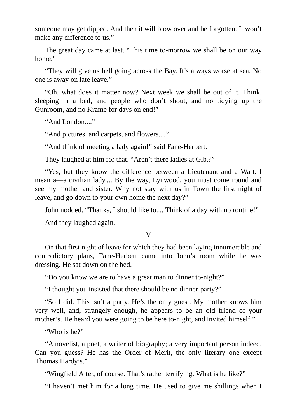someone may get dipped. And then it will blow over and be forgotten. It won't make any difference to us."

The great day came at last. "This time to-morrow we shall be on our way home."

"They will give us hell going across the Bay. It's always worse at sea. No one is away on late leave."

"Oh, what does it matter now? Next week we shall be out of it. Think, sleeping in a bed, and people who don't shout, and no tidying up the Gunroom, and no Krame for days on end!"

"And London...."

"And pictures, and carpets, and flowers...."

"And think of meeting a lady again!" said Fane-Herbert.

They laughed at him for that. "Aren't there ladies at Gib.?"

"Yes; but they know the difference between a Lieutenant and a Wart. I mean a—a civilian lady.... By the way, Lynwood, you must come round and see my mother and sister. Why not stay with us in Town the first night of leave, and go down to your own home the next day?"

John nodded. "Thanks, I should like to.... Think of a day with no routine!"

And they laughed again.

V

On that first night of leave for which they had been laying innumerable and contradictory plans, Fane-Herbert came into John's room while he was dressing. He sat down on the bed.

"Do you know we are to have a great man to dinner to-night?"

"I thought you insisted that there should be no dinner-party?"

"So I did. This isn't a party. He's the only guest. My mother knows him very well, and, strangely enough, he appears to be an old friend of your mother's. He heard you were going to be here to-night, and invited himself."

"Who is he?"

"A novelist, a poet, a writer of biography; a very important person indeed. Can you guess? He has the Order of Merit, the only literary one except Thomas Hardy's."

"Wingfield Alter, of course. That's rather terrifying. What is he like?"

"I haven't met him for a long time. He used to give me shillings when I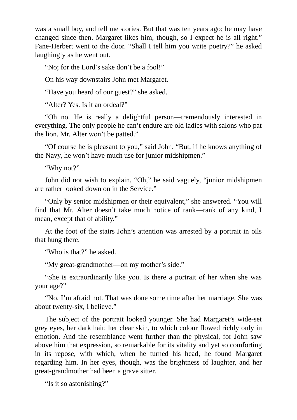was a small boy, and tell me stories. But that was ten years ago; he may have changed since then. Margaret likes him, though, so I expect he is all right." Fane-Herbert went to the door. "Shall I tell him you write poetry?" he asked laughingly as he went out.

"No; for the Lord's sake don't be a fool!"

On his way downstairs John met Margaret.

"Have you heard of our guest?" she asked.

"Alter? Yes. Is it an ordeal?"

"Oh no. He is really a delightful person—tremendously interested in everything. The only people he can't endure are old ladies with salons who pat the lion. Mr. Alter won't be patted."

"Of course he is pleasant to you," said John. "But, if he knows anything of the Navy, he won't have much use for junior midshipmen."

"Why not?"

John did not wish to explain. "Oh," he said vaguely, "junior midshipmen are rather looked down on in the Service."

"Only by senior midshipmen or their equivalent," she answered. "You will find that Mr. Alter doesn't take much notice of rank—rank of any kind, I mean, except that of ability."

At the foot of the stairs John's attention was arrested by a portrait in oils that hung there.

"Who is that?" he asked.

"My great-grandmother—on my mother's side."

"She is extraordinarily like you. Is there a portrait of her when she was your age?"

"No, I'm afraid not. That was done some time after her marriage. She was about twenty-six, I believe."

The subject of the portrait looked younger. She had Margaret's wide-set grey eyes, her dark hair, her clear skin, to which colour flowed richly only in emotion. And the resemblance went further than the physical, for John saw above him that expression, so remarkable for its vitality and yet so comforting in its repose, with which, when he turned his head, he found Margaret regarding him. In her eyes, though, was the brightness of laughter, and her great-grandmother had been a grave sitter.

"Is it so astonishing?"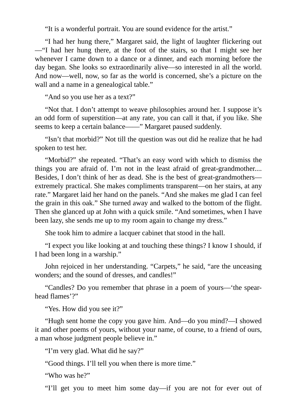"It is a wonderful portrait. You are sound evidence for the artist."

"I had her hung there," Margaret said, the light of laughter flickering out —"I had her hung there, at the foot of the stairs, so that I might see her whenever I came down to a dance or a dinner, and each morning before the day began. She looks so extraordinarily alive—so interested in all the world. And now—well, now, so far as the world is concerned, she's a picture on the wall and a name in a genealogical table."

"And so you use her as a text?"

"Not that. I don't attempt to weave philosophies around her. I suppose it's an odd form of superstition—at any rate, you can call it that, if you like. She seems to keep a certain balance——" Margaret paused suddenly.

"Isn't that morbid?" Not till the question was out did he realize that he had spoken to test her.

"Morbid?" she repeated. "That's an easy word with which to dismiss the things you are afraid of. I'm not in the least afraid of great-grandmother.... Besides, I don't think of her as dead. She is the best of great-grandmothers extremely practical. She makes compliments transparent—on her stairs, at any rate." Margaret laid her hand on the panels. "And she makes me glad I can feel the grain in this oak." She turned away and walked to the bottom of the flight. Then she glanced up at John with a quick smile. "And sometimes, when I have been lazy, she sends me up to my room again to change my dress."

She took him to admire a lacquer cabinet that stood in the hall.

"I expect you like looking at and touching these things? I know I should, if I had been long in a warship."

John rejoiced in her understanding. "Carpets," he said, "are the unceasing wonders; and the sound of dresses, and candles!"

"Candles? Do you remember that phrase in a poem of yours—'the spearhead flames'?"

"Yes. How did you see it?"

"Hugh sent home the copy you gave him. And—do you mind?—I showed it and other poems of yours, without your name, of course, to a friend of ours, a man whose judgment people believe in."

"I'm very glad. What did he say?"

"Good things. I'll tell you when there is more time."

"Who was he?"

"I'll get you to meet him some day—if you are not for ever out of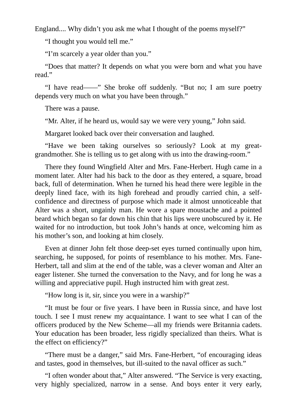England.... Why didn't you ask me what I thought of the poems myself?"

"I thought you would tell me."

"I'm scarcely a year older than you."

"Does that matter? It depends on what you were born and what you have read."

"I have read——" She broke off suddenly. "But no; I am sure poetry depends very much on what you have been through."

There was a pause.

"Mr. Alter, if he heard us, would say we were very young," John said.

Margaret looked back over their conversation and laughed.

"Have we been taking ourselves so seriously? Look at my greatgrandmother. She is telling us to get along with us into the drawing-room."

There they found Wingfield Alter and Mrs. Fane-Herbert. Hugh came in a moment later. Alter had his back to the door as they entered, a square, broad back, full of determination. When he turned his head there were legible in the deeply lined face, with its high forehead and proudly carried chin, a selfconfidence and directness of purpose which made it almost unnoticeable that Alter was a short, ungainly man. He wore a spare moustache and a pointed beard which began so far down his chin that his lips were unobscured by it. He waited for no introduction, but took John's hands at once, welcoming him as his mother's son, and looking at him closely.

Even at dinner John felt those deep-set eyes turned continually upon him, searching, he supposed, for points of resemblance to his mother. Mrs. Fane-Herbert, tall and slim at the end of the table, was a clever woman and Alter an eager listener. She turned the conversation to the Navy, and for long he was a willing and appreciative pupil. Hugh instructed him with great zest.

"How long is it, sir, since you were in a warship?"

"It must be four or five years. I have been in Russia since, and have lost touch. I see I must renew my acquaintance. I want to see what I can of the officers produced by the New Scheme—all my friends were Britannia cadets. Your education has been broader, less rigidly specialized than theirs. What is the effect on efficiency?"

"There must be a danger," said Mrs. Fane-Herbert, "of encouraging ideas and tastes, good in themselves, but ill-suited to the naval officer as such."

"I often wonder about that," Alter answered. "The Service is very exacting, very highly specialized, narrow in a sense. And boys enter it very early,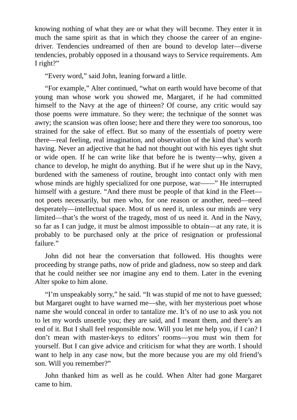knowing nothing of what they are or what they will become. They enter it in much the same spirit as that in which they choose the career of an enginedriver. Tendencies undreamed of then are bound to develop later—diverse tendencies, probably opposed in a thousand ways to Service requirements. Am I right?"

"Every word," said John, leaning forward a little.

"For example," Alter continued, "what on earth would have become of that young man whose work you showed me, Margaret, if he had committed himself to the Navy at the age of thirteen? Of course, any critic would say those poems were immature. So they were; the technique of the sonnet was awry; the scansion was often loose; here and there they were too sonorous, too strained for the sake of effect. But so many of the essentials of poetry were there—real feeling, real imagination, and observation of the kind that's worth having. Never an adjective that he had not thought out with his eyes tight shut or wide open. If he can write like that before he is twenty—why, given a chance to develop, he might do anything. But if he were shut up in the Navy, burdened with the sameness of routine, brought into contact only with men whose minds are highly specialized for one purpose, war——" He interrupted himself with a gesture. "And there must be people of that kind in the Fleet not poets necessarily, but men who, for one reason or another, need—need desperately—intellectual space. Most of us need it, unless our minds are very limited—that's the worst of the tragedy, most of us need it. And in the Navy, so far as I can judge, it must be almost impossible to obtain—at any rate, it is probably to be purchased only at the price of resignation or professional failure."

John did not hear the conversation that followed. His thoughts were proceeding by strange paths, now of pride and gladness, now so steep and dark that he could neither see nor imagine any end to them. Later in the evening Alter spoke to him alone.

"I'm unspeakably sorry," he said. "It was stupid of me not to have guessed; but Margaret ought to have warned me—she, with her mysterious poet whose name she would conceal in order to tantalize me. It's of no use to ask you not to let my words unsettle you; they are said, and I meant them, and there's an end of it. But I shall feel responsible now. Will you let me help you, if I can? I don't mean with master-keys to editors' rooms—you must win them for yourself. But I can give advice and criticism for what they are worth. I should want to help in any case now, but the more because you are my old friend's son. Will you remember?"

John thanked him as well as he could. When Alter had gone Margaret came to him.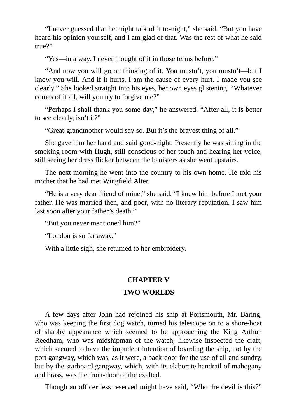"I never guessed that he might talk of it to-night," she said. "But you have heard his opinion yourself, and I am glad of that. Was the rest of what he said true?"

"Yes—in a way. I never thought of it in those terms before."

"And now you will go on thinking of it. You mustn't, you mustn't—but I know you will. And if it hurts, I am the cause of every hurt. I made you see clearly." She looked straight into his eyes, her own eyes glistening. "Whatever comes of it all, will you try to forgive me?"

"Perhaps I shall thank you some day," he answered. "After all, it is better to see clearly, isn't it?"

"Great-grandmother would say so. But it's the bravest thing of all."

She gave him her hand and said good-night. Presently he was sitting in the smoking-room with Hugh, still conscious of her touch and hearing her voice, still seeing her dress flicker between the banisters as she went upstairs.

The next morning he went into the country to his own home. He told his mother that he had met Wingfield Alter.

"He is a very dear friend of mine," she said. "I knew him before I met your father. He was married then, and poor, with no literary reputation. I saw him last soon after your father's death."

"But you never mentioned him?"

"London is so far away."

With a little sigh, she returned to her embroidery.

### **CHAPTER V**

#### **TWO WORLDS**

A few days after John had rejoined his ship at Portsmouth, Mr. Baring, who was keeping the first dog watch, turned his telescope on to a shore-boat of shabby appearance which seemed to be approaching the King Arthur. Reedham, who was midshipman of the watch, likewise inspected the craft, which seemed to have the impudent intention of boarding the ship, not by the port gangway, which was, as it were, a back-door for the use of all and sundry, but by the starboard gangway, which, with its elaborate handrail of mahogany and brass, was the front-door of the exalted.

Though an officer less reserved might have said, "Who the devil is this?"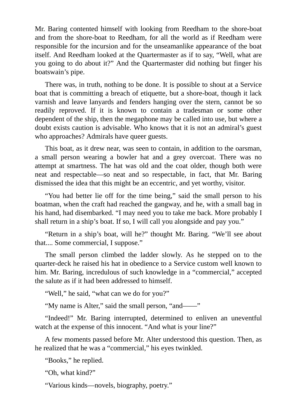Mr. Baring contented himself with looking from Reedham to the shore-boat and from the shore-boat to Reedham, for all the world as if Reedham were responsible for the incursion and for the unseamanlike appearance of the boat itself. And Reedham looked at the Quartermaster as if to say, "Well, what are you going to do about it?" And the Quartermaster did nothing but finger his boatswain's pipe.

There was, in truth, nothing to be done. It is possible to shout at a Service boat that is committing a breach of etiquette, but a shore-boat, though it lack varnish and leave lanyards and fenders hanging over the stern, cannot be so readily reproved. If it is known to contain a tradesman or some other dependent of the ship, then the megaphone may be called into use, but where a doubt exists caution is advisable. Who knows that it is not an admiral's guest who approaches? Admirals have queer guests.

This boat, as it drew near, was seen to contain, in addition to the oarsman, a small person wearing a bowler hat and a grey overcoat. There was no attempt at smartness. The hat was old and the coat older, though both were neat and respectable—so neat and so respectable, in fact, that Mr. Baring dismissed the idea that this might be an eccentric, and yet worthy, visitor.

"You had better lie off for the time being," said the small person to his boatman, when the craft had reached the gangway, and he, with a small bag in his hand, had disembarked. "I may need you to take me back. More probably I shall return in a ship's boat. If so, I will call you alongside and pay you."

"Return in a ship's boat, will he?" thought Mr. Baring. "We'll see about that.... Some commercial, I suppose."

The small person climbed the ladder slowly. As he stepped on to the quarter-deck he raised his hat in obedience to a Service custom well known to him. Mr. Baring, incredulous of such knowledge in a "commercial," accepted the salute as if it had been addressed to himself.

"Well," he said, "what can we do for you?"

"My name is Alter," said the small person, "and——"

"Indeed!" Mr. Baring interrupted, determined to enliven an uneventful watch at the expense of this innocent. "And what is your line?"

A few moments passed before Mr. Alter understood this question. Then, as he realized that he was a "commercial," his eyes twinkled.

"Books," he replied.

"Oh, what kind?"

"Various kinds—novels, biography, poetry."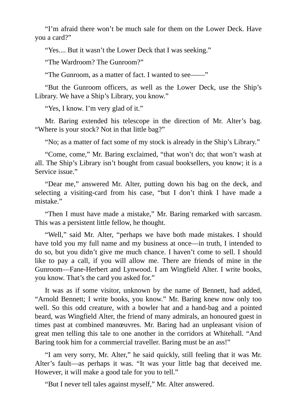"I'm afraid there won't be much sale for them on the Lower Deck. Have you a card?"

"Yes.... But it wasn't the Lower Deck that I was seeking."

"The Wardroom? The Gunroom?"

"The Gunroom, as a matter of fact. I wanted to see——"

"But the Gunroom officers, as well as the Lower Deck, use the Ship's Library. We have a Ship's Library, you know."

"Yes, I know. I'm very glad of it."

Mr. Baring extended his telescope in the direction of Mr. Alter's bag. "Where is your stock? Not in that little bag?"

"No; as a matter of fact some of my stock is already in the Ship's Library."

"Come, come," Mr. Baring exclaimed, "that won't do; that won't wash at all. The Ship's Library isn't bought from casual booksellers, you know; it is a Service issue."

"Dear me," answered Mr. Alter, putting down his bag on the deck, and selecting a visiting-card from his case, "but I don't think I have made a mistake."

"Then I must have made a mistake," Mr. Baring remarked with sarcasm. This was a persistent little fellow, he thought.

"Well," said Mr. Alter, "perhaps we have both made mistakes. I should have told you my full name and my business at once—in truth, I intended to do so, but you didn't give me much chance. I haven't come to sell. I should like to pay a call, if you will allow me. There are friends of mine in the Gunroom—Fane-Herbert and Lynwood. I am Wingfield Alter. I write books, you know. That's the card you asked for."

It was as if some visitor, unknown by the name of Bennett, had added, "Arnold Bennett; I write books, you know." Mr. Baring knew now only too well. So this odd creature, with a bowler hat and a hand-bag and a pointed beard, was Wingfield Alter, the friend of many admirals, an honoured guest in times past at combined manœuvres. Mr. Baring had an unpleasant vision of great men telling this tale to one another in the corridors at Whitehall. "And Baring took him for a commercial traveller. Baring must be an ass!"

"I am very sorry, Mr. Alter," he said quickly, still feeling that it was Mr. Alter's fault—as perhaps it was. "It was your little bag that deceived me. However, it will make a good tale for you to tell."

"But I never tell tales against myself," Mr. Alter answered.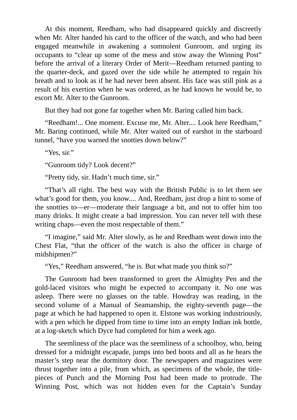At this moment, Reedham, who had disappeared quickly and discreetly when Mr. Alter handed his card to the officer of the watch, and who had been engaged meanwhile in awakening a somnolent Gunroom, and urging its occupants to "clear up some of the mess and stow away the Winning Post" before the arrival of a literary Order of Merit—Reedham returned panting to the quarter-deck, and gazed over the side while he attempted to regain his breath and to look as if he had never been absent. His face was still pink as a result of his exertion when he was ordered, as he had known he would be, to escort Mr. Alter to the Gunroom.

But they had not gone far together when Mr. Baring called him back.

"Reedham!... One moment. Excuse me, Mr. Alter.... Look here Reedham," Mr. Baring continued, while Mr. Alter waited out of earshot in the starboard tunnel, "have you warned the snotties down below?"

"Yes, sir."

"Gunroom tidy? Look decent?"

"Pretty tidy, sir. Hadn't much time, sir."

"That's all right. The best way with the British Public is to let them see what's good for them, you know.... And, Reedham, just drop a hint to some of the snotties to—er—moderate their language a bit, and not to offer him too many drinks. It might create a bad impression. You can never tell with these writing chaps—even the most respectable of them."

"I imagine," said Mr. Alter slowly, as he and Reedham went down into the Chest Flat, "that the officer of the watch is also the officer in charge of midshipmen?"

"Yes," Reedham answered, "he is. But what made you think so?"

The Gunroom had been transformed to greet the Almighty Pen and the gold-laced visitors who might be expected to accompany it. No one was asleep. There were no glasses on the table. Howdray was reading, in the second volume of a Manual of Seamanship, the eighty-seventh page—the page at which he had happened to open it. Elstone was working industriously, with a pen which he dipped from time to time into an empty Indian ink bottle, at a log-sketch which Dyce had completed for him a week ago.

The seemliness of the place was the seemliness of a schoolboy, who, being dressed for a midnight escapade, jumps into bed boots and all as he hears the master's step near the dormitory door. The newspapers and magazines were thrust together into a pile, from which, as specimens of the whole, the titlepieces of Punch and the Morning Post had been made to protrude. The Winning Post, which was not hidden even for the Captain's Sunday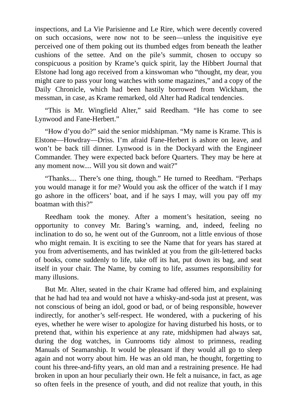inspections, and La Vie Parisienne and Le Rire, which were decently covered on such occasions, were now not to be seen—unless the inquisitive eye perceived one of them poking out its thumbed edges from beneath the leather cushions of the settee. And on the pile's summit, chosen to occupy so conspicuous a position by Krame's quick spirit, lay the Hibbert Journal that Elstone had long ago received from a kinswoman who "thought, my dear, you might care to pass your long watches with some magazines," and a copy of the Daily Chronicle, which had been hastily borrowed from Wickham, the messman, in case, as Krame remarked, old Alter had Radical tendencies.

"This is Mr. Wingfield Alter," said Reedham. "He has come to see Lynwood and Fane-Herbert."

"How d'you do?" said the senior midshipman. "My name is Krame. This is Elstone—Howdray—Driss. I'm afraid Fane-Herbert is ashore on leave, and won't be back till dinner. Lynwood is in the Dockyard with the Engineer Commander. They were expected back before Quarters. They may be here at any moment now.... Will you sit down and wait?"

"Thanks.... There's one thing, though." He turned to Reedham. "Perhaps you would manage it for me? Would you ask the officer of the watch if I may go ashore in the officers' boat, and if he says I may, will you pay off my boatman with this?"

Reedham took the money. After a moment's hesitation, seeing no opportunity to convey Mr. Baring's warning, and, indeed, feeling no inclination to do so, he went out of the Gunroom, not a little envious of those who might remain. It is exciting to see the Name that for years has stared at you from advertisements, and has twinkled at you from the gilt-lettered backs of books, come suddenly to life, take off its hat, put down its bag, and seat itself in your chair. The Name, by coming to life, assumes responsibility for many illusions.

But Mr. Alter, seated in the chair Krame had offered him, and explaining that he had had tea and would not have a whisky-and-soda just at present, was not conscious of being an idol, good or bad, or of being responsible, however indirectly, for another's self-respect. He wondered, with a puckering of his eyes, whether he were wiser to apologize for having disturbed his hosts, or to pretend that, within his experience at any rate, midshipmen had always sat, during the dog watches, in Gunrooms tidy almost to primness, reading Manuals of Seamanship. It would be pleasant if they would all go to sleep again and not worry about him. He was an old man, he thought, forgetting to count his three-and-fifty years, an old man and a restraining presence. He had broken in upon an hour peculiarly their own. He felt a nuisance, in fact, as age so often feels in the presence of youth, and did not realize that youth, in this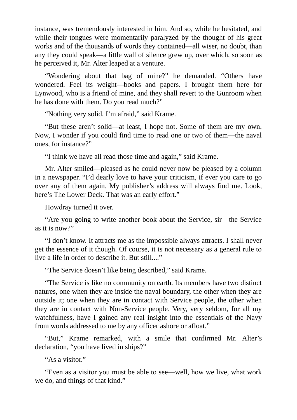instance, was tremendously interested in him. And so, while he hesitated, and while their tongues were momentarily paralyzed by the thought of his great works and of the thousands of words they contained—all wiser, no doubt, than any they could speak—a little wall of silence grew up, over which, so soon as he perceived it, Mr. Alter leaped at a venture.

"Wondering about that bag of mine?" he demanded. "Others have wondered. Feel its weight—books and papers. I brought them here for Lynwood, who is a friend of mine, and they shall revert to the Gunroom when he has done with them. Do you read much?"

"Nothing very solid, I'm afraid," said Krame.

"But these aren't solid—at least, I hope not. Some of them are my own. Now, I wonder if you could find time to read one or two of them—the naval ones, for instance?"

"I think we have all read those time and again," said Krame.

Mr. Alter smiled—pleased as he could never now be pleased by a column in a newspaper. "I'd dearly love to have your criticism, if ever you care to go over any of them again. My publisher's address will always find me. Look, here's The Lower Deck. That was an early effort."

Howdray turned it over.

"Are you going to write another book about the Service, sir—the Service as it is now?"

"I don't know. It attracts me as the impossible always attracts. I shall never get the essence of it though. Of course, it is not necessary as a general rule to live a life in order to describe it. But still...."

"The Service doesn't like being described," said Krame.

"The Service is like no community on earth. Its members have two distinct natures, one when they are inside the naval boundary, the other when they are outside it; one when they are in contact with Service people, the other when they are in contact with Non-Service people. Very, very seldom, for all my watchfulness, have I gained any real insight into the essentials of the Navy from words addressed to me by any officer ashore or afloat."

"But," Krame remarked, with a smile that confirmed Mr. Alter's declaration, "you have lived in ships?"

"As a visitor."

"Even as a visitor you must be able to see—well, how we live, what work we do, and things of that kind."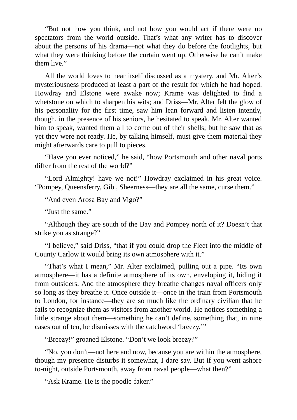"But not how you think, and not how you would act if there were no spectators from the world outside. That's what any writer has to discover about the persons of his drama—not what they do before the footlights, but what they were thinking before the curtain went up. Otherwise he can't make them live."

All the world loves to hear itself discussed as a mystery, and Mr. Alter's mysteriousness produced at least a part of the result for which he had hoped. Howdray and Elstone were awake now; Krame was delighted to find a whetstone on which to sharpen his wits; and Driss—Mr. Alter felt the glow of his personality for the first time, saw him lean forward and listen intently, though, in the presence of his seniors, he hesitated to speak. Mr. Alter wanted him to speak, wanted them all to come out of their shells; but he saw that as yet they were not ready. He, by talking himself, must give them material they might afterwards care to pull to pieces.

"Have you ever noticed," he said, "how Portsmouth and other naval ports differ from the rest of the world?"

"Lord Almighty! have we not!" Howdray exclaimed in his great voice. "Pompey, Queensferry, Gib., Sheerness—they are all the same, curse them."

"And even Arosa Bay and Vigo?"

"Just the same."

"Although they are south of the Bay and Pompey north of it? Doesn't that strike you as strange?"

"I believe," said Driss, "that if you could drop the Fleet into the middle of County Carlow it would bring its own atmosphere with it."

"That's what I mean," Mr. Alter exclaimed, pulling out a pipe. "Its own atmosphere—it has a definite atmosphere of its own, enveloping it, hiding it from outsiders. And the atmosphere they breathe changes naval officers only so long as they breathe it. Once outside it—once in the train from Portsmouth to London, for instance—they are so much like the ordinary civilian that he fails to recognize them as visitors from another world. He notices something a little strange about them—something he can't define, something that, in nine cases out of ten, he dismisses with the catchword 'breezy.'"

"Breezy!" groaned Elstone. "Don't we look breezy?"

"No, you don't—not here and now, because you are within the atmosphere, though my presence disturbs it somewhat, I dare say. But if you went ashore to-night, outside Portsmouth, away from naval people—what then?"

"Ask Krame. He is the poodle-faker."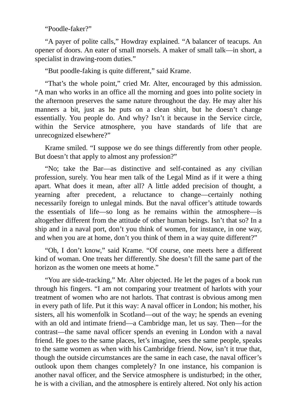"Poodle-faker?"

"A payer of polite calls," Howdray explained. "A balancer of teacups. An opener of doors. An eater of small morsels. A maker of small talk—in short, a specialist in drawing-room duties."

"But poodle-faking is quite different," said Krame.

"That's the whole point," cried Mr. Alter, encouraged by this admission. "A man who works in an office all the morning and goes into polite society in the afternoon preserves the same nature throughout the day. He may alter his manners a bit, just as he puts on a clean shirt, but he doesn't change essentially. You people do. And why? Isn't it because in the Service circle, within the Service atmosphere, you have standards of life that are unrecognized elsewhere?"

Krame smiled. "I suppose we do see things differently from other people. But doesn't that apply to almost any profession?"

"No; take the Bar—as distinctive and self-contained as any civilian profession, surely. You hear men talk of the Legal Mind as if it were a thing apart. What does it mean, after all? A little added precision of thought, a yearning after precedent, a reluctance to change—certainly nothing necessarily foreign to unlegal minds. But the naval officer's attitude towards the essentials of life—so long as he remains within the atmosphere—is altogether different from the attitude of other human beings. Isn't that so? In a ship and in a naval port, don't you think of women, for instance, in one way, and when you are at home, don't you think of them in a way quite different?"

"Oh, I don't know," said Krame. "Of course, one meets here a different kind of woman. One treats her differently. She doesn't fill the same part of the horizon as the women one meets at home."

"You are side-tracking," Mr. Alter objected. He let the pages of a book run through his fingers. "I am not comparing your treatment of harlots with your treatment of women who are not harlots. That contrast is obvious among men in every path of life. Put it this way: A naval officer in London; his mother, his sisters, all his womenfolk in Scotland—out of the way; he spends an evening with an old and intimate friend—a Cambridge man, let us say. Then—for the contrast—the same naval officer spends an evening in London with a naval friend. He goes to the same places, let's imagine, sees the same people, speaks to the same women as when with his Cambridge friend. Now, isn't it true that, though the outside circumstances are the same in each case, the naval officer's outlook upon them changes completely? In one instance, his companion is another naval officer, and the Service atmosphere is undisturbed; in the other, he is with a civilian, and the atmosphere is entirely altered. Not only his action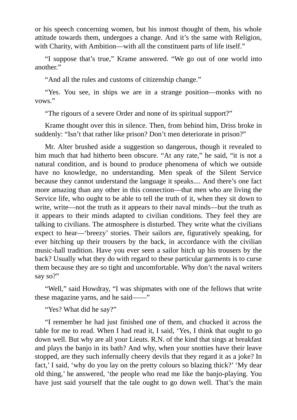or his speech concerning women, but his inmost thought of them, his whole attitude towards them, undergoes a change. And it's the same with Religion, with Charity, with Ambition—with all the constituent parts of life itself."

"I suppose that's true," Krame answered. "We go out of one world into another."

"And all the rules and customs of citizenship change."

"Yes. You see, in ships we are in a strange position—monks with no vows."

"The rigours of a severe Order and none of its spiritual support?"

Krame thought over this in silence. Then, from behind him, Driss broke in suddenly: "Isn't that rather like prison? Don't men deteriorate in prison?"

Mr. Alter brushed aside a suggestion so dangerous, though it revealed to him much that had hitherto been obscure. "At any rate," he said, "it is not a natural condition, and is bound to produce phenomena of which we outside have no knowledge, no understanding. Men speak of the Silent Service because they cannot understand the language it speaks.... And there's one fact more amazing than any other in this connection—that men who are living the Service life, who ought to be able to tell the truth of it, when they sit down to write, write—not the truth as it appears to their naval minds—but the truth as it appears to their minds adapted to civilian conditions. They feel they are talking to civilians. The atmosphere is disturbed. They write what the civilians expect to hear—'breezy' stories. Their sailors are, figuratively speaking, for ever hitching up their trousers by the back, in accordance with the civilian music-hall tradition. Have you ever seen a sailor hitch up his trousers by the back? Usually what they do with regard to these particular garments is to curse them because they are so tight and uncomfortable. Why don't the naval writers say so?"

"Well," said Howdray, "I was shipmates with one of the fellows that write these magazine yarns, and he said——"

"Yes? What did he say?"

"I remember he had just finished one of them, and chucked it across the table for me to read. When I had read it, I said, 'Yes, I think that ought to go down well. But why are all your Lieuts. R.N. of the kind that sings at breakfast and plays the banjo in its bath? And why, when your snotties have their leave stopped, are they such infernally cheery devils that they regard it as a joke? In fact,' I said, 'why do you lay on the pretty colours so blazing thick?' 'My dear old thing,' he answered, 'the people who read me like the banjo-playing. You have just said yourself that the tale ought to go down well. That's the main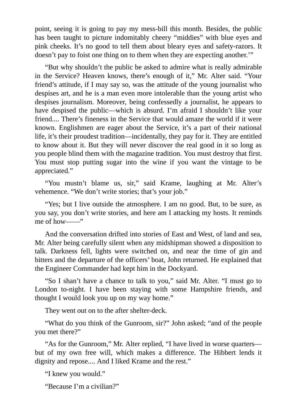point, seeing it is going to pay my mess-bill this month. Besides, the public has been taught to picture indomitably cheery "middies" with blue eyes and pink cheeks. It's no good to tell them about bleary eyes and safety-razors. It doesn't pay to foist one thing on to them when they are expecting another.'"

"But why shouldn't the public be asked to admire what is really admirable in the Service? Heaven knows, there's enough of it," Mr. Alter said. "Your friend's attitude, if I may say so, was the attitude of the young journalist who despises art, and he is a man even more intolerable than the young artist who despises journalism. Moreover, being confessedly a journalist, he appears to have despised the public—which is absurd. I'm afraid I shouldn't like your friend.... There's fineness in the Service that would amaze the world if it were known. Englishmen are eager about the Service, it's a part of their national life, it's their proudest tradition—incidentally, they pay for it. They are entitled to know about it. But they will never discover the real good in it so long as you people blind them with the magazine tradition. You must destroy that first. You must stop putting sugar into the wine if you want the vintage to be appreciated."

"You mustn't blame us, sir," said Krame, laughing at Mr. Alter's vehemence. "We don't write stories; that's your job."

"Yes; but I live outside the atmosphere. I am no good. But, to be sure, as you say, you don't write stories, and here am I attacking my hosts. It reminds me of how——"

And the conversation drifted into stories of East and West, of land and sea, Mr. Alter being carefully silent when any midshipman showed a disposition to talk. Darkness fell, lights were switched on, and near the time of gin and bitters and the departure of the officers' boat, John returned. He explained that the Engineer Commander had kept him in the Dockyard.

"So I shan't have a chance to talk to you," said Mr. Alter. "I must go to London to-night. I have been staying with some Hampshire friends, and thought I would look you up on my way home."

They went out on to the after shelter-deck.

"What do you think of the Gunroom, sir?" John asked; "and of the people you met there?"

"As for the Gunroom," Mr. Alter replied, "I have lived in worse quarters but of my own free will, which makes a difference. The Hibbert lends it dignity and repose.... And I liked Krame and the rest."

"I knew you would."

"Because I'm a civilian?"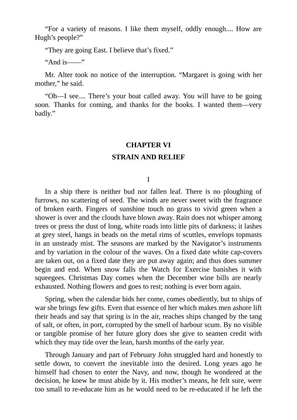"For a variety of reasons. I like them myself, oddly enough.... How are Hugh's people?"

"They are going East. I believe that's fixed."

"And is——"

Mr. Alter took no notice of the interruption. "Margaret is going with her mother," he said.

"Oh—I see.... There's your boat called away. You will have to be going soon. Thanks for coming, and thanks for the books. I wanted them—very badly."

#### **CHAPTER VI**

#### **STRAIN AND RELIEF**

I

In a ship there is neither bud nor fallen leaf. There is no ploughing of furrows, no scattering of seed. The winds are never sweet with the fragrance of broken earth. Fingers of sunshine touch no grass to vivid green when a shower is over and the clouds have blown away. Rain does not whisper among trees or press the dust of long, white roads into little pits of darkness; it lashes at grey steel, hangs in beads on the metal rims of scuttles, envelops topmasts in an unsteady mist. The seasons are marked by the Navigator's instruments and by variation in the colour of the waves. On a fixed date white cap-covers are taken out, on a fixed date they are put away again; and thus does summer begin and end. When snow falls the Watch for Exercise banishes it with squeegees. Christmas Day comes when the December wine bills are nearly exhausted. Nothing flowers and goes to rest; nothing is ever born again.

Spring, when the calendar bids her come, comes obediently, but to ships of war she brings few gifts. Even that essence of her which makes men ashore lift their heads and say that spring is in the air, reaches ships changed by the tang of salt, or often, in port, corrupted by the smell of harbour scum. By no visible or tangible promise of her future glory does she give to seamen credit with which they may tide over the lean, harsh months of the early year.

Through January and part of February John struggled hard and honestly to settle down, to convert the inevitable into the desired. Long years ago he himself had chosen to enter the Navy, and now, though he wondered at the decision, he knew he must abide by it. His mother's means, he felt sure, were too small to re-educate him as he would need to be re-educated if he left the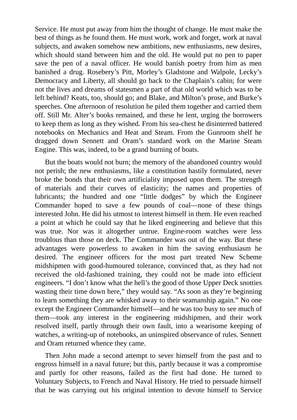Service. He must put away from him the thought of change. He must make the best of things as he found them. He must work, work and forget, work at naval subjects, and awaken somehow new ambitions, new enthusiasms, new desires, which should stand between him and the old. He would put no pen to paper save the pen of a naval officer. He would banish poetry from him as men banished a drug. Rosebery's Pitt, Morley's Gladstone and Walpole, Lecky's Democracy and Liberty, all should go back to the Chaplain's cabin; for were not the lives and dreams of statesmen a part of that old world which was to be left behind? Keats, too, should go; and Blake, and Milton's prose, and Burke's speeches. One afternoon of resolution he piled them together and carried them off. Still Mr. Alter's books remained, and these he lent, urging the borrowers to keep them as long as they wished. From his sea-chest he disinterred battered notebooks on Mechanics and Heat and Steam. From the Gunroom shelf he dragged down Sennett and Oram's standard work on the Marine Steam Engine. This was, indeed, to be a grand burning of boats.

But the boats would not burn; the memory of the abandoned country would not perish; the new enthusiasms, like a constitution hastily formulated, never broke the bonds that their own artificiality imposed upon them. The strength of materials and their curves of elasticity; the names and properties of lubricants; the hundred and one "little dodges" by which the Engineer Commander hoped to save a few pounds of coal—none of these things interested John. He did his utmost to interest himself in them. He even reached a point at which he could say that he liked engineering and believe that this was true. Nor was it altogether untrue. Engine-room watches were less troublous than those on deck. The Commander was out of the way. But these advantages were powerless to awaken in him the saving enthusiasm he desired. The engineer officers for the most part treated New Scheme midshipmen with good-humoured tolerance, convinced that, as they had not received the old-fashioned training, they could not be made into efficient engineers. "I don't know what the hell's the good of those Upper Deck snotties wasting their time down here," they would say. "As soon as they're beginning to learn something they are whisked away to their seamanship again." No one except the Engineer Commander himself—and he was too busy to see much of them—took any interest in the engineering midshipmen, and their work resolved itself, partly through their own fault, into a wearisome keeping of watches, a writing-up of notebooks, an uninspired observance of rules. Sennett and Oram returned whence they came.

Then John made a second attempt to sever himself from the past and to engross himself in a naval future; but this, partly because it was a compromise and partly for other reasons, failed as the first had done. He turned to Voluntary Subjects, to French and Naval History. He tried to persuade himself that he was carrying out his original intention to devote himself to Service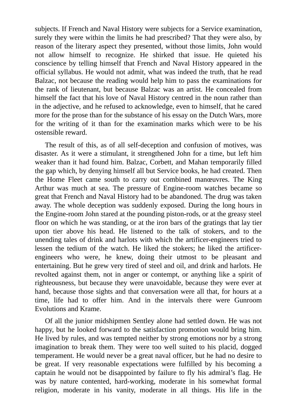subjects. If French and Naval History were subjects for a Service examination, surely they were within the limits he had prescribed? That they were also, by reason of the literary aspect they presented, without those limits, John would not allow himself to recognize. He shirked that issue. He quieted his conscience by telling himself that French and Naval History appeared in the official syllabus. He would not admit, what was indeed the truth, that he read Balzac, not because the reading would help him to pass the examinations for the rank of lieutenant, but because Balzac was an artist. He concealed from himself the fact that his love of Naval History centred in the noun rather than in the adjective, and he refused to acknowledge, even to himself, that he cared more for the prose than for the substance of his essay on the Dutch Wars, more for the writing of it than for the examination marks which were to be his ostensible reward.

The result of this, as of all self-deception and confusion of motives, was disaster. As it were a stimulant, it strengthened John for a time, but left him weaker than it had found him. Balzac, Corbett, and Mahan temporarily filled the gap which, by denying himself all but Service books, he had created. Then the Home Fleet came south to carry out combined manœuvres. The King Arthur was much at sea. The pressure of Engine-room watches became so great that French and Naval History had to be abandoned. The drug was taken away. The whole deception was suddenly exposed. During the long hours in the Engine-room John stared at the pounding piston-rods, or at the greasy steel floor on which he was standing, or at the iron bars of the gratings that lay tier upon tier above his head. He listened to the talk of stokers, and to the unending tales of drink and harlots with which the artificer-engineers tried to lessen the tedium of the watch. He liked the stokers; he liked the artificerengineers who were, he knew, doing their utmost to be pleasant and entertaining. But he grew very tired of steel and oil, and drink and harlots. He revolted against them, not in anger or contempt, or anything like a spirit of righteousness, but because they were unavoidable, because they were ever at hand, because those sights and that conversation were all that, for hours at a time, life had to offer him. And in the intervals there were Gunroom Evolutions and Krame.

Of all the junior midshipmen Sentley alone had settled down. He was not happy, but he looked forward to the satisfaction promotion would bring him. He lived by rules, and was tempted neither by strong emotions nor by a strong imagination to break them. They were too well suited to his placid, dogged temperament. He would never be a great naval officer, but he had no desire to be great. If very reasonable expectations were fulfilled by his becoming a captain he would not be disappointed by failure to fly his admiral's flag. He was by nature contented, hard-working, moderate in his somewhat formal religion, moderate in his vanity, moderate in all things. His life in the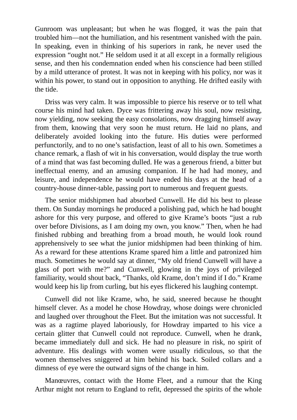Gunroom was unpleasant; but when he was flogged, it was the pain that troubled him—not the humiliation, and his resentment vanished with the pain. In speaking, even in thinking of his superiors in rank, he never used the expression "ought not." He seldom used it at all except in a formally religious sense, and then his condemnation ended when his conscience had been stilled by a mild utterance of protest. It was not in keeping with his policy, nor was it within his power, to stand out in opposition to anything. He drifted easily with the tide.

Driss was very calm. It was impossible to pierce his reserve or to tell what course his mind had taken. Dyce was frittering away his soul, now resisting, now yielding, now seeking the easy consolations, now dragging himself away from them, knowing that very soon he must return. He laid no plans, and deliberately avoided looking into the future. His duties were performed perfunctorily, and to no one's satisfaction, least of all to his own. Sometimes a chance remark, a flash of wit in his conversation, would display the true worth of a mind that was fast becoming dulled. He was a generous friend, a bitter but ineffectual enemy, and an amusing companion. If he had had money, and leisure, and independence he would have ended his days at the head of a country-house dinner-table, passing port to numerous and frequent guests.

The senior midshipmen had absorbed Cunwell. He did his best to please them. On Sunday mornings he produced a polishing pad, which he had bought ashore for this very purpose, and offered to give Krame's boots "just a rub over before Divisions, as I am doing my own, you know." Then, when he had finished rubbing and breathing from a broad mouth, he would look round apprehensively to see what the junior midshipmen had been thinking of him. As a reward for these attentions Krame spared him a little and patronized him much. Sometimes he would say at dinner, "My old friend Cunwell will have a glass of port with me?" and Cunwell, glowing in the joys of privileged familiarity, would shout back, "Thanks, old Krame, don't mind if I do." Krame would keep his lip from curling, but his eyes flickered his laughing contempt.

Cunwell did not like Krame, who, he said, sneered because he thought himself clever. As a model he chose Howdray, whose doings were chronicled and laughed over throughout the Fleet. But the imitation was not successful. It was as a ragtime played laboriously, for Howdray imparted to his vice a certain glitter that Cunwell could not reproduce. Cunwell, when he drank, became immediately dull and sick. He had no pleasure in risk, no spirit of adventure. His dealings with women were usually ridiculous, so that the women themselves sniggered at him behind his back. Soiled collars and a dimness of eye were the outward signs of the change in him.

Manœuvres, contact with the Home Fleet, and a rumour that the King Arthur might not return to England to refit, depressed the spirits of the whole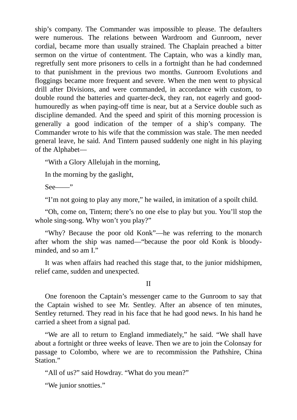ship's company. The Commander was impossible to please. The defaulters were numerous. The relations between Wardroom and Gunroom, never cordial, became more than usually strained. The Chaplain preached a bitter sermon on the virtue of contentment. The Captain, who was a kindly man, regretfully sent more prisoners to cells in a fortnight than he had condemned to that punishment in the previous two months. Gunroom Evolutions and floggings became more frequent and severe. When the men went to physical drill after Divisions, and were commanded, in accordance with custom, to double round the batteries and quarter-deck, they ran, not eagerly and goodhumouredly as when paying-off time is near, but at a Service double such as discipline demanded. And the speed and spirit of this morning procession is generally a good indication of the temper of a ship's company. The Commander wrote to his wife that the commission was stale. The men needed general leave, he said. And Tintern paused suddenly one night in his playing of the Alphabet—

"With a Glory Allelujah in the morning,

In the morning by the gaslight,

 $See$ <sup>"</sup>

"I'm not going to play any more," he wailed, in imitation of a spoilt child.

"Oh, come on, Tintern; there's no one else to play but you. You'll stop the whole sing-song. Why won't you play?"

"Why? Because the poor old Konk"—he was referring to the monarch after whom the ship was named—"because the poor old Konk is bloodyminded, and so am I."

It was when affairs had reached this stage that, to the junior midshipmen, relief came, sudden and unexpected.

II

One forenoon the Captain's messenger came to the Gunroom to say that the Captain wished to see Mr. Sentley. After an absence of ten minutes, Sentley returned. They read in his face that he had good news. In his hand he carried a sheet from a signal pad.

"We are all to return to England immediately," he said. "We shall have about a fortnight or three weeks of leave. Then we are to join the Colonsay for passage to Colombo, where we are to recommission the Pathshire, China Station."

"All of us?" said Howdray. "What do you mean?"

"We junior snotties."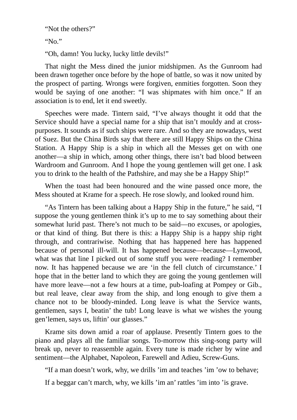"Not the others?"

"No."

"Oh, damn! You lucky, lucky little devils!"

That night the Mess dined the junior midshipmen. As the Gunroom had been drawn together once before by the hope of battle, so was it now united by the prospect of parting. Wrongs were forgiven, enmities forgotten. Soon they would be saying of one another: "I was shipmates with him once." If an association is to end, let it end sweetly.

Speeches were made. Tintern said, "I've always thought it odd that the Service should have a special name for a ship that isn't mouldy and at crosspurposes. It sounds as if such ships were rare. And so they are nowadays, west of Suez. But the China Birds say that there are still Happy Ships on the China Station. A Happy Ship is a ship in which all the Messes get on with one another—a ship in which, among other things, there isn't bad blood between Wardroom and Gunroom. And I hope the young gentlemen will get one. I ask you to drink to the health of the Pathshire, and may she be a Happy Ship!"

When the toast had been honoured and the wine passed once more, the Mess shouted at Krame for a speech. He rose slowly, and looked round him.

"As Tintern has been talking about a Happy Ship in the future," he said, "I suppose the young gentlemen think it's up to me to say something about their somewhat lurid past. There's not much to be said—no excuses, or apologies, or that kind of thing. But there is this: a Happy Ship is a happy ship right through, and contrariwise. Nothing that has happened here has happened because of personal ill-will. It has happened because—because—Lynwood, what was that line I picked out of some stuff you were reading? I remember now. It has happened because we are 'in the fell clutch of circumstance.' I hope that in the better land to which they are going the young gentlemen will have more leave—not a few hours at a time, pub-loafing at Pompey or Gib., but real leave, clear away from the ship, and long enough to give them a chance not to be bloody-minded. Long leave is what the Service wants, gentlemen, says I, beatin' the tub! Long leave is what we wishes the young gen'lemen, says us, liftin' our glasses."

Krame sits down amid a roar of applause. Presently Tintern goes to the piano and plays all the familiar songs. To-morrow this sing-song party will break up, never to reassemble again. Every tune is made richer by wine and sentiment—the Alphabet, Napoleon, Farewell and Adieu, Screw-Guns.

"If a man doesn't work, why, we drills 'im and teaches 'im 'ow to behave;

If a beggar can't march, why, we kills 'im an' rattles 'im into 'is grave.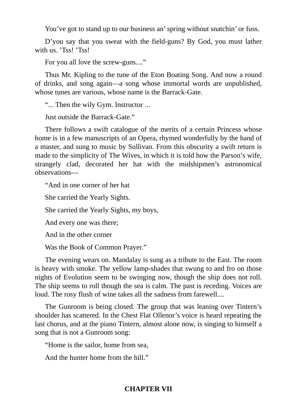You've got to stand up to our business an'spring without snatchin' or fuss.

D'you say that you sweat with the field-guns? By God, you must lather with us. 'Tss! 'Tss!

For you all love the screw-guns...."

Thus Mr. Kipling to the tune of the Eton Boating Song. And now a round of drinks, and song again—a song whose immortal words are unpublished, whose tunes are various, whose name is the Barrack-Gate.

"... Then the wily Gym. Instructor ...

Just outside the Barrack-Gate."

There follows a swift catalogue of the merits of a certain Princess whose home is in a few manuscripts of an Opera, rhymed wonderfully by the hand of a master, and sung to music by Sullivan. From this obscurity a swift return is made to the simplicity of The Wives, in which it is told how the Parson's wife, strangely clad, decorated her hat with the midshipmen's astronomical observations—

"And in one corner of her hat

She carried the Yearly Sights.

She carried the Yearly Sights, my boys,

And every one was there;

And in the other corner

Was the Book of Common Prayer."

The evening wears on. Mandalay is sung as a tribute to the East. The room is heavy with smoke. The yellow lamp-shades that swung to and fro on those nights of Evolution seem to be swinging now, though the ship does not roll. The ship seems to roll though the sea is calm. The past is receding. Voices are loud. The rosy flush of wine takes all the sadness from farewell....

The Gunroom is being closed. The group that was leaning over Tintern's shoulder has scattered. In the Chest Flat Ollenor's voice is heard repeating the last chorus, and at the piano Tintern, almost alone now, is singing to himself a song that is not a Gunroom song:

"Home is the sailor, home from sea,

And the hunter home from the hill."

# **CHAPTER VII**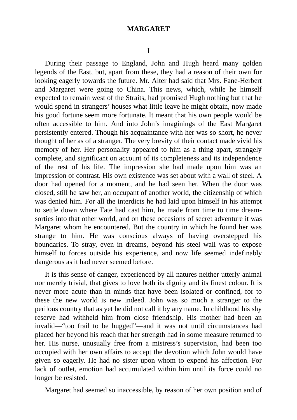#### **MARGARET**

I

During their passage to England, John and Hugh heard many golden legends of the East, but, apart from these, they had a reason of their own for looking eagerly towards the future. Mr. Alter had said that Mrs. Fane-Herbert and Margaret were going to China. This news, which, while he himself expected to remain west of the Straits, had promised Hugh nothing but that he would spend in strangers' houses what little leave he might obtain, now made his good fortune seem more fortunate. It meant that his own people would be often accessible to him. And into John's imaginings of the East Margaret persistently entered. Though his acquaintance with her was so short, he never thought of her as of a stranger. The very brevity of their contact made vivid his memory of her. Her personality appeared to him as a thing apart, strangely complete, and significant on account of its completeness and its independence of the rest of his life. The impression she had made upon him was an impression of contrast. His own existence was set about with a wall of steel. A door had opened for a moment, and he had seen her. When the door was closed, still he saw her, an occupant of another world, the citizenship of which was denied him. For all the interdicts he had laid upon himself in his attempt to settle down where Fate had cast him, he made from time to time dreamsorties into that other world, and on these occasions of secret adventure it was Margaret whom he encountered. But the country in which he found her was strange to him. He was conscious always of having overstepped his boundaries. To stray, even in dreams, beyond his steel wall was to expose himself to forces outside his experience, and now life seemed indefinably dangerous as it had never seemed before.

It is this sense of danger, experienced by all natures neither utterly animal nor merely trivial, that gives to love both its dignity and its finest colour. It is never more acute than in minds that have been isolated or confined, for to these the new world is new indeed. John was so much a stranger to the perilous country that as yet he did not call it by any name. In childhood his shy reserve had withheld him from close friendship. His mother had been an invalid—"too frail to be hugged"—and it was not until circumstances had placed her beyond his reach that her strength had in some measure returned to her. His nurse, unusually free from a mistress's supervision, had been too occupied with her own affairs to accept the devotion which John would have given so eagerly. He had no sister upon whom to expend his affection. For lack of outlet, emotion had accumulated within him until its force could no longer be resisted.

Margaret had seemed so inaccessible, by reason of her own position and of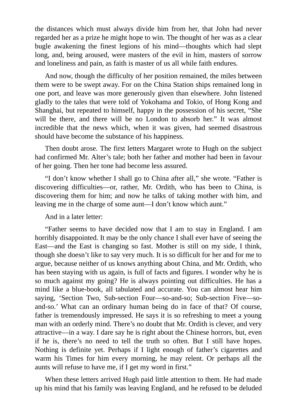the distances which must always divide him from her, that John had never regarded her as a prize he might hope to win. The thought of her was as a clear bugle awakening the finest legions of his mind—thoughts which had slept long, and, being aroused, were masters of the evil in him, masters of sorrow and loneliness and pain, as faith is master of us all while faith endures.

And now, though the difficulty of her position remained, the miles between them were to be swept away. For on the China Station ships remained long in one port, and leave was more generously given than elsewhere. John listened gladly to the tales that were told of Yokohama and Tokio, of Hong Kong and Shanghai, but repeated to himself, happy in the possession of his secret, "She will be there, and there will be no London to absorb her." It was almost incredible that the news which, when it was given, had seemed disastrous should have become the substance of his happiness.

Then doubt arose. The first letters Margaret wrote to Hugh on the subject had confirmed Mr. Alter's tale; both her father and mother had been in favour of her going. Then her tone had become less assured.

"I don't know whether I shall go to China after all," she wrote. "Father is discovering difficulties—or, rather, Mr. Ordith, who has been to China, is discovering them for him; and now he talks of taking mother with him, and leaving me in the charge of some aunt—I don't know which aunt."

And in a later letter:

"Father seems to have decided now that I am to stay in England. I am horribly disappointed. It may be the only chance I shall ever have of seeing the East—and the East is changing so fast. Mother is still on my side, I think, though she doesn't like to say very much. It is so difficult for her and for me to argue, because neither of us knows anything about China, and Mr. Ordith, who has been staying with us again, is full of facts and figures. I wonder why he is so much against my going? He is always pointing out difficulties. He has a mind like a blue-book, all tabulated and accurate. You can almost hear him saying, 'Section Two, Sub-section Four—so-and-so; Sub-section Five—soand-so.' What can an ordinary human being do in face of that? Of course, father is tremendously impressed. He says it is so refreshing to meet a young man with an orderly mind. There's no doubt that Mr. Ordith is clever, and very attractive—in a way. I dare say he is right about the Chinese horrors, but, even if he is, there's no need to tell the truth so often. But I still have hopes. Nothing is definite yet. Perhaps if I light enough of father's cigarettes and warm his Times for him every morning, he may relent. Or perhaps all the aunts will refuse to have me, if I get my word in first."

When these letters arrived Hugh paid little attention to them. He had made up his mind that his family was leaving England, and he refused to be deluded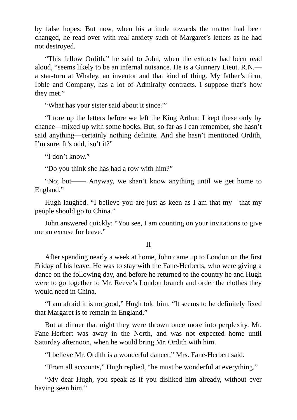by false hopes. But now, when his attitude towards the matter had been changed, he read over with real anxiety such of Margaret's letters as he had not destroyed.

"This fellow Ordith," he said to John, when the extracts had been read aloud, "seems likely to be an infernal nuisance. He is a Gunnery Lieut. R.N. a star-turn at Whaley, an inventor and that kind of thing. My father's firm, Ibble and Company, has a lot of Admiralty contracts. I suppose that's how they met."

"What has your sister said about it since?"

"I tore up the letters before we left the King Arthur. I kept these only by chance—mixed up with some books. But, so far as I can remember, she hasn't said anything—certainly nothing definite. And she hasn't mentioned Ordith, I'm sure. It's odd, isn't it?"

"I don't know."

"Do you think she has had a row with him?"

"No; but—— Anyway, we shan't know anything until we get home to England."

Hugh laughed. "I believe you are just as keen as I am that my—that my people should go to China."

John answered quickly: "You see, I am counting on your invitations to give me an excuse for leave."

II

After spending nearly a week at home, John came up to London on the first Friday of his leave. He was to stay with the Fane-Herberts, who were giving a dance on the following day, and before he returned to the country he and Hugh were to go together to Mr. Reeve's London branch and order the clothes they would need in China.

"I am afraid it is no good," Hugh told him. "It seems to be definitely fixed that Margaret is to remain in England."

But at dinner that night they were thrown once more into perplexity. Mr. Fane-Herbert was away in the North, and was not expected home until Saturday afternoon, when he would bring Mr. Ordith with him.

"I believe Mr. Ordith is a wonderful dancer," Mrs. Fane-Herbert said.

"From all accounts," Hugh replied, "he must be wonderful at everything."

"My dear Hugh, you speak as if you disliked him already, without ever having seen him."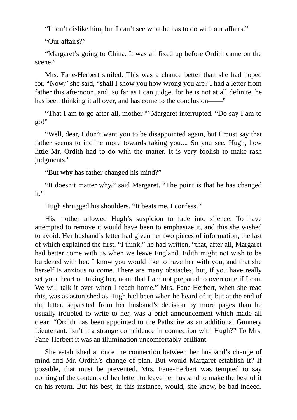"I don't dislike him, but I can't see what he has to do with our affairs."

"Our affairs?"

"Margaret's going to China. It was all fixed up before Ordith came on the scene."

Mrs. Fane-Herbert smiled. This was a chance better than she had hoped for. "Now," she said, "shall I show you how wrong you are? I had a letter from father this afternoon, and, so far as I can judge, for he is not at all definite, he has been thinking it all over, and has come to the conclusion——"

"That I am to go after all, mother?" Margaret interrupted. "Do say I am to go!"

"Well, dear, I don't want you to be disappointed again, but I must say that father seems to incline more towards taking you.... So you see, Hugh, how little Mr. Ordith had to do with the matter. It is very foolish to make rash judgments."

"But why has father changed his mind?"

"It doesn't matter why," said Margaret. "The point is that he has changed it."

Hugh shrugged his shoulders. "It beats me, I confess."

His mother allowed Hugh's suspicion to fade into silence. To have attempted to remove it would have been to emphasize it, and this she wished to avoid. Her husband's letter had given her two pieces of information, the last of which explained the first. "I think," he had written, "that, after all, Margaret had better come with us when we leave England. Edith might not wish to be burdened with her. I know you would like to have her with you, and that she herself is anxious to come. There are many obstacles, but, if you have really set your heart on taking her, none that I am not prepared to overcome if I can. We will talk it over when I reach home." Mrs. Fane-Herbert, when she read this, was as astonished as Hugh had been when he heard of it; but at the end of the letter, separated from her husband's decision by more pages than he usually troubled to write to her, was a brief announcement which made all clear: "Ordith has been appointed to the Pathshire as an additional Gunnery Lieutenant. Isn't it a strange coincidence in connection with Hugh?" To Mrs. Fane-Herbert it was an illumination uncomfortably brilliant.

She established at once the connection between her husband's change of mind and Mr. Ordith's change of plan. But would Margaret establish it? If possible, that must be prevented. Mrs. Fane-Herbert was tempted to say nothing of the contents of her letter, to leave her husband to make the best of it on his return. But his best, in this instance, would, she knew, be bad indeed.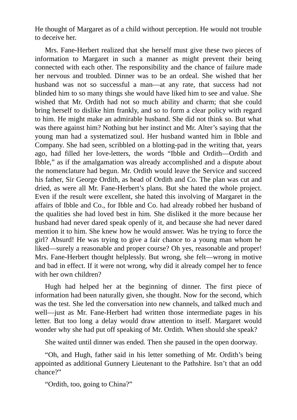He thought of Margaret as of a child without perception. He would not trouble to deceive her.

Mrs. Fane-Herbert realized that she herself must give these two pieces of information to Margaret in such a manner as might prevent their being connected with each other. The responsibility and the chance of failure made her nervous and troubled. Dinner was to be an ordeal. She wished that her husband was not so successful a man—at any rate, that success had not blinded him to so many things she would have liked him to see and value. She wished that Mr. Ordith had not so much ability and charm; that she could bring herself to dislike him frankly, and so to form a clear policy with regard to him. He might make an admirable husband. She did not think so. But what was there against him? Nothing but her instinct and Mr. Alter's saying that the young man had a systematized soul. Her husband wanted him in Ibble and Company. She had seen, scribbled on a blotting-pad in the writing that, years ago, had filled her love-letters, the words "Ibble and Ordith—Ordith and Ibble," as if the amalgamation was already accomplished and a dispute about the nomenclature had begun. Mr. Ordith would leave the Service and succeed his father, Sir George Ordith, as head of Ordith and Co. The plan was cut and dried, as were all Mr. Fane-Herbert's plans. But she hated the whole project. Even if the result were excellent, she hated this involving of Margaret in the affairs of Ibble and Co., for Ibble and Co. had already robbed her husband of the qualities she had loved best in him. She disliked it the more because her husband had never dared speak openly of it, and because she had never dared mention it to him. She knew how he would answer. Was he trying to force the girl? Absurd! He was trying to give a fair chance to a young man whom he liked—surely a reasonable and proper course? Oh yes, reasonable and proper! Mrs. Fane-Herbert thought helplessly. But wrong, she felt—wrong in motive and bad in effect. If it were not wrong, why did it already compel her to fence with her own children?

Hugh had helped her at the beginning of dinner. The first piece of information had been naturally given, she thought. Now for the second, which was the test. She led the conversation into new channels, and talked much and well—just as Mr. Fane-Herbert had written those intermediate pages in his letter. But too long a delay would draw attention to itself. Margaret would wonder why she had put off speaking of Mr. Ordith. When should she speak?

She waited until dinner was ended. Then she paused in the open doorway.

"Oh, and Hugh, father said in his letter something of Mr. Ordith's being appointed as additional Gunnery Lieutenant to the Pathshire. Isn't that an odd chance?"

"Ordith, too, going to China?"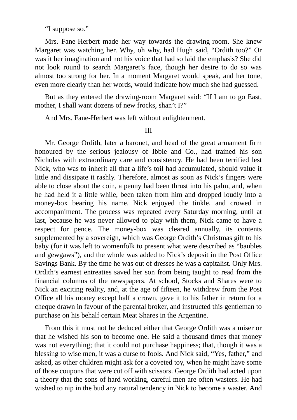"I suppose so."

Mrs. Fane-Herbert made her way towards the drawing-room. She knew Margaret was watching her. Why, oh why, had Hugh said, "Ordith too?" Or was it her imagination and not his voice that had so laid the emphasis? She did not look round to search Margaret's face, though her desire to do so was almost too strong for her. In a moment Margaret would speak, and her tone, even more clearly than her words, would indicate how much she had guessed.

But as they entered the drawing-room Margaret said: "If I am to go East, mother, I shall want dozens of new frocks, shan't I?"

And Mrs. Fane-Herbert was left without enlightenment.

III

Mr. George Ordith, later a baronet, and head of the great armament firm honoured by the serious jealousy of Ibble and Co., had trained his son Nicholas with extraordinary care and consistency. He had been terrified lest Nick, who was to inherit all that a life's toil had accumulated, should value it little and dissipate it rashly. Therefore, almost as soon as Nick's fingers were able to close about the coin, a penny had been thrust into his palm, and, when he had held it a little while, been taken from him and dropped loudly into a money-box bearing his name. Nick enjoyed the tinkle, and crowed in accompaniment. The process was repeated every Saturday morning, until at last, because he was never allowed to play with them, Nick came to have a respect for pence. The money-box was cleared annually, its contents supplemented by a sovereign, which was George Ordith's Christmas gift to his baby (for it was left to womenfolk to present what were described as "baubles and gewgaws"), and the whole was added to Nick's deposit in the Post Office Savings Bank. By the time he was out of dresses he was a capitalist. Only Mrs. Ordith's earnest entreaties saved her son from being taught to read from the financial columns of the newspapers. At school, Stocks and Shares were to Nick an exciting reality, and, at the age of fifteen, he withdrew from the Post Office all his money except half a crown, gave it to his father in return for a cheque drawn in favour of the parental broker, and instructed this gentleman to purchase on his behalf certain Meat Shares in the Argentine.

From this it must not be deduced either that George Ordith was a miser or that he wished his son to become one. He said a thousand times that money was not everything; that it could not purchase happiness; that, though it was a blessing to wise men, it was a curse to fools. And Nick said, "Yes, father," and asked, as other children might ask for a coveted toy, when he might have some of those coupons that were cut off with scissors. George Ordith had acted upon a theory that the sons of hard-working, careful men are often wasters. He had wished to nip in the bud any natural tendency in Nick to become a waster. And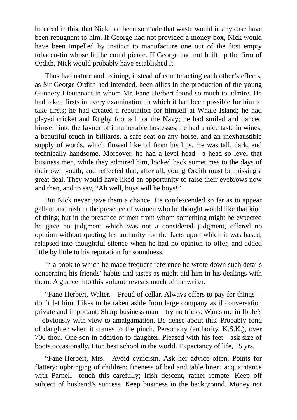he erred in this, that Nick had been so made that waste would in any case have been repugnant to him. If George had not provided a money-box, Nick would have been impelled by instinct to manufacture one out of the first empty tobacco-tin whose lid he could pierce. If George had not built up the firm of Ordith, Nick would probably have established it.

Thus had nature and training, instead of counteracting each other's effects, as Sir George Ordith had intended, been allies in the production of the young Gunnery Lieutenant in whom Mr. Fane-Herbert found so much to admire. He had taken firsts in every examination in which it had been possible for him to take firsts; he had created a reputation for himself at Whale Island; he had played cricket and Rugby football for the Navy; he had smiled and danced himself into the favour of innumerable hostesses; he had a nice taste in wines, a beautiful touch in billiards, a safe seat on any horse, and an inexhaustible supply of words, which flowed like oil from his lips. He was tall, dark, and technically handsome. Moreover, he had a level head—a head so level that business men, while they admired him, looked back sometimes to the days of their own youth, and reflected that, after all, young Ordith must be missing a great deal. They would have liked an opportunity to raise their eyebrows now and then, and to say, "Ah well, boys will be boys!"

But Nick never gave them a chance. He condescended so far as to appear gallant and rash in the presence of women who he thought would like that kind of thing; but in the presence of men from whom something might be expected he gave no judgment which was not a considered judgment, offered no opinion without quoting his authority for the facts upon which it was based, relapsed into thoughtful silence when he had no opinion to offer, and added little by little to his reputation for soundness.

In a book to which he made frequent reference he wrote down such details concerning his friends' habits and tastes as might aid him in his dealings with them. A glance into this volume reveals much of the writer.

"Fane-Herbert, Walter.—Proud of cellar. Always offers to pay for things don't let him. Likes to be taken aside from large company as if conversation private and important. Sharp business man—try no tricks. Wants me in Ibble's —obviously with view to amalgamation. Be dense about this. Probably fond of daughter when it comes to the pinch. Personalty (authority, K.S.K.), over 700 thou. One son in addition to daughter. Pleased with his feet—ask size of boots occasionally. Eton best school in the world. Expectancy of life, 15 yrs.

"Fane-Herbert, Mrs.—Avoid cynicism. Ask her advice often. Points for flattery: upbringing of children; fineness of bed and table linen; acquaintance with Parnell—touch this carefully; Irish descent, rather remote. Keep off subject of husband's success. Keep business in the background. Money not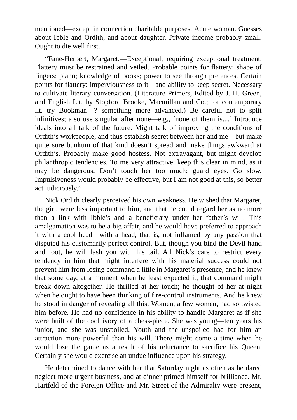mentioned—except in connection charitable purposes. Acute woman. Guesses about Ibble and Ordith, and about daughter. Private income probably small. Ought to die well first.

"Fane-Herbert, Margaret.—Exceptional, requiring exceptional treatment. Flattery must be restrained and veiled. Probable points for flattery: shape of fingers; piano; knowledge of books; power to see through pretences. Certain points for flattery: imperviousness to it—and ability to keep secret. Necessary to cultivate literary conversation. (Literature Primers, Edited by J. H. Green, and English Lit. by Stopford Brooke, Macmillan and Co.; for contemporary lit. try Bookman—? something more advanced.) Be careful not to split infinitives; also use singular after none—e.g., 'none of them is....' Introduce ideals into all talk of the future. Might talk of improving the conditions of Ordith's workpeople, and thus establish secret between her and me—but make quite sure bunkum of that kind doesn't spread and make things awkward at Ordith's. Probably make good hostess. Not extravagant, but might develop philanthropic tendencies. To me very attractive: keep this clear in mind, as it may be dangerous. Don't touch her too much; guard eyes. Go slow. Impulsiveness would probably be effective, but I am not good at this, so better act judiciously."

Nick Ordith clearly perceived his own weakness. He wished that Margaret, the girl, were less important to him, and that he could regard her as no more than a link with Ibble's and a beneficiary under her father's will. This amalgamation was to be a big affair, and he would have preferred to approach it with a cool head—with a head, that is, not inflamed by any passion that disputed his customarily perfect control. But, though you bind the Devil hand and foot, he will lash you with his tail. All Nick's care to restrict every tendency in him that might interfere with his material success could not prevent him from losing command a little in Margaret's presence, and he knew that some day, at a moment when he least expected it, that command might break down altogether. He thrilled at her touch; he thought of her at night when he ought to have been thinking of fire-control instruments. And he knew he stood in danger of revealing all this. Women, a few women, had so twisted him before. He had no confidence in his ability to handle Margaret as if she were built of the cool ivory of a chess-piece. She was young—ten years his junior, and she was unspoiled. Youth and the unspoiled had for him an attraction more powerful than his will. There might come a time when he would lose the game as a result of his reluctance to sacrifice his Queen. Certainly she would exercise an undue influence upon his strategy.

He determined to dance with her that Saturday night as often as he dared neglect more urgent business, and at dinner primed himself for brilliance. Mr. Hartfeld of the Foreign Office and Mr. Street of the Admiralty were present,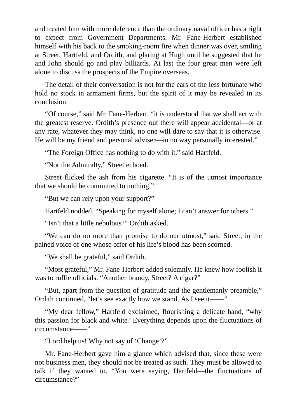and treated him with more deference than the ordinary naval officer has a right to expect from Government Departments. Mr. Fane-Herbert established himself with his back to the smoking-room fire when dinner was over, smiling at Street, Hartfeld, and Ordith, and glaring at Hugh until he suggested that he and John should go and play billiards. At last the four great men were left alone to discuss the prospects of the Empire overseas.

The detail of their conversation is not for the ears of the less fortunate who hold no stock in armament firms, but the spirit of it may be revealed in its conclusion.

"Of course," said Mr. Fane-Herbert, "it is understood that we shall act with the greatest reserve. Ordith's presence out there will appear accidental—or at any rate, whatever they may think, no one will dare to say that it is otherwise. He will be my friend and personal adviser—in no way personally interested."

"The Foreign Office has nothing to do with it," said Hartfeld.

"Nor the Admiralty," Street echoed.

Street flicked the ash from his cigarette. "It is of the utmost importance that we should be committed to nothing."

"But we can rely upon your support?"

Hartfeld nodded. "Speaking for myself alone; I can't answer for others."

"Isn't that a little nebulous?" Ordith asked.

"We can do no more than promise to do our utmost," said Street, in the pained voice of one whose offer of his life's blood has been scorned.

"We shall be grateful," said Ordith.

"Most grateful," Mr. Fane-Herbert added solemnly. He knew how foolish it was to ruffle officials. "Another brandy, Street? A cigar?"

"But, apart from the question of gratitude and the gentlemanly preamble," Ordith continued, "let's see exactly how we stand. As I see it——"

"My dear fellow," Hartfeld exclaimed, flourishing a delicate hand, "why this passion for black and white? Everything depends upon the fluctuations of circumstance——"

"Lord help us! Why not say of 'Change'?"

Mr. Fane-Herbert gave him a glance which advised that, since these were not business men, they should not be treated as such. They must be allowed to talk if they wanted to. "You were saying, Hartfeld—the fluctuations of circumstance?"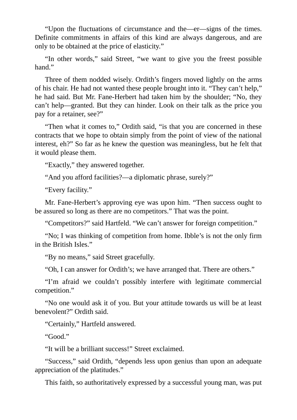"Upon the fluctuations of circumstance and the—er—signs of the times. Definite commitments in affairs of this kind are always dangerous, and are only to be obtained at the price of elasticity."

"In other words," said Street, "we want to give you the freest possible hand."

Three of them nodded wisely. Ordith's fingers moved lightly on the arms of his chair. He had not wanted these people brought into it. "They can't help," he had said. But Mr. Fane-Herbert had taken him by the shoulder; "No, they can't help—granted. But they can hinder. Look on their talk as the price you pay for a retainer, see?"

"Then what it comes to," Ordith said, "is that you are concerned in these contracts that we hope to obtain simply from the point of view of the national interest, eh?" So far as he knew the question was meaningless, but he felt that it would please them.

"Exactly," they answered together.

"And you afford facilities?—a diplomatic phrase, surely?"

"Every facility."

Mr. Fane-Herbert's approving eye was upon him. "Then success ought to be assured so long as there are no competitors." That was the point.

"Competitors?" said Hartfeld. "We can't answer for foreign competition."

"No; I was thinking of competition from home. Ibble's is not the only firm in the British Isles."

"By no means," said Street gracefully.

"Oh, I can answer for Ordith's; we have arranged that. There are others."

"I'm afraid we couldn't possibly interfere with legitimate commercial competition."

"No one would ask it of you. But your attitude towards us will be at least benevolent?" Ordith said.

"Certainly," Hartfeld answered.

"Good."

"It will be a brilliant success!" Street exclaimed.

"Success," said Ordith, "depends less upon genius than upon an adequate appreciation of the platitudes."

This faith, so authoritatively expressed by a successful young man, was put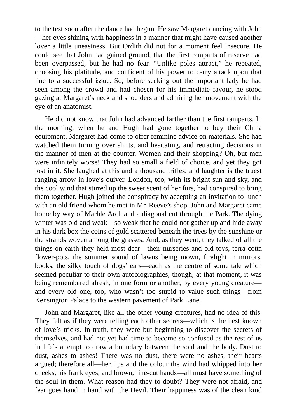to the test soon after the dance had begun. He saw Margaret dancing with John —her eyes shining with happiness in a manner that might have caused another lover a little uneasiness. But Ordith did not for a moment feel insecure. He could see that John had gained ground, that the first ramparts of reserve had been overpassed; but he had no fear. "Unlike poles attract," he repeated, choosing his platitude, and confident of his power to carry attack upon that line to a successful issue. So, before seeking out the important lady he had seen among the crowd and had chosen for his immediate favour, he stood gazing at Margaret's neck and shoulders and admiring her movement with the eye of an anatomist.

He did not know that John had advanced farther than the first ramparts. In the morning, when he and Hugh had gone together to buy their China equipment, Margaret had come to offer feminine advice on materials. She had watched them turning over shirts, and hesitating, and retracting decisions in the manner of men at the counter. Women and their shopping? Oh, but men were infinitely worse! They had so small a field of choice, and yet they got lost in it. She laughed at this and a thousand trifles, and laughter is the truest ranging-arrow in love's quiver. London, too, with its bright sun and sky, and the cool wind that stirred up the sweet scent of her furs, had conspired to bring them together. Hugh joined the conspiracy by accepting an invitation to lunch with an old friend whom he met in Mr. Reeve's shop. John and Margaret came home by way of Marble Arch and a diagonal cut through the Park. The dying winter was old and weak—so weak that he could not gather up and hide away in his dark box the coins of gold scattered beneath the trees by the sunshine or the strands woven among the grasses. And, as they went, they talked of all the things on earth they held most dear—their nurseries and old toys, terra-cotta flower-pots, the summer sound of lawns being mown, firelight in mirrors, books, the silky touch of dogs' ears—each as the centre of some tale which seemed peculiar to their own autobiographies, though, at that moment, it was being remembered afresh, in one form or another, by every young creature and every old one, too, who wasn't too stupid to value such things—from Kensington Palace to the western pavement of Park Lane.

John and Margaret, like all the other young creatures, had no idea of this. They felt as if they were telling each other secrets—which is the best known of love's tricks. In truth, they were but beginning to discover the secrets of themselves, and had not yet had time to become so confused as the rest of us in life's attempt to draw a boundary between the soul and the body. Dust to dust, ashes to ashes! There was no dust, there were no ashes, their hearts argued; therefore all—her lips and the colour the wind had whipped into her cheeks, his frank eyes, and brown, fine-cut hands—all must have something of the soul in them. What reason had they to doubt? They were not afraid, and fear goes hand in hand with the Devil. Their happiness was of the clean kind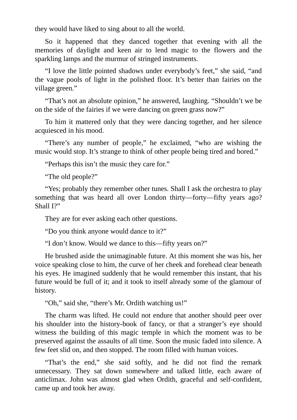they would have liked to sing about to all the world.

So it happened that they danced together that evening with all the memories of daylight and keen air to lend magic to the flowers and the sparkling lamps and the murmur of stringed instruments.

"I love the little pointed shadows under everybody's feet," she said, "and the vague pools of light in the polished floor. It's better than fairies on the village green."

"That's not an absolute opinion," he answered, laughing. "Shouldn't we be on the side of the fairies if we were dancing on green grass now?"

To him it mattered only that they were dancing together, and her silence acquiesced in his mood.

"There's any number of people," he exclaimed, "who are wishing the music would stop. It's strange to think of other people being tired and bored."

"Perhaps this isn't the music they care for."

"The old people?"

"Yes; probably they remember other tunes. Shall I ask the orchestra to play something that was heard all over London thirty—forty—fifty years ago? Shall I?"

They are for ever asking each other questions.

"Do you think anyone would dance to it?"

"I don't know. Would we dance to this—fifty years on?"

He brushed aside the unimaginable future. At this moment she was his, her voice speaking close to him, the curve of her cheek and forehead clear beneath his eyes. He imagined suddenly that he would remember this instant, that his future would be full of it; and it took to itself already some of the glamour of history.

"Oh," said she, "there's Mr. Ordith watching us!"

The charm was lifted. He could not endure that another should peer over his shoulder into the history-book of fancy, or that a stranger's eye should witness the building of this magic temple in which the moment was to be preserved against the assaults of all time. Soon the music faded into silence. A few feet slid on, and then stopped. The room filled with human voices.

"That's the end," she said softly, and he did not find the remark unnecessary. They sat down somewhere and talked little, each aware of anticlimax. John was almost glad when Ordith, graceful and self-confident, came up and took her away.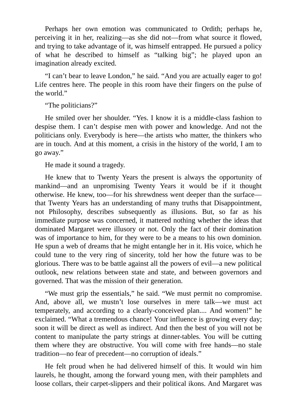Perhaps her own emotion was communicated to Ordith; perhaps he, perceiving it in her, realizing—as she did not—from what source it flowed, and trying to take advantage of it, was himself entrapped. He pursued a policy of what he described to himself as "talking big"; he played upon an imagination already excited.

"I can't bear to leave London," he said. "And you are actually eager to go! Life centres here. The people in this room have their fingers on the pulse of the world."

"The politicians?"

He smiled over her shoulder. "Yes. I know it is a middle-class fashion to despise them. I can't despise men with power and knowledge. And not the politicians only. Everybody is here—the artists who matter, the thinkers who are in touch. And at this moment, a crisis in the history of the world, I am to go away."

He made it sound a tragedy.

He knew that to Twenty Years the present is always the opportunity of mankind—and an unpromising Twenty Years it would be if it thought otherwise. He knew, too—for his shrewdness went deeper than the surface that Twenty Years has an understanding of many truths that Disappointment, not Philosophy, describes subsequently as illusions. But, so far as his immediate purpose was concerned, it mattered nothing whether the ideas that dominated Margaret were illusory or not. Only the fact of their domination was of importance to him, for they were to be a means to his own dominion. He spun a web of dreams that he might entangle her in it. His voice, which he could tune to the very ring of sincerity, told her how the future was to be glorious. There was to be battle against all the powers of evil—a new political outlook, new relations between state and state, and between governors and governed. That was the mission of their generation.

"We must grip the essentials," he said. "We must permit no compromise. And, above all, we mustn't lose ourselves in mere talk—we must act temperately, and according to a clearly-conceived plan.... And women!" he exclaimed. "What a tremendous chance! Your influence is growing every day; soon it will be direct as well as indirect. And then the best of you will not be content to manipulate the party strings at dinner-tables. You will be cutting them where they are obstructive. You will come with free hands—no stale tradition—no fear of precedent—no corruption of ideals."

He felt proud when he had delivered himself of this. It would win him laurels, he thought, among the forward young men, with their pamphlets and loose collars, their carpet-slippers and their political ikons. And Margaret was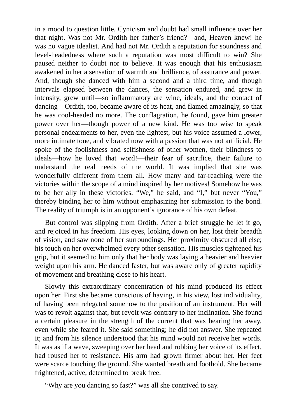in a mood to question little. Cynicism and doubt had small influence over her that night. Was not Mr. Ordith her father's friend?—and, Heaven knew! he was no vague idealist. And had not Mr. Ordith a reputation for soundness and level-headedness where such a reputation was most difficult to win? She paused neither to doubt nor to believe. It was enough that his enthusiasm awakened in her a sensation of warmth and brilliance, of assurance and power. And, though she danced with him a second and a third time, and though intervals elapsed between the dances, the sensation endured, and grew in intensity, grew until—so inflammatory are wine, ideals, and the contact of dancing—Ordith, too, became aware of its heat, and flamed amazingly, so that he was cool-headed no more. The conflagration, he found, gave him greater power over her—though power of a new kind. He was too wise to speak personal endearments to her, even the lightest, but his voice assumed a lower, more intimate tone, and vibrated now with a passion that was not artificial. He spoke of the foolishness and selfishness of other women, their blindness to ideals—how he loved that word!—their fear of sacrifice, their failure to understand the real needs of the world. It was implied that she was wonderfully different from them all. How many and far-reaching were the victories within the scope of a mind inspired by her motives! Somehow he was to be her ally in these victories. "We," he said, and "I," but never "You," thereby binding her to him without emphasizing her submission to the bond. The reality of triumph is in an opponent's ignorance of his own defeat.

But control was slipping from Ordith. After a brief struggle he let it go, and rejoiced in his freedom. His eyes, looking down on her, lost their breadth of vision, and saw none of her surroundings. Her proximity obscured all else; his touch on her overwhelmed every other sensation. His muscles tightened his grip, but it seemed to him only that her body was laying a heavier and heavier weight upon his arm. He danced faster, but was aware only of greater rapidity of movement and breathing close to his heart.

Slowly this extraordinary concentration of his mind produced its effect upon her. First she became conscious of having, in his view, lost individuality, of having been relegated somehow to the position of an instrument. Her will was to revolt against that, but revolt was contrary to her inclination. She found a certain pleasure in the strength of the current that was bearing her away, even while she feared it. She said something; he did not answer. She repeated it; and from his silence understood that his mind would not receive her words. It was as if a wave, sweeping over her head and robbing her voice of its effect, had roused her to resistance. His arm had grown firmer about her. Her feet were scarce touching the ground. She wanted breath and foothold. She became frightened, active, determined to break free.

"Why are you dancing so fast?" was all she contrived to say.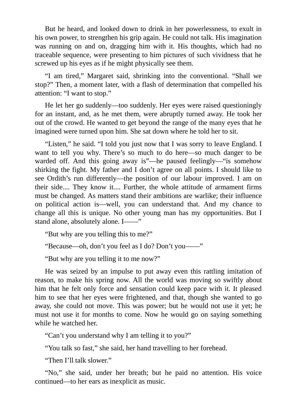But he heard, and looked down to drink in her powerlessness, to exult in his own power, to strengthen his grip again. He could not talk. His imagination was running on and on, dragging him with it. His thoughts, which had no traceable sequence, were presenting to him pictures of such vividness that he screwed up his eyes as if he might physically see them.

"I am tired," Margaret said, shrinking into the conventional. "Shall we stop?" Then, a moment later, with a flash of determination that compelled his attention: "I want to stop."

He let her go suddenly—too suddenly. Her eyes were raised questioningly for an instant, and, as he met them, were abruptly turned away. He took her out of the crowd. He wanted to get beyond the range of the many eyes that he imagined were turned upon him. She sat down where he told her to sit.

"Listen," he said. "I told you just now that I was sorry to leave England. I want to tell you why. There's so much to do here—so much danger to be warded off. And this going away is"—he paused feelingly—"is somehow shirking the fight. My father and I don't agree on all points. I should like to see Ordith's run differently—the position of our labour improved. I am on their side.... They know it.... Further, the whole attitude of armament firms must be changed. As matters stand their ambitions are warlike; their influence on political action is—well, you can understand that. And my chance to change all this is unique. No other young man has my opportunities. But I stand alone, absolutely alone. I——"

"But why are you telling this to me?"

"Because—oh, don't you feel as I do? Don't you——"

"But why are you telling it to me now?"

He was seized by an impulse to put away even this rattling imitation of reason, to make his spring now. All the world was moving so swiftly about him that he felt only force and sensation could keep pace with it. It pleased him to see that her eyes were frightened, and that, though she wanted to go away, she could not move. This was power; but he would not use it yet; he must not use it for months to come. Now he would go on saying something while he watched her.

"Can't you understand why I am telling it to you?"

"You talk so fast," she said, her hand travelling to her forehead.

"Then I'll talk slower."

"No," she said, under her breath; but he paid no attention. His voice continued—to her ears as inexplicit as music.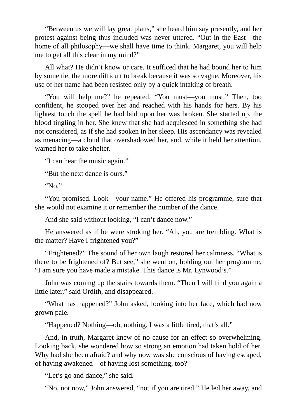"Between us we will lay great plans," she heard him say presently, and her protest against being thus included was never uttered. "Out in the East—the home of all philosophy—we shall have time to think. Margaret, you will help me to get all this clear in my mind?"

All what? He didn't know or care. It sufficed that he had bound her to him by some tie, the more difficult to break because it was so vague. Moreover, his use of her name had been resisted only by a quick intaking of breath.

"You will help me?" he repeated. "You must—you must." Then, too confident, he stooped over her and reached with his hands for hers. By his lightest touch the spell he had laid upon her was broken. She started up, the blood tingling in her. She knew that she had acquiesced in something she had not considered, as if she had spoken in her sleep. His ascendancy was revealed as menacing—a cloud that overshadowed her, and, while it held her attention, warned her to take shelter.

"I can hear the music again."

"But the next dance is ours."

" $N_0$ "

"You promised. Look—your name." He offered his programme, sure that she would not examine it or remember the number of the dance.

And she said without looking, "I can't dance now."

He answered as if he were stroking her. "Ah, you are trembling. What is the matter? Have I frightened you?"

"Frightened?" The sound of her own laugh restored her calmness. "What is there to be frightened of? But see," she went on, holding out her programme, "I am sure you have made a mistake. This dance is Mr. Lynwood's."

John was coming up the stairs towards them. "Then I will find you again a little later," said Ordith, and disappeared.

"What has happened?" John asked, looking into her face, which had now grown pale.

"Happened? Nothing—oh, nothing. I was a little tired, that's all."

And, in truth, Margaret knew of no cause for an effect so overwhelming. Looking back, she wondered how so strong an emotion had taken hold of her. Why had she been afraid? and why now was she conscious of having escaped, of having awakened—of having lost something, too?

"Let's go and dance," she said.

"No, not now," John answered, "not if you are tired." He led her away, and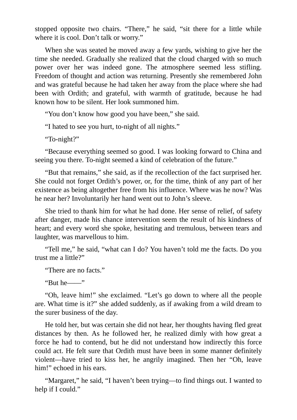stopped opposite two chairs. "There," he said, "sit there for a little while where it is cool. Don't talk or worry."

When she was seated he moved away a few yards, wishing to give her the time she needed. Gradually she realized that the cloud charged with so much power over her was indeed gone. The atmosphere seemed less stifling. Freedom of thought and action was returning. Presently she remembered John and was grateful because he had taken her away from the place where she had been with Ordith; and grateful, with warmth of gratitude, because he had known how to be silent. Her look summoned him.

"You don't know how good you have been," she said.

"I hated to see you hurt, to-night of all nights."

"To-night?"

"Because everything seemed so good. I was looking forward to China and seeing you there. To-night seemed a kind of celebration of the future."

"But that remains," she said, as if the recollection of the fact surprised her. She could not forget Ordith's power, or, for the time, think of any part of her existence as being altogether free from his influence. Where was he now? Was he near her? Involuntarily her hand went out to John's sleeve.

She tried to thank him for what he had done. Her sense of relief, of safety after danger, made his chance intervention seem the result of his kindness of heart; and every word she spoke, hesitating and tremulous, between tears and laughter, was marvellous to him.

"Tell me," he said, "what can I do? You haven't told me the facts. Do you trust me a little?"

"There are no facts."

"But he——"

"Oh, leave him!" she exclaimed. "Let's go down to where all the people are. What time is it?" she added suddenly, as if awaking from a wild dream to the surer business of the day.

He told her, but was certain she did not hear, her thoughts having fled great distances by then. As he followed her, he realized dimly with how great a force he had to contend, but he did not understand how indirectly this force could act. He felt sure that Ordith must have been in some manner definitely violent—have tried to kiss her, he angrily imagined. Then her "Oh, leave him!" echoed in his ears.

"Margaret," he said, "I haven't been trying—to find things out. I wanted to help if I could."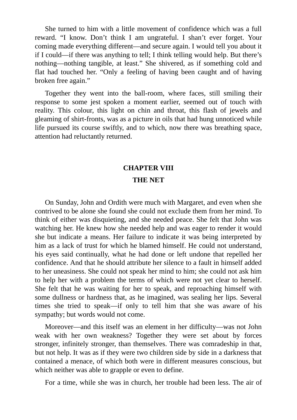She turned to him with a little movement of confidence which was a full reward. "I know. Don't think I am ungrateful. I shan't ever forget. Your coming made everything different—and secure again. I would tell you about it if I could—if there was anything to tell; I think telling would help. But there's nothing—nothing tangible, at least." She shivered, as if something cold and flat had touched her. "Only a feeling of having been caught and of having broken free again."

Together they went into the ball-room, where faces, still smiling their response to some jest spoken a moment earlier, seemed out of touch with reality. This colour, this light on chin and throat, this flash of jewels and gleaming of shirt-fronts, was as a picture in oils that had hung unnoticed while life pursued its course swiftly, and to which, now there was breathing space, attention had reluctantly returned.

#### **CHAPTER VIII**

### **THE NET**

On Sunday, John and Ordith were much with Margaret, and even when she contrived to be alone she found she could not exclude them from her mind. To think of either was disquieting, and she needed peace. She felt that John was watching her. He knew how she needed help and was eager to render it would she but indicate a means. Her failure to indicate it was being interpreted by him as a lack of trust for which he blamed himself. He could not understand, his eyes said continually, what he had done or left undone that repelled her confidence. And that he should attribute her silence to a fault in himself added to her uneasiness. She could not speak her mind to him; she could not ask him to help her with a problem the terms of which were not yet clear to herself. She felt that he was waiting for her to speak, and reproaching himself with some dullness or hardness that, as he imagined, was sealing her lips. Several times she tried to speak—if only to tell him that she was aware of his sympathy; but words would not come.

Moreover—and this itself was an element in her difficulty—was not John weak with her own weakness? Together they were set about by forces stronger, infinitely stronger, than themselves. There was comradeship in that, but not help. It was as if they were two children side by side in a darkness that contained a menace, of which both were in different measures conscious, but which neither was able to grapple or even to define.

For a time, while she was in church, her trouble had been less. The air of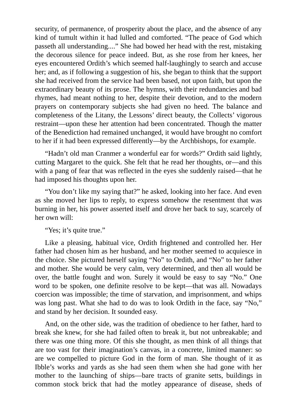security, of permanence, of prosperity about the place, and the absence of any kind of tumult within it had lulled and comforted. "The peace of God which passeth all understanding...." She had bowed her head with the rest, mistaking the decorous silence for peace indeed. But, as she rose from her knees, her eyes encountered Ordith's which seemed half-laughingly to search and accuse her; and, as if following a suggestion of his, she began to think that the support she had received from the service had been based, not upon faith, but upon the extraordinary beauty of its prose. The hymns, with their redundancies and bad rhymes, had meant nothing to her, despite their devotion, and to the modern prayers on contemporary subjects she had given no heed. The balance and completeness of the Litany, the Lessons' direct beauty, the Collects' vigorous restraint—upon these her attention had been concentrated. Though the matter of the Benediction had remained unchanged, it would have brought no comfort to her if it had been expressed differently—by the Archbishops, for example.

"Hadn't old man Cranmer a wonderful ear for words?" Ordith said lightly, cutting Margaret to the quick. She felt that he read her thoughts, or—and this with a pang of fear that was reflected in the eyes she suddenly raised—that he had imposed his thoughts upon her.

"You don't like my saying that?" he asked, looking into her face. And even as she moved her lips to reply, to express somehow the resentment that was burning in her, his power asserted itself and drove her back to say, scarcely of her own will:

"Yes; it's quite true."

Like a pleasing, habitual vice, Ordith frightened and controlled her. Her father had chosen him as her husband, and her mother seemed to acquiesce in the choice. She pictured herself saying "No" to Ordith, and "No" to her father and mother. She would be very calm, very determined, and then all would be over, the battle fought and won. Surely it would be easy to say "No." One word to be spoken, one definite resolve to be kept—that was all. Nowadays coercion was impossible; the time of starvation, and imprisonment, and whips was long past. What she had to do was to look Ordith in the face, say "No," and stand by her decision. It sounded easy.

And, on the other side, was the tradition of obedience to her father, hard to break she knew, for she had failed often to break it, but not unbreakable; and there was one thing more. Of this she thought, as men think of all things that are too vast for their imagination's canvas, in a concrete, limited manner: so are we compelled to picture God in the form of man. She thought of it as Ibble's works and yards as she had seen them when she had gone with her mother to the launching of ships—bare tracts of granite setts, buildings in common stock brick that had the motley appearance of disease, sheds of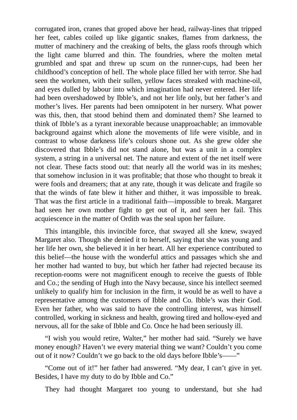corrugated iron, cranes that groped above her head, railway-lines that tripped her feet, cables coiled up like gigantic snakes, flames from darkness, the mutter of machinery and the creaking of belts, the glass roofs through which the light came blurred and thin. The foundries, where the molten metal grumbled and spat and threw up scum on the runner-cups, had been her childhood's conception of hell. The whole place filled her with terror. She had seen the workmen, with their sullen, yellow faces streaked with machine-oil, and eyes dulled by labour into which imagination had never entered. Her life had been overshadowed by Ibble's, and not her life only, but her father's and mother's lives. Her parents had been omnipotent in her nursery. What power was this, then, that stood behind them and dominated them? She learned to think of Ibble's as a tyrant inexorable because unapproachable; an immovable background against which alone the movements of life were visible, and in contrast to whose darkness life's colours shone out. As she grew older she discovered that Ibble's did not stand alone, but was a unit in a complex system, a string in a universal net. The nature and extent of the net itself were not clear. These facts stood out: that nearly all the world was in its meshes; that somehow inclusion in it was profitable; that those who thought to break it were fools and dreamers; that at any rate, though it was delicate and fragile so that the winds of fate blew it hither and thither, it was impossible to break. That was the first article in a traditional faith—impossible to break. Margaret had seen her own mother fight to get out of it, and seen her fail. This acquiescence in the matter of Ordith was the seal upon her failure.

This intangible, this invincible force, that swayed all she knew, swayed Margaret also. Though she denied it to herself, saying that she was young and her life her own, she believed it in her heart. All her experience contributed to this belief—the house with the wonderful attics and passages which she and her mother had wanted to buy, but which her father had rejected because its reception-rooms were not magnificent enough to receive the guests of Ibble and Co.; the sending of Hugh into the Navy because, since his intellect seemed unlikely to qualify him for inclusion in the firm, it would be as well to have a representative among the customers of Ibble and Co. Ibble's was their God. Even her father, who was said to have the controlling interest, was himself controlled, working in sickness and health, growing tired and hollow-eyed and nervous, all for the sake of Ibble and Co. Once he had been seriously ill.

"I wish you would retire, Walter," her mother had said. "Surely we have money enough? Haven't we every material thing we want? Couldn't you come out of it now? Couldn't we go back to the old days before Ibble's——"

"Come out of it!" her father had answered. "My dear, I can't give in yet. Besides, I have my duty to do by Ibble and Co."

They had thought Margaret too young to understand, but she had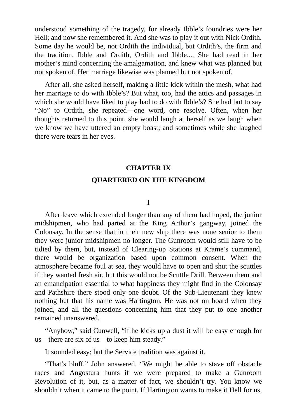understood something of the tragedy, for already Ibble's foundries were her Hell; and now she remembered it. And she was to play it out with Nick Ordith. Some day he would be, not Ordith the individual, but Ordith's, the firm and the tradition. Ibble and Ordith, Ordith and Ibble.... She had read in her mother's mind concerning the amalgamation, and knew what was planned but not spoken of. Her marriage likewise was planned but not spoken of.

After all, she asked herself, making a little kick within the mesh, what had her marriage to do with Ibble's? But what, too, had the attics and passages in which she would have liked to play had to do with Ibble's? She had but to say "No" to Ordith, she repeated—one word, one resolve. Often, when her thoughts returned to this point, she would laugh at herself as we laugh when we know we have uttered an empty boast; and sometimes while she laughed there were tears in her eyes.

### **CHAPTER IX**

#### **QUARTERED ON THE KINGDOM**

I

After leave which extended longer than any of them had hoped, the junior midshipmen, who had parted at the King Arthur's gangway, joined the Colonsay. In the sense that in their new ship there was none senior to them they were junior midshipmen no longer. The Gunroom would still have to be tidied by them, but, instead of Clearing-up Stations at Krame's command, there would be organization based upon common consent. When the atmosphere became foul at sea, they would have to open and shut the scuttles if they wanted fresh air, but this would not be Scuttle Drill. Between them and an emancipation essential to what happiness they might find in the Colonsay and Pathshire there stood only one doubt. Of the Sub-Lieutenant they knew nothing but that his name was Hartington. He was not on board when they joined, and all the questions concerning him that they put to one another remained unanswered.

"Anyhow," said Cunwell, "if he kicks up a dust it will be easy enough for us—there are six of us—to keep him steady."

It sounded easy; but the Service tradition was against it.

"That's bluff," John answered. "We might be able to stave off obstacle races and Angostura hunts if we were prepared to make a Gunroom Revolution of it, but, as a matter of fact, we shouldn't try. You know we shouldn't when it came to the point. If Hartington wants to make it Hell for us,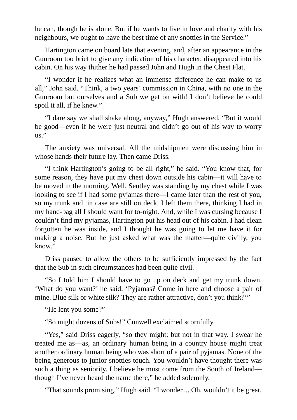he can, though he is alone. But if he wants to live in love and charity with his neighbours, we ought to have the best time of any snotties in the Service."

Hartington came on board late that evening, and, after an appearance in the Gunroom too brief to give any indication of his character, disappeared into his cabin. On his way thither he had passed John and Hugh in the Chest Flat.

"I wonder if he realizes what an immense difference he can make to us all," John said. "Think, a two years' commission in China, with no one in the Gunroom but ourselves and a Sub we get on with! I don't believe he could spoil it all, if he knew."

"I dare say we shall shake along, anyway," Hugh answered. "But it would be good—even if he were just neutral and didn't go out of his way to worry us."

The anxiety was universal. All the midshipmen were discussing him in whose hands their future lay. Then came Driss.

"I think Hartington's going to be all right," he said. "You know that, for some reason, they have put my chest down outside his cabin—it will have to be moved in the morning. Well, Sentley was standing by my chest while I was looking to see if I had some pyjamas there—I came later than the rest of you, so my trunk and tin case are still on deck. I left them there, thinking I had in my hand-bag all I should want for to-night. And, while I was cursing because I couldn't find my pyjamas, Hartington put his head out of his cabin. I had clean forgotten he was inside, and I thought he was going to let me have it for making a noise. But he just asked what was the matter—quite civilly, you know."

Driss paused to allow the others to be sufficiently impressed by the fact that the Sub in such circumstances had been quite civil.

"So I told him I should have to go up on deck and get my trunk down. 'What do you want?' he said. 'Pyjamas? Come in here and choose a pair of mine. Blue silk or white silk? They are rather attractive, don't you think?'"

"He lent you some?"

"So might dozens of Subs!" Cunwell exclaimed scornfully.

"Yes," said Driss eagerly, "so they might; but not in that way. I swear he treated me as—as, an ordinary human being in a country house might treat another ordinary human being who was short of a pair of pyjamas. None of the being-generous-to-junior-snotties touch. You wouldn't have thought there was such a thing as seniority. I believe he must come from the South of Ireland though I've never heard the name there," he added solemnly.

"That sounds promising," Hugh said. "I wonder.... Oh, wouldn't it be great,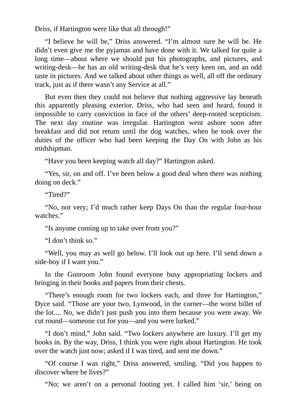Driss, if Hartington were like that all through!"

"I believe he will be," Driss answered. "I'm almost sure he will be. He didn't even give me the pyjamas and have done with it. We talked for quite a long time—about where we should put his photographs, and pictures, and writing-desk—he has an old writing-desk that he's very keen on, and an odd taste in pictures. And we talked about other things as well, all off the ordinary track, just as if there wasn't any Service at all."

But even then they could not believe that nothing aggressive lay beneath this apparently pleasing exterior. Driss, who had seen and heard, found it impossible to carry conviction in face of the others' deep-rooted scepticism. The next day routine was irregular. Hartington went ashore soon after breakfast and did not return until the dog watches, when he took over the duties of the officer who had been keeping the Day On with John as his midshipman.

"Have you been keeping watch all day?" Hartington asked.

"Yes, sir, on and off. I've been below a good deal when there was nothing doing on deck."

"Tired?"

"No, not very; I'd much rather keep Days On than the regular four-hour watches."

"Is anyone coming up to take over from you?"

"I don't think so."

"Well, you may as well go below. I'll look out up here. I'll send down a side-boy if I want you."

In the Gunroom John found everyone busy appropriating lockers and bringing in their books and papers from their chests.

"There's enough room for two lockers each, and three for Hartington," Dyce said. "Those are your two, Lynwood, in the corner—the worst billet of the lot.... No, we didn't just push you into them because you were away. We cut round—someone cut for you—and you were lurked."

"I don't mind," John said. "Two lockers anywhere are luxury. I'll get my books in. By the way, Driss, I think you were right about Hartington. He took over the watch just now; asked if I was tired, and sent me down."

"Of course I was right," Driss answered, smiling. "Did you happen to discover where he lives?"

"No; we aren't on a personal footing yet. I called him 'sir,' being on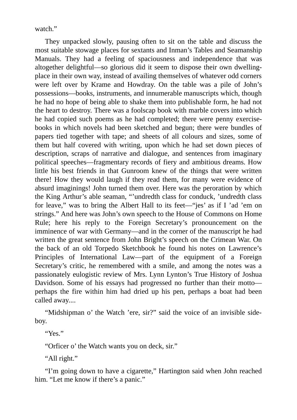watch."

They unpacked slowly, pausing often to sit on the table and discuss the most suitable stowage places for sextants and Inman's Tables and Seamanship Manuals. They had a feeling of spaciousness and independence that was altogether delightful—so glorious did it seem to dispose their own dwellingplace in their own way, instead of availing themselves of whatever odd corners were left over by Krame and Howdray. On the table was a pile of John's possessions—books, instruments, and innumerable manuscripts which, though he had no hope of being able to shake them into publishable form, he had not the heart to destroy. There was a foolscap book with marble covers into which he had copied such poems as he had completed; there were penny exercisebooks in which novels had been sketched and begun; there were bundles of papers tied together with tape; and sheets of all colours and sizes, some of them but half covered with writing, upon which he had set down pieces of description, scraps of narrative and dialogue, and sentences from imaginary political speeches—fragmentary records of fiery and ambitious dreams. How little his best friends in that Gunroom knew of the things that were written there! How they would laugh if they read them, for many were evidence of absurd imaginings! John turned them over. Here was the peroration by which the King Arthur's able seaman, "'undredth class for conduck, 'undredth class for leave," was to bring the Albert Hall to its feet—"jes' as if I 'ad 'em on strings." And here was John's own speech to the House of Commons on Home Rule; here his reply to the Foreign Secretary's pronouncement on the imminence of war with Germany—and in the corner of the manuscript he had written the great sentence from John Bright's speech on the Crimean War. On the back of an old Torpedo Sketchbook he found his notes on Lawrence's Principles of International Law—part of the equipment of a Foreign Secretary's critic, he remembered with a smile, and among the notes was a passionately eulogistic review of Mrs. Lynn Lynton's True History of Joshua Davidson. Some of his essays had progressed no further than their motto perhaps the fire within him had dried up his pen, perhaps a boat had been called away....

"Midshipman o' the Watch 'ere, sir?" said the voice of an invisible sideboy.

"Yes."

"Orficer o' the Watch wants you on deck, sir."

"All right."

"I'm going down to have a cigarette," Hartington said when John reached him. "Let me know if there's a panic."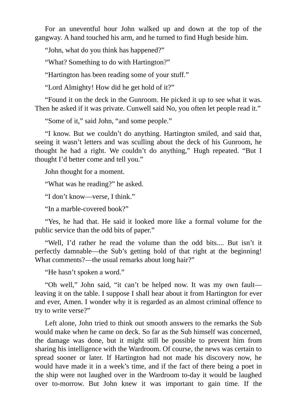For an uneventful hour John walked up and down at the top of the gangway. A hand touched his arm, and he turned to find Hugh beside him.

"John, what do you think has happened?"

"What? Something to do with Hartington?"

"Hartington has been reading some of your stuff."

"Lord Almighty! How did he get hold of it?"

"Found it on the deck in the Gunroom. He picked it up to see what it was. Then he asked if it was private. Cunwell said No, you often let people read it."

"Some of it," said John, "and some people."

"I know. But we couldn't do anything. Hartington smiled, and said that, seeing it wasn't letters and was sculling about the deck of his Gunroom, he thought he had a right. We couldn't do anything," Hugh repeated. "But I thought I'd better come and tell you."

John thought for a moment.

"What was he reading?" he asked.

"I don't know—verse, I think."

"In a marble-covered book?"

"Yes, he had that. He said it looked more like a formal volume for the public service than the odd bits of paper."

"Well, I'd rather he read the volume than the odd bits.... But isn't it perfectly damnable—the Sub's getting hold of that right at the beginning! What comments?—the usual remarks about long hair?"

"He hasn't spoken a word."

"Oh well," John said, "it can't be helped now. It was my own fault leaving it on the table. I suppose I shall hear about it from Hartington for ever and ever, Amen. I wonder why it is regarded as an almost criminal offence to try to write verse?"

Left alone, John tried to think out smooth answers to the remarks the Sub would make when he came on deck. So far as the Sub himself was concerned, the damage was done, but it might still be possible to prevent him from sharing his intelligence with the Wardroom. Of course, the news was certain to spread sooner or later. If Hartington had not made his discovery now, he would have made it in a week's time, and if the fact of there being a poet in the ship were not laughed over in the Wardroom to-day it would be laughed over to-morrow. But John knew it was important to gain time. If the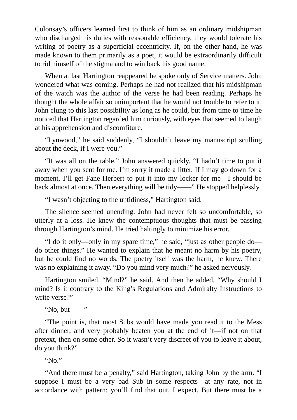Colonsay's officers learned first to think of him as an ordinary midshipman who discharged his duties with reasonable efficiency, they would tolerate his writing of poetry as a superficial eccentricity. If, on the other hand, he was made known to them primarily as a poet, it would be extraordinarily difficult to rid himself of the stigma and to win back his good name.

When at last Hartington reappeared he spoke only of Service matters. John wondered what was coming. Perhaps he had not realized that his midshipman of the watch was the author of the verse he had been reading. Perhaps he thought the whole affair so unimportant that he would not trouble to refer to it. John clung to this last possibility as long as he could, but from time to time he noticed that Hartington regarded him curiously, with eyes that seemed to laugh at his apprehension and discomfiture.

"Lynwood," he said suddenly, "I shouldn't leave my manuscript sculling about the deck, if I were you."

"It was all on the table," John answered quickly. "I hadn't time to put it away when you sent for me. I'm sorry it made a litter. If I may go down for a moment, I'll get Fane-Herbert to put it into my locker for me—I should be back almost at once. Then everything will be tidy——" He stopped helplessly.

"I wasn't objecting to the untidiness," Hartington said.

The silence seemed unending. John had never felt so uncomfortable, so utterly at a loss. He knew the contemptuous thoughts that must be passing through Hartington's mind. He tried haltingly to minimize his error.

"I do it only—only in my spare time," he said, "just as other people do do other things." He wanted to explain that he meant no harm by his poetry, but he could find no words. The poetry itself was the harm, he knew. There was no explaining it away. "Do you mind very much?" he asked nervously.

Hartington smiled. "Mind?" he said. And then he added, "Why should I mind? Is it contrary to the King's Regulations and Admiralty Instructions to write verse?"

"No, but——"

"The point is, that most Subs would have made you read it to the Mess after dinner, and very probably beaten you at the end of it—if not on that pretext, then on some other. So it wasn't very discreet of you to leave it about, do you think?"

" $N_0$ "

"And there must be a penalty," said Hartington, taking John by the arm. "I suppose I must be a very bad Sub in some respects—at any rate, not in accordance with pattern: you'll find that out, I expect. But there must be a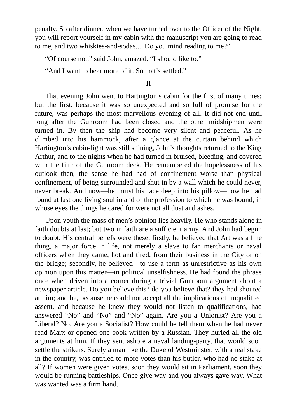penalty. So after dinner, when we have turned over to the Officer of the Night, you will report yourself in my cabin with the manuscript you are going to read to me, and two whiskies-and-sodas.... Do you mind reading to me?"

"Of course not," said John, amazed. "I should like to."

"And I want to hear more of it. So that's settled."

### II

That evening John went to Hartington's cabin for the first of many times; but the first, because it was so unexpected and so full of promise for the future, was perhaps the most marvellous evening of all. It did not end until long after the Gunroom had been closed and the other midshipmen were turned in. By then the ship had become very silent and peaceful. As he climbed into his hammock, after a glance at the curtain behind which Hartington's cabin-light was still shining, John's thoughts returned to the King Arthur, and to the nights when he had turned in bruised, bleeding, and covered with the filth of the Gunroom deck. He remembered the hopelessness of his outlook then, the sense he had had of confinement worse than physical confinement, of being surrounded and shut in by a wall which he could never, never break. And now—he thrust his face deep into his pillow—now he had found at last one living soul in and of the profession to which he was bound, in whose eyes the things he cared for were not all dust and ashes.

Upon youth the mass of men's opinion lies heavily. He who stands alone in faith doubts at last; but two in faith are a sufficient army. And John had begun to doubt. His central beliefs were these: firstly, he believed that Art was a fine thing, a major force in life, not merely a slave to fan merchants or naval officers when they came, hot and tired, from their business in the City or on the bridge; secondly, he believed—to use a term as unrestrictive as his own opinion upon this matter—in political unselfishness. He had found the phrase once when driven into a corner during a trivial Gunroom argument about a newspaper article. Do you believe this? do you believe that? they had shouted at him; and he, because he could not accept all the implications of unqualified assent, and because he knew they would not listen to qualifications, had answered "No" and "No" and "No" again. Are you a Unionist? Are you a Liberal? No. Are you a Socialist? How could he tell them when he had never read Marx or opened one book written by a Russian. They hurled all the old arguments at him. If they sent ashore a naval landing-party, that would soon settle the strikers. Surely a man like the Duke of Westminster, with a real stake in the country, was entitled to more votes than his butler, who had no stake at all? If women were given votes, soon they would sit in Parliament, soon they would be running battleships. Once give way and you always gave way. What was wanted was a firm hand.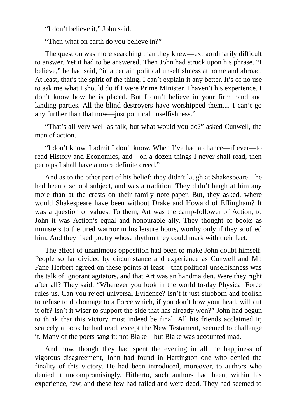"I don't believe it," John said.

"Then what on earth do you believe in?"

The question was more searching than they knew—extraordinarily difficult to answer. Yet it had to be answered. Then John had struck upon his phrase. "I believe," he had said, "in a certain political unselfishness at home and abroad. At least, that's the spirit of the thing. I can't explain it any better. It's of no use to ask me what I should do if I were Prime Minister. I haven't his experience. I don't know how he is placed. But I don't believe in your firm hand and landing-parties. All the blind destroyers have worshipped them.... I can't go any further than that now—just political unselfishness."

"That's all very well as talk, but what would you do?" asked Cunwell, the man of action.

"I don't know. I admit I don't know. When I've had a chance—if ever—to read History and Economics, and—oh a dozen things I never shall read, then perhaps I shall have a more definite creed."

And as to the other part of his belief: they didn't laugh at Shakespeare—he had been a school subject, and was a tradition. They didn't laugh at him any more than at the crests on their family note-paper. But, they asked, where would Shakespeare have been without Drake and Howard of Effingham? It was a question of values. To them, Art was the camp-follower of Action; to John it was Action's equal and honourable ally. They thought of books as ministers to the tired warrior in his leisure hours, worthy only if they soothed him. And they liked poetry whose rhythm they could mark with their feet.

The effect of unanimous opposition had been to make John doubt himself. People so far divided by circumstance and experience as Cunwell and Mr. Fane-Herbert agreed on these points at least—that political unselfishness was the talk of ignorant agitators, and that Art was an handmaiden. Were they right after all? They said: "Wherever you look in the world to-day Physical Force rules us. Can you reject universal Evidence? Isn't it just stubborn and foolish to refuse to do homage to a Force which, if you don't bow your head, will cut it off? Isn't it wiser to support the side that has already won?" John had begun to think that this victory must indeed be final. All his friends acclaimed it; scarcely a book he had read, except the New Testament, seemed to challenge it. Many of the poets sang it: not Blake—but Blake was accounted mad.

And now, though they had spent the evening in all the happiness of vigorous disagreement, John had found in Hartington one who denied the finality of this victory. He had been introduced, moreover, to authors who denied it uncompromisingly. Hitherto, such authors had been, within his experience, few, and these few had failed and were dead. They had seemed to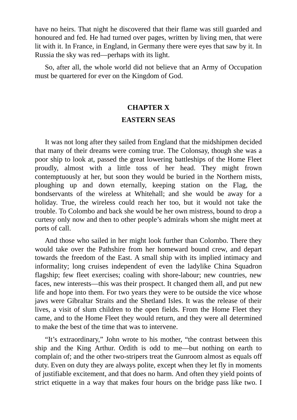have no heirs. That night he discovered that their flame was still guarded and honoured and fed. He had turned over pages, written by living men, that were lit with it. In France, in England, in Germany there were eyes that saw by it. In Russia the sky was red—perhaps with its light.

So, after all, the whole world did not believe that an Army of Occupation must be quartered for ever on the Kingdom of God.

### **CHAPTER X**

## **EASTERN SEAS**

It was not long after they sailed from England that the midshipmen decided that many of their dreams were coming true. The Colonsay, though she was a poor ship to look at, passed the great lowering battleships of the Home Fleet proudly, almost with a little toss of her head. They might frown contemptuously at her, but soon they would be buried in the Northern mists, ploughing up and down eternally, keeping station on the Flag, the bondservants of the wireless at Whitehall; and she would be away for a holiday. True, the wireless could reach her too, but it would not take the trouble. To Colombo and back she would be her own mistress, bound to drop a curtesy only now and then to other people's admirals whom she might meet at ports of call.

And those who sailed in her might look further than Colombo. There they would take over the Pathshire from her homeward bound crew, and depart towards the freedom of the East. A small ship with its implied intimacy and informality; long cruises independent of even the ladylike China Squadron flagship; few fleet exercises; coaling with shore-labour; new countries, new faces, new interests—this was their prospect. It changed them all, and put new life and hope into them. For two years they were to be outside the vice whose jaws were Gibraltar Straits and the Shetland Isles. It was the release of their lives, a visit of slum children to the open fields. From the Home Fleet they came, and to the Home Fleet they would return, and they were all determined to make the best of the time that was to intervene.

"It's extraordinary," John wrote to his mother, "the contrast between this ship and the King Arthur. Ordith is odd to me—but nothing on earth to complain of; and the other two-stripers treat the Gunroom almost as equals off duty. Even on duty they are always polite, except when they let fly in moments of justifiable excitement, and that does no harm. And often they yield points of strict etiquette in a way that makes four hours on the bridge pass like two. I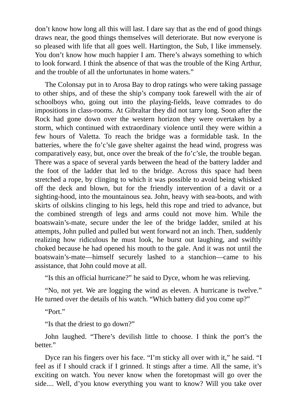don't know how long all this will last. I dare say that as the end of good things draws near, the good things themselves will deteriorate. But now everyone is so pleased with life that all goes well. Hartington, the Sub, I like immensely. You don't know how much happier I am. There's always something to which to look forward. I think the absence of that was the trouble of the King Arthur, and the trouble of all the unfortunates in home waters."

The Colonsay put in to Arosa Bay to drop ratings who were taking passage to other ships, and of these the ship's company took farewell with the air of schoolboys who, going out into the playing-fields, leave comrades to do impositions in class-rooms. At Gibraltar they did not tarry long. Soon after the Rock had gone down over the western horizon they were overtaken by a storm, which continued with extraordinary violence until they were within a few hours of Valetta. To reach the bridge was a formidable task. In the batteries, where the fo'c'sle gave shelter against the head wind, progress was comparatively easy, but, once over the break of the fo'c'sle, the trouble began. There was a space of several yards between the head of the battery ladder and the foot of the ladder that led to the bridge. Across this space had been stretched a rope, by clinging to which it was possible to avoid being whisked off the deck and blown, but for the friendly intervention of a davit or a sighting-hood, into the mountainous sea. John, heavy with sea-boots, and with skirts of oilskins clinging to his legs, held this rope and tried to advance, but the combined strength of legs and arms could not move him. While the boatswain's-mate, secure under the lee of the bridge ladder, smiled at his attempts, John pulled and pulled but went forward not an inch. Then, suddenly realizing how ridiculous he must look, he burst out laughing, and swiftly choked because he had opened his mouth to the gale. And it was not until the boatswain's-mate—himself securely lashed to a stanchion—came to his assistance, that John could move at all.

"Is this an official hurricane?" he said to Dyce, whom he was relieving.

"No, not yet. We are logging the wind as eleven. A hurricane is twelve." He turned over the details of his watch. "Which battery did you come up?"

"Port."

"Is that the driest to go down?"

John laughed. "There's devilish little to choose. I think the port's the better."

Dyce ran his fingers over his face. "I'm sticky all over with it," he said. "I feel as if I should crack if I grinned. It stings after a time. All the same, it's exciting on watch. You never know when the foretopmast will go over the side.... Well, d'you know everything you want to know? Will you take over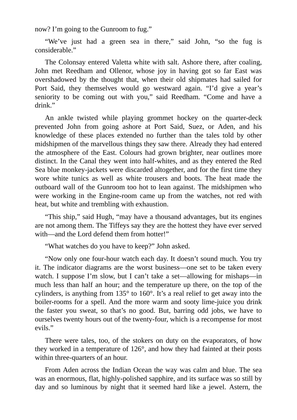now? I'm going to the Gunroom to fug."

"We've just had a green sea in there," said John, "so the fug is considerable."

The Colonsay entered Valetta white with salt. Ashore there, after coaling, John met Reedham and Ollenor, whose joy in having got so far East was overshadowed by the thought that, when their old shipmates had sailed for Port Said, they themselves would go westward again. "I'd give a year's seniority to be coming out with you," said Reedham. "Come and have a drink."

An ankle twisted while playing grommet hockey on the quarter-deck prevented John from going ashore at Port Said, Suez, or Aden, and his knowledge of these places extended no further than the tales told by other midshipmen of the marvellous things they saw there. Already they had entered the atmosphere of the East. Colours had grown brighter, near outlines more distinct. In the Canal they went into half-whites, and as they entered the Red Sea blue monkey-jackets were discarded altogether, and for the first time they wore white tunics as well as white trousers and boots. The heat made the outboard wall of the Gunroom too hot to lean against. The midshipmen who were working in the Engine-room came up from the watches, not red with heat, but white and trembling with exhaustion.

"This ship," said Hugh, "may have a thousand advantages, but its engines are not among them. The Tiffeys say they are the hottest they have ever served with—and the Lord defend them from hotter!"

"What watches do you have to keep?" John asked.

"Now only one four-hour watch each day. It doesn't sound much. You try it. The indicator diagrams are the worst business—one set to be taken every watch. I suppose I'm slow, but I can't take a set—allowing for mishaps—in much less than half an hour; and the temperature up there, on the top of the cylinders, is anything from 135° to 160°. It's a real relief to get away into the boiler-rooms for a spell. And the more warm and sooty lime-juice you drink the faster you sweat, so that's no good. But, barring odd jobs, we have to ourselves twenty hours out of the twenty-four, which is a recompense for most evils."

There were tales, too, of the stokers on duty on the evaporators, of how they worked in a temperature of 126°, and how they had fainted at their posts within three-quarters of an hour.

From Aden across the Indian Ocean the way was calm and blue. The sea was an enormous, flat, highly-polished sapphire, and its surface was so still by day and so luminous by night that it seemed hard like a jewel. Astern, the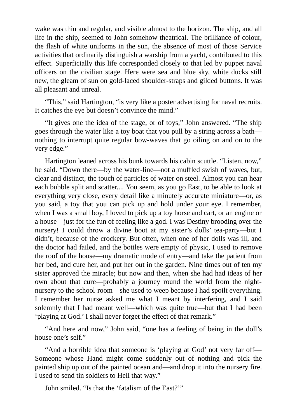wake was thin and regular, and visible almost to the horizon. The ship, and all life in the ship, seemed to John somehow theatrical. The brilliance of colour, the flash of white uniforms in the sun, the absence of most of those Service activities that ordinarily distinguish a warship from a yacht, contributed to this effect. Superficially this life corresponded closely to that led by puppet naval officers on the civilian stage. Here were sea and blue sky, white ducks still new, the gleam of sun on gold-laced shoulder-straps and gilded buttons. It was all pleasant and unreal.

"This," said Hartington, "is very like a poster advertising for naval recruits. It catches the eye but doesn't convince the mind."

"It gives one the idea of the stage, or of toys," John answered. "The ship goes through the water like a toy boat that you pull by a string across a bath nothing to interrupt quite regular bow-waves that go oiling on and on to the very edge."

Hartington leaned across his bunk towards his cabin scuttle. "Listen, now," he said. "Down there—by the water-line—not a muffled swish of waves, but, clear and distinct, the touch of particles of water on steel. Almost you can hear each bubble split and scatter.... You seem, as you go East, to be able to look at everything very close, every detail like a minutely accurate miniature—or, as you said, a toy that you can pick up and hold under your eye. I remember, when I was a small boy, I loved to pick up a toy horse and cart, or an engine or a house—just for the fun of feeling like a god. I was Destiny brooding over the nursery! I could throw a divine boot at my sister's dolls' tea-party—but I didn't, because of the crockery. But often, when one of her dolls was ill, and the doctor had failed, and the bottles were empty of physic, I used to remove the roof of the house—my dramatic mode of entry—and take the patient from her bed, and cure her, and put her out in the garden. Nine times out of ten my sister approved the miracle; but now and then, when she had had ideas of her own about that cure—probably a journey round the world from the nightnursery to the school-room—she used to weep because I had spoilt everything. I remember her nurse asked me what I meant by interfering, and I said solemnly that I had meant well—which was quite true—but that I had been 'playing at God.' I shall never forget the effect of that remark."

"And here and now," John said, "one has a feeling of being in the doll's house one's self."

"And a horrible idea that someone is 'playing at God' not very far off— Someone whose Hand might come suddenly out of nothing and pick the painted ship up out of the painted ocean and—and drop it into the nursery fire. I used to send tin soldiers to Hell that way."

John smiled. "Is that the 'fatalism of the East?'"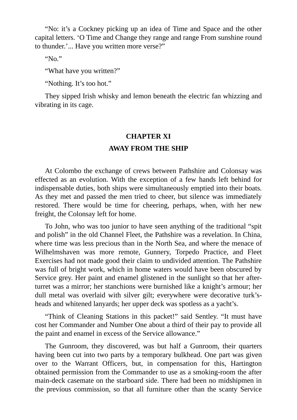"No: it's a Cockney picking up an idea of Time and Space and the other capital letters. 'O Time and Change they range and range From sunshine round to thunder.'... Have you written more verse?"

" $N<sub>0</sub>$ "

"What have you written?"

"Nothing. It's too hot."

They sipped Irish whisky and lemon beneath the electric fan whizzing and vibrating in its cage.

### **CHAPTER XI**

## **AWAY FROM THE SHIP**

At Colombo the exchange of crews between Pathshire and Colonsay was effected as an evolution. With the exception of a few hands left behind for indispensable duties, both ships were simultaneously emptied into their boats. As they met and passed the men tried to cheer, but silence was immediately restored. There would be time for cheering, perhaps, when, with her new freight, the Colonsay left for home.

To John, who was too junior to have seen anything of the traditional "spit and polish" in the old Channel Fleet, the Pathshire was a revelation. In China, where time was less precious than in the North Sea, and where the menace of Wilhelmshaven was more remote, Gunnery, Torpedo Practice, and Fleet Exercises had not made good their claim to undivided attention. The Pathshire was full of bright work, which in home waters would have been obscured by Service grey. Her paint and enamel glistened in the sunlight so that her afterturret was a mirror; her stanchions were burnished like a knight's armour; her dull metal was overlaid with silver gilt; everywhere were decorative turk'sheads and whitened lanyards; her upper deck was spotless as a yacht's.

"Think of Cleaning Stations in this packet!" said Sentley. "It must have cost her Commander and Number One about a third of their pay to provide all the paint and enamel in excess of the Service allowance."

The Gunroom, they discovered, was but half a Gunroom, their quarters having been cut into two parts by a temporary bulkhead. One part was given over to the Warrant Officers, but, in compensation for this, Hartington obtained permission from the Commander to use as a smoking-room the after main-deck casemate on the starboard side. There had been no midshipmen in the previous commission, so that all furniture other than the scanty Service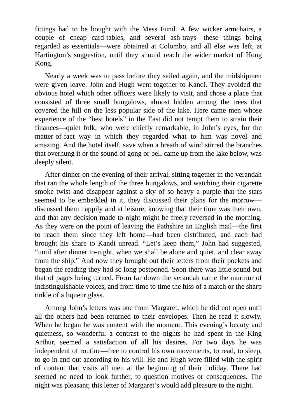fittings had to be bought with the Mess Fund. A few wicker armchairs, a couple of cheap card-tables, and several ash-trays—these things being regarded as essentials—were obtained at Colombo, and all else was left, at Hartington's suggestion, until they should reach the wider market of Hong Kong.

Nearly a week was to pass before they sailed again, and the midshipmen were given leave. John and Hugh went together to Kandi. They avoided the obvious hotel which other officers were likely to visit, and chose a place that consisted of three small bungalows, almost hidden among the trees that covered the hill on the less popular side of the lake. Here came men whose experience of the "best hotels" in the East did not tempt them to strain their finances—quiet folk, who were chiefly remarkable, in John's eyes, for the matter-of-fact way in which they regarded what to him was novel and amazing. And the hotel itself, save when a breath of wind stirred the branches that overhung it or the sound of gong or bell came up from the lake below, was deeply silent.

After dinner on the evening of their arrival, sitting together in the verandah that ran the whole length of the three bungalows, and watching their cigarette smoke twist and disappear against a sky of so heavy a purple that the stars seemed to be embedded in it, they discussed their plans for the morrow discussed them happily and at leisure, knowing that their time was their own, and that any decision made to-night might be freely reversed in the morning. As they were on the point of leaving the Pathshire an English mail—the first to reach them since they left home—had been distributed, and each had brought his share to Kandi unread. "Let's keep them," John had suggested, "until after dinner to-night, when we shall be alone and quiet, and clear away from the ship." And now they brought out their letters from their pockets and began the reading they had so long postponed. Soon there was little sound but that of pages being turned. From far down the verandah came the murmur of indistinguishable voices, and from time to time the hiss of a match or the sharp tinkle of a liqueur glass.

Among John's letters was one from Margaret, which he did not open until all the others had been returned to their envelopes. Then he read it slowly. When he began he was content with the moment. This evening's beauty and quietness, so wonderful a contrast to the nights he had spent in the King Arthur, seemed a satisfaction of all his desires. For two days he was independent of routine—free to control his own movements, to read, to sleep, to go in and out according to his will. He and Hugh were filled with the spirit of content that visits all men at the beginning of their holiday. There had seemed no need to look further, to question motives or consequences. The night was pleasant; this letter of Margaret's would add pleasure to the night.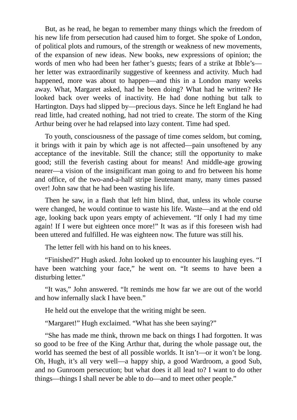But, as he read, he began to remember many things which the freedom of his new life from persecution had caused him to forget. She spoke of London, of political plots and rumours, of the strength or weakness of new movements, of the expansion of new ideas. New books, new expressions of opinion; the words of men who had been her father's guests; fears of a strike at Ibble's her letter was extraordinarily suggestive of keenness and activity. Much had happened, more was about to happen—and this in a London many weeks away. What, Margaret asked, had he been doing? What had he written? He looked back over weeks of inactivity. He had done nothing but talk to Hartington. Days had slipped by—precious days. Since he left England he had read little, had created nothing, had not tried to create. The storm of the King Arthur being over he had relapsed into lazy content. Time had sped.

To youth, consciousness of the passage of time comes seldom, but coming, it brings with it pain by which age is not affected—pain unsoftened by any acceptance of the inevitable. Still the chance; still the opportunity to make good; still the feverish casting about for means! And middle-age growing nearer—a vision of the insignificant man going to and fro between his home and office, of the two-and-a-half stripe lieutenant many, many times passed over! John saw that he had been wasting his life.

Then he saw, in a flash that left him blind, that, unless its whole course were changed, he would continue to waste his life. Waste—and at the end old age, looking back upon years empty of achievement. "If only I had my time again! If I were but eighteen once more!" It was as if this foreseen wish had been uttered and fulfilled. He was eighteen now. The future was still his.

The letter fell with his hand on to his knees.

"Finished?" Hugh asked. John looked up to encounter his laughing eyes. "I have been watching your face," he went on. "It seems to have been a disturbing letter."

"It was," John answered. "It reminds me how far we are out of the world and how infernally slack I have been."

He held out the envelope that the writing might be seen.

"Margaret!" Hugh exclaimed. "What has she been saying?"

"She has made me think, thrown me back on things I had forgotten. It was so good to be free of the King Arthur that, during the whole passage out, the world has seemed the best of all possible worlds. It isn't—or it won't be long. Oh, Hugh, it's all very well—a happy ship, a good Wardroom, a good Sub, and no Gunroom persecution; but what does it all lead to? I want to do other things—things I shall never be able to do—and to meet other people."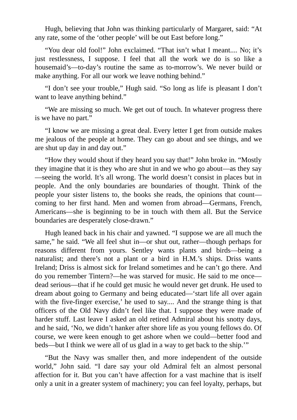Hugh, believing that John was thinking particularly of Margaret, said: "At any rate, some of the 'other people' will be out East before long."

"You dear old fool!" John exclaimed. "That isn't what I meant.... No; it's just restlessness, I suppose. I feel that all the work we do is so like a housemaid's—to-day's routine the same as to-morrow's. We never build or make anything. For all our work we leave nothing behind."

"I don't see your trouble," Hugh said. "So long as life is pleasant I don't want to leave anything behind."

"We are missing so much. We get out of touch. In whatever progress there is we have no part."

"I know we are missing a great deal. Every letter I get from outside makes me jealous of the people at home. They can go about and see things, and we are shut up day in and day out."

"How they would shout if they heard you say that!" John broke in. "Mostly they imagine that it is they who are shut in and we who go about—as they say —seeing the world. It's all wrong. The world doesn't consist in places but in people. And the only boundaries are boundaries of thought. Think of the people your sister listens to, the books she reads, the opinions that count coming to her first hand. Men and women from abroad—Germans, French, Americans—she is beginning to be in touch with them all. But the Service boundaries are desperately close-drawn."

Hugh leaned back in his chair and yawned. "I suppose we are all much the same," he said. "We all feel shut in—or shut out, rather—though perhaps for reasons different from yours. Sentley wants plants and birds—being a naturalist; and there's not a plant or a bird in H.M.'s ships. Driss wants Ireland; Driss is almost sick for Ireland sometimes and he can't go there. And do you remember Tintern?—he was starved for music. He said to me once dead serious—that if he could get music he would never get drunk. He used to dream about going to Germany and being educated—'start life all over again with the five-finger exercise,' he used to say.... And the strange thing is that officers of the Old Navy didn't feel like that. I suppose they were made of harder stuff. Last leave I asked an old retired Admiral about his snotty days, and he said, 'No, we didn't hanker after shore life as you young fellows do. Of course, we were keen enough to get ashore when we could—better food and beds—but I think we were all of us glad in a way to get back to the ship.'"

"But the Navy was smaller then, and more independent of the outside world," John said. "I dare say your old Admiral felt an almost personal affection for it. But you can't have affection for a vast machine that is itself only a unit in a greater system of machinery; you can feel loyalty, perhaps, but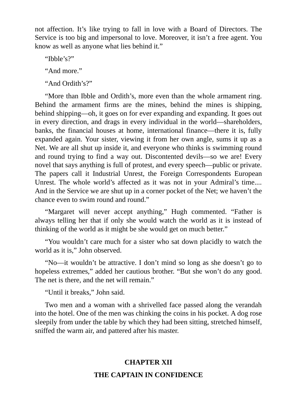not affection. It's like trying to fall in love with a Board of Directors. The Service is too big and impersonal to love. Moreover, it isn't a free agent. You know as well as anyone what lies behind it."

"Ibble's?"

"And more."

"And Ordith's?"

"More than Ibble and Ordith's, more even than the whole armament ring. Behind the armament firms are the mines, behind the mines is shipping, behind shipping—oh, it goes on for ever expanding and expanding. It goes out in every direction, and drags in every individual in the world—shareholders, banks, the financial houses at home, international finance—there it is, fully expanded again. Your sister, viewing it from her own angle, sums it up as a Net. We are all shut up inside it, and everyone who thinks is swimming round and round trying to find a way out. Discontented devils—so we are! Every novel that says anything is full of protest, and every speech—public or private. The papers call it Industrial Unrest, the Foreign Correspondents European Unrest. The whole world's affected as it was not in your Admiral's time.... And in the Service we are shut up in a corner pocket of the Net; we haven't the chance even to swim round and round."

"Margaret will never accept anything," Hugh commented. "Father is always telling her that if only she would watch the world as it is instead of thinking of the world as it might be she would get on much better."

"You wouldn't care much for a sister who sat down placidly to watch the world as it is," John observed.

"No—it wouldn't be attractive. I don't mind so long as she doesn't go to hopeless extremes," added her cautious brother. "But she won't do any good. The net is there, and the net will remain."

"Until it breaks," John said.

Two men and a woman with a shrivelled face passed along the verandah into the hotel. One of the men was chinking the coins in his pocket. A dog rose sleepily from under the table by which they had been sitting, stretched himself, sniffed the warm air, and pattered after his master.

# **CHAPTER XII THE CAPTAIN IN CONFIDENCE**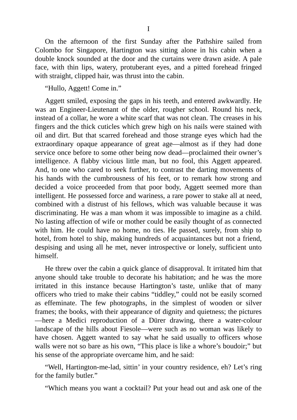On the afternoon of the first Sunday after the Pathshire sailed from Colombo for Singapore, Hartington was sitting alone in his cabin when a double knock sounded at the door and the curtains were drawn aside. A pale face, with thin lips, watery, protuberant eyes, and a pitted forehead fringed with straight, clipped hair, was thrust into the cabin.

"Hullo, Aggett! Come in."

Aggett smiled, exposing the gaps in his teeth, and entered awkwardly. He was an Engineer-Lieutenant of the older, rougher school. Round his neck, instead of a collar, he wore a white scarf that was not clean. The creases in his fingers and the thick cuticles which grew high on his nails were stained with oil and dirt. But that scarred forehead and those strange eyes which had the extraordinary opaque appearance of great age—almost as if they had done service once before to some other being now dead—proclaimed their owner's intelligence. A flabby vicious little man, but no fool, this Aggett appeared. And, to one who cared to seek further, to contrast the darting movements of his hands with the cumbrousness of his feet, or to remark how strong and decided a voice proceeded from that poor body, Aggett seemed more than intelligent. He possessed force and wariness, a rare power to stake all at need, combined with a distrust of his fellows, which was valuable because it was discriminating. He was a man whom it was impossible to imagine as a child. No lasting affection of wife or mother could be easily thought of as connected with him. He could have no home, no ties. He passed, surely, from ship to hotel, from hotel to ship, making hundreds of acquaintances but not a friend, despising and using all he met, never introspective or lonely, sufficient unto himself.

He threw over the cabin a quick glance of disapproval. It irritated him that anyone should take trouble to decorate his habitation; and he was the more irritated in this instance because Hartington's taste, unlike that of many officers who tried to make their cabins "tiddley," could not be easily scorned as effeminate. The few photographs, in the simplest of wooden or silver frames; the books, with their appearance of dignity and quietness; the pictures —here a Medici reproduction of a Dürer drawing, there a water-colour landscape of the hills about Fiesole—were such as no woman was likely to have chosen. Aggett wanted to say what he said usually to officers whose walls were not so bare as his own, "This place is like a whore's boudoir;" but his sense of the appropriate overcame him, and he said:

"Well, Hartington-me-lad, sittin' in your country residence, eh? Let's ring for the family butler."

"Which means you want a cocktail? Put your head out and ask one of the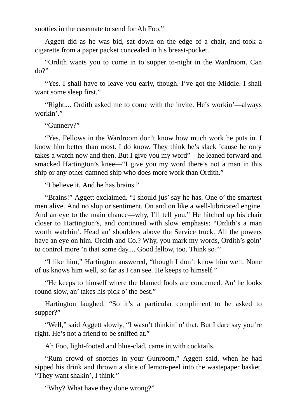snotties in the casemate to send for Ah Foo."

Aggett did as he was bid, sat down on the edge of a chair, and took a cigarette from a paper packet concealed in his breast-pocket.

"Ordith wants you to come in to supper to-night in the Wardroom. Can do?"

"Yes. I shall have to leave you early, though. I've got the Middle. I shall want some sleep first."

"Right.... Ordith asked me to come with the invite. He's workin'—always workin'"

"Gunnery?"

"Yes. Fellows in the Wardroom don't know how much work he puts in. I know him better than most. I do know. They think he's slack 'cause he only takes a watch now and then. But I give you my word"—he leaned forward and smacked Hartington's knee—"I give you my word there's not a man in this ship or any other damned ship who does more work than Ordith."

"I believe it. And he has brains."

"Brains!" Aggett exclaimed. "I should jus' say he has. One o' the smartest men alive. And no slop or sentiment. On and on like a well-lubricated engine. And an eye to the main chance—why, I'll tell you." He hitched up his chair closer to Hartington's, and continued with slow emphasis: "Ordith's a man worth watchin'. Head an' shoulders above the Service truck. All the powers have an eye on him. Ordith and Co.? Why, you mark my words, Ordith's goin' to control more 'n that some day.... Good fellow, too. Think so?"

"I like him," Hartington answered, "though I don't know him well. None of us knows him well, so far as I can see. He keeps to himself."

"He keeps to himself where the blamed fools are concerned. An' he looks round slow, an' takes his pick o' the best."

Hartington laughed. "So it's a particular compliment to be asked to supper?"

"Well," said Aggett slowly, "I wasn't thinkin' o' that. But I dare say you're right. He's not a friend to be sniffed at."

Ah Foo, light-footed and blue-clad, came in with cocktails.

"Rum crowd of snotties in your Gunroom," Aggett said, when he had sipped his drink and thrown a slice of lemon-peel into the wastepaper basket. "They want shakin', I think."

"Why? What have they done wrong?"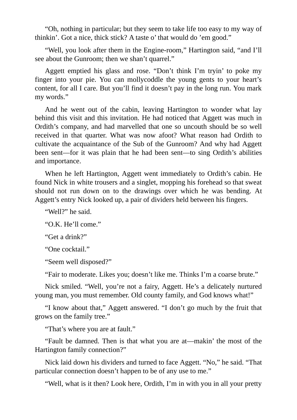"Oh, nothing in particular; but they seem to take life too easy to my way of thinkin'. Got a nice, thick stick? A taste o' that would do 'em good."

"Well, you look after them in the Engine-room," Hartington said, "and I'll see about the Gunroom; then we shan't quarrel."

Aggett emptied his glass and rose. "Don't think I'm tryin' to poke my finger into your pie. You can mollycoddle the young gents to your heart's content, for all I care. But you'll find it doesn't pay in the long run. You mark my words."

And he went out of the cabin, leaving Hartington to wonder what lay behind this visit and this invitation. He had noticed that Aggett was much in Ordith's company, and had marvelled that one so uncouth should be so well received in that quarter. What was now afoot? What reason had Ordith to cultivate the acquaintance of the Sub of the Gunroom? And why had Aggett been sent—for it was plain that he had been sent—to sing Ordith's abilities and importance.

When he left Hartington, Aggett went immediately to Ordith's cabin. He found Nick in white trousers and a singlet, mopping his forehead so that sweat should not run down on to the drawings over which he was bending. At Aggett's entry Nick looked up, a pair of dividers held between his fingers.

"Well?" he said.

"O.K. He'll come."

"Get a drink?"

"One cocktail."

"Seem well disposed?"

"Fair to moderate. Likes you; doesn't like me. Thinks I'm a coarse brute."

Nick smiled. "Well, you're not a fairy, Aggett. He's a delicately nurtured young man, you must remember. Old county family, and God knows what!"

"I know about that," Aggett answered. "I don't go much by the fruit that grows on the family tree."

"That's where you are at fault."

"Fault be damned. Then is that what you are at—makin' the most of the Hartington family connection?"

Nick laid down his dividers and turned to face Aggett. "No," he said. "That particular connection doesn't happen to be of any use to me."

"Well, what is it then? Look here, Ordith, I'm in with you in all your pretty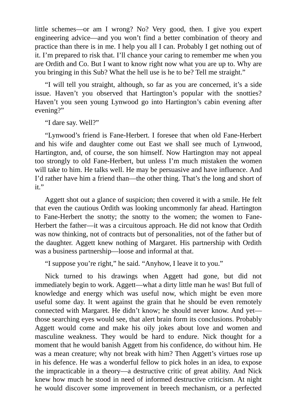little schemes—or am I wrong? No? Very good, then. I give you expert engineering advice—and you won't find a better combination of theory and practice than there is in me. I help you all I can. Probably I get nothing out of it. I'm prepared to risk that. I'll chance your caring to remember me when you are Ordith and Co. But I want to know right now what you are up to. Why are you bringing in this Sub? What the hell use is he to be? Tell me straight."

"I will tell you straight, although, so far as you are concerned, it's a side issue. Haven't you observed that Hartington's popular with the snotties? Haven't you seen young Lynwood go into Hartington's cabin evening after evening?"

"I dare say. Well?"

"Lynwood's friend is Fane-Herbert. I foresee that when old Fane-Herbert and his wife and daughter come out East we shall see much of Lynwood, Hartington, and, of course, the son himself. Now Hartington may not appeal too strongly to old Fane-Herbert, but unless I'm much mistaken the women will take to him. He talks well. He may be persuasive and have influence. And I'd rather have him a friend than—the other thing. That's the long and short of it."

Aggett shot out a glance of suspicion; then covered it with a smile. He felt that even the cautious Ordith was looking uncommonly far ahead. Hartington to Fane-Herbert the snotty; the snotty to the women; the women to Fane-Herbert the father—it was a circuitous approach. He did not know that Ordith was now thinking, not of contracts but of personalities, not of the father but of the daughter. Aggett knew nothing of Margaret. His partnership with Ordith was a business partnership—loose and informal at that.

"I suppose you're right," he said. "Anyhow, I leave it to you."

Nick turned to his drawings when Aggett had gone, but did not immediately begin to work. Aggett—what a dirty little man he was! But full of knowledge and energy which was useful now, which might be even more useful some day. It went against the grain that he should be even remotely connected with Margaret. He didn't know; he should never know. And yet those searching eyes would see, that alert brain form its conclusions. Probably Aggett would come and make his oily jokes about love and women and masculine weakness. They would be hard to endure. Nick thought for a moment that he would banish Aggett from his confidence, do without him. He was a mean creature; why not break with him? Then Aggett's virtues rose up in his defence. He was a wonderful fellow to pick holes in an idea, to expose the impracticable in a theory—a destructive critic of great ability. And Nick knew how much he stood in need of informed destructive criticism. At night he would discover some improvement in breech mechanism, or a perfected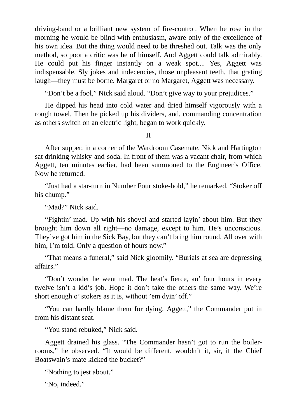driving-band or a brilliant new system of fire-control. When he rose in the morning he would be blind with enthusiasm, aware only of the excellence of his own idea. But the thing would need to be threshed out. Talk was the only method, so poor a critic was he of himself. And Aggett could talk admirably. He could put his finger instantly on a weak spot.... Yes, Aggett was indispensable. Sly jokes and indecencies, those unpleasant teeth, that grating laugh—they must be borne. Margaret or no Margaret, Aggett was necessary.

"Don't be a fool," Nick said aloud. "Don't give way to your prejudices."

He dipped his head into cold water and dried himself vigorously with a rough towel. Then he picked up his dividers, and, commanding concentration as others switch on an electric light, began to work quickly.

II

After supper, in a corner of the Wardroom Casemate, Nick and Hartington sat drinking whisky-and-soda. In front of them was a vacant chair, from which Aggett, ten minutes earlier, had been summoned to the Engineer's Office. Now he returned.

"Just had a star-turn in Number Four stoke-hold," he remarked. "Stoker off his chump."

"Mad?" Nick said.

"Fightin' mad. Up with his shovel and started layin' about him. But they brought him down all right—no damage, except to him. He's unconscious. They've got him in the Sick Bay, but they can't bring him round. All over with him, I'm told. Only a question of hours now."

"That means a funeral," said Nick gloomily. "Burials at sea are depressing affairs."

"Don't wonder he went mad. The heat's fierce, an' four hours in every twelve isn't a kid's job. Hope it don't take the others the same way. We're short enough o' stokers as it is, without 'em dyin' off."

"You can hardly blame them for dying, Aggett," the Commander put in from his distant seat.

"You stand rebuked," Nick said.

Aggett drained his glass. "The Commander hasn't got to run the boilerrooms," he observed. "It would be different, wouldn't it, sir, if the Chief Boatswain's-mate kicked the bucket?"

"Nothing to jest about."

"No, indeed."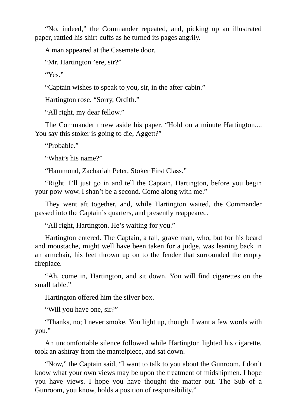"No, indeed," the Commander repeated, and, picking up an illustrated paper, rattled his shirt-cuffs as he turned its pages angrily.

A man appeared at the Casemate door.

"Mr. Hartington 'ere, sir?"

"Yes."

"Captain wishes to speak to you, sir, in the after-cabin."

Hartington rose. "Sorry, Ordith."

"All right, my dear fellow."

The Commander threw aside his paper. "Hold on a minute Hartington.... You say this stoker is going to die, Aggett?"

"Probable."

"What's his name?"

"Hammond, Zachariah Peter, Stoker First Class."

"Right. I'll just go in and tell the Captain, Hartington, before you begin your pow-wow. I shan't be a second. Come along with me."

They went aft together, and, while Hartington waited, the Commander passed into the Captain's quarters, and presently reappeared.

"All right, Hartington. He's waiting for you."

Hartington entered. The Captain, a tall, grave man, who, but for his beard and moustache, might well have been taken for a judge, was leaning back in an armchair, his feet thrown up on to the fender that surrounded the empty fireplace.

"Ah, come in, Hartington, and sit down. You will find cigarettes on the small table."

Hartington offered him the silver box.

"Will you have one, sir?"

"Thanks, no; I never smoke. You light up, though. I want a few words with you."

An uncomfortable silence followed while Hartington lighted his cigarette, took an ashtray from the mantelpiece, and sat down.

"Now," the Captain said, "I want to talk to you about the Gunroom. I don't know what your own views may be upon the treatment of midshipmen. I hope you have views. I hope you have thought the matter out. The Sub of a Gunroom, you know, holds a position of responsibility."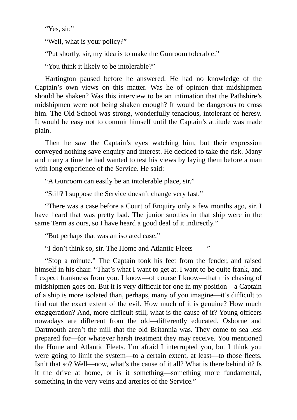"Yes, sir."

"Well, what is your policy?"

"Put shortly, sir, my idea is to make the Gunroom tolerable."

"You think it likely to be intolerable?"

Hartington paused before he answered. He had no knowledge of the Captain's own views on this matter. Was he of opinion that midshipmen should be shaken? Was this interview to be an intimation that the Pathshire's midshipmen were not being shaken enough? It would be dangerous to cross him. The Old School was strong, wonderfully tenacious, intolerant of heresy. It would be easy not to commit himself until the Captain's attitude was made plain.

Then he saw the Captain's eyes watching him, but their expression conveyed nothing save enquiry and interest. He decided to take the risk. Many and many a time he had wanted to test his views by laying them before a man with long experience of the Service. He said:

"A Gunroom can easily be an intolerable place, sir."

"Still? I suppose the Service doesn't change very fast."

"There was a case before a Court of Enquiry only a few months ago, sir. I have heard that was pretty bad. The junior snotties in that ship were in the same Term as ours, so I have heard a good deal of it indirectly."

"But perhaps that was an isolated case."

"I don't think so, sir. The Home and Atlantic Fleets——"

"Stop a minute." The Captain took his feet from the fender, and raised himself in his chair. "That's what I want to get at. I want to be quite frank, and I expect frankness from you. I know—of course I know—that this chasing of midshipmen goes on. But it is very difficult for one in my position—a Captain of a ship is more isolated than, perhaps, many of you imagine—it's difficult to find out the exact extent of the evil. How much of it is genuine? How much exaggeration? And, more difficult still, what is the cause of it? Young officers nowadays are different from the old—differently educated. Osborne and Dartmouth aren't the mill that the old Britannia was. They come to sea less prepared for—for whatever harsh treatment they may receive. You mentioned the Home and Atlantic Fleets. I'm afraid I interrupted you, but I think you were going to limit the system—to a certain extent, at least—to those fleets. Isn't that so? Well—now, what's the cause of it all? What is there behind it? Is it the drive at home, or is it something—something more fundamental, something in the very veins and arteries of the Service."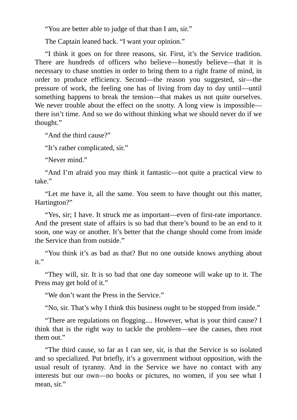"You are better able to judge of that than I am, sir."

The Captain leaned back. "I want your opinion."

"I think it goes on for three reasons, sir. First, it's the Service tradition. There are hundreds of officers who believe—honestly believe—that it is necessary to chase snotties in order to bring them to a right frame of mind, in order to produce efficiency. Second—the reason you suggested, sir—the pressure of work, the feeling one has of living from day to day until—until something happens to break the tension—that makes us not quite ourselves. We never trouble about the effect on the snotty. A long view is impossible there isn't time. And so we do without thinking what we should never do if we thought."

"And the third cause?"

"It's rather complicated, sir."

"Never mind."

"And I'm afraid you may think it fantastic—not quite a practical view to take."

"Let me have it, all the same. You seem to have thought out this matter, Hartington?"

"Yes, sir; I have. It struck me as important—even of first-rate importance. And the present state of affairs is so bad that there's bound to be an end to it soon, one way or another. It's better that the change should come from inside the Service than from outside."

"You think it's as bad as that? But no one outside knows anything about it."

"They will, sir. It is so bad that one day someone will wake up to it. The Press may get hold of it."

"We don't want the Press in the Service."

"No, sir. That's why I think this business ought to be stopped from inside."

"There are regulations on flogging.... However, what is your third cause? I think that is the right way to tackle the problem—see the causes, then root them out."

"The third cause, so far as I can see, sir, is that the Service is so isolated and so specialized. Put briefly, it's a government without opposition, with the usual result of tyranny. And in the Service we have no contact with any interests but our own—no books or pictures, no women, if you see what I mean, sir."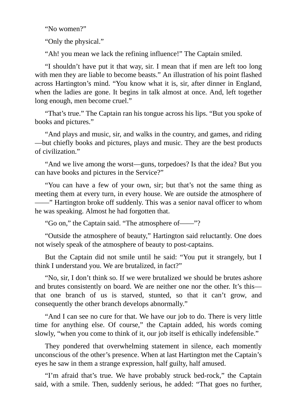"No women?"

"Only the physical."

"Ah! you mean we lack the refining influence!" The Captain smiled.

"I shouldn't have put it that way, sir. I mean that if men are left too long with men they are liable to become beasts." An illustration of his point flashed across Hartington's mind. "You know what it is, sir, after dinner in England, when the ladies are gone. It begins in talk almost at once. And, left together long enough, men become cruel."

"That's true." The Captain ran his tongue across his lips. "But you spoke of books and pictures."

"And plays and music, sir, and walks in the country, and games, and riding —but chiefly books and pictures, plays and music. They are the best products of civilization."

"And we live among the worst—guns, torpedoes? Is that the idea? But you can have books and pictures in the Service?"

"You can have a few of your own, sir; but that's not the same thing as meeting them at every turn, in every house. We are outside the atmosphere of ——" Hartington broke off suddenly. This was a senior naval officer to whom he was speaking. Almost he had forgotten that.

"Go on," the Captain said. "The atmosphere of——"?

"Outside the atmosphere of beauty," Hartington said reluctantly. One does not wisely speak of the atmosphere of beauty to post-captains.

But the Captain did not smile until he said: "You put it strangely, but I think I understand you. We are brutalized, in fact?"

"No, sir, I don't think so. If we were brutalized we should be brutes ashore and brutes consistently on board. We are neither one nor the other. It's this that one branch of us is starved, stunted, so that it can't grow, and consequently the other branch develops abnormally."

"And I can see no cure for that. We have our job to do. There is very little time for anything else. Of course," the Captain added, his words coming slowly, "when you come to think of it, our job itself is ethically indefensible."

They pondered that overwhelming statement in silence, each momently unconscious of the other's presence. When at last Hartington met the Captain's eyes he saw in them a strange expression, half guilty, half amused.

"I'm afraid that's true. We have probably struck bed-rock," the Captain said, with a smile. Then, suddenly serious, he added: "That goes no further,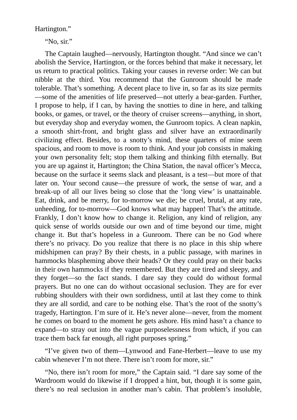Hartington."

"No, sir."

The Captain laughed—nervously, Hartington thought. "And since we can't abolish the Service, Hartington, or the forces behind that make it necessary, let us return to practical politics. Taking your causes in reverse order: We can but nibble at the third. You recommend that the Gunroom should be made tolerable. That's something. A decent place to live in, so far as its size permits —some of the amenities of life preserved—not utterly a bear-garden. Further, I propose to help, if I can, by having the snotties to dine in here, and talking books, or games, or travel, or the theory of cruiser screens—anything, in short, but everyday shop and everyday women, the Gunroom topics. A clean napkin, a smooth shirt-front, and bright glass and silver have an extraordinarily civilizing effect. Besides, to a snotty's mind, these quarters of mine seem spacious, and room to move is room to think. And your job consists in making your own personality felt; stop them talking and thinking filth eternally. But you are up against it, Hartington; the China Station, the naval officer's Mecca, because on the surface it seems slack and pleasant, is a test—but more of that later on. Your second cause—the pressure of work, the sense of war, and a break-up of all our lives being so close that the 'long view' is unattainable. Eat, drink, and be merry, for to-morrow we die; be cruel, brutal, at any rate, unheeding, for to-morrow—God knows what may happen! That's the attitude. Frankly, I don't know how to change it. Religion, any kind of religion, any quick sense of worlds outside our own and of time beyond our time, might change it. But that's hopeless in a Gunroom. There can be no God where there's no privacy. Do you realize that there is no place in this ship where midshipmen can pray? By their chests, in a public passage, with marines in hammocks blaspheming above their heads? Or they could pray on their backs in their own hammocks if they remembered. But they are tired and sleepy, and they forget—so the fact stands. I dare say they could do without formal prayers. But no one can do without occasional seclusion. They are for ever rubbing shoulders with their own sordidness, until at last they come to think they are all sordid, and care to be nothing else. That's the root of the snotty's tragedy, Hartington. I'm sure of it. He's never alone—never, from the moment he comes on board to the moment he gets ashore. His mind hasn't a chance to expand—to stray out into the vague purposelessness from which, if you can trace them back far enough, all right purposes spring."

"I've given two of them—Lynwood and Fane-Herbert—leave to use my cabin whenever I'm not there. There isn't room for more, sir."

"No, there isn't room for more," the Captain said. "I dare say some of the Wardroom would do likewise if I dropped a hint, but, though it is some gain, there's no real seclusion in another man's cabin. That problem's insoluble,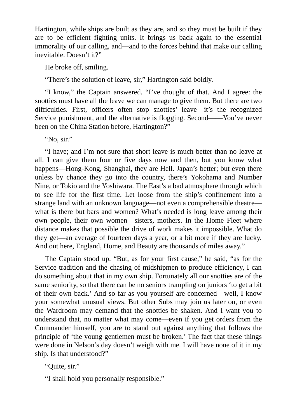Hartington, while ships are built as they are, and so they must be built if they are to be efficient fighting units. It brings us back again to the essential immorality of our calling, and—and to the forces behind that make our calling inevitable. Doesn't it?"

He broke off, smiling.

"There's the solution of leave, sir," Hartington said boldly.

"I know," the Captain answered. "I've thought of that. And I agree: the snotties must have all the leave we can manage to give them. But there are two difficulties. First, officers often stop snotties' leave—it's the recognized Service punishment, and the alternative is flogging. Second——You've never been on the China Station before, Hartington?"

"No, sir."

"I have; and I'm not sure that short leave is much better than no leave at all. I can give them four or five days now and then, but you know what happens—Hong-Kong, Shanghai, they are Hell. Japan's better; but even there unless by chance they go into the country, there's Yokohama and Number Nine, or Tokio and the Yoshiwara. The East's a bad atmosphere through which to see life for the first time. Let loose from the ship's confinement into a strange land with an unknown language—not even a comprehensible theatre what is there but bars and women? What's needed is long leave among their own people, their own women—sisters, mothers. In the Home Fleet where distance makes that possible the drive of work makes it impossible. What do they get—an average of fourteen days a year, or a bit more if they are lucky. And out here, England, Home, and Beauty are thousands of miles away."

The Captain stood up. "But, as for your first cause," he said, "as for the Service tradition and the chasing of midshipmen to produce efficiency, I can do something about that in my own ship. Fortunately all our snotties are of the same seniority, so that there can be no seniors trampling on juniors 'to get a bit of their own back.' And so far as you yourself are concerned—well, I know your somewhat unusual views. But other Subs may join us later on, or even the Wardroom may demand that the snotties be shaken. And I want you to understand that, no matter what may come—even if you get orders from the Commander himself, you are to stand out against anything that follows the principle of 'the young gentlemen must be broken.' The fact that these things were done in Nelson's day doesn't weigh with me. I will have none of it in my ship. Is that understood?"

"Quite, sir."

"I shall hold you personally responsible."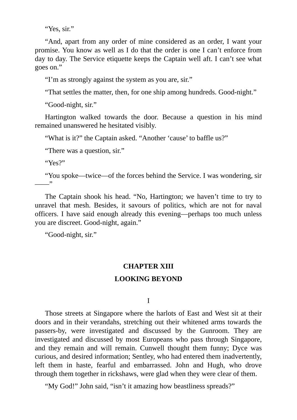"Yes, sir."

"And, apart from any order of mine considered as an order, I want your promise. You know as well as I do that the order is one I can't enforce from day to day. The Service etiquette keeps the Captain well aft. I can't see what goes on."

"I'm as strongly against the system as you are, sir."

"That settles the matter, then, for one ship among hundreds. Good-night."

"Good-night, sir."

Hartington walked towards the door. Because a question in his mind remained unanswered he hesitated visibly.

"What is it?" the Captain asked. "Another 'cause' to baffle us?"

"There was a question, sir."

"Yes?"

"You spoke—twice—of the forces behind the Service. I was wondering, sir ——"

The Captain shook his head. "No, Hartington; we haven't time to try to unravel that mesh. Besides, it savours of politics, which are not for naval officers. I have said enough already this evening—perhaps too much unless you are discreet. Good-night, again."

"Good-night, sir."

# **CHAPTER XIII**

## **LOOKING BEYOND**

I

Those streets at Singapore where the harlots of East and West sit at their doors and in their verandahs, stretching out their whitened arms towards the passers-by, were investigated and discussed by the Gunroom. They are investigated and discussed by most Europeans who pass through Singapore, and they remain and will remain. Cunwell thought them funny; Dyce was curious, and desired information; Sentley, who had entered them inadvertently, left them in haste, fearful and embarrassed. John and Hugh, who drove through them together in rickshaws, were glad when they were clear of them.

"My God!" John said, "isn't it amazing how beastliness spreads?"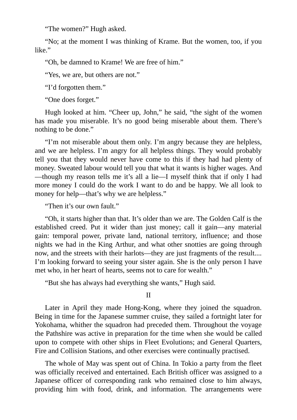"The women?" Hugh asked.

"No; at the moment I was thinking of Krame. But the women, too, if you like."

"Oh, be damned to Krame! We are free of him."

"Yes, we are, but others are not."

"I'd forgotten them."

"One does forget."

Hugh looked at him. "Cheer up, John," he said, "the sight of the women has made you miserable. It's no good being miserable about them. There's nothing to be done."

"I'm not miserable about them only. I'm angry because they are helpless, and we are helpless. I'm angry for all helpless things. They would probably tell you that they would never have come to this if they had had plenty of money. Sweated labour would tell you that what it wants is higher wages. And —though my reason tells me it's all a lie—I myself think that if only I had more money I could do the work I want to do and be happy. We all look to money for help—that's why we are helpless."

"Then it's our own fault."

"Oh, it starts higher than that. It's older than we are. The Golden Calf is the established creed. Put it wider than just money; call it gain—any material gain: temporal power, private land, national territory, influence; and those nights we had in the King Arthur, and what other snotties are going through now, and the streets with their harlots—they are just fragments of the result.... I'm looking forward to seeing your sister again. She is the only person I have met who, in her heart of hearts, seems not to care for wealth."

"But she has always had everything she wants," Hugh said.

II

Later in April they made Hong-Kong, where they joined the squadron. Being in time for the Japanese summer cruise, they sailed a fortnight later for Yokohama, whither the squadron had preceded them. Throughout the voyage the Pathshire was active in preparation for the time when she would be called upon to compete with other ships in Fleet Evolutions; and General Quarters, Fire and Collision Stations, and other exercises were continually practised.

The whole of May was spent out of China. In Tokio a party from the fleet was officially received and entertained. Each British officer was assigned to a Japanese officer of corresponding rank who remained close to him always, providing him with food, drink, and information. The arrangements were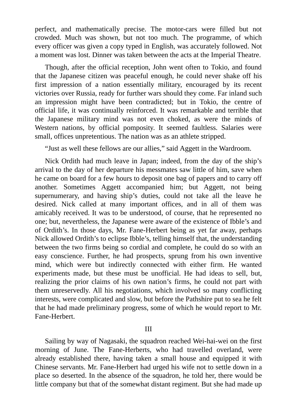perfect, and mathematically precise. The motor-cars were filled but not crowded. Much was shown, but not too much. The programme, of which every officer was given a copy typed in English, was accurately followed. Not a moment was lost. Dinner was taken between the acts at the Imperial Theatre.

Though, after the official reception, John went often to Tokio, and found that the Japanese citizen was peaceful enough, he could never shake off his first impression of a nation essentially military, encouraged by its recent victories over Russia, ready for further wars should they come. Far inland such an impression might have been contradicted; but in Tokio, the centre of official life, it was continually reinforced. It was remarkable and terrible that the Japanese military mind was not even choked, as were the minds of Western nations, by official pomposity. It seemed faultless. Salaries were small, offices unpretentious. The nation was as an athlete stripped.

"Just as well these fellows are our allies," said Aggett in the Wardroom.

Nick Ordith had much leave in Japan; indeed, from the day of the ship's arrival to the day of her departure his messmates saw little of him, save when he came on board for a few hours to deposit one bag of papers and to carry off another. Sometimes Aggett accompanied him; but Aggett, not being supernumerary, and having ship's duties, could not take all the leave he desired. Nick called at many important offices, and in all of them was amicably received. It was to be understood, of course, that he represented no one; but, nevertheless, the Japanese were aware of the existence of Ibble's and of Ordith's. In those days, Mr. Fane-Herbert being as yet far away, perhaps Nick allowed Ordith's to eclipse Ibble's, telling himself that, the understanding between the two firms being so cordial and complete, he could do so with an easy conscience. Further, he had prospects, sprung from his own inventive mind, which were but indirectly connected with either firm. He wanted experiments made, but these must be unofficial. He had ideas to sell, but, realizing the prior claims of his own nation's firms, he could not part with them unreservedly. All his negotiations, which involved so many conflicting interests, were complicated and slow, but before the Pathshire put to sea he felt that he had made preliminary progress, some of which he would report to Mr. Fane-Herbert.

## III

Sailing by way of Nagasaki, the squadron reached Wei-hai-wei on the first morning of June. The Fane-Herberts, who had travelled overland, were already established there, having taken a small house and equipped it with Chinese servants. Mr. Fane-Herbert had urged his wife not to settle down in a place so deserted. In the absence of the squadron, he told her, there would be little company but that of the somewhat distant regiment. But she had made up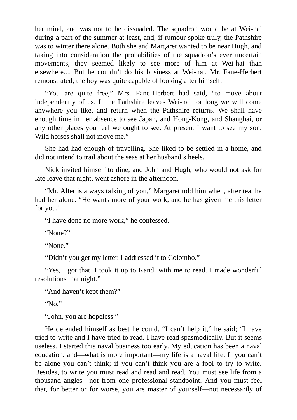her mind, and was not to be dissuaded. The squadron would be at Wei-hai during a part of the summer at least, and, if rumour spoke truly, the Pathshire was to winter there alone. Both she and Margaret wanted to be near Hugh, and taking into consideration the probabilities of the squadron's ever uncertain movements, they seemed likely to see more of him at Wei-hai than elsewhere.... But he couldn't do his business at Wei-hai, Mr. Fane-Herbert remonstrated; the boy was quite capable of looking after himself.

"You are quite free," Mrs. Fane-Herbert had said, "to move about independently of us. If the Pathshire leaves Wei-hai for long we will come anywhere you like, and return when the Pathshire returns. We shall have enough time in her absence to see Japan, and Hong-Kong, and Shanghai, or any other places you feel we ought to see. At present I want to see my son. Wild horses shall not move me."

She had had enough of travelling. She liked to be settled in a home, and did not intend to trail about the seas at her husband's heels.

Nick invited himself to dine, and John and Hugh, who would not ask for late leave that night, went ashore in the afternoon.

"Mr. Alter is always talking of you," Margaret told him when, after tea, he had her alone. "He wants more of your work, and he has given me this letter for you."

"I have done no more work," he confessed.

"None?"

"None."

"Didn't you get my letter. I addressed it to Colombo."

"Yes, I got that. I took it up to Kandi with me to read. I made wonderful resolutions that night."

"And haven't kept them?"

" $N_0$ "

"John, you are hopeless."

He defended himself as best he could. "I can't help it," he said; "I have tried to write and I have tried to read. I have read spasmodically. But it seems useless. I started this naval business too early. My education has been a naval education, and—what is more important—my life is a naval life. If you can't be alone you can't think; if you can't think you are a fool to try to write. Besides, to write you must read and read and read. You must see life from a thousand angles—not from one professional standpoint. And you must feel that, for better or for worse, you are master of yourself—not necessarily of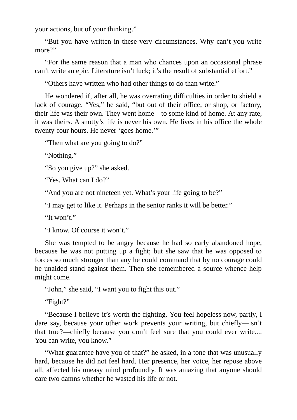your actions, but of your thinking."

"But you have written in these very circumstances. Why can't you write more?"

"For the same reason that a man who chances upon an occasional phrase can't write an epic. Literature isn't luck; it's the result of substantial effort."

"Others have written who had other things to do than write."

He wondered if, after all, he was overrating difficulties in order to shield a lack of courage. "Yes," he said, "but out of their office, or shop, or factory, their life was their own. They went home—to some kind of home. At any rate, it was theirs. A snotty's life is never his own. He lives in his office the whole twenty-four hours. He never 'goes home.'"

"Then what are you going to do?"

"Nothing."

"So you give up?" she asked.

"Yes. What can I do?"

"And you are not nineteen yet. What's your life going to be?"

"I may get to like it. Perhaps in the senior ranks it will be better."

"It won't."

"I know. Of course it won't."

She was tempted to be angry because he had so early abandoned hope, because he was not putting up a fight; but she saw that he was opposed to forces so much stronger than any he could command that by no courage could he unaided stand against them. Then she remembered a source whence help might come.

"John," she said, "I want you to fight this out."

"Fight?"

"Because I believe it's worth the fighting. You feel hopeless now, partly, I dare say, because your other work prevents your writing, but chiefly—isn't that true?—chiefly because you don't feel sure that you could ever write.... You can write, you know."

"What guarantee have you of that?" he asked, in a tone that was unusually hard, because he did not feel hard. Her presence, her voice, her repose above all, affected his uneasy mind profoundly. It was amazing that anyone should care two damns whether he wasted his life or not.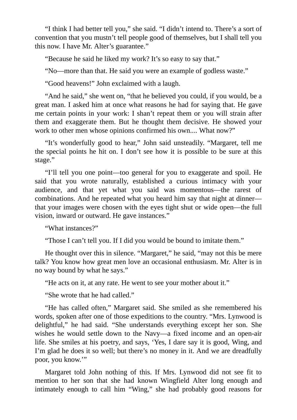"I think I had better tell you," she said. "I didn't intend to. There's a sort of convention that you mustn't tell people good of themselves, but I shall tell you this now. I have Mr. Alter's guarantee."

"Because he said he liked my work? It's so easy to say that."

"No—more than that. He said you were an example of godless waste."

"Good heavens!" John exclaimed with a laugh.

"And he said," she went on, "that he believed you could, if you would, be a great man. I asked him at once what reasons he had for saying that. He gave me certain points in your work: I shan't repeat them or you will strain after them and exaggerate them. But he thought them decisive. He showed your work to other men whose opinions confirmed his own.... What now?"

"It's wonderfully good to hear," John said unsteadily. "Margaret, tell me the special points he hit on. I don't see how it is possible to be sure at this stage."

"I'll tell you one point—too general for you to exaggerate and spoil. He said that you wrote naturally, established a curious intimacy with your audience, and that yet what you said was momentous—the rarest of combinations. And he repeated what you heard him say that night at dinner that your images were chosen with the eyes tight shut or wide open—the full vision, inward or outward. He gave instances."

"What instances?"

"Those I can't tell you. If I did you would be bound to imitate them."

He thought over this in silence. "Margaret," he said, "may not this be mere talk? You know how great men love an occasional enthusiasm. Mr. Alter is in no way bound by what he says."

"He acts on it, at any rate. He went to see your mother about it."

"She wrote that he had called."

"He has called often," Margaret said. She smiled as she remembered his words, spoken after one of those expeditions to the country. "Mrs. Lynwood is delightful," he had said. "She understands everything except her son. She wishes he would settle down to the Navy—a fixed income and an open-air life. She smiles at his poetry, and says, 'Yes, I dare say it is good, Wing, and I'm glad he does it so well; but there's no money in it. And we are dreadfully poor, you know.'"

Margaret told John nothing of this. If Mrs. Lynwood did not see fit to mention to her son that she had known Wingfield Alter long enough and intimately enough to call him "Wing," she had probably good reasons for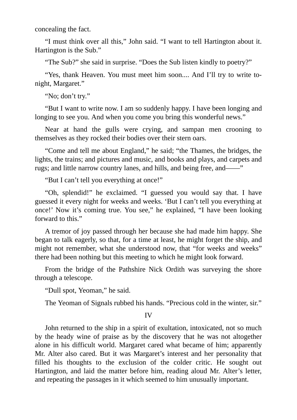concealing the fact.

"I must think over all this," John said. "I want to tell Hartington about it. Hartington is the Sub."

"The Sub?" she said in surprise. "Does the Sub listen kindly to poetry?"

"Yes, thank Heaven. You must meet him soon.... And I'll try to write tonight, Margaret."

"No; don't try."

"But I want to write now. I am so suddenly happy. I have been longing and longing to see you. And when you come you bring this wonderful news."

Near at hand the gulls were crying, and sampan men crooning to themselves as they rocked their bodies over their stern oars.

"Come and tell me about England," he said; "the Thames, the bridges, the lights, the trains; and pictures and music, and books and plays, and carpets and rugs; and little narrow country lanes, and hills, and being free, and——"

"But I can't tell you everything at once!"

"Oh, splendid!" he exclaimed. "I guessed you would say that. I have guessed it every night for weeks and weeks. 'But I can't tell you everything at once!' Now it's coming true. You see," he explained, "I have been looking forward to this."

A tremor of joy passed through her because she had made him happy. She began to talk eagerly, so that, for a time at least, he might forget the ship, and might not remember, what she understood now, that "for weeks and weeks" there had been nothing but this meeting to which he might look forward.

From the bridge of the Pathshire Nick Ordith was surveying the shore through a telescope.

"Dull spot, Yeoman," he said.

The Yeoman of Signals rubbed his hands. "Precious cold in the winter, sir."

IV

John returned to the ship in a spirit of exultation, intoxicated, not so much by the heady wine of praise as by the discovery that he was not altogether alone in his difficult world. Margaret cared what became of him; apparently Mr. Alter also cared. But it was Margaret's interest and her personality that filled his thoughts to the exclusion of the colder critic. He sought out Hartington, and laid the matter before him, reading aloud Mr. Alter's letter, and repeating the passages in it which seemed to him unusually important.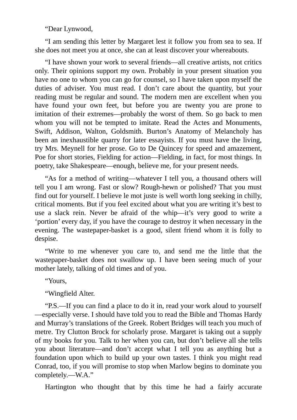"Dear Lynwood,

"I am sending this letter by Margaret lest it follow you from sea to sea. If she does not meet you at once, she can at least discover your whereabouts.

"I have shown your work to several friends—all creative artists, not critics only. Their opinions support my own. Probably in your present situation you have no one to whom you can go for counsel, so I have taken upon myself the duties of adviser. You must read. I don't care about the quantity, but your reading must be regular and sound. The modern men are excellent when you have found your own feet, but before you are twenty you are prone to imitation of their extremes—probably the worst of them. So go back to men whom you will not be tempted to imitate. Read the Actes and Monuments, Swift, Addison, Walton, Goldsmith. Burton's Anatomy of Melancholy has been an inexhaustible quarry for later essayists. If you must have the living, try Mrs. Meynell for her prose. Go to De Quincey for speed and amazement, Poe for short stories, Fielding for action—Fielding, in fact, for most things. In poetry, take Shakespeare—enough, believe me, for your present needs.

"As for a method of writing—whatever I tell you, a thousand others will tell you I am wrong. Fast or slow? Rough-hewn or polished? That you must find out for yourself. I believe le mot juste is well worth long seeking in chilly, critical moments. But if you feel excited about what you are writing it's best to use a slack rein. Never be afraid of the whip—it's very good to write a 'portion' every day, if you have the courage to destroy it when necessary in the evening. The wastepaper-basket is a good, silent friend whom it is folly to despise.

"Write to me whenever you care to, and send me the little that the wastepaper-basket does not swallow up. I have been seeing much of your mother lately, talking of old times and of you.

"Yours,

"Wingfield Alter.

"P.S.—If you can find a place to do it in, read your work aloud to yourself —especially verse. I should have told you to read the Bible and Thomas Hardy and Murray's translations of the Greek. Robert Bridges will teach you much of metre. Try Clutton Brock for scholarly prose. Margaret is taking out a supply of my books for you. Talk to her when you can, but don't believe all she tells you about literature—and don't accept what I tell you as anything but a foundation upon which to build up your own tastes. I think you might read Conrad, too, if you will promise to stop when Marlow begins to dominate you completely.—W.A."

Hartington who thought that by this time he had a fairly accurate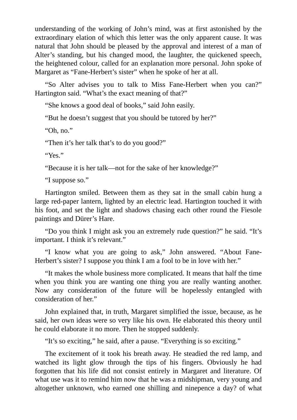understanding of the working of John's mind, was at first astonished by the extraordinary elation of which this letter was the only apparent cause. It was natural that John should be pleased by the approval and interest of a man of Alter's standing, but his changed mood, the laughter, the quickened speech, the heightened colour, called for an explanation more personal. John spoke of Margaret as "Fane-Herbert's sister" when he spoke of her at all.

"So Alter advises you to talk to Miss Fane-Herbert when you can?" Hartington said. "What's the exact meaning of that?"

"She knows a good deal of books," said John easily.

"But he doesn't suggest that you should be tutored by her?"

"Oh, no."

"Then it's her talk that's to do you good?"

"Yes."

"Because it is her talk—not for the sake of her knowledge?"

"I suppose so."

Hartington smiled. Between them as they sat in the small cabin hung a large red-paper lantern, lighted by an electric lead. Hartington touched it with his foot, and set the light and shadows chasing each other round the Fiesole paintings and Dürer's Hare.

"Do you think I might ask you an extremely rude question?" he said. "It's important. I think it's relevant."

"I know what you are going to ask," John answered. "About Fane-Herbert's sister? I suppose you think I am a fool to be in love with her."

"It makes the whole business more complicated. It means that half the time when you think you are wanting one thing you are really wanting another. Now any consideration of the future will be hopelessly entangled with consideration of her."

John explained that, in truth, Margaret simplified the issue, because, as he said, her own ideas were so very like his own. He elaborated this theory until he could elaborate it no more. Then he stopped suddenly.

"It's so exciting," he said, after a pause. "Everything is so exciting."

The excitement of it took his breath away. He steadied the red lamp, and watched its light glow through the tips of his fingers. Obviously he had forgotten that his life did not consist entirely in Margaret and literature. Of what use was it to remind him now that he was a midshipman, very young and altogether unknown, who earned one shilling and ninepence a day? of what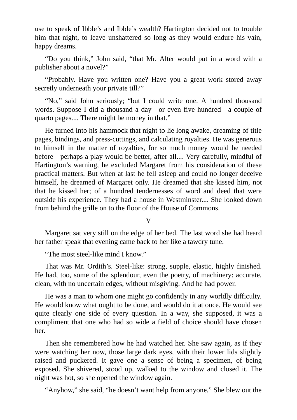use to speak of Ibble's and Ibble's wealth? Hartington decided not to trouble him that night, to leave unshattered so long as they would endure his vain, happy dreams.

"Do you think," John said, "that Mr. Alter would put in a word with a publisher about a novel?"

"Probably. Have you written one? Have you a great work stored away secretly underneath your private till?"

"No," said John seriously; "but I could write one. A hundred thousand words. Suppose I did a thousand a day—or even five hundred—a couple of quarto pages.... There might be money in that."

He turned into his hammock that night to lie long awake, dreaming of title pages, bindings, and press-cuttings, and calculating royalties. He was generous to himself in the matter of royalties, for so much money would be needed before—perhaps a play would be better, after all.... Very carefully, mindful of Hartington's warning, he excluded Margaret from his consideration of these practical matters. But when at last he fell asleep and could no longer deceive himself, he dreamed of Margaret only. He dreamed that she kissed him, not that he kissed her; of a hundred tendernesses of word and deed that were outside his experience. They had a house in Westminster.... She looked down from behind the grille on to the floor of the House of Commons.

 $\rm{V}$ 

Margaret sat very still on the edge of her bed. The last word she had heard her father speak that evening came back to her like a tawdry tune.

"The most steel-like mind I know."

That was Mr. Ordith's. Steel-like: strong, supple, elastic, highly finished. He had, too, some of the splendour, even the poetry, of machinery: accurate, clean, with no uncertain edges, without misgiving. And he had power.

He was a man to whom one might go confidently in any worldly difficulty. He would know what ought to be done, and would do it at once. He would see quite clearly one side of every question. In a way, she supposed, it was a compliment that one who had so wide a field of choice should have chosen her.

Then she remembered how he had watched her. She saw again, as if they were watching her now, those large dark eyes, with their lower lids slightly raised and puckered. It gave one a sense of being a specimen, of being exposed. She shivered, stood up, walked to the window and closed it. The night was hot, so she opened the window again.

"Anyhow," she said, "he doesn't want help from anyone." She blew out the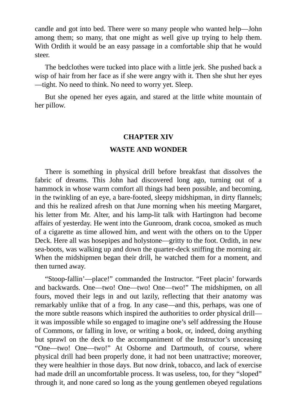candle and got into bed. There were so many people who wanted help—John among them; so many, that one might as well give up trying to help them. With Ordith it would be an easy passage in a comfortable ship that he would steer.

The bedclothes were tucked into place with a little jerk. She pushed back a wisp of hair from her face as if she were angry with it. Then she shut her eyes —tight. No need to think. No need to worry yet. Sleep.

But she opened her eyes again, and stared at the little white mountain of her pillow.

#### **CHAPTER XIV**

### **WASTE AND WONDER**

There is something in physical drill before breakfast that dissolves the fabric of dreams. This John had discovered long ago, turning out of a hammock in whose warm comfort all things had been possible, and becoming, in the twinkling of an eye, a bare-footed, sleepy midshipman, in dirty flannels; and this he realized afresh on that June morning when his meeting Margaret, his letter from Mr. Alter, and his lamp-lit talk with Hartington had become affairs of yesterday. He went into the Gunroom, drank cocoa, smoked as much of a cigarette as time allowed him, and went with the others on to the Upper Deck. Here all was hosepipes and holystone—gritty to the foot. Ordith, in new sea-boots, was walking up and down the quarter-deck sniffing the morning air. When the midshipmen began their drill, he watched them for a moment, and then turned away.

"Stoop-fallin'—place!" commanded the Instructor. "Feet placin' forwards and backwards. One—two! One—two! One—two!" The midshipmen, on all fours, moved their legs in and out lazily, reflecting that their anatomy was remarkably unlike that of a frog. In any case—and this, perhaps, was one of the more subtle reasons which inspired the authorities to order physical drill it was impossible while so engaged to imagine one's self addressing the House of Commons, or falling in love, or writing a book, or, indeed, doing anything but sprawl on the deck to the accompaniment of the Instructor's unceasing "One—two! One—two!" At Osborne and Dartmouth, of course, where physical drill had been properly done, it had not been unattractive; moreover, they were healthier in those days. But now drink, tobacco, and lack of exercise had made drill an uncomfortable process. It was useless, too, for they "sloped" through it, and none cared so long as the young gentlemen obeyed regulations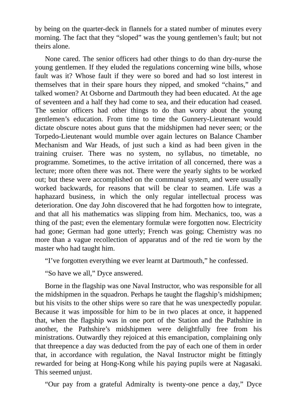by being on the quarter-deck in flannels for a stated number of minutes every morning. The fact that they "sloped" was the young gentlemen's fault; but not theirs alone.

None cared. The senior officers had other things to do than dry-nurse the young gentlemen. If they eluded the regulations concerning wine bills, whose fault was it? Whose fault if they were so bored and had so lost interest in themselves that in their spare hours they nipped, and smoked "chains," and talked women? At Osborne and Dartmouth they had been educated. At the age of seventeen and a half they had come to sea, and their education had ceased. The senior officers had other things to do than worry about the young gentlemen's education. From time to time the Gunnery-Lieutenant would dictate obscure notes about guns that the midshipmen had never seen; or the Torpedo-Lieutenant would mumble over again lectures on Balance Chamber Mechanism and War Heads, of just such a kind as had been given in the training cruiser. There was no system, no syllabus, no timetable, no programme. Sometimes, to the active irritation of all concerned, there was a lecture; more often there was not. There were the yearly sights to be worked out; but these were accomplished on the communal system, and were usually worked backwards, for reasons that will be clear to seamen. Life was a haphazard business, in which the only regular intellectual process was deterioration. One day John discovered that he had forgotten how to integrate, and that all his mathematics was slipping from him. Mechanics, too, was a thing of the past; even the elementary formulæ were forgotten now. Electricity had gone; German had gone utterly; French was going; Chemistry was no more than a vague recollection of apparatus and of the red tie worn by the master who had taught him.

"I've forgotten everything we ever learnt at Dartmouth," he confessed.

"So have we all," Dyce answered.

Borne in the flagship was one Naval Instructor, who was responsible for all the midshipmen in the squadron. Perhaps he taught the flagship's midshipmen; but his visits to the other ships were so rare that he was unexpectedly popular. Because it was impossible for him to be in two places at once, it happened that, when the flagship was in one port of the Station and the Pathshire in another, the Pathshire's midshipmen were delightfully free from his ministrations. Outwardly they rejoiced at this emancipation, complaining only that threepence a day was deducted from the pay of each one of them in order that, in accordance with regulation, the Naval Instructor might be fittingly rewarded for being at Hong-Kong while his paying pupils were at Nagasaki. This seemed unjust.

"Our pay from a grateful Admiralty is twenty-one pence a day," Dyce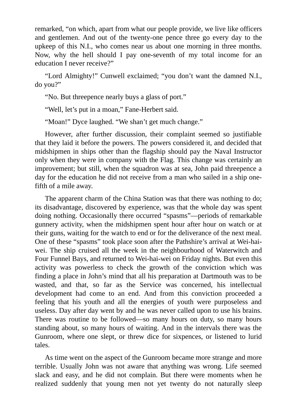remarked, "on which, apart from what our people provide, we live like officers and gentlemen. And out of the twenty-one pence three go every day to the upkeep of this N.I., who comes near us about one morning in three months. Now, why the hell should I pay one-seventh of my total income for an education I never receive?"

"Lord Almighty!" Cunwell exclaimed; "you don't want the damned N.I., do you?"

"No. But threepence nearly buys a glass of port."

"Well, let's put in a moan," Fane-Herbert said.

"Moan!" Dyce laughed. "We shan't get much change."

However, after further discussion, their complaint seemed so justifiable that they laid it before the powers. The powers considered it, and decided that midshipmen in ships other than the flagship should pay the Naval Instructor only when they were in company with the Flag. This change was certainly an improvement; but still, when the squadron was at sea, John paid threepence a day for the education he did not receive from a man who sailed in a ship onefifth of a mile away.

The apparent charm of the China Station was that there was nothing to do; its disadvantage, discovered by experience, was that the whole day was spent doing nothing. Occasionally there occurred "spasms"—periods of remarkable gunnery activity, when the midshipmen spent hour after hour on watch or at their guns, waiting for the watch to end or for the deliverance of the next meal. One of these "spasms" took place soon after the Pathshire's arrival at Wei-haiwei. The ship cruised all the week in the neighbourhood of Waterwitch and Four Funnel Bays, and returned to Wei-hai-wei on Friday nights. But even this activity was powerless to check the growth of the conviction which was finding a place in John's mind that all his preparation at Dartmouth was to be wasted, and that, so far as the Service was concerned, his intellectual development had come to an end. And from this conviction proceeded a feeling that his youth and all the energies of youth were purposeless and useless. Day after day went by and he was never called upon to use his brains. There was routine to be followed—so many hours on duty, so many hours standing about, so many hours of waiting. And in the intervals there was the Gunroom, where one slept, or threw dice for sixpences, or listened to lurid tales.

As time went on the aspect of the Gunroom became more strange and more terrible. Usually John was not aware that anything was wrong. Life seemed slack and easy, and he did not complain. But there were moments when he realized suddenly that young men not yet twenty do not naturally sleep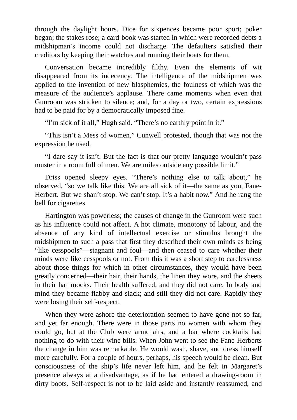through the daylight hours. Dice for sixpences became poor sport; poker began; the stakes rose; a card-book was started in which were recorded debts a midshipman's income could not discharge. The defaulters satisfied their creditors by keeping their watches and running their boats for them.

Conversation became incredibly filthy. Even the elements of wit disappeared from its indecency. The intelligence of the midshipmen was applied to the invention of new blasphemies, the foulness of which was the measure of the audience's applause. There came moments when even that Gunroom was stricken to silence; and, for a day or two, certain expressions had to be paid for by a democratically imposed fine.

"I'm sick of it all," Hugh said. "There's no earthly point in it."

"This isn't a Mess of women," Cunwell protested, though that was not the expression he used.

"I dare say it isn't. But the fact is that our pretty language wouldn't pass muster in a room full of men. We are miles outside any possible limit."

Driss opened sleepy eyes. "There's nothing else to talk about," he observed, "so we talk like this. We are all sick of it—the same as you, Fane-Herbert. But we shan't stop. We can't stop. It's a habit now." And he rang the bell for cigarettes.

Hartington was powerless; the causes of change in the Gunroom were such as his influence could not affect. A hot climate, monotony of labour, and the absence of any kind of intellectual exercise or stimulus brought the midshipmen to such a pass that first they described their own minds as being "like cesspools"—stagnant and foul—and then ceased to care whether their minds were like cesspools or not. From this it was a short step to carelessness about those things for which in other circumstances, they would have been greatly concerned—their hair, their hands, the linen they wore, and the sheets in their hammocks. Their health suffered, and they did not care. In body and mind they became flabby and slack; and still they did not care. Rapidly they were losing their self-respect.

When they were ashore the deterioration seemed to have gone not so far, and yet far enough. There were in those parts no women with whom they could go, but at the Club were armchairs, and a bar where cocktails had nothing to do with their wine bills. When John went to see the Fane-Herberts the change in him was remarkable. He would wash, shave, and dress himself more carefully. For a couple of hours, perhaps, his speech would be clean. But consciousness of the ship's life never left him, and he felt in Margaret's presence always at a disadvantage, as if he had entered a drawing-room in dirty boots. Self-respect is not to be laid aside and instantly reassumed, and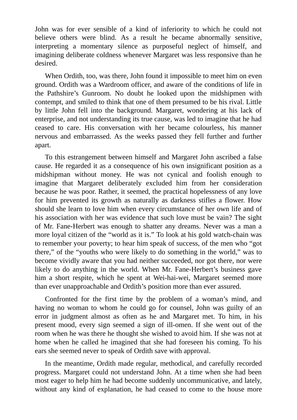John was for ever sensible of a kind of inferiority to which he could not believe others were blind. As a result he became abnormally sensitive, interpreting a momentary silence as purposeful neglect of himself, and imagining deliberate coldness whenever Margaret was less responsive than he desired.

When Ordith, too, was there, John found it impossible to meet him on even ground. Ordith was a Wardroom officer, and aware of the conditions of life in the Pathshire's Gunroom. No doubt he looked upon the midshipmen with contempt, and smiled to think that one of them presumed to be his rival. Little by little John fell into the background. Margaret, wondering at his lack of enterprise, and not understanding its true cause, was led to imagine that he had ceased to care. His conversation with her became colourless, his manner nervous and embarrassed. As the weeks passed they fell further and further apart.

To this estrangement between himself and Margaret John ascribed a false cause. He regarded it as a consequence of his own insignificant position as a midshipman without money. He was not cynical and foolish enough to imagine that Margaret deliberately excluded him from her consideration because he was poor. Rather, it seemed, the practical hopelessness of any love for him prevented its growth as naturally as darkness stifles a flower. How should she learn to love him when every circumstance of her own life and of his association with her was evidence that such love must be vain? The sight of Mr. Fane-Herbert was enough to shatter any dreams. Never was a man a more loyal citizen of the "world as it is." To look at his gold watch-chain was to remember your poverty; to hear him speak of success, of the men who "got there," of the "youths who were likely to do something in the world," was to become vividly aware that you had neither succeeded, nor got there, nor were likely to do anything in the world. When Mr. Fane-Herbert's business gave him a short respite, which he spent at Wei-hai-wei, Margaret seemed more than ever unapproachable and Ordith's position more than ever assured.

Confronted for the first time by the problem of a woman's mind, and having no woman to whom he could go for counsel, John was guilty of an error in judgment almost as often as he and Margaret met. To him, in his present mood, every sign seemed a sign of ill-omen. If she went out of the room when he was there he thought she wished to avoid him. If she was not at home when he called he imagined that she had foreseen his coming. To his ears she seemed never to speak of Ordith save with approval.

In the meantime, Ordith made regular, methodical, and carefully recorded progress. Margaret could not understand John. At a time when she had been most eager to help him he had become suddenly uncommunicative, and lately, without any kind of explanation, he had ceased to come to the house more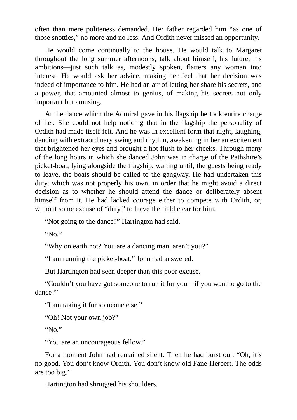often than mere politeness demanded. Her father regarded him "as one of those snotties," no more and no less. And Ordith never missed an opportunity.

He would come continually to the house. He would talk to Margaret throughout the long summer afternoons, talk about himself, his future, his ambitions—just such talk as, modestly spoken, flatters any woman into interest. He would ask her advice, making her feel that her decision was indeed of importance to him. He had an air of letting her share his secrets, and a power, that amounted almost to genius, of making his secrets not only important but amusing.

At the dance which the Admiral gave in his flagship he took entire charge of her. She could not help noticing that in the flagship the personality of Ordith had made itself felt. And he was in excellent form that night, laughing, dancing with extraordinary swing and rhythm, awakening in her an excitement that brightened her eyes and brought a hot flush to her cheeks. Through many of the long hours in which she danced John was in charge of the Pathshire's picket-boat, lying alongside the flagship, waiting until, the guests being ready to leave, the boats should be called to the gangway. He had undertaken this duty, which was not properly his own, in order that he might avoid a direct decision as to whether he should attend the dance or deliberately absent himself from it. He had lacked courage either to compete with Ordith, or, without some excuse of "duty," to leave the field clear for him.

"Not going to the dance?" Hartington had said.

"No."

"Why on earth not? You are a dancing man, aren't you?"

"I am running the picket-boat," John had answered.

But Hartington had seen deeper than this poor excuse.

"Couldn't you have got someone to run it for you—if you want to go to the dance?"

"I am taking it for someone else."

"Oh! Not your own job?"

"No."

"You are an uncourageous fellow."

For a moment John had remained silent. Then he had burst out: "Oh, it's no good. You don't know Ordith. You don't know old Fane-Herbert. The odds are too big."

Hartington had shrugged his shoulders.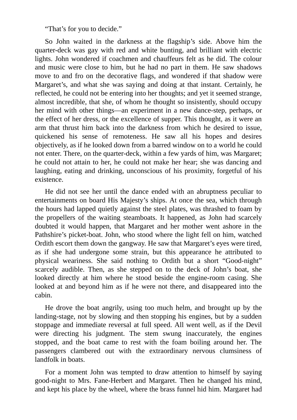"That's for you to decide."

So John waited in the darkness at the flagship's side. Above him the quarter-deck was gay with red and white bunting, and brilliant with electric lights. John wondered if coachmen and chauffeurs felt as he did. The colour and music were close to him, but he had no part in them. He saw shadows move to and fro on the decorative flags, and wondered if that shadow were Margaret's, and what she was saying and doing at that instant. Certainly, he reflected, he could not be entering into her thoughts; and yet it seemed strange, almost incredible, that she, of whom he thought so insistently, should occupy her mind with other things—an experiment in a new dance-step, perhaps, or the effect of her dress, or the excellence of supper. This thought, as it were an arm that thrust him back into the darkness from which he desired to issue, quickened his sense of remoteness. He saw all his hopes and desires objectively, as if he looked down from a barred window on to a world he could not enter. There, on the quarter-deck, within a few yards of him, was Margaret; he could not attain to her, he could not make her hear; she was dancing and laughing, eating and drinking, unconscious of his proximity, forgetful of his existence.

He did not see her until the dance ended with an abruptness peculiar to entertainments on board His Majesty's ships. At once the sea, which through the hours had lapped quietly against the steel plates, was thrashed to foam by the propellers of the waiting steamboats. It happened, as John had scarcely doubted it would happen, that Margaret and her mother went ashore in the Pathshire's picket-boat. John, who stood where the light fell on him, watched Ordith escort them down the gangway. He saw that Margaret's eyes were tired, as if she had undergone some strain, but this appearance he attributed to physical weariness. She said nothing to Ordith but a short "Good-night" scarcely audible. Then, as she stepped on to the deck of John's boat, she looked directly at him where he stood beside the engine-room casing. She looked at and beyond him as if he were not there, and disappeared into the cabin.

He drove the boat angrily, using too much helm, and brought up by the landing-stage, not by slowing and then stopping his engines, but by a sudden stoppage and immediate reversal at full speed. All went well, as if the Devil were directing his judgment. The stem swung inaccurately, the engines stopped, and the boat came to rest with the foam boiling around her. The passengers clambered out with the extraordinary nervous clumsiness of landfolk in boats.

For a moment John was tempted to draw attention to himself by saying good-night to Mrs. Fane-Herbert and Margaret. Then he changed his mind, and kept his place by the wheel, where the brass funnel hid him. Margaret had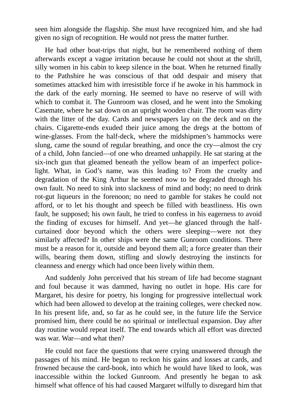seen him alongside the flagship. She must have recognized him, and she had given no sign of recognition. He would not press the matter further.

He had other boat-trips that night, but he remembered nothing of them afterwards except a vague irritation because he could not shout at the shrill, silly women in his cabin to keep silence in the boat. When he returned finally to the Pathshire he was conscious of that odd despair and misery that sometimes attacked him with irresistible force if he awoke in his hammock in the dark of the early morning. He seemed to have no reserve of will with which to combat it. The Gunroom was closed, and he went into the Smoking Casemate, where he sat down on an upright wooden chair. The room was dirty with the litter of the day. Cards and newspapers lay on the deck and on the chairs. Cigarette-ends exuded their juice among the dregs at the bottom of wine-glasses. From the half-deck, where the midshipmen's hammocks were slung, came the sound of regular breathing, and once the cry—almost the cry of a child, John fancied—of one who dreamed unhappily. He sat staring at the six-inch gun that gleamed beneath the yellow beam of an imperfect policelight. What, in God's name, was this leading to? From the cruelty and degradation of the King Arthur he seemed now to be degraded through his own fault. No need to sink into slackness of mind and body; no need to drink rot-gut liqueurs in the forenoon; no need to gamble for stakes he could not afford, or to let his thought and speech be filled with beastliness. His own fault, he supposed; his own fault, he tried to confess in his eagerness to avoid the finding of excuses for himself. And yet—he glanced through the halfcurtained door beyond which the others were sleeping—were not they similarly affected? In other ships were the same Gunroom conditions. There must be a reason for it, outside and beyond them all; a force greater than their wills, bearing them down, stifling and slowly destroying the instincts for cleanness and energy which had once been lively within them.

And suddenly John perceived that his stream of life had become stagnant and foul because it was dammed, having no outlet in hope. His care for Margaret, his desire for poetry, his longing for progressive intellectual work which had been allowed to develop at the training colleges, were checked now. In his present life, and, so far as he could see, in the future life the Service promised him, there could be no spiritual or intellectual expansion. Day after day routine would repeat itself. The end towards which all effort was directed was war. War—and what then?

He could not face the questions that were crying unanswered through the passages of his mind. He began to reckon his gains and losses at cards, and frowned because the card-book, into which he would have liked to look, was inaccessible within the locked Gunroom. And presently he began to ask himself what offence of his had caused Margaret wilfully to disregard him that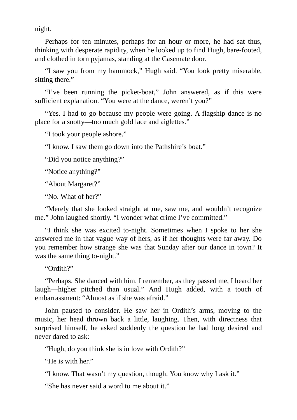night.

Perhaps for ten minutes, perhaps for an hour or more, he had sat thus, thinking with desperate rapidity, when he looked up to find Hugh, bare-footed, and clothed in torn pyjamas, standing at the Casemate door.

"I saw you from my hammock," Hugh said. "You look pretty miserable, sitting there."

"I've been running the picket-boat," John answered, as if this were sufficient explanation. "You were at the dance, weren't you?"

"Yes. I had to go because my people were going. A flagship dance is no place for a snotty—too much gold lace and aiglettes."

"I took your people ashore."

"I know. I saw them go down into the Pathshire's boat."

"Did you notice anything?"

"Notice anything?"

"About Margaret?"

"No. What of her?"

"Merely that she looked straight at me, saw me, and wouldn't recognize me." John laughed shortly. "I wonder what crime I've committed."

"I think she was excited to-night. Sometimes when I spoke to her she answered me in that vague way of hers, as if her thoughts were far away. Do you remember how strange she was that Sunday after our dance in town? It was the same thing to-night."

"Ordith?"

"Perhaps. She danced with him. I remember, as they passed me, I heard her laugh—higher pitched than usual." And Hugh added, with a touch of embarrassment: "Almost as if she was afraid."

John paused to consider. He saw her in Ordith's arms, moving to the music, her head thrown back a little, laughing. Then, with directness that surprised himself, he asked suddenly the question he had long desired and never dared to ask:

"Hugh, do you think she is in love with Ordith?"

"He is with her."

"I know. That wasn't my question, though. You know why I ask it."

"She has never said a word to me about it."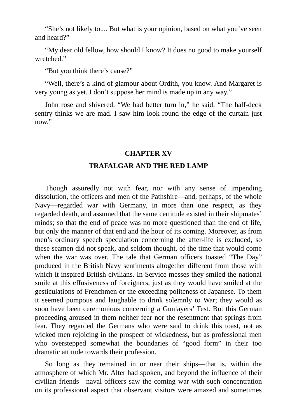"She's not likely to.... But what is your opinion, based on what you've seen and heard?"

"My dear old fellow, how should I know? It does no good to make yourself wretched."

"But you think there's cause?"

"Well, there's a kind of glamour about Ordith, you know. And Margaret is very young as yet. I don't suppose her mind is made up in any way."

John rose and shivered. "We had better turn in," he said. "The half-deck sentry thinks we are mad. I saw him look round the edge of the curtain just now."

## **CHAPTER XV**

## **TRAFALGAR AND THE RED LAMP**

Though assuredly not with fear, nor with any sense of impending dissolution, the officers and men of the Pathshire—and, perhaps, of the whole Navy—regarded war with Germany, in more than one respect, as they regarded death, and assumed that the same certitude existed in their shipmates' minds; so that the end of peace was no more questioned than the end of life, but only the manner of that end and the hour of its coming. Moreover, as from men's ordinary speech speculation concerning the after-life is excluded, so these seamen did not speak, and seldom thought, of the time that would come when the war was over. The tale that German officers toasted "The Day" produced in the British Navy sentiments altogether different from those with which it inspired British civilians. In Service messes they smiled the national smile at this effusiveness of foreigners, just as they would have smiled at the gesticulations of Frenchmen or the exceeding politeness of Japanese. To them it seemed pompous and laughable to drink solemnly to War; they would as soon have been ceremonious concerning a Gunlayers' Test. But this German proceeding aroused in them neither fear nor the resentment that springs from fear. They regarded the Germans who were said to drink this toast, not as wicked men rejoicing in the prospect of wickedness, but as professional men who overstepped somewhat the boundaries of "good form" in their too dramatic attitude towards their profession.

So long as they remained in or near their ships—that is, within the atmosphere of which Mr. Alter had spoken, and beyond the influence of their civilian friends—naval officers saw the coming war with such concentration on its professional aspect that observant visitors were amazed and sometimes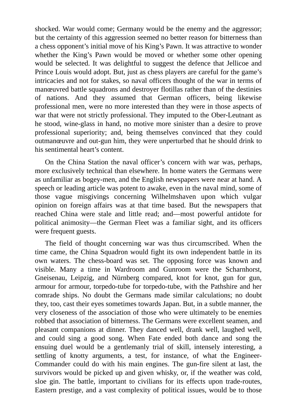shocked. War would come; Germany would be the enemy and the aggressor; but the certainty of this aggression seemed no better reason for bitterness than a chess opponent's initial move of his King's Pawn. It was attractive to wonder whether the King's Pawn would be moved or whether some other opening would be selected. It was delightful to suggest the defence that Jellicoe and Prince Louis would adopt. But, just as chess players are careful for the game's intricacies and not for stakes, so naval officers thought of the war in terms of manœuvred battle squadrons and destroyer flotillas rather than of the destinies of nations. And they assumed that German officers, being likewise professional men, were no more interested than they were in those aspects of war that were not strictly professional. They imputed to the Ober-Leutnant as he stood, wine-glass in hand, no motive more sinister than a desire to prove professional superiority; and, being themselves convinced that they could outmanœuvre and out-gun him, they were unperturbed that he should drink to his sentimental heart's content.

On the China Station the naval officer's concern with war was, perhaps, more exclusively technical than elsewhere. In home waters the Germans were as unfamiliar as bogey-men, and the English newspapers were near at hand. A speech or leading article was potent to awake, even in the naval mind, some of those vague misgivings concerning Wilhelmshaven upon which vulgar opinion on foreign affairs was at that time based. But the newspapers that reached China were stale and little read; and—most powerful antidote for political animosity—the German Fleet was a familiar sight, and its officers were frequent guests.

The field of thought concerning war was thus circumscribed. When the time came, the China Squadron would fight its own independent battle in its own waters. The chess-board was set. The opposing force was known and visible. Many a time in Wardroom and Gunroom were the Scharnhorst, Gneisenau, Leipzig, and Nürnberg compared, knot for knot, gun for gun, armour for armour, torpedo-tube for torpedo-tube, with the Pathshire and her comrade ships. No doubt the Germans made similar calculations; no doubt they, too, cast their eyes sometimes towards Japan. But, in a subtle manner, the very closeness of the association of those who were ultimately to be enemies robbed that association of bitterness. The Germans were excellent seamen, and pleasant companions at dinner. They danced well, drank well, laughed well, and could sing a good song. When Fate ended both dance and song the ensuing duel would be a gentlemanly trial of skill, intensely interesting, a settling of knotty arguments, a test, for instance, of what the Engineer-Commander could do with his main engines. The gun-fire silent at last, the survivors would be picked up and given whisky, or, if the weather was cold, sloe gin. The battle, important to civilians for its effects upon trade-routes, Eastern prestige, and a vast complexity of political issues, would be to those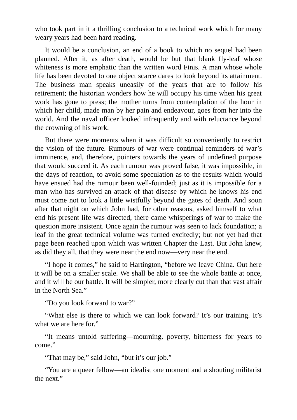who took part in it a thrilling conclusion to a technical work which for many weary years had been hard reading.

It would be a conclusion, an end of a book to which no sequel had been planned. After it, as after death, would be but that blank fly-leaf whose whiteness is more emphatic than the written word Finis. A man whose whole life has been devoted to one object scarce dares to look beyond its attainment. The business man speaks uneasily of the years that are to follow his retirement; the historian wonders how he will occupy his time when his great work has gone to press; the mother turns from contemplation of the hour in which her child, made man by her pain and endeavour, goes from her into the world. And the naval officer looked infrequently and with reluctance beyond the crowning of his work.

But there were moments when it was difficult so conveniently to restrict the vision of the future. Rumours of war were continual reminders of war's imminence, and, therefore, pointers towards the years of undefined purpose that would succeed it. As each rumour was proved false, it was impossible, in the days of reaction, to avoid some speculation as to the results which would have ensued had the rumour been well-founded; just as it is impossible for a man who has survived an attack of that disease by which he knows his end must come not to look a little wistfully beyond the gates of death. And soon after that night on which John had, for other reasons, asked himself to what end his present life was directed, there came whisperings of war to make the question more insistent. Once again the rumour was seen to lack foundation; a leaf in the great technical volume was turned excitedly; but not yet had that page been reached upon which was written Chapter the Last. But John knew, as did they all, that they were near the end now—very near the end.

"I hope it comes," he said to Hartington, "before we leave China. Out here it will be on a smaller scale. We shall be able to see the whole battle at once, and it will be our battle. It will be simpler, more clearly cut than that vast affair in the North Sea."

"Do you look forward to war?"

"What else is there to which we can look forward? It's our training. It's what we are here for."

"It means untold suffering—mourning, poverty, bitterness for years to come."

"That may be," said John, "but it's our job."

"You are a queer fellow—an idealist one moment and a shouting militarist the next."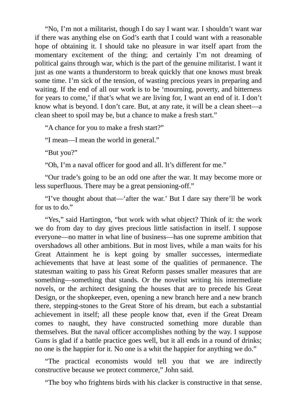"No, I'm not a militarist, though I do say I want war. I shouldn't want war if there was anything else on God's earth that I could want with a reasonable hope of obtaining it. I should take no pleasure in war itself apart from the momentary excitement of the thing; and certainly I'm not dreaming of political gains through war, which is the part of the genuine militarist. I want it just as one wants a thunderstorm to break quickly that one knows must break some time. I'm sick of the tension, of wasting precious years in preparing and waiting. If the end of all our work is to be 'mourning, poverty, and bitterness for years to come,' if that's what we are living for, I want an end of it. I don't know what is beyond. I don't care. But, at any rate, it will be a clean sheet—a clean sheet to spoil may be, but a chance to make a fresh start."

"A chance for you to make a fresh start?"

"I mean—I mean the world in general."

"But you?"

"Oh, I'm a naval officer for good and all. It's different for me."

"Our trade's going to be an odd one after the war. It may become more or less superfluous. There may be a great pensioning-off."

"I've thought about that—'after the war.' But I dare say there'll be work for us to do."

"Yes," said Hartington, "but work with what object? Think of it: the work we do from day to day gives precious little satisfaction in itself. I suppose everyone—no matter in what line of business—has one supreme ambition that overshadows all other ambitions. But in most lives, while a man waits for his Great Attainment he is kept going by smaller successes, intermediate achievements that have at least some of the qualities of permanence. The statesman waiting to pass his Great Reform passes smaller measures that are something—something that stands. Or the novelist writing his intermediate novels, or the architect designing the houses that are to precede his Great Design, or the shopkeeper, even, opening a new branch here and a new branch there, stepping-stones to the Great Store of his dream, but each a substantial achievement in itself; all these people know that, even if the Great Dream comes to naught, they have constructed something more durable than themselves. But the naval officer accomplishes nothing by the way. I suppose Guns is glad if a battle practice goes well, but it all ends in a round of drinks; no one is the happier for it. No one is a whit the happier for anything we do."

"The practical economists would tell you that we are indirectly constructive because we protect commerce," John said.

"The boy who frightens birds with his clacker is constructive in that sense.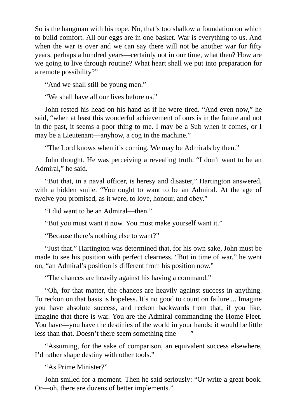So is the hangman with his rope. No, that's too shallow a foundation on which to build comfort. All our eggs are in one basket. War is everything to us. And when the war is over and we can say there will not be another war for fifty years, perhaps a hundred years—certainly not in our time, what then? How are we going to live through routine? What heart shall we put into preparation for a remote possibility?"

"And we shall still be young men."

"We shall have all our lives before us."

John rested his head on his hand as if he were tired. "And even now," he said, "when at least this wonderful achievement of ours is in the future and not in the past, it seems a poor thing to me. I may be a Sub when it comes, or I may be a Lieutenant—anyhow, a cog in the machine."

"The Lord knows when it's coming. We may be Admirals by then."

John thought. He was perceiving a revealing truth. "I don't want to be an Admiral," he said.

"But that, in a naval officer, is heresy and disaster," Hartington answered, with a hidden smile. "You ought to want to be an Admiral. At the age of twelve you promised, as it were, to love, honour, and obey."

"I did want to be an Admiral—then."

"But you must want it now. You must make yourself want it."

"Because there's nothing else to want?"

"Just that." Hartington was determined that, for his own sake, John must be made to see his position with perfect clearness. "But in time of war," he went on, "an Admiral's position is different from his position now."

"The chances are heavily against his having a command."

"Oh, for that matter, the chances are heavily against success in anything. To reckon on that basis is hopeless. It's no good to count on failure.... Imagine you have absolute success, and reckon backwards from that, if you like. Imagine that there is war. You are the Admiral commanding the Home Fleet. You have—you have the destinies of the world in your hands: it would be little less than that. Doesn't there seem something fine——"

"Assuming, for the sake of comparison, an equivalent success elsewhere, I'd rather shape destiny with other tools."

"As Prime Minister?"

John smiled for a moment. Then he said seriously: "Or write a great book. Or—oh, there are dozens of better implements."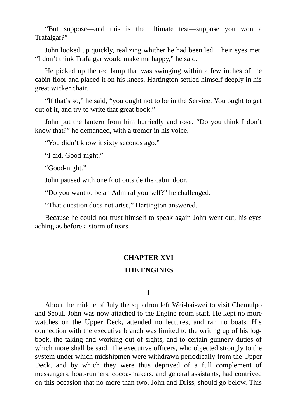"But suppose—and this is the ultimate test—suppose you won a Trafalgar?"

John looked up quickly, realizing whither he had been led. Their eyes met. "I don't think Trafalgar would make me happy," he said.

He picked up the red lamp that was swinging within a few inches of the cabin floor and placed it on his knees. Hartington settled himself deeply in his great wicker chair.

"If that's so," he said, "you ought not to be in the Service. You ought to get out of it, and try to write that great book."

John put the lantern from him hurriedly and rose. "Do you think I don't know that?" he demanded, with a tremor in his voice.

"You didn't know it sixty seconds ago."

"I did. Good-night."

"Good-night."

John paused with one foot outside the cabin door.

"Do you want to be an Admiral yourself?" he challenged.

"That question does not arise," Hartington answered.

Because he could not trust himself to speak again John went out, his eyes aching as before a storm of tears.

#### **CHAPTER XVI**

## **THE ENGINES**

I

About the middle of July the squadron left Wei-hai-wei to visit Chemulpo and Seoul. John was now attached to the Engine-room staff. He kept no more watches on the Upper Deck, attended no lectures, and ran no boats. His connection with the executive branch was limited to the writing up of his logbook, the taking and working out of sights, and to certain gunnery duties of which more shall be said. The executive officers, who objected strongly to the system under which midshipmen were withdrawn periodically from the Upper Deck, and by which they were thus deprived of a full complement of messengers, boat-runners, cocoa-makers, and general assistants, had contrived on this occasion that no more than two, John and Driss, should go below. This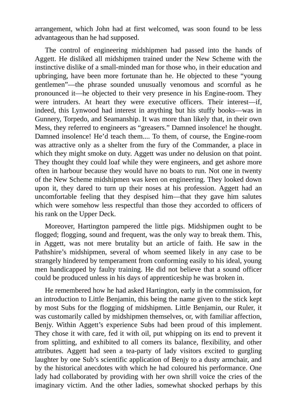arrangement, which John had at first welcomed, was soon found to be less advantageous than he had supposed.

The control of engineering midshipmen had passed into the hands of Aggett. He disliked all midshipmen trained under the New Scheme with the instinctive dislike of a small-minded man for those who, in their education and upbringing, have been more fortunate than he. He objected to these "young gentlemen"—the phrase sounded unusually venomous and scornful as he pronounced it—he objected to their very presence in his Engine-room. They were intruders. At heart they were executive officers. Their interest—if, indeed, this Lynwood had interest in anything but his stuffy books—was in Gunnery, Torpedo, and Seamanship. It was more than likely that, in their own Mess, they referred to engineers as "greasers." Damned insolence! he thought. Damned insolence! He'd teach them.... To them, of course, the Engine-room was attractive only as a shelter from the fury of the Commander, a place in which they might smoke on duty. Aggett was under no delusion on that point. They thought they could loaf while they were engineers, and get ashore more often in harbour because they would have no boats to run. Not one in twenty of the New Scheme midshipmen was keen on engineering. They looked down upon it, they dared to turn up their noses at his profession. Aggett had an uncomfortable feeling that they despised him—that they gave him salutes which were somehow less respectful than those they accorded to officers of his rank on the Upper Deck.

Moreover, Hartington pampered the little pigs. Midshipmen ought to be flogged; flogging, sound and frequent, was the only way to break them. This, in Aggett, was not mere brutality but an article of faith. He saw in the Pathshire's midshipmen, several of whom seemed likely in any case to be strangely hindered by temperament from conforming easily to his ideal, young men handicapped by faulty training. He did not believe that a sound officer could be produced unless in his days of apprenticeship he was broken in.

He remembered how he had asked Hartington, early in the commission, for an introduction to Little Benjamin, this being the name given to the stick kept by most Subs for the flogging of midshipmen. Little Benjamin, our Ruler, it was customarily called by midshipmen themselves, or, with familiar affection, Benjy. Within Aggett's experience Subs had been proud of this implement. They chose it with care, fed it with oil, put whipping on its end to prevent it from splitting, and exhibited to all comers its balance, flexibility, and other attributes. Aggett had seen a tea-party of lady visitors excited to gurgling laughter by one Sub's scientific application of Benjy to a dusty armchair, and by the historical anecdotes with which he had coloured his performance. One lady had collaborated by providing with her own shrill voice the cries of the imaginary victim. And the other ladies, somewhat shocked perhaps by this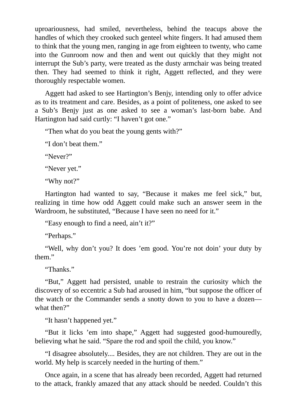uproariousness, had smiled, nevertheless, behind the teacups above the handles of which they crooked such genteel white fingers. It had amused them to think that the young men, ranging in age from eighteen to twenty, who came into the Gunroom now and then and went out quickly that they might not interrupt the Sub's party, were treated as the dusty armchair was being treated then. They had seemed to think it right, Aggett reflected, and they were thoroughly respectable women.

Aggett had asked to see Hartington's Benjy, intending only to offer advice as to its treatment and care. Besides, as a point of politeness, one asked to see a Sub's Benjy just as one asked to see a woman's last-born babe. And Hartington had said curtly: "I haven't got one."

"Then what do you beat the young gents with?"

"I don't beat them."

"Never?"

"Never yet."

"Why not?"

Hartington had wanted to say, "Because it makes me feel sick," but, realizing in time how odd Aggett could make such an answer seem in the Wardroom, he substituted, "Because I have seen no need for it."

"Easy enough to find a need, ain't it?"

"Perhaps."

"Well, why don't you? It does 'em good. You're not doin' your duty by them."

"Thanks."

"But," Aggett had persisted, unable to restrain the curiosity which the discovery of so eccentric a Sub had aroused in him, "but suppose the officer of the watch or the Commander sends a snotty down to you to have a dozen what then?"

"It hasn't happened yet."

"But it licks 'em into shape," Aggett had suggested good-humouredly, believing what he said. "Spare the rod and spoil the child, you know."

"I disagree absolutely.... Besides, they are not children. They are out in the world. My help is scarcely needed in the hurting of them."

Once again, in a scene that has already been recorded, Aggett had returned to the attack, frankly amazed that any attack should be needed. Couldn't this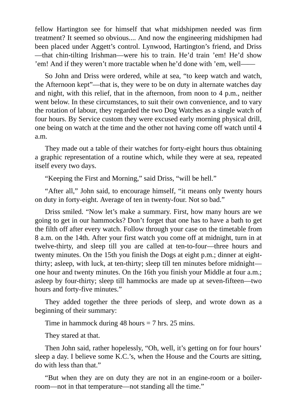fellow Hartington see for himself that what midshipmen needed was firm treatment? It seemed so obvious.... And now the engineering midshipmen had been placed under Aggett's control. Lynwood, Hartington's friend, and Driss —that chin-tilting Irishman—were his to train. He'd train 'em! He'd show 'em! And if they weren't more tractable when he'd done with 'em, well——

So John and Driss were ordered, while at sea, "to keep watch and watch, the Afternoon kept"—that is, they were to be on duty in alternate watches day and night, with this relief, that in the afternoon, from noon to 4 p.m., neither went below. In these circumstances, to suit their own convenience, and to vary the rotation of labour, they regarded the two Dog Watches as a single watch of four hours. By Service custom they were excused early morning physical drill, one being on watch at the time and the other not having come off watch until 4 a.m.

They made out a table of their watches for forty-eight hours thus obtaining a graphic representation of a routine which, while they were at sea, repeated itself every two days.

"Keeping the First and Morning," said Driss, "will be hell."

"After all," John said, to encourage himself, "it means only twenty hours on duty in forty-eight. Average of ten in twenty-four. Not so bad."

Driss smiled. "Now let's make a summary. First, how many hours are we going to get in our hammocks? Don't forget that one has to have a bath to get the filth off after every watch. Follow through your case on the timetable from 8 a.m. on the 14th. After your first watch you come off at midnight, turn in at twelve-thirty, and sleep till you are called at ten-to-four—three hours and twenty minutes. On the 15th you finish the Dogs at eight p.m.; dinner at eightthirty; asleep, with luck, at ten-thirty; sleep till ten minutes before midnight one hour and twenty minutes. On the 16th you finish your Middle at four a.m.; asleep by four-thirty; sleep till hammocks are made up at seven-fifteen—two hours and forty-five minutes."

They added together the three periods of sleep, and wrote down as a beginning of their summary:

Time in hammock during 48 hours = 7 hrs. 25 mins.

They stared at that.

Then John said, rather hopelessly, "Oh, well, it's getting on for four hours' sleep a day. I believe some K.C.'s, when the House and the Courts are sitting, do with less than that."

"But when they are on duty they are not in an engine-room or a boilerroom—not in that temperature—not standing all the time."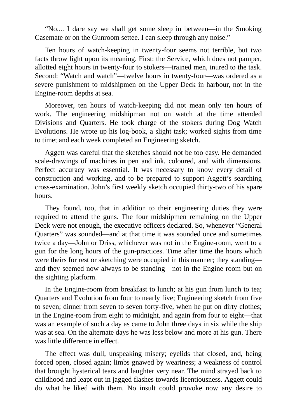"No.... I dare say we shall get some sleep in between—in the Smoking Casemate or on the Gunroom settee. I can sleep through any noise."

Ten hours of watch-keeping in twenty-four seems not terrible, but two facts throw light upon its meaning. First: the Service, which does not pamper, allotted eight hours in twenty-four to stokers—trained men, inured to the task. Second: "Watch and watch"—twelve hours in twenty-four—was ordered as a severe punishment to midshipmen on the Upper Deck in harbour, not in the Engine-room depths at sea.

Moreover, ten hours of watch-keeping did not mean only ten hours of work. The engineering midshipman not on watch at the time attended Divisions and Quarters. He took charge of the stokers during Dog Watch Evolutions. He wrote up his log-book, a slight task; worked sights from time to time; and each week completed an Engineering sketch.

Aggett was careful that the sketches should not be too easy. He demanded scale-drawings of machines in pen and ink, coloured, and with dimensions. Perfect accuracy was essential. It was necessary to know every detail of construction and working, and to be prepared to support Aggett's searching cross-examination. John's first weekly sketch occupied thirty-two of his spare hours.

They found, too, that in addition to their engineering duties they were required to attend the guns. The four midshipmen remaining on the Upper Deck were not enough, the executive officers declared. So, whenever "General Quarters" was sounded—and at that time it was sounded once and sometimes twice a day—John or Driss, whichever was not in the Engine-room, went to a gun for the long hours of the gun-practices. Time after time the hours which were theirs for rest or sketching were occupied in this manner; they standing and they seemed now always to be standing—not in the Engine-room but on the sighting platform.

In the Engine-room from breakfast to lunch; at his gun from lunch to tea; Quarters and Evolution from four to nearly five; Engineering sketch from five to seven; dinner from seven to seven forty-five, when he put on dirty clothes; in the Engine-room from eight to midnight, and again from four to eight—that was an example of such a day as came to John three days in six while the ship was at sea. On the alternate days he was less below and more at his gun. There was little difference in effect.

The effect was dull, unspeaking misery; eyelids that closed, and, being forced open, closed again; limbs gnawed by weariness; a weakness of control that brought hysterical tears and laughter very near. The mind strayed back to childhood and leapt out in jagged flashes towards licentiousness. Aggett could do what he liked with them. No insult could provoke now any desire to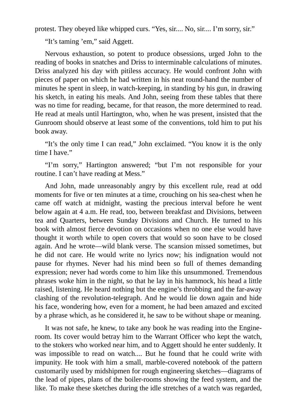protest. They obeyed like whipped curs. "Yes, sir.... No, sir.... I'm sorry, sir."

"It's taming 'em," said Aggett.

Nervous exhaustion, so potent to produce obsessions, urged John to the reading of books in snatches and Driss to interminable calculations of minutes. Driss analyzed his day with pitiless accuracy. He would confront John with pieces of paper on which he had written in his neat round-hand the number of minutes he spent in sleep, in watch-keeping, in standing by his gun, in drawing his sketch, in eating his meals. And John, seeing from these tables that there was no time for reading, became, for that reason, the more determined to read. He read at meals until Hartington, who, when he was present, insisted that the Gunroom should observe at least some of the conventions, told him to put his book away.

"It's the only time I can read," John exclaimed. "You know it is the only time I have."

"I'm sorry," Hartington answered; "but I'm not responsible for your routine. I can't have reading at Mess."

And John, made unreasonably angry by this excellent rule, read at odd moments for five or ten minutes at a time, crouching on his sea-chest when he came off watch at midnight, wasting the precious interval before he went below again at 4 a.m. He read, too, between breakfast and Divisions, between tea and Quarters, between Sunday Divisions and Church. He turned to his book with almost fierce devotion on occasions when no one else would have thought it worth while to open covers that would so soon have to be closed again. And he wrote—wild blank verse. The scansion missed sometimes, but he did not care. He would write no lyrics now; his indignation would not pause for rhymes. Never had his mind been so full of themes demanding expression; never had words come to him like this unsummoned. Tremendous phrases woke him in the night, so that he lay in his hammock, his head a little raised, listening. He heard nothing but the engine's throbbing and the far-away clashing of the revolution-telegraph. And he would lie down again and hide his face, wondering how, even for a moment, he had been amazed and excited by a phrase which, as he considered it, he saw to be without shape or meaning.

It was not safe, he knew, to take any book he was reading into the Engineroom. Its cover would betray him to the Warrant Officer who kept the watch, to the stokers who worked near him, and to Aggett should he enter suddenly. It was impossible to read on watch.... But he found that he could write with impunity. He took with him a small, marble-covered notebook of the pattern customarily used by midshipmen for rough engineering sketches—diagrams of the lead of pipes, plans of the boiler-rooms showing the feed system, and the like. To make these sketches during the idle stretches of a watch was regarded,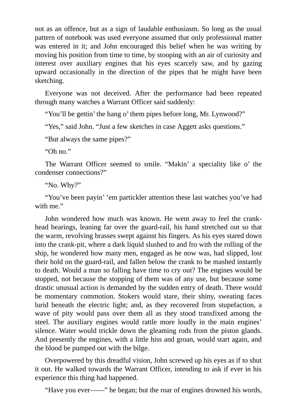not as an offence, but as a sign of laudable enthusiasm. So long as the usual pattern of notebook was used everyone assumed that only professional matter was entered in it; and John encouraged this belief when he was writing by moving his position from time to time, by stooping with an air of curiosity and interest over auxiliary engines that his eyes scarcely saw, and by gazing upward occasionally in the direction of the pipes that he might have been sketching.

Everyone was not deceived. After the performance had been repeated through many watches a Warrant Officer said suddenly:

"You'll be gettin' the hang o' them pipes before long, Mr. Lynwood?"

"Yes," said John. "Just a few sketches in case Aggett asks questions."

"But always the same pipes?"

"Oh no."

The Warrant Officer seemed to smile. "Makin' a speciality like o' the condenser connections?"

"No. Why?"

"You've been payin' 'em partickler attention these last watches you've had with me."

John wondered how much was known. He went away to feel the crankhead bearings, leaning far over the guard-rail, his hand stretched out so that the warm, revolving brasses swept against his fingers. As his eyes stared down into the crank-pit, where a dark liquid slushed to and fro with the rolling of the ship, he wondered how many men, engaged as he now was, had slipped, lost their hold on the guard-rail, and fallen below the crank to be mashed instantly to death. Would a man so falling have time to cry out? The engines would be stopped, not because the stopping of them was of any use, but because some drastic unusual action is demanded by the sudden entry of death. There would be momentary commotion. Stokers would stare, their shiny, sweating faces lurid beneath the electric light; and, as they recovered from stupefaction, a wave of pity would pass over them all as they stood transfixed among the steel. The auxiliary engines would rattle more loudly in the main engines' silence. Water would trickle down the gleaming rods from the piston glands. And presently the engines, with a little hiss and groan, would start again, and the blood be pumped out with the bilge.

Overpowered by this dreadful vision, John screwed up his eyes as if to shut it out. He walked towards the Warrant Officer, intending to ask if ever in his experience this thing had happened.

"Have you ever——" he began; but the roar of engines drowned his words,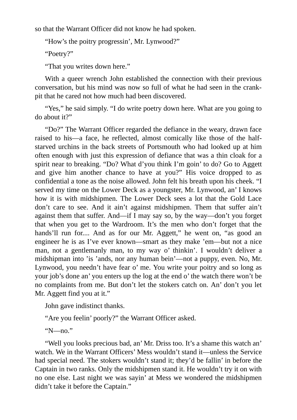so that the Warrant Officer did not know he had spoken.

"How's the poitry progressin', Mr. Lynwood?"

"Poetry?"

"That you writes down here."

With a queer wrench John established the connection with their previous conversation, but his mind was now so full of what he had seen in the crankpit that he cared not how much had been discovered.

"Yes," he said simply. "I do write poetry down here. What are you going to do about it?"

"Do?" The Warrant Officer regarded the defiance in the weary, drawn face raised to his—a face, he reflected, almost comically like those of the halfstarved urchins in the back streets of Portsmouth who had looked up at him often enough with just this expression of defiance that was a thin cloak for a spirit near to breaking. "Do? What d'you think I'm goin' to do? Go to Aggett and give him another chance to have at you?" His voice dropped to as confidential a tone as the noise allowed. John felt his breath upon his cheek. "I served my time on the Lower Deck as a youngster, Mr. Lynwood, an' I knows how it is with midshipmen. The Lower Deck sees a lot that the Gold Lace don't care to see. And it ain't against midshipmen. Them that suffer ain't against them that suffer. And—if I may say so, by the way—don't you forget that when you get to the Wardroom. It's the men who don't forget that the hands'll run for.... And as for our Mr. Aggett," he went on, "as good an engineer he is as I've ever known—smart as they make 'em—but not a nice man, not a gentlemanly man, to my way o' thinkin'. I wouldn't deliver a midshipman into 'is 'ands, nor any human bein'—not a puppy, even. No, Mr. Lynwood, you needn't have fear o' me. You write your poitry and so long as your job's done an' you enters up the log at the end o' the watch there won't be no complaints from me. But don't let the stokers catch on. An' don't you let Mr. Aggett find you at it."

John gave indistinct thanks.

"Are you feelin' poorly?" the Warrant Officer asked.

"N—no."

"Well you looks precious bad, an' Mr. Driss too. It's a shame this watch an' watch. We in the Warrant Officers' Mess wouldn't stand it—unless the Service had special need. The stokers wouldn't stand it; they'd be fallin' in before the Captain in two ranks. Only the midshipmen stand it. He wouldn't try it on with no one else. Last night we was sayin' at Mess we wondered the midshipmen didn't take it before the Captain."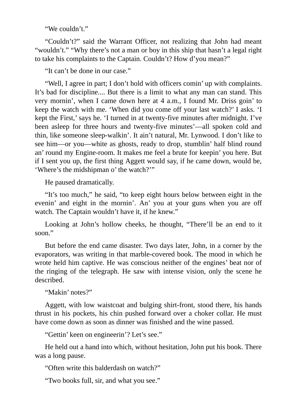"We couldn't."

"Couldn't?" said the Warrant Officer, not realizing that John had meant "wouldn't." "Why there's not a man or boy in this ship that hasn't a legal right to take his complaints to the Captain. Couldn't? How d'you mean?"

"It can't be done in our case."

"Well, I agree in part; I don't hold with officers comin' up with complaints. It's bad for discipline.... But there is a limit to what any man can stand. This very mornin', when I came down here at 4 a.m., I found Mr. Driss goin' to keep the watch with me. 'When did you come off your last watch?' I asks. 'I kept the First,' says he. 'I turned in at twenty-five minutes after midnight. I've been asleep for three hours and twenty-five minutes'—all spoken cold and thin, like someone sleep-walkin'. It ain't natural, Mr. Lynwood. I don't like to see him—or you—white as ghosts, ready to drop, stumblin' half blind round an' round my Engine-room. It makes me feel a brute for keepin' you here. But if I sent you up, the first thing Aggett would say, if he came down, would be, 'Where's the midshipman o' the watch?'"

He paused dramatically.

"It's too much," he said, "to keep eight hours below between eight in the evenin' and eight in the mornin'. An' you at your guns when you are off watch. The Captain wouldn't have it, if he knew."

Looking at John's hollow cheeks, he thought, "There'll be an end to it soon."

But before the end came disaster. Two days later, John, in a corner by the evaporators, was writing in that marble-covered book. The mood in which he wrote held him captive. He was conscious neither of the engines' beat nor of the ringing of the telegraph. He saw with intense vision, only the scene he described.

"Makin' notes?"

Aggett, with low waistcoat and bulging shirt-front, stood there, his hands thrust in his pockets, his chin pushed forward over a choker collar. He must have come down as soon as dinner was finished and the wine passed.

"Gettin' keen on engineerin'? Let's see."

He held out a hand into which, without hesitation, John put his book. There was a long pause.

"Often write this balderdash on watch?"

"Two books full, sir, and what you see."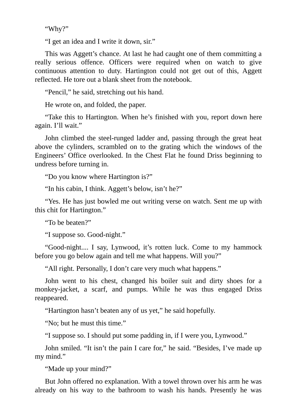"Why?"

"I get an idea and I write it down, sir."

This was Aggett's chance. At last he had caught one of them committing a really serious offence. Officers were required when on watch to give continuous attention to duty. Hartington could not get out of this, Aggett reflected. He tore out a blank sheet from the notebook.

"Pencil," he said, stretching out his hand.

He wrote on, and folded, the paper.

"Take this to Hartington. When he's finished with you, report down here again. I'll wait."

John climbed the steel-runged ladder and, passing through the great heat above the cylinders, scrambled on to the grating which the windows of the Engineers' Office overlooked. In the Chest Flat he found Driss beginning to undress before turning in.

"Do you know where Hartington is?"

"In his cabin, I think. Aggett's below, isn't he?"

"Yes. He has just bowled me out writing verse on watch. Sent me up with this chit for Hartington."

"To be beaten?"

"I suppose so. Good-night."

"Good-night.... I say, Lynwood, it's rotten luck. Come to my hammock before you go below again and tell me what happens. Will you?"

"All right. Personally, I don't care very much what happens."

John went to his chest, changed his boiler suit and dirty shoes for a monkey-jacket, a scarf, and pumps. While he was thus engaged Driss reappeared.

"Hartington hasn't beaten any of us yet," he said hopefully.

"No; but he must this time."

"I suppose so. I should put some padding in, if I were you, Lynwood."

John smiled. "It isn't the pain I care for," he said. "Besides, I've made up my mind."

"Made up your mind?"

But John offered no explanation. With a towel thrown over his arm he was already on his way to the bathroom to wash his hands. Presently he was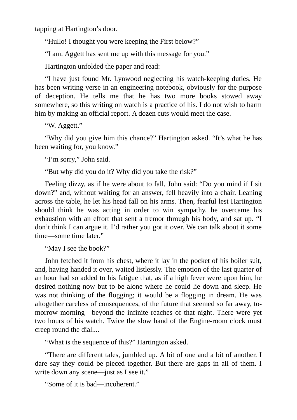tapping at Hartington's door.

"Hullo! I thought you were keeping the First below?"

"I am. Aggett has sent me up with this message for you."

Hartington unfolded the paper and read:

"I have just found Mr. Lynwood neglecting his watch-keeping duties. He has been writing verse in an engineering notebook, obviously for the purpose of deception. He tells me that he has two more books stowed away somewhere, so this writing on watch is a practice of his. I do not wish to harm him by making an official report. A dozen cuts would meet the case.

"W. Aggett."

"Why did you give him this chance?" Hartington asked. "It's what he has been waiting for, you know."

"I'm sorry," John said.

"But why did you do it? Why did you take the risk?"

Feeling dizzy, as if he were about to fall, John said: "Do you mind if I sit down?" and, without waiting for an answer, fell heavily into a chair. Leaning across the table, he let his head fall on his arms. Then, fearful lest Hartington should think he was acting in order to win sympathy, he overcame his exhaustion with an effort that sent a tremor through his body, and sat up. "I don't think I can argue it. I'd rather you got it over. We can talk about it some time—some time later."

"May I see the book?"

John fetched it from his chest, where it lay in the pocket of his boiler suit, and, having handed it over, waited listlessly. The emotion of the last quarter of an hour had so added to his fatigue that, as if a high fever were upon him, he desired nothing now but to be alone where he could lie down and sleep. He was not thinking of the flogging; it would be a flogging in dream. He was altogether careless of consequences, of the future that seemed so far away, tomorrow morning—beyond the infinite reaches of that night. There were yet two hours of his watch. Twice the slow hand of the Engine-room clock must creep round the dial....

"What is the sequence of this?" Hartington asked.

"There are different tales, jumbled up. A bit of one and a bit of another. I dare say they could be pieced together. But there are gaps in all of them. I write down any scene—just as I see it."

"Some of it is bad—incoherent."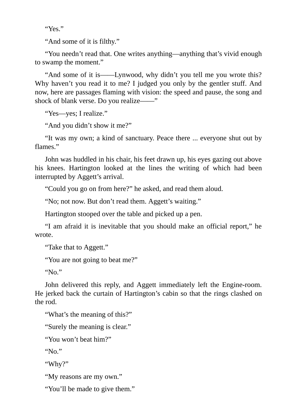"Yes."

"And some of it is filthy."

"You needn't read that. One writes anything—anything that's vivid enough to swamp the moment."

"And some of it is——Lynwood, why didn't you tell me you wrote this? Why haven't you read it to me? I judged you only by the gentler stuff. And now, here are passages flaming with vision: the speed and pause, the song and shock of blank verse. Do you realize——"

"Yes—yes; I realize."

"And you didn't show it me?"

"It was my own; a kind of sanctuary. Peace there ... everyone shut out by flames."

John was huddled in his chair, his feet drawn up, his eyes gazing out above his knees. Hartington looked at the lines the writing of which had been interrupted by Aggett's arrival.

"Could you go on from here?" he asked, and read them aloud.

"No; not now. But don't read them. Aggett's waiting."

Hartington stooped over the table and picked up a pen.

"I am afraid it is inevitable that you should make an official report," he wrote.

"Take that to Aggett."

"You are not going to beat me?"

"No."

John delivered this reply, and Aggett immediately left the Engine-room. He jerked back the curtain of Hartington's cabin so that the rings clashed on the rod.

"What's the meaning of this?"

"Surely the meaning is clear."

"You won't beat him?"

" $No.$ "

"Why?"

"My reasons are my own."

"You'll be made to give them."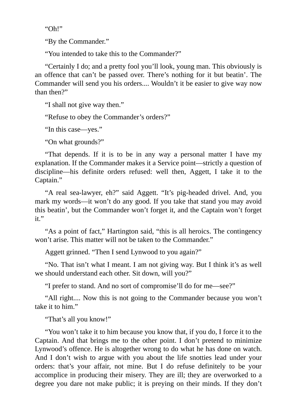"Oh!"

"By the Commander."

"You intended to take this to the Commander?"

"Certainly I do; and a pretty fool you'll look, young man. This obviously is an offence that can't be passed over. There's nothing for it but beatin'. The Commander will send you his orders.... Wouldn't it be easier to give way now than then?"

"I shall not give way then."

"Refuse to obey the Commander's orders?"

"In this case—yes."

"On what grounds?"

"That depends. If it is to be in any way a personal matter I have my explanation. If the Commander makes it a Service point—strictly a question of discipline—his definite orders refused: well then, Aggett, I take it to the Captain."

"A real sea-lawyer, eh?" said Aggett. "It's pig-headed drivel. And, you mark my words—it won't do any good. If you take that stand you may avoid this beatin', but the Commander won't forget it, and the Captain won't forget it."

"As a point of fact," Hartington said, "this is all heroics. The contingency won't arise. This matter will not be taken to the Commander."

Aggett grinned. "Then I send Lynwood to you again?"

"No. That isn't what I meant. I am not giving way. But I think it's as well we should understand each other. Sit down, will you?"

"I prefer to stand. And no sort of compromise'll do for me—see?"

"All right.... Now this is not going to the Commander because you won't take it to him."

"That's all you know!"

"You won't take it to him because you know that, if you do, I force it to the Captain. And that brings me to the other point. I don't pretend to minimize Lynwood's offence. He is altogether wrong to do what he has done on watch. And I don't wish to argue with you about the life snotties lead under your orders: that's your affair, not mine. But I do refuse definitely to be your accomplice in producing their misery. They are ill; they are overworked to a degree you dare not make public; it is preying on their minds. If they don't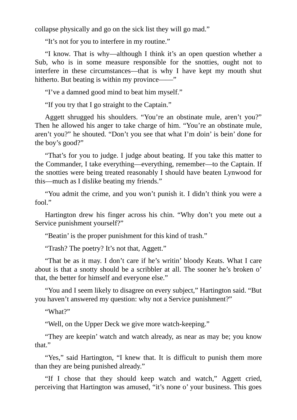collapse physically and go on the sick list they will go mad."

"It's not for you to interfere in my routine."

"I know. That is why—although I think it's an open question whether a Sub, who is in some measure responsible for the snotties, ought not to interfere in these circumstances—that is why I have kept my mouth shut hitherto. But beating is within my province——"

"I've a damned good mind to beat him myself."

"If you try that I go straight to the Captain."

Aggett shrugged his shoulders. "You're an obstinate mule, aren't you?" Then he allowed his anger to take charge of him. "You're an obstinate mule, aren't you?" he shouted. "Don't you see that what I'm doin' is bein' done for the boy's good?"

"That's for you to judge. I judge about beating. If you take this matter to the Commander, I take everything—everything, remember—to the Captain. If the snotties were being treated reasonably I should have beaten Lynwood for this—much as I dislike beating my friends."

"You admit the crime, and you won't punish it. I didn't think you were a fool."

Hartington drew his finger across his chin. "Why don't you mete out a Service punishment yourself?"

"Beatin' is the proper punishment for this kind of trash."

"Trash? The poetry? It's not that, Aggett."

"That be as it may. I don't care if he's writin' bloody Keats. What I care about is that a snotty should be a scribbler at all. The sooner he's broken o' that, the better for himself and everyone else."

"You and I seem likely to disagree on every subject," Hartington said. "But you haven't answered my question: why not a Service punishment?"

"What?"

"Well, on the Upper Deck we give more watch-keeping."

"They are keepin' watch and watch already, as near as may be; you know that."

"Yes," said Hartington, "I knew that. It is difficult to punish them more than they are being punished already."

"If I chose that they should keep watch and watch," Aggett cried, perceiving that Hartington was amused, "it's none o' your business. This goes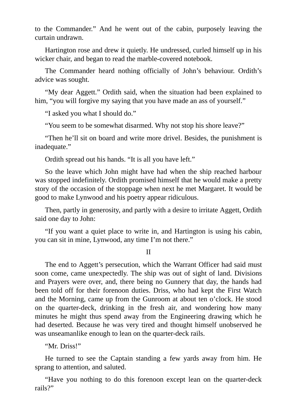to the Commander." And he went out of the cabin, purposely leaving the curtain undrawn.

Hartington rose and drew it quietly. He undressed, curled himself up in his wicker chair, and began to read the marble-covered notebook.

The Commander heard nothing officially of John's behaviour. Ordith's advice was sought.

"My dear Aggett." Ordith said, when the situation had been explained to him, "you will forgive my saying that you have made an ass of yourself."

"I asked you what I should do."

"You seem to be somewhat disarmed. Why not stop his shore leave?"

"Then he'll sit on board and write more drivel. Besides, the punishment is inadequate."

Ordith spread out his hands. "It is all you have left."

So the leave which John might have had when the ship reached harbour was stopped indefinitely. Ordith promised himself that he would make a pretty story of the occasion of the stoppage when next he met Margaret. It would be good to make Lynwood and his poetry appear ridiculous.

Then, partly in generosity, and partly with a desire to irritate Aggett, Ordith said one day to John:

"If you want a quiet place to write in, and Hartington is using his cabin, you can sit in mine, Lynwood, any time I'm not there."

II

The end to Aggett's persecution, which the Warrant Officer had said must soon come, came unexpectedly. The ship was out of sight of land. Divisions and Prayers were over, and, there being no Gunnery that day, the hands had been told off for their forenoon duties. Driss, who had kept the First Watch and the Morning, came up from the Gunroom at about ten o'clock. He stood on the quarter-deck, drinking in the fresh air, and wondering how many minutes he might thus spend away from the Engineering drawing which he had deserted. Because he was very tired and thought himself unobserved he was unseamanlike enough to lean on the quarter-deck rails.

"Mr. Driss!"

He turned to see the Captain standing a few yards away from him. He sprang to attention, and saluted.

"Have you nothing to do this forenoon except lean on the quarter-deck rails?"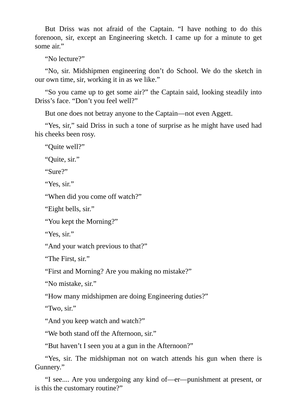But Driss was not afraid of the Captain. "I have nothing to do this forenoon, sir, except an Engineering sketch. I came up for a minute to get some air."

"No lecture?"

"No, sir. Midshipmen engineering don't do School. We do the sketch in our own time, sir, working it in as we like."

"So you came up to get some air?" the Captain said, looking steadily into Driss's face. "Don't you feel well?"

But one does not betray anyone to the Captain—not even Aggett.

"Yes, sir," said Driss in such a tone of surprise as he might have used had his cheeks been rosy.

"Quite well?"

"Quite, sir."

"Sure?"

"Yes, sir."

"When did you come off watch?"

"Eight bells, sir."

"You kept the Morning?"

"Yes, sir."

"And your watch previous to that?"

"The First, sir."

"First and Morning? Are you making no mistake?"

"No mistake, sir."

"How many midshipmen are doing Engineering duties?"

"Two, sir."

"And you keep watch and watch?"

"We both stand off the Afternoon, sir."

"But haven't I seen you at a gun in the Afternoon?"

"Yes, sir. The midshipman not on watch attends his gun when there is Gunnery."

"I see.... Are you undergoing any kind of—er—punishment at present, or is this the customary routine?"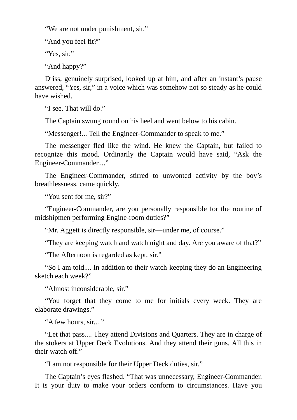"We are not under punishment, sir."

"And you feel fit?"

"Yes, sir."

"And happy?"

Driss, genuinely surprised, looked up at him, and after an instant's pause answered, "Yes, sir," in a voice which was somehow not so steady as he could have wished.

"I see. That will do."

The Captain swung round on his heel and went below to his cabin.

"Messenger!... Tell the Engineer-Commander to speak to me."

The messenger fled like the wind. He knew the Captain, but failed to recognize this mood. Ordinarily the Captain would have said, "Ask the Engineer-Commander...."

The Engineer-Commander, stirred to unwonted activity by the boy's breathlessness, came quickly.

"You sent for me, sir?"

"Engineer-Commander, are you personally responsible for the routine of midshipmen performing Engine-room duties?"

"Mr. Aggett is directly responsible, sir—under me, of course."

"They are keeping watch and watch night and day. Are you aware of that?"

"The Afternoon is regarded as kept, sir."

"So I am told.... In addition to their watch-keeping they do an Engineering sketch each week?"

"Almost inconsiderable, sir."

"You forget that they come to me for initials every week. They are elaborate drawings."

"A few hours, sir...."

"Let that pass.... They attend Divisions and Quarters. They are in charge of the stokers at Upper Deck Evolutions. And they attend their guns. All this in their watch off."

"I am not responsible for their Upper Deck duties, sir."

The Captain's eyes flashed. "That was unnecessary, Engineer-Commander. It is your duty to make your orders conform to circumstances. Have you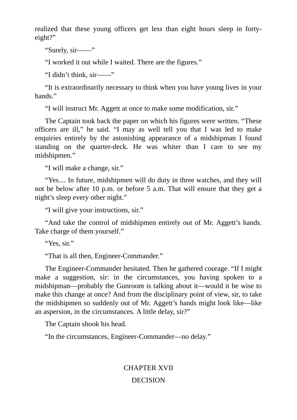realized that these young officers get less than eight hours sleep in fortyeight?"

"Surely, sir——"

"I worked it out while I waited. There are the figures."

"I didn't think, sir——"

"It is extraordinarily necessary to think when you have young lives in your hands."

"I will instruct Mr. Aggett at once to make some modification, sir."

The Captain took back the paper on which his figures were written. "These officers are ill," he said. "I may as well tell you that I was led to make enquiries entirely by the astonishing appearance of a midshipman I found standing on the quarter-deck. He was whiter than I care to see my midshipmen."

"I will make a change, sir."

"Yes.... In future, midshipmen will do duty in three watches, and they will not be below after 10 p.m. or before 5 a.m. That will ensure that they get a night's sleep every other night."

"I will give your instructions, sir."

"And take the control of midshipmen entirely out of Mr. Aggett's hands. Take charge of them yourself."

"Yes, sir."

"That is all then, Engineer-Commander."

The Engineer-Commander hesitated. Then he gathered courage. "If I might make a suggestion, sir: in the circumstances, you having spoken to a midshipman—probably the Gunroom is talking about it—would it be wise to make this change at once? And from the disciplinary point of view, sir, to take the midshipmen so suddenly out of Mr. Aggett's hands might look like—like an aspersion, in the circumstances. A little delay, sir?"

The Captain shook his head.

"In the circumstances, Engineer-Commander—no delay."

# CHAPTER XVII DECISION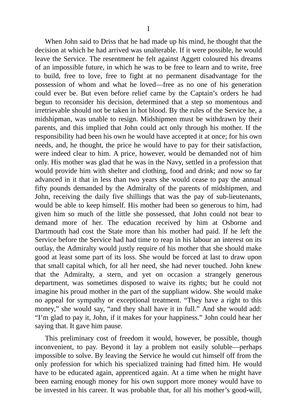When John said to Driss that he had made up his mind, he thought that the decision at which he had arrived was unalterable. If it were possible, he would leave the Service. The resentment he felt against Aggett coloured his dreams of an impossible future, in which he was to be free to learn and to write, free to build, free to love, free to fight at no permanent disadvantage for the possession of whom and what he loved—free as no one of his generation could ever be. But even before relief came by the Captain's orders he had begun to reconsider his decision, determined that a step so momentous and irretrievable should not be taken in hot blood. By the rules of the Service he, a midshipman, was unable to resign. Midshipmen must be withdrawn by their parents, and this implied that John could act only through his mother. If the responsibility had been his own he would have accepted it at once; for his own needs, and, he thought, the price he would have to pay for their satisfaction, were indeed clear to him. A price, however, would be demanded not of him only. His mother was glad that he was in the Navy, settled in a profession that would provide him with shelter and clothing, food and drink; and now so far advanced in it that in less than two years she would cease to pay the annual fifty pounds demanded by the Admiralty of the parents of midshipmen, and John, receiving the daily five shillings that was the pay of sub-lieutenants, would be able to keep himself. His mother had been so generous to him, had given him so much of the little she possessed, that John could not bear to demand more of her. The education received by him at Osborne and Dartmouth had cost the State more than his mother had paid. If he left the Service before the Service had had time to reap in his labour an interest on its outlay, the Admiralty would justly require of his mother that she should make good at least some part of its loss. She would be forced at last to draw upon that small capital which, for all her need, she had never touched. John knew

This preliminary cost of freedom it would, however, be possible, though inconvenient, to pay. Beyond it lay a problem not easily soluble—perhaps impossible to solve. By leaving the Service he would cut himself off from the only profession for which his specialized training had fitted him. He would have to be educated again, apprenticed again. At a time when he might have been earning enough money for his own support more money would have to be invested in his career. It was probable that, for all his mother's good-will,

saying that. It gave him pause.

that the Admiralty, a stern, and yet on occasion a strangely generous department, was sometimes disposed to waive its rights; but he could not imagine his proud mother in the part of the suppliant widow. She would make no appeal for sympathy or exceptional treatment. "They have a right to this money," she would say, "and they shall have it in full." And she would add: "I'm glad to pay it, John, if it makes for your happiness." John could hear her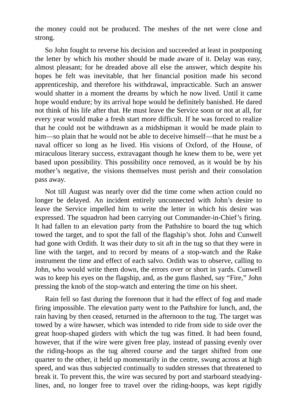the money could not be produced. The meshes of the net were close and strong.

So John fought to reverse his decision and succeeded at least in postponing the letter by which his mother should be made aware of it. Delay was easy, almost pleasant; for he dreaded above all else the answer, which despite his hopes he felt was inevitable, that her financial position made his second apprenticeship, and therefore his withdrawal, impracticable. Such an answer would shatter in a moment the dreams by which he now lived. Until it came hope would endure; by its arrival hope would be definitely banished. He dared not think of his life after that. He must leave the Service soon or not at all, for every year would make a fresh start more difficult. If he was forced to realize that he could not be withdrawn as a midshipman it would be made plain to him—so plain that he would not be able to deceive himself—that he must be a naval officer so long as he lived. His visions of Oxford, of the House, of miraculous literary success, extravagant though he knew them to be, were yet based upon possibility. This possibility once removed, as it would be by his mother's negative, the visions themselves must perish and their consolation pass away.

Not till August was nearly over did the time come when action could no longer be delayed. An incident entirely unconnected with John's desire to leave the Service impelled him to write the letter in which his desire was expressed. The squadron had been carrying out Commander-in-Chief's firing. It had fallen to an elevation party from the Pathshire to board the tug which towed the target, and to spot the fall of the flagship's shot. John and Cunwell had gone with Ordith. It was their duty to sit aft in the tug so that they were in line with the target, and to record by means of a stop-watch and the Rake instrument the time and effect of each salvo. Ordith was to observe, calling to John, who would write them down, the errors over or short in yards. Cunwell was to keep his eyes on the flagship, and, as the guns flashed, say "Fire," John pressing the knob of the stop-watch and entering the time on his sheet.

Rain fell so fast during the forenoon that it had the effect of fog and made firing impossible. The elevation party went to the Pathshire for lunch, and, the rain having by then ceased, returned in the afternoon to the tug. The target was towed by a wire hawser, which was intended to ride from side to side over the great hoop-shaped girders with which the tug was fitted. It had been found, however, that if the wire were given free play, instead of passing evenly over the riding-hoops as the tug altered course and the target shifted from one quarter to the other, it held up momentarily in the centre, swung across at high speed, and was thus subjected continually to sudden stresses that threatened to break it. To prevent this, the wire was secured by port and starboard steadyinglines, and, no longer free to travel over the riding-hoops, was kept rigidly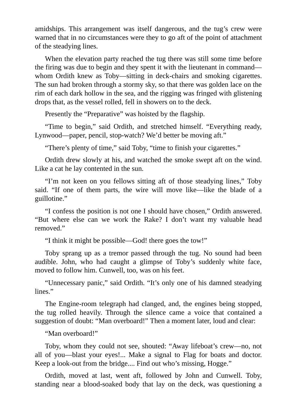amidships. This arrangement was itself dangerous, and the tug's crew were warned that in no circumstances were they to go aft of the point of attachment of the steadying lines.

When the elevation party reached the tug there was still some time before the firing was due to begin and they spent it with the lieutenant in command whom Ordith knew as Toby—sitting in deck-chairs and smoking cigarettes. The sun had broken through a stormy sky, so that there was golden lace on the rim of each dark hollow in the sea, and the rigging was fringed with glistening drops that, as the vessel rolled, fell in showers on to the deck.

Presently the "Preparative" was hoisted by the flagship.

"Time to begin," said Ordith, and stretched himself. "Everything ready, Lynwood—paper, pencil, stop-watch? We'd better be moving aft."

"There's plenty of time," said Toby, "time to finish your cigarettes."

Ordith drew slowly at his, and watched the smoke swept aft on the wind. Like a cat he lay contented in the sun.

"I'm not keen on you fellows sitting aft of those steadying lines," Toby said. "If one of them parts, the wire will move like—like the blade of a guillotine."

"I confess the position is not one I should have chosen," Ordith answered. "But where else can we work the Rake? I don't want my valuable head removed."

"I think it might be possible—God! there goes the tow!"

Toby sprang up as a tremor passed through the tug. No sound had been audible. John, who had caught a glimpse of Toby's suddenly white face, moved to follow him. Cunwell, too, was on his feet.

"Unnecessary panic," said Ordith. "It's only one of his damned steadying lines."

The Engine-room telegraph had clanged, and, the engines being stopped, the tug rolled heavily. Through the silence came a voice that contained a suggestion of doubt: "Man overboard!" Then a moment later, loud and clear:

"Man overboard!"

Toby, whom they could not see, shouted: "Away lifeboat's crew—no, not all of you—blast your eyes!... Make a signal to Flag for boats and doctor. Keep a look-out from the bridge.... Find out who's missing, Hogge."

Ordith, moved at last, went aft, followed by John and Cunwell. Toby, standing near a blood-soaked body that lay on the deck, was questioning a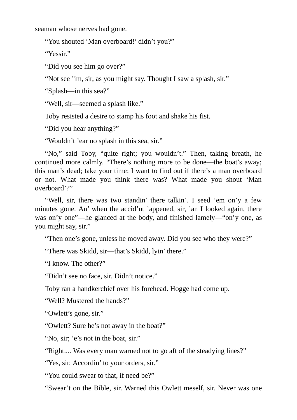seaman whose nerves had gone.

"You shouted 'Man overboard!' didn't you?"

"Yessir."

"Did you see him go over?"

"Not see 'im, sir, as you might say. Thought I saw a splash, sir."

"Splash—in this sea?"

"Well, sir—seemed a splash like."

Toby resisted a desire to stamp his foot and shake his fist.

"Did you hear anything?"

"Wouldn't 'ear no splash in this sea, sir."

"No," said Toby, "quite right; you wouldn't." Then, taking breath, he continued more calmly. "There's nothing more to be done—the boat's away; this man's dead; take your time: I want to find out if there's a man overboard or not. What made you think there was? What made you shout 'Man overboard'?"

"Well, sir, there was two standin' there talkin'. I seed 'em on'y a few minutes gone. An' when the accid'nt 'appened, sir, 'an I looked again, there was on'y one"—he glanced at the body, and finished lamely—"on'y one, as you might say, sir."

"Then one's gone, unless he moved away. Did you see who they were?"

"There was Skidd, sir—that's Skidd, lyin' there."

"I know. The other?"

"Didn't see no face, sir. Didn't notice."

Toby ran a handkerchief over his forehead. Hogge had come up.

"Well? Mustered the hands?"

"Owlett's gone, sir."

"Owlett? Sure he's not away in the boat?"

"No, sir; 'e's not in the boat, sir."

"Right.... Was every man warned not to go aft of the steadying lines?"

"Yes, sir. Accordin' to your orders, sir."

"You could swear to that, if need be?"

"Swear't on the Bible, sir. Warned this Owlett meself, sir. Never was one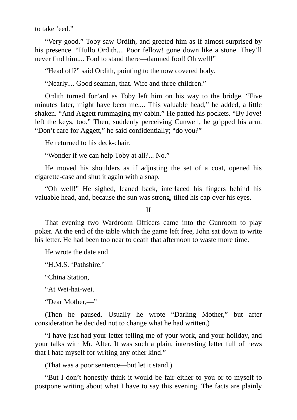to take 'eed."

"Very good." Toby saw Ordith, and greeted him as if almost surprised by his presence. "Hullo Ordith.... Poor fellow! gone down like a stone. They'll never find him.... Fool to stand there—damned fool! Oh well!"

"Head off?" said Ordith, pointing to the now covered body.

"Nearly.... Good seaman, that. Wife and three children."

Ordith turned for'ard as Toby left him on his way to the bridge. "Five minutes later, might have been me.... This valuable head," he added, a little shaken. "And Aggett rummaging my cabin." He patted his pockets. "By Jove! left the keys, too." Then, suddenly perceiving Cunwell, he gripped his arm. "Don't care for Aggett," he said confidentially; "do you?"

He returned to his deck-chair.

"Wonder if we can help Toby at all?... No."

He moved his shoulders as if adjusting the set of a coat, opened his cigarette-case and shut it again with a snap.

"Oh well!" He sighed, leaned back, interlaced his fingers behind his valuable head, and, because the sun was strong, tilted his cap over his eyes.

II

That evening two Wardroom Officers came into the Gunroom to play poker. At the end of the table which the game left free, John sat down to write his letter. He had been too near to death that afternoon to waste more time.

He wrote the date and

"H.M.S. 'Pathshire.'

"China Station,

"At Wei-hai-wei.

"Dear Mother,—"

(Then he paused. Usually he wrote "Darling Mother," but after consideration he decided not to change what he had written.)

"I have just had your letter telling me of your work, and your holiday, and your talks with Mr. Alter. It was such a plain, interesting letter full of news that I hate myself for writing any other kind."

(That was a poor sentence—but let it stand.)

"But I don't honestly think it would be fair either to you or to myself to postpone writing about what I have to say this evening. The facts are plainly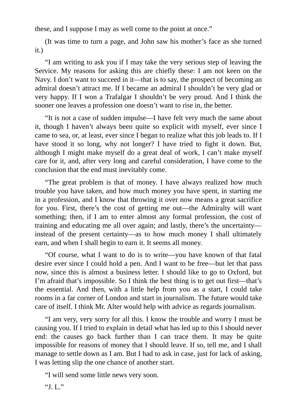these, and I suppose I may as well come to the point at once."

(It was time to turn a page, and John saw his mother's face as she turned it.)

"I am writing to ask you if I may take the very serious step of leaving the Service. My reasons for asking this are chiefly these: I am not keen on the Navy. I don't want to succeed in it—that is to say, the prospect of becoming an admiral doesn't attract me. If I became an admiral I shouldn't be very glad or very happy. If I won a Trafalgar I shouldn't be very proud. And I think the sooner one leaves a profession one doesn't want to rise in, the better.

"It is not a case of sudden impulse—I have felt very much the same about it, though I haven't always been quite so explicit with myself, ever since I came to sea, or, at least, ever since I began to realize what this job leads to. If I have stood it so long, why not longer? I have tried to fight it down. But, although I might make myself do a great deal of work, I can't make myself care for it, and, after very long and careful consideration, I have come to the conclusion that the end must inevitably come.

"The great problem is that of money. I have always realized how much trouble you have taken, and how much money you have spent, in starting me in a profession, and I know that throwing it over now means a great sacrifice for you. First, there's the cost of getting me out—the Admiralty will want something; then, if I am to enter almost any formal profession, the cost of training and educating me all over again; and lastly, there's the uncertainty instead of the present certainty—as to how much money I shall ultimately earn, and when I shall begin to earn it. It seems all money.

"Of course, what I want to do is to write—you have known of that fatal desire ever since I could hold a pen. And I want to be free—but let that pass now, since this is almost a business letter. I should like to go to Oxford, but I'm afraid that's impossible. So I think the best thing is to get out first—that's the essential. And then, with a little help from you as a start, I could take rooms in a far corner of London and start in journalism. The future would take care of itself. I think Mr. Alter would help with advice as regards journalism.

"I am very, very sorry for all this. I know the trouble and worry I must be causing you. If I tried to explain in detail what has led up to this I should never end: the causes go back further than I can trace them. It may be quite impossible for reasons of money that I should leave. If so, tell me, and I shall manage to settle down as I am. But I had to ask in case, just for lack of asking, I was letting slip the one chance of another start.

"I will send some little news very soon.

"J.  $\left[\right]$ ."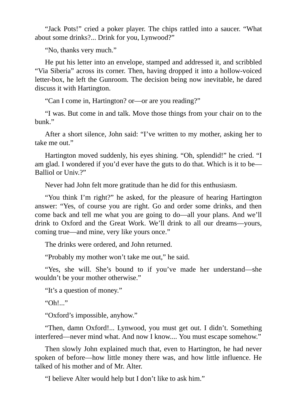"Jack Pots!" cried a poker player. The chips rattled into a saucer. "What about some drinks?... Drink for you, Lynwood?"

"No, thanks very much."

He put his letter into an envelope, stamped and addressed it, and scribbled "Via Siberia" across its corner. Then, having dropped it into a hollow-voiced letter-box, he left the Gunroom. The decision being now inevitable, he dared discuss it with Hartington.

"Can I come in, Hartington? or—or are you reading?"

"I was. But come in and talk. Move those things from your chair on to the bunk."

After a short silence, John said: "I've written to my mother, asking her to take me out."

Hartington moved suddenly, his eyes shining. "Oh, splendid!" he cried. "I am glad. I wondered if you'd ever have the guts to do that. Which is it to be— Balliol or Univ.?"

Never had John felt more gratitude than he did for this enthusiasm.

"You think I'm right?" he asked, for the pleasure of hearing Hartington answer: "Yes, of course you are right. Go and order some drinks, and then come back and tell me what you are going to do—all your plans. And we'll drink to Oxford and the Great Work. We'll drink to all our dreams—yours, coming true—and mine, very like yours once."

The drinks were ordered, and John returned.

"Probably my mother won't take me out," he said.

"Yes, she will. She's bound to if you've made her understand—she wouldn't be your mother otherwise."

"It's a question of money."

"Oh!..."

"Oxford's impossible, anyhow."

"Then, damn Oxford!... Lynwood, you must get out. I didn't. Something interfered—never mind what. And now I know.... You must escape somehow."

Then slowly John explained much that, even to Hartington, he had never spoken of before—how little money there was, and how little influence. He talked of his mother and of Mr. Alter.

"I believe Alter would help but I don't like to ask him."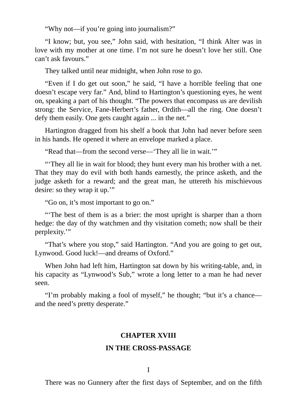"Why not—if you're going into journalism?"

"I know; but, you see," John said, with hesitation, "I think Alter was in love with my mother at one time. I'm not sure he doesn't love her still. One can't ask favours."

They talked until near midnight, when John rose to go.

"Even if I do get out soon," he said, "I have a horrible feeling that one doesn't escape very far." And, blind to Hartington's questioning eyes, he went on, speaking a part of his thought. "The powers that encompass us are devilish strong: the Service, Fane-Herbert's father, Ordith—all the ring. One doesn't defy them easily. One gets caught again ... in the net."

Hartington dragged from his shelf a book that John had never before seen in his hands. He opened it where an envelope marked a place.

"Read that—from the second verse—'They all lie in wait.'"

"'They all lie in wait for blood; they hunt every man his brother with a net. That they may do evil with both hands earnestly, the prince asketh, and the judge asketh for a reward; and the great man, he uttereth his mischievous desire: so they wrap it up.'"

"Go on, it's most important to go on."

"'The best of them is as a brier: the most upright is sharper than a thorn hedge: the day of thy watchmen and thy visitation cometh; now shall be their perplexity.'"

"That's where you stop," said Hartington. "And you are going to get out, Lynwood. Good luck!—and dreams of Oxford."

When John had left him, Hartington sat down by his writing-table, and, in his capacity as "Lynwood's Sub," wrote a long letter to a man he had never seen.

"I'm probably making a fool of myself," he thought; "but it's a chance and the need's pretty desperate."

## **CHAPTER XVIII**

## **IN THE CROSS-PASSAGE**

There was no Gunnery after the first days of September, and on the fifth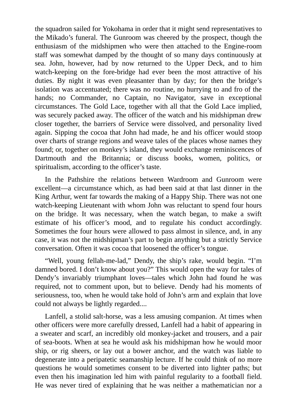the squadron sailed for Yokohama in order that it might send representatives to the Mikado's funeral. The Gunroom was cheered by the prospect, though the enthusiasm of the midshipmen who were then attached to the Engine-room staff was somewhat damped by the thought of so many days continuously at sea. John, however, had by now returned to the Upper Deck, and to him watch-keeping on the fore-bridge had ever been the most attractive of his duties. By night it was even pleasanter than by day; for then the bridge's isolation was accentuated; there was no routine, no hurrying to and fro of the hands; no Commander, no Captain, no Navigator, save in exceptional circumstances. The Gold Lace, together with all that the Gold Lace implied, was securely packed away. The officer of the watch and his midshipman drew closer together, the barriers of Service were dissolved, and personality lived again. Sipping the cocoa that John had made, he and his officer would stoop over charts of strange regions and weave tales of the places whose names they found; or, together on monkey's island, they would exchange reminiscences of Dartmouth and the Britannia; or discuss books, women, politics, or spiritualism, according to the officer's taste.

In the Pathshire the relations between Wardroom and Gunroom were excellent—a circumstance which, as had been said at that last dinner in the King Arthur, went far towards the making of a Happy Ship. There was not one watch-keeping Lieutenant with whom John was reluctant to spend four hours on the bridge. It was necessary, when the watch began, to make a swift estimate of his officer's mood, and to regulate his conduct accordingly. Sometimes the four hours were allowed to pass almost in silence, and, in any case, it was not the midshipman's part to begin anything but a strictly Service conversation. Often it was cocoa that loosened the officer's tongue.

"Well, young fellah-me-lad," Dendy, the ship's rake, would begin. "I'm damned bored. I don't know about you?" This would open the way for tales of Dendy's invariably triumphant loves—tales which John had found he was required, not to comment upon, but to believe. Dendy had his moments of seriousness, too, when he would take hold of John's arm and explain that love could not always be lightly regarded....

Lanfell, a stolid salt-horse, was a less amusing companion. At times when other officers were more carefully dressed, Lanfell had a habit of appearing in a sweater and scarf, an incredibly old monkey-jacket and trousers, and a pair of sea-boots. When at sea he would ask his midshipman how he would moor ship, or rig sheers, or lay out a bower anchor, and the watch was liable to degenerate into a peripatetic seamanship lecture. If he could think of no more questions he would sometimes consent to be diverted into lighter paths; but even then his imagination led him with painful regularity to a football field. He was never tired of explaining that he was neither a mathematician nor a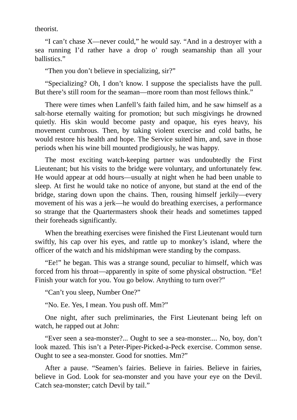theorist.

"I can't chase X—never could," he would say. "And in a destroyer with a sea running I'd rather have a drop o' rough seamanship than all your ballistics."

"Then you don't believe in specializing, sir?"

"Specializing? Oh, I don't know. I suppose the specialists have the pull. But there's still room for the seaman—more room than most fellows think."

There were times when Lanfell's faith failed him, and he saw himself as a salt-horse eternally waiting for promotion; but such misgivings he drowned quietly. His skin would become pasty and opaque, his eyes heavy, his movement cumbrous. Then, by taking violent exercise and cold baths, he would restore his health and hope. The Service suited him, and, save in those periods when his wine bill mounted prodigiously, he was happy.

The most exciting watch-keeping partner was undoubtedly the First Lieutenant; but his visits to the bridge were voluntary, and unfortunately few. He would appear at odd hours—usually at night when he had been unable to sleep. At first he would take no notice of anyone, but stand at the end of the bridge, staring down upon the chains. Then, rousing himself jerkily—every movement of his was a jerk—he would do breathing exercises, a performance so strange that the Quartermasters shook their heads and sometimes tapped their foreheads significantly.

When the breathing exercises were finished the First Lieutenant would turn swiftly, his cap over his eyes, and rattle up to monkey's island, where the officer of the watch and his midshipman were standing by the compass.

"Ee!" he began. This was a strange sound, peculiar to himself, which was forced from his throat—apparently in spite of some physical obstruction. "Ee! Finish your watch for you. You go below. Anything to turn over?"

"Can't you sleep, Number One?"

"No. Ee. Yes, I mean. You push off. Mm?"

One night, after such preliminaries, the First Lieutenant being left on watch, he rapped out at John:

"Ever seen a sea-monster?... Ought to see a sea-monster.... No, boy, don't look mazed. This isn't a Peter-Piper-Picked-a-Peck exercise. Common sense. Ought to see a sea-monster. Good for snotties. Mm?"

After a pause. "Seamen's fairies. Believe in fairies. Believe in fairies, believe in God. Look for sea-monster and you have your eye on the Devil. Catch sea-monster; catch Devil by tail."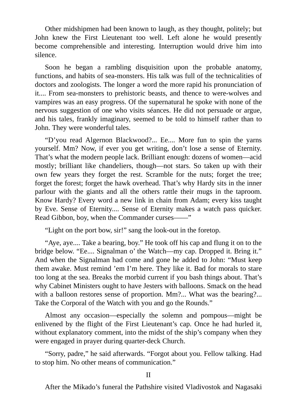Other midshipmen had been known to laugh, as they thought, politely; but John knew the First Lieutenant too well. Left alone he would presently become comprehensible and interesting. Interruption would drive him into silence.

Soon he began a rambling disquisition upon the probable anatomy, functions, and habits of sea-monsters. His talk was full of the technicalities of doctors and zoologists. The longer a word the more rapid his pronunciation of it.... From sea-monsters to prehistoric beasts, and thence to were-wolves and vampires was an easy progress. Of the supernatural he spoke with none of the nervous suggestion of one who visits séances. He did not persuade or argue, and his tales, frankly imaginary, seemed to be told to himself rather than to John. They were wonderful tales.

"D'you read Algernon Blackwood?... Ee.... More fun to spin the yarns yourself. Mm? Now, if ever you get writing, don't lose a sense of Eternity. That's what the modern people lack. Brilliant enough: dozens of women—acid mostly; brilliant like chandeliers, though—not stars. So taken up with their own few years they forget the rest. Scramble for the nuts; forget the tree; forget the forest; forget the hawk overhead. That's why Hardy sits in the inner parlour with the giants and all the others rattle their mugs in the taproom. Know Hardy? Every word a new link in chain from Adam; every kiss taught by Eve. Sense of Eternity.... Sense of Eternity makes a watch pass quicker. Read Gibbon, boy, when the Commander curses——"

"Light on the port bow, sir!" sang the look-out in the foretop.

"Aye, aye.... Take a bearing, boy." He took off his cap and flung it on to the bridge below. "Ee.... Signalman o' the Watch—my cap. Dropped it. Bring it." And when the Signalman had come and gone he added to John: "Must keep them awake. Must remind 'em I'm here. They like it. Bad for morals to stare too long at the sea. Breaks the morbid current if you bash things about. That's why Cabinet Ministers ought to have Jesters with balloons. Smack on the head with a balloon restores sense of proportion. Mm?... What was the bearing?... Take the Corporal of the Watch with you and go the Rounds."

Almost any occasion—especially the solemn and pompous—might be enlivened by the flight of the First Lieutenant's cap. Once he had hurled it, without explanatory comment, into the midst of the ship's company when they were engaged in prayer during quarter-deck Church.

"Sorry, padre," he said afterwards. "Forgot about you. Fellow talking. Had to stop him. No other means of communication."

After the Mikado's funeral the Pathshire visited Vladivostok and Nagasaki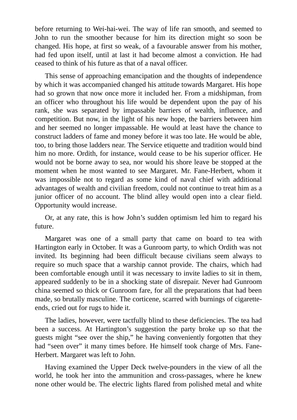before returning to Wei-hai-wei. The way of life ran smooth, and seemed to John to run the smoother because for him its direction might so soon be changed. His hope, at first so weak, of a favourable answer from his mother, had fed upon itself, until at last it had become almost a conviction. He had ceased to think of his future as that of a naval officer.

This sense of approaching emancipation and the thoughts of independence by which it was accompanied changed his attitude towards Margaret. His hope had so grown that now once more it included her. From a midshipman, from an officer who throughout his life would be dependent upon the pay of his rank, she was separated by impassable barriers of wealth, influence, and competition. But now, in the light of his new hope, the barriers between him and her seemed no longer impassable. He would at least have the chance to construct ladders of fame and money before it was too late. He would be able, too, to bring those ladders near. The Service etiquette and tradition would bind him no more. Ordith, for instance, would cease to be his superior officer. He would not be borne away to sea, nor would his shore leave be stopped at the moment when he most wanted to see Margaret. Mr. Fane-Herbert, whom it was impossible not to regard as some kind of naval chief with additional advantages of wealth and civilian freedom, could not continue to treat him as a junior officer of no account. The blind alley would open into a clear field. Opportunity would increase.

Or, at any rate, this is how John's sudden optimism led him to regard his future.

Margaret was one of a small party that came on board to tea with Hartington early in October. It was a Gunroom party, to which Ordith was not invited. Its beginning had been difficult because civilians seem always to require so much space that a warship cannot provide. The chairs, which had been comfortable enough until it was necessary to invite ladies to sit in them, appeared suddenly to be in a shocking state of disrepair. Never had Gunroom china seemed so thick or Gunroom fare, for all the preparations that had been made, so brutally masculine. The corticene, scarred with burnings of cigaretteends, cried out for rugs to hide it.

The ladies, however, were tactfully blind to these deficiencies. The tea had been a success. At Hartington's suggestion the party broke up so that the guests might "see over the ship," he having conveniently forgotten that they had "seen over" it many times before. He himself took charge of Mrs. Fane-Herbert. Margaret was left to John.

Having examined the Upper Deck twelve-pounders in the view of all the world, he took her into the ammunition and cross-passages, where he knew none other would be. The electric lights flared from polished metal and white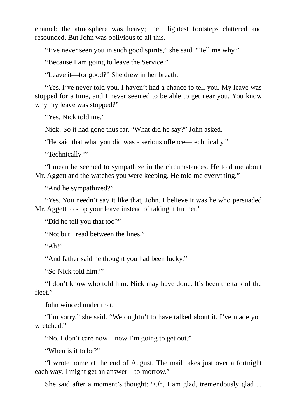enamel; the atmosphere was heavy; their lightest footsteps clattered and resounded. But John was oblivious to all this.

"I've never seen you in such good spirits," she said. "Tell me why."

"Because I am going to leave the Service."

"Leave it—for good?" She drew in her breath.

"Yes. I've never told you. I haven't had a chance to tell you. My leave was stopped for a time, and I never seemed to be able to get near you. You know why my leave was stopped?"

"Yes. Nick told me."

Nick! So it had gone thus far. "What did he say?" John asked.

"He said that what you did was a serious offence—technically."

"Technically?"

"I mean he seemed to sympathize in the circumstances. He told me about Mr. Aggett and the watches you were keeping. He told me everything."

"And he sympathized?"

"Yes. You needn't say it like that, John. I believe it was he who persuaded Mr. Aggett to stop your leave instead of taking it further."

"Did he tell you that too?"

"No; but I read between the lines."

 $"Ah!"$ 

"And father said he thought you had been lucky."

"So Nick told him?"

"I don't know who told him. Nick may have done. It's been the talk of the fleet."

John winced under that.

"I'm sorry," she said. "We oughtn't to have talked about it. I've made you wretched."

"No. I don't care now—now I'm going to get out."

"When is it to be?"

"I wrote home at the end of August. The mail takes just over a fortnight each way. I might get an answer—to-morrow."

She said after a moment's thought: "Oh, I am glad, tremendously glad ...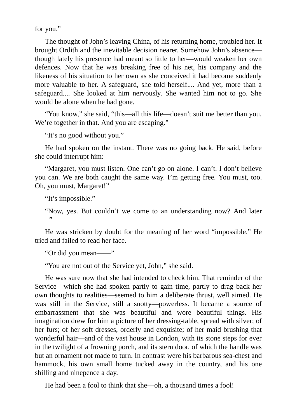for you."

The thought of John's leaving China, of his returning home, troubled her. It brought Ordith and the inevitable decision nearer. Somehow John's absence though lately his presence had meant so little to her—would weaken her own defences. Now that he was breaking free of his net, his company and the likeness of his situation to her own as she conceived it had become suddenly more valuable to her. A safeguard, she told herself.... And yet, more than a safeguard.... She looked at him nervously. She wanted him not to go. She would be alone when he had gone.

"You know," she said, "this—all this life—doesn't suit me better than you. We're together in that. And you are escaping."

"It's no good without you."

He had spoken on the instant. There was no going back. He said, before she could interrupt him:

"Margaret, you must listen. One can't go on alone. I can't. I don't believe you can. We are both caught the same way. I'm getting free. You must, too. Oh, you must, Margaret!"

"It's impossible."

"Now, yes. But couldn't we come to an understanding now? And later ——"

He was stricken by doubt for the meaning of her word "impossible." He tried and failed to read her face.

"Or did you mean——"

"You are not out of the Service yet, John," she said.

He was sure now that she had intended to check him. That reminder of the Service—which she had spoken partly to gain time, partly to drag back her own thoughts to realities—seemed to him a deliberate thrust, well aimed. He was still in the Service, still a snotty—powerless. It became a source of embarrassment that she was beautiful and wore beautiful things. His imagination drew for him a picture of her dressing-table, spread with silver; of her furs; of her soft dresses, orderly and exquisite; of her maid brushing that wonderful hair—and of the vast house in London, with its stone steps for ever in the twilight of a frowning porch, and its stern door, of which the handle was but an ornament not made to turn. In contrast were his barbarous sea-chest and hammock, his own small home tucked away in the country, and his one shilling and ninepence a day.

He had been a fool to think that she—oh, a thousand times a fool!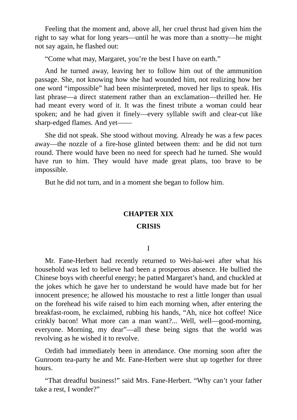Feeling that the moment and, above all, her cruel thrust had given him the right to say what for long years—until he was more than a snotty—he might not say again, he flashed out:

"Come what may, Margaret, you're the best I have on earth."

And he turned away, leaving her to follow him out of the ammunition passage. She, not knowing how she had wounded him, not realizing how her one word "impossible" had been misinterpreted, moved her lips to speak. His last phrase—a direct statement rather than an exclamation—thrilled her. He had meant every word of it. It was the finest tribute a woman could hear spoken; and he had given it finely—every syllable swift and clear-cut like sharp-edged flames. And yet——

She did not speak. She stood without moving. Already he was a few paces away—the nozzle of a fire-hose glinted between them: and he did not turn round. There would have been no need for speech had he turned. She would have run to him. They would have made great plans, too brave to be impossible.

But he did not turn, and in a moment she began to follow him.

### **CHAPTER XIX**

#### **CRISIS**

#### I

Mr. Fane-Herbert had recently returned to Wei-hai-wei after what his household was led to believe had been a prosperous absence. He bullied the Chinese boys with cheerful energy; he patted Margaret's hand, and chuckled at the jokes which he gave her to understand he would have made but for her innocent presence; he allowed his moustache to rest a little longer than usual on the forehead his wife raised to him each morning when, after entering the breakfast-room, he exclaimed, rubbing his hands, "Ah, nice hot coffee! Nice crinkly bacon! What more can a man want?... Well, well—good-morning, everyone. Morning, my dear"—all these being signs that the world was revolving as he wished it to revolve.

Ordith had immediately been in attendance. One morning soon after the Gunroom tea-party he and Mr. Fane-Herbert were shut up together for three hours.

"That dreadful business!" said Mrs. Fane-Herbert. "Why can't your father take a rest, I wonder?"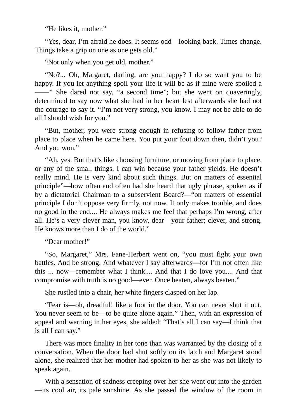"He likes it, mother."

"Yes, dear, I'm afraid he does. It seems odd—looking back. Times change. Things take a grip on one as one gets old."

"Not only when you get old, mother."

"No?... Oh, Margaret, darling, are you happy? I do so want you to be happy. If you let anything spoil your life it will be as if mine were spoiled a ——" She dared not say, "a second time"; but she went on quaveringly, determined to say now what she had in her heart lest afterwards she had not the courage to say it. "I'm not very strong, you know. I may not be able to do all I should wish for you."

"But, mother, you were strong enough in refusing to follow father from place to place when he came here. You put your foot down then, didn't you? And you won."

"Ah, yes. But that's like choosing furniture, or moving from place to place, or any of the small things. I can win because your father yields. He doesn't really mind. He is very kind about such things. But on matters of essential principle"—how often and often had she heard that ugly phrase, spoken as if by a dictatorial Chairman to a subservient Board?—"on matters of essential principle I don't oppose very firmly, not now. It only makes trouble, and does no good in the end.... He always makes me feel that perhaps I'm wrong, after all. He's a very clever man, you know, dear—your father; clever, and strong. He knows more than I do of the world."

"Dear mother!"

"So, Margaret," Mrs. Fane-Herbert went on, "you must fight your own battles. And be strong. And whatever I say afterwards—for I'm not often like this ... now—remember what I think.... And that I do love you.... And that compromise with truth is no good—ever. Once beaten, always beaten."

She rustled into a chair, her white fingers clasped on her lap.

"Fear is—oh, dreadful! like a foot in the door. You can never shut it out. You never seem to be—to be quite alone again." Then, with an expression of appeal and warning in her eyes, she added: "That's all I can say—I think that is all I can say."

There was more finality in her tone than was warranted by the closing of a conversation. When the door had shut softly on its latch and Margaret stood alone, she realized that her mother had spoken to her as she was not likely to speak again.

With a sensation of sadness creeping over her she went out into the garden —its cool air, its pale sunshine. As she passed the window of the room in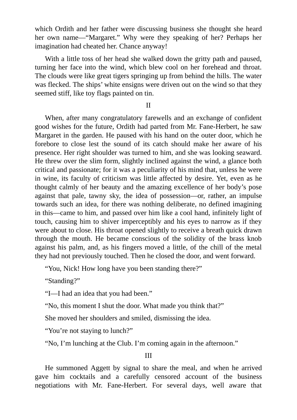which Ordith and her father were discussing business she thought she heard her own name—"Margaret." Why were they speaking of her? Perhaps her imagination had cheated her. Chance anyway!

With a little toss of her head she walked down the gritty path and paused, turning her face into the wind, which blew cool on her forehead and throat. The clouds were like great tigers springing up from behind the hills. The water was flecked. The ships' white ensigns were driven out on the wind so that they seemed stiff, like toy flags painted on tin.

II

When, after many congratulatory farewells and an exchange of confident good wishes for the future, Ordith had parted from Mr. Fane-Herbert, he saw Margaret in the garden. He paused with his hand on the outer door, which he forebore to close lest the sound of its catch should make her aware of his presence. Her right shoulder was turned to him, and she was looking seaward. He threw over the slim form, slightly inclined against the wind, a glance both critical and passionate; for it was a peculiarity of his mind that, unless he were in wine, its faculty of criticism was little affected by desire. Yet, even as he thought calmly of her beauty and the amazing excellence of her body's pose against that pale, tawny sky, the idea of possession—or, rather, an impulse towards such an idea, for there was nothing deliberate, no defined imagining in this—came to him, and passed over him like a cool hand, infinitely light of touch, causing him to shiver imperceptibly and his eyes to narrow as if they were about to close. His throat opened slightly to receive a breath quick drawn through the mouth. He became conscious of the solidity of the brass knob against his palm, and, as his fingers moved a little, of the chill of the metal they had not previously touched. Then he closed the door, and went forward.

"You, Nick! How long have you been standing there?"

"Standing?"

"I—I had an idea that you had been."

"No, this moment I shut the door. What made you think that?"

She moved her shoulders and smiled, dismissing the idea.

"You're not staying to lunch?"

"No, I'm lunching at the Club. I'm coming again in the afternoon."

III

He summoned Aggett by signal to share the meal, and when he arrived gave him cocktails and a carefully censored account of the business negotiations with Mr. Fane-Herbert. For several days, well aware that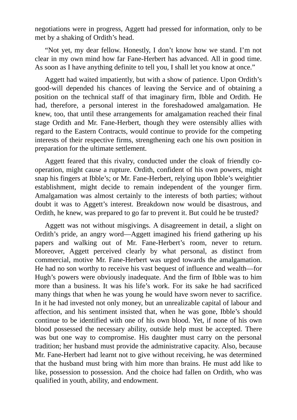negotiations were in progress, Aggett had pressed for information, only to be met by a shaking of Ordith's head.

"Not yet, my dear fellow. Honestly, I don't know how we stand. I'm not clear in my own mind how far Fane-Herbert has advanced. All in good time. As soon as I have anything definite to tell you, I shall let you know at once."

Aggett had waited impatiently, but with a show of patience. Upon Ordith's good-will depended his chances of leaving the Service and of obtaining a position on the technical staff of that imaginary firm, Ibble and Ordith. He had, therefore, a personal interest in the foreshadowed amalgamation. He knew, too, that until these arrangements for amalgamation reached their final stage Ordith and Mr. Fane-Herbert, though they were ostensibly allies with regard to the Eastern Contracts, would continue to provide for the competing interests of their respective firms, strengthening each one his own position in preparation for the ultimate settlement.

Aggett feared that this rivalry, conducted under the cloak of friendly cooperation, might cause a rupture. Ordith, confident of his own powers, might snap his fingers at Ibble's; or Mr. Fane-Herbert, relying upon Ibble's weightier establishment, might decide to remain independent of the younger firm. Amalgamation was almost certainly to the interests of both parties; without doubt it was to Aggett's interest. Breakdown now would be disastrous, and Ordith, he knew, was prepared to go far to prevent it. But could he be trusted?

Aggett was not without misgivings. A disagreement in detail, a slight on Ordith's pride, an angry word—Aggett imagined his friend gathering up his papers and walking out of Mr. Fane-Herbert's room, never to return. Moreover, Aggett perceived clearly by what personal, as distinct from commercial, motive Mr. Fane-Herbert was urged towards the amalgamation. He had no son worthy to receive his vast bequest of influence and wealth—for Hugh's powers were obviously inadequate. And the firm of Ibble was to him more than a business. It was his life's work. For its sake he had sacrificed many things that when he was young he would have sworn never to sacrifice. In it he had invested not only money, but an unrealizable capital of labour and affection, and his sentiment insisted that, when he was gone, Ibble's should continue to be identified with one of his own blood. Yet, if none of his own blood possessed the necessary ability, outside help must be accepted. There was but one way to compromise. His daughter must carry on the personal tradition; her husband must provide the administrative capacity. Also, because Mr. Fane-Herbert had learnt not to give without receiving, he was determined that the husband must bring with him more than brains. He must add like to like, possession to possession. And the choice had fallen on Ordith, who was qualified in youth, ability, and endowment.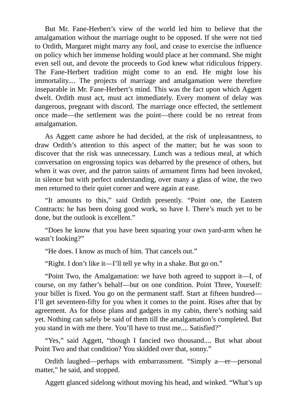But Mr. Fane-Herbert's view of the world led him to believe that the amalgamation without the marriage ought to be opposed. If she were not tied to Ordith, Margaret might marry any fool, and cease to exercise the influence on policy which her immense holding would place at her command. She might even sell out, and devote the proceeds to God knew what ridiculous frippery. The Fane-Herbert tradition might come to an end. He might lose his immortality.... The projects of marriage and amalgamation were therefore inseparable in Mr. Fane-Herbert's mind. This was the fact upon which Aggett dwelt. Ordith must act, must act immediately. Every moment of delay was dangerous, pregnant with discord. The marriage once effected, the settlement once made—the settlement was the point—there could be no retreat from amalgamation.

As Aggett came ashore he had decided, at the risk of unpleasantness, to draw Ordith's attention to this aspect of the matter; but he was soon to discover that the risk was unnecessary. Lunch was a tedious meal, at which conversation on engrossing topics was debarred by the presence of others, but when it was over, and the patron saints of armament firms had been invoked, in silence but with perfect understanding, over many a glass of wine, the two men returned to their quiet corner and were again at ease.

"It amounts to this," said Ordith presently. "Point one, the Eastern Contracts: he has been doing good work, so have I. There's much yet to be done, but the outlook is excellent."

"Does he know that you have been squaring your own yard-arm when he wasn't looking?"

"He does. I know as much of him. That cancels out."

"Right. I don't like it—I'll tell ye why in a shake. But go on."

"Point Two, the Amalgamation: we have both agreed to support it—I, of course, on my father's behalf—but on one condition. Point Three, Yourself: your billet is fixed. You go on the permanent staff. Start at fifteen hundred— I'll get seventeen-fifty for you when it comes to the point. Rises after that by agreement. As for those plans and gadgets in my cabin, there's nothing said yet. Nothing can safely be said of them till the amalgamation's completed. But you stand in with me there. You'll have to trust me.... Satisfied?"

"Yes," said Aggett, "though I fancied two thousand.... But what about Point Two and that condition? You skidded over that, sonny."

Ordith laughed—perhaps with embarrassment. "Simply a—er—personal matter," he said, and stopped.

Aggett glanced sidelong without moving his head, and winked. "What's up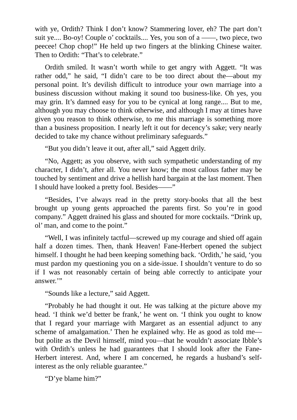with ye, Ordith? Think I don't know? Stammering lover, eh? The part don't suit ye.... Bo-oy! Couple o' cocktails.... Yes, you son of a ——, two piece, two peecee! Chop chop!" He held up two fingers at the blinking Chinese waiter. Then to Ordith: "That's to celebrate."

Ordith smiled. It wasn't worth while to get angry with Aggett. "It was rather odd," he said, "I didn't care to be too direct about the—about my personal point. It's devilish difficult to introduce your own marriage into a business discussion without making it sound too business-like. Oh yes, you may grin. It's damned easy for you to be cynical at long range.... But to me, although you may choose to think otherwise, and although I may at times have given you reason to think otherwise, to me this marriage is something more than a business proposition. I nearly left it out for decency's sake; very nearly decided to take my chance without preliminary safeguards."

"But you didn't leave it out, after all," said Aggett drily.

"No, Aggett; as you observe, with such sympathetic understanding of my character, I didn't, after all. You never know; the most callous father may be touched by sentiment and drive a hellish hard bargain at the last moment. Then I should have looked a pretty fool. Besides——"

"Besides, I've always read in the pretty story-books that all the best brought up young gents approached the parents first. So you're in good company." Aggett drained his glass and shouted for more cocktails. "Drink up, ol' man, and come to the point."

"Well, I was infinitely tactful—screwed up my courage and shied off again half a dozen times. Then, thank Heaven! Fane-Herbert opened the subject himself. I thought he had been keeping something back. 'Ordith,' he said, 'you must pardon my questioning you on a side-issue. I shouldn't venture to do so if I was not reasonably certain of being able correctly to anticipate your answer.'"

"Sounds like a lecture," said Aggett.

"Probably he had thought it out. He was talking at the picture above my head. 'I think we'd better be frank,' he went on. 'I think you ought to know that I regard your marriage with Margaret as an essential adjunct to any scheme of amalgamation.' Then he explained why. He as good as told me but polite as the Devil himself, mind you—that he wouldn't associate Ibble's with Ordith's unless he had guarantees that I should look after the Fane-Herbert interest. And, where I am concerned, he regards a husband's selfinterest as the only reliable guarantee."

"D'ye blame him?"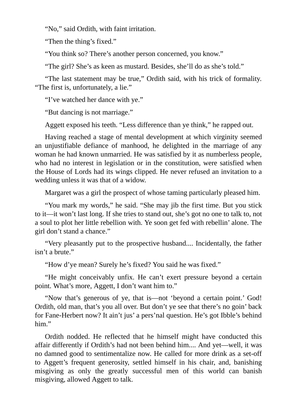"No," said Ordith, with faint irritation.

"Then the thing's fixed."

"You think so? There's another person concerned, you know."

"The girl? She's as keen as mustard. Besides, she'll do as she's told."

"The last statement may be true," Ordith said, with his trick of formality. "The first is, unfortunately, a lie."

"I've watched her dance with ye."

"But dancing is not marriage."

Aggett exposed his teeth. "Less difference than ye think," he rapped out.

Having reached a stage of mental development at which virginity seemed an unjustifiable defiance of manhood, he delighted in the marriage of any woman he had known unmarried. He was satisfied by it as numberless people, who had no interest in legislation or in the constitution, were satisfied when the House of Lords had its wings clipped. He never refused an invitation to a wedding unless it was that of a widow.

Margaret was a girl the prospect of whose taming particularly pleased him.

"You mark my words," he said. "She may jib the first time. But you stick to it—it won't last long. If she tries to stand out, she's got no one to talk to, not a soul to plot her little rebellion with. Ye soon get fed with rebellin' alone. The girl don't stand a chance."

"Very pleasantly put to the prospective husband.... Incidentally, the father isn't a brute."

"How d'ye mean? Surely he's fixed? You said he was fixed."

"He might conceivably unfix. He can't exert pressure beyond a certain point. What's more, Aggett, I don't want him to."

"Now that's generous of ye, that is—not 'beyond a certain point.' God! Ordith, old man, that's you all over. But don't ye see that there's no goin' back for Fane-Herbert now? It ain't jus' a pers'nal question. He's got Ibble's behind him."

Ordith nodded. He reflected that he himself might have conducted this affair differently if Ordith's had not been behind him.... And yet—well, it was no damned good to sentimentalize now. He called for more drink as a set-off to Aggett's frequent generosity, settled himself in his chair, and, banishing misgiving as only the greatly successful men of this world can banish misgiving, allowed Aggett to talk.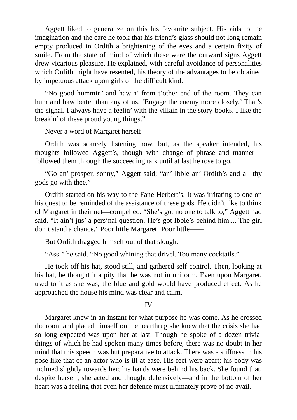Aggett liked to generalize on this his favourite subject. His aids to the imagination and the care he took that his friend's glass should not long remain empty produced in Ordith a brightening of the eyes and a certain fixity of smile. From the state of mind of which these were the outward signs Aggett drew vicarious pleasure. He explained, with careful avoidance of personalities which Ordith might have resented, his theory of the advantages to be obtained by impetuous attack upon girls of the difficult kind.

"No good hummin' and hawin' from t'other end of the room. They can hum and haw better than any of us. 'Engage the enemy more closely.' That's the signal. I always have a feelin' with the villain in the story-books. I like the breakin' of these proud young things."

Never a word of Margaret herself.

Ordith was scarcely listening now, but, as the speaker intended, his thoughts followed Aggett's, though with change of phrase and manner followed them through the succeeding talk until at last he rose to go.

"Go an' prosper, sonny," Aggett said; "an' Ibble an' Ordith's and all thy gods go with thee."

Ordith started on his way to the Fane-Herbert's. It was irritating to one on his quest to be reminded of the assistance of these gods. He didn't like to think of Margaret in their net—compelled. "She's got no one to talk to," Aggett had said. "It ain't jus' a pers'nal question. He's got Ibble's behind him.... The girl don't stand a chance." Poor little Margaret! Poor little-

But Ordith dragged himself out of that slough.

"Ass!" he said. "No good whining that drivel. Too many cocktails."

He took off his hat, stood still, and gathered self-control. Then, looking at his hat, he thought it a pity that he was not in uniform. Even upon Margaret, used to it as she was, the blue and gold would have produced effect. As he approached the house his mind was clear and calm.

#### IV

Margaret knew in an instant for what purpose he was come. As he crossed the room and placed himself on the hearthrug she knew that the crisis she had so long expected was upon her at last. Though he spoke of a dozen trivial things of which he had spoken many times before, there was no doubt in her mind that this speech was but preparative to attack. There was a stiffness in his pose like that of an actor who is ill at ease. His feet were apart; his body was inclined slightly towards her; his hands were behind his back. She found that, despite herself, she acted and thought defensively—and in the bottom of her heart was a feeling that even her defence must ultimately prove of no avail.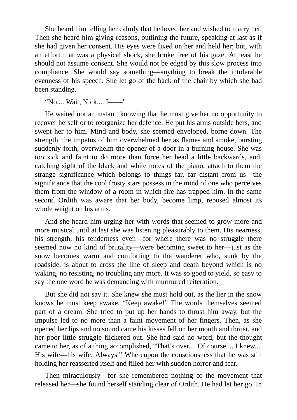She heard him telling her calmly that he loved her and wished to marry her. Then she heard him giving reasons, outlining the future, speaking at last as if she had given her consent. His eyes were fixed on her and held her; but, with an effort that was a physical shock, she broke free of his gaze. At least he should not assume consent. She would not be edged by this slow process into compliance. She would say something—anything to break the intolerable evenness of his speech. She let go of the back of the chair by which she had been standing.

"No.... Wait, Nick.... I——"

He waited not an instant, knowing that he must give her no opportunity to recover herself or to reorganize her defence. He put his arms outside hers, and swept her to him. Mind and body, she seemed enveloped, borne down. The strength, the impetus of him overwhelmed her as flames and smoke, bursting suddenly forth, overwhelm the opener of a door in a burning house. She was too sick and faint to do more than force her head a little backwards, and, catching sight of the black and white notes of the piano, attach to them the strange significance which belongs to things far, far distant from us—the significance that the cool frosty stars possess in the mind of one who perceives them from the window of a room in which fire has trapped him. In the same second Ordith was aware that her body, become limp, reposed almost its whole weight on his arms.

And she heard him urging her with words that seemed to grow more and more musical until at last she was listening pleasurably to them. His nearness, his strength, his tenderness even—for where there was no struggle there seemed now no kind of brutality—were becoming sweet to her—just as the snow becomes warm and comforting to the wanderer who, sunk by the roadside, is about to cross the line of sleep and death beyond which is no waking, no resisting, no troubling any more. It was so good to yield, so easy to say the one word he was demanding with murmured reiteration.

But she did not say it. She knew she must hold out, as the lier in the snow knows he must keep awake. "Keep awake!" The words themselves seemed part of a dream. She tried to put up her hands to thrust him away, but the impulse led to no more than a faint movement of her fingers. Then, as she opened her lips and no sound came his kisses fell on her mouth and throat, and her poor little struggle flickered out. She had said no word, but the thought came to her, as of a thing accomplished, "That's over.... Of course ... I knew.... His wife—his wife. Always." Whereupon the consciousness that he was still holding her reasserted itself and filled her with sudden horror and fear.

Then miraculously—for she remembered nothing of the movement that released her—she found herself standing clear of Ordith. He had let her go. In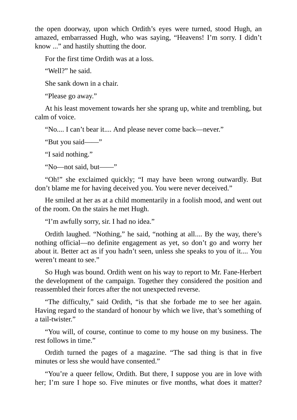the open doorway, upon which Ordith's eyes were turned, stood Hugh, an amazed, embarrassed Hugh, who was saying, "Heavens! I'm sorry. I didn't know ..." and hastily shutting the door.

For the first time Ordith was at a loss.

"Well?" he said.

She sank down in a chair.

"Please go away."

At his least movement towards her she sprang up, white and trembling, but calm of voice.

"No.... I can't bear it.... And please never come back—never."

"But you said——"

"I said nothing."

"No—not said, but——"

"Oh!" she exclaimed quickly; "I may have been wrong outwardly. But don't blame me for having deceived you. You were never deceived."

He smiled at her as at a child momentarily in a foolish mood, and went out of the room. On the stairs he met Hugh.

"I'm awfully sorry, sir. I had no idea."

Ordith laughed. "Nothing," he said, "nothing at all.... By the way, there's nothing official—no definite engagement as yet, so don't go and worry her about it. Better act as if you hadn't seen, unless she speaks to you of it.... You weren't meant to see."

So Hugh was bound. Ordith went on his way to report to Mr. Fane-Herbert the development of the campaign. Together they considered the position and reassembled their forces after the not unexpected reverse.

"The difficulty," said Ordith, "is that she forbade me to see her again. Having regard to the standard of honour by which we live, that's something of a tail-twister."

"You will, of course, continue to come to my house on my business. The rest follows in time."

Ordith turned the pages of a magazine. "The sad thing is that in five minutes or less she would have consented."

"You're a queer fellow, Ordith. But there, I suppose you are in love with her; I'm sure I hope so. Five minutes or five months, what does it matter?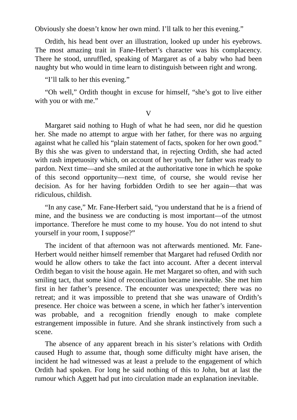Obviously she doesn't know her own mind. I'll talk to her this evening."

Ordith, his head bent over an illustration, looked up under his eyebrows. The most amazing trait in Fane-Herbert's character was his complacency. There he stood, unruffled, speaking of Margaret as of a baby who had been naughty but who would in time learn to distinguish between right and wrong.

"I'll talk to her this evening."

"Oh well," Ordith thought in excuse for himself, "she's got to live either with you or with me."

V

Margaret said nothing to Hugh of what he had seen, nor did he question her. She made no attempt to argue with her father, for there was no arguing against what he called his "plain statement of facts, spoken for her own good." By this she was given to understand that, in rejecting Ordith, she had acted with rash impetuosity which, on account of her youth, her father was ready to pardon. Next time—and she smiled at the authoritative tone in which he spoke of this second opportunity—next time, of course, she would revise her decision. As for her having forbidden Ordith to see her again—that was ridiculous, childish.

"In any case," Mr. Fane-Herbert said, "you understand that he is a friend of mine, and the business we are conducting is most important—of the utmost importance. Therefore he must come to my house. You do not intend to shut yourself in your room, I suppose?"

The incident of that afternoon was not afterwards mentioned. Mr. Fane-Herbert would neither himself remember that Margaret had refused Ordith nor would he allow others to take the fact into account. After a decent interval Ordith began to visit the house again. He met Margaret so often, and with such smiling tact, that some kind of reconciliation became inevitable. She met him first in her father's presence. The encounter was unexpected; there was no retreat; and it was impossible to pretend that she was unaware of Ordith's presence. Her choice was between a scene, in which her father's intervention was probable, and a recognition friendly enough to make complete estrangement impossible in future. And she shrank instinctively from such a scene.

The absence of any apparent breach in his sister's relations with Ordith caused Hugh to assume that, though some difficulty might have arisen, the incident he had witnessed was at least a prelude to the engagement of which Ordith had spoken. For long he said nothing of this to John, but at last the rumour which Aggett had put into circulation made an explanation inevitable.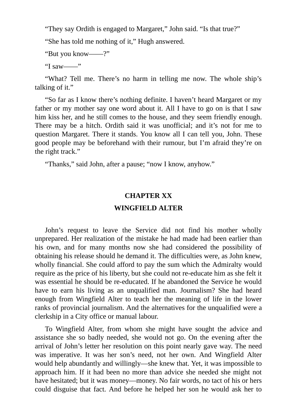"They say Ordith is engaged to Margaret," John said. "Is that true?"

"She has told me nothing of it," Hugh answered.

"But you know——?"

"I saw——"

"What? Tell me. There's no harm in telling me now. The whole ship's talking of it."

"So far as I know there's nothing definite. I haven't heard Margaret or my father or my mother say one word about it. All I have to go on is that I saw him kiss her, and he still comes to the house, and they seem friendly enough. There may be a hitch. Ordith said it was unofficial; and it's not for me to question Margaret. There it stands. You know all I can tell you, John. These good people may be beforehand with their rumour, but I'm afraid they're on the right track."

"Thanks," said John, after a pause; "now I know, anyhow."

## **CHAPTER XX**

## **WINGFIELD ALTER**

John's request to leave the Service did not find his mother wholly unprepared. Her realization of the mistake he had made had been earlier than his own, and for many months now she had considered the possibility of obtaining his release should he demand it. The difficulties were, as John knew, wholly financial. She could afford to pay the sum which the Admiralty would require as the price of his liberty, but she could not re-educate him as she felt it was essential he should be re-educated. If he abandoned the Service he would have to earn his living as an unqualified man. Journalism? She had heard enough from Wingfield Alter to teach her the meaning of life in the lower ranks of provincial journalism. And the alternatives for the unqualified were a clerkship in a City office or manual labour.

To Wingfield Alter, from whom she might have sought the advice and assistance she so badly needed, she would not go. On the evening after the arrival of John's letter her resolution on this point nearly gave way. The need was imperative. It was her son's need, not her own. And Wingfield Alter would help abundantly and willingly—she knew that. Yet, it was impossible to approach him. If it had been no more than advice she needed she might not have hesitated; but it was money—money. No fair words, no tact of his or hers could disguise that fact. And before he helped her son he would ask her to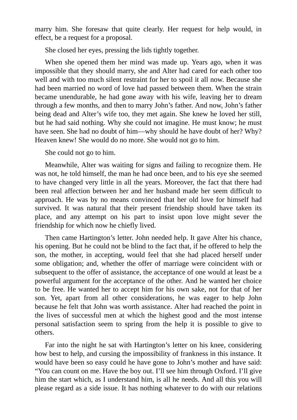marry him. She foresaw that quite clearly. Her request for help would, in effect, be a request for a proposal.

She closed her eyes, pressing the lids tightly together.

When she opened them her mind was made up. Years ago, when it was impossible that they should marry, she and Alter had cared for each other too well and with too much silent restraint for her to spoil it all now. Because she had been married no word of love had passed between them. When the strain became unendurable, he had gone away with his wife, leaving her to dream through a few months, and then to marry John's father. And now, John's father being dead and Alter's wife too, they met again. She knew he loved her still, but he had said nothing. Why she could not imagine. He must know; he must have seen. She had no doubt of him—why should he have doubt of her? Why? Heaven knew! She would do no more. She would not go to him.

She could not go to him.

Meanwhile, Alter was waiting for signs and failing to recognize them. He was not, he told himself, the man he had once been, and to his eye she seemed to have changed very little in all the years. Moreover, the fact that there had been real affection between her and her husband made her seem difficult to approach. He was by no means convinced that her old love for himself had survived. It was natural that their present friendship should have taken its place, and any attempt on his part to insist upon love might sever the friendship for which now he chiefly lived.

Then came Hartington's letter. John needed help. It gave Alter his chance, his opening. But he could not be blind to the fact that, if he offered to help the son, the mother, in accepting, would feel that she had placed herself under some obligation; and, whether the offer of marriage were coincident with or subsequent to the offer of assistance, the acceptance of one would at least be a powerful argument for the acceptance of the other. And he wanted her choice to be free. He wanted her to accept him for his own sake, not for that of her son. Yet, apart from all other considerations, he was eager to help John because he felt that John was worth assistance. Alter had reached the point in the lives of successful men at which the highest good and the most intense personal satisfaction seem to spring from the help it is possible to give to others.

Far into the night he sat with Hartington's letter on his knee, considering how best to help, and cursing the impossibility of frankness in this instance. It would have been so easy could he have gone to John's mother and have said: "You can count on me. Have the boy out. I'll see him through Oxford. I'll give him the start which, as I understand him, is all he needs. And all this you will please regard as a side issue. It has nothing whatever to do with our relations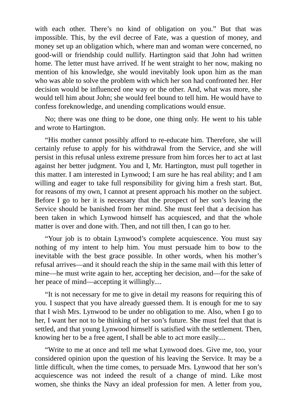with each other. There's no kind of obligation on you." But that was impossible. This, by the evil decree of Fate, was a question of money, and money set up an obligation which, where man and woman were concerned, no good-will or friendship could nullify. Hartington said that John had written home. The letter must have arrived. If he went straight to her now, making no mention of his knowledge, she would inevitably look upon him as the man who was able to solve the problem with which her son had confronted her. Her decision would be influenced one way or the other. And, what was more, she would tell him about John; she would feel bound to tell him. He would have to confess foreknowledge, and unending complications would ensue.

No; there was one thing to be done, one thing only. He went to his table and wrote to Hartington.

"His mother cannot possibly afford to re-educate him. Therefore, she will certainly refuse to apply for his withdrawal from the Service, and she will persist in this refusal unless extreme pressure from him forces her to act at last against her better judgment. You and I, Mr. Hartington, must pull together in this matter. I am interested in Lynwood; I am sure he has real ability; and I am willing and eager to take full responsibility for giving him a fresh start. But, for reasons of my own, I cannot at present approach his mother on the subject. Before I go to her it is necessary that the prospect of her son's leaving the Service should be banished from her mind. She must feel that a decision has been taken in which Lynwood himself has acquiesced, and that the whole matter is over and done with. Then, and not till then, I can go to her.

"Your job is to obtain Lynwood's complete acquiescence. You must say nothing of my intent to help him. You must persuade him to bow to the inevitable with the best grace possible. In other words, when his mother's refusal arrives—and it should reach the ship in the same mail with this letter of mine—he must write again to her, accepting her decision, and—for the sake of her peace of mind—accepting it willingly....

"It is not necessary for me to give in detail my reasons for requiring this of you. I suspect that you have already guessed them. It is enough for me to say that I wish Mrs. Lynwood to be under no obligation to me. Also, when I go to her, I want her not to be thinking of her son's future. She must feel that that is settled, and that young Lynwood himself is satisfied with the settlement. Then, knowing her to be a free agent, I shall be able to act more easily....

"Write to me at once and tell me what Lynwood does. Give me, too, your considered opinion upon the question of his leaving the Service. It may be a little difficult, when the time comes, to persuade Mrs. Lynwood that her son's acquiescence was not indeed the result of a change of mind. Like most women, she thinks the Navy an ideal profession for men. A letter from you,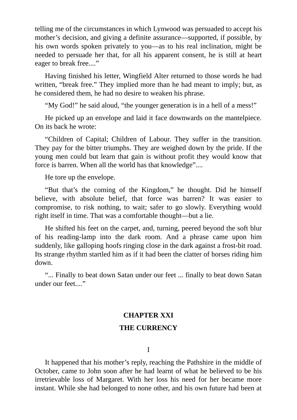telling me of the circumstances in which Lynwood was persuaded to accept his mother's decision, and giving a definite assurance—supported, if possible, by his own words spoken privately to you—as to his real inclination, might be needed to persuade her that, for all his apparent consent, he is still at heart eager to break free...."

Having finished his letter, Wingfield Alter returned to those words he had written, "break free." They implied more than he had meant to imply; but, as he considered them, he had no desire to weaken his phrase.

"My God!" he said aloud, "the younger generation is in a hell of a mess!"

He picked up an envelope and laid it face downwards on the mantelpiece. On its back he wrote:

"Children of Capital; Children of Labour. They suffer in the transition. They pay for the bitter triumphs. They are weighed down by the pride. If the young men could but learn that gain is without profit they would know that force is barren. When all the world has that knowledge"....

He tore up the envelope.

"But that's the coming of the Kingdom," he thought. Did he himself believe, with absolute belief, that force was barren? It was easier to compromise, to risk nothing, to wait; safer to go slowly. Everything would right itself in time. That was a comfortable thought—but a lie.

He shifted his feet on the carpet, and, turning, peered beyond the soft blur of his reading-lamp into the dark room. And a phrase came upon him suddenly, like galloping hoofs ringing close in the dark against a frost-bit road. Its strange rhythm startled him as if it had been the clatter of horses riding him down.

"... Finally to beat down Satan under our feet ... finally to beat down Satan under our feet...."

### **CHAPTER XXI**

### **THE CURRENCY**

I

It happened that his mother's reply, reaching the Pathshire in the middle of October, came to John soon after he had learnt of what he believed to be his irretrievable loss of Margaret. With her loss his need for her became more instant. While she had belonged to none other, and his own future had been at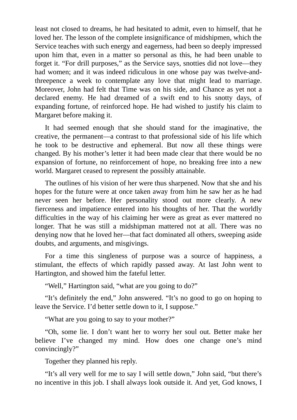least not closed to dreams, he had hesitated to admit, even to himself, that he loved her. The lesson of the complete insignificance of midshipmen, which the Service teaches with such energy and eagerness, had been so deeply impressed upon him that, even in a matter so personal as this, he had been unable to forget it. "For drill purposes," as the Service says, snotties did not love—they had women; and it was indeed ridiculous in one whose pay was twelve-andthreepence a week to contemplate any love that might lead to marriage. Moreover, John had felt that Time was on his side, and Chance as yet not a declared enemy. He had dreamed of a swift end to his snotty days, of expanding fortune, of reinforced hope. He had wished to justify his claim to Margaret before making it.

It had seemed enough that she should stand for the imaginative, the creative, the permanent—a contrast to that professional side of his life which he took to be destructive and ephemeral. But now all these things were changed. By his mother's letter it had been made clear that there would be no expansion of fortune, no reinforcement of hope, no breaking free into a new world. Margaret ceased to represent the possibly attainable.

The outlines of his vision of her were thus sharpened. Now that she and his hopes for the future were at once taken away from him he saw her as he had never seen her before. Her personality stood out more clearly. A new fierceness and impatience entered into his thoughts of her. That the worldly difficulties in the way of his claiming her were as great as ever mattered no longer. That he was still a midshipman mattered not at all. There was no denying now that he loved her—that fact dominated all others, sweeping aside doubts, and arguments, and misgivings.

For a time this singleness of purpose was a source of happiness, a stimulant, the effects of which rapidly passed away. At last John went to Hartington, and showed him the fateful letter.

"Well," Hartington said, "what are you going to do?"

"It's definitely the end," John answered. "It's no good to go on hoping to leave the Service. I'd better settle down to it, I suppose."

"What are you going to say to your mother?"

"Oh, some lie. I don't want her to worry her soul out. Better make her believe I've changed my mind. How does one change one's mind convincingly?"

Together they planned his reply.

"It's all very well for me to say I will settle down," John said, "but there's no incentive in this job. I shall always look outside it. And yet, God knows, I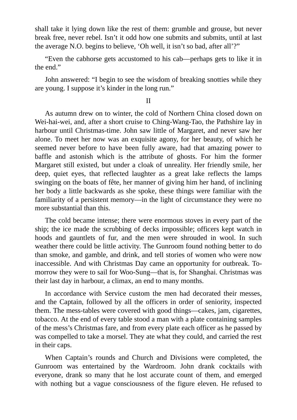shall take it lying down like the rest of them: grumble and grouse, but never break free, never rebel. Isn't it odd how one submits and submits, until at last the average N.O. begins to believe, 'Oh well, it isn't so bad, after all'?"

"Even the cabhorse gets accustomed to his cab—perhaps gets to like it in the end."

John answered: "I begin to see the wisdom of breaking snotties while they are young. I suppose it's kinder in the long run."

#### II

As autumn drew on to winter, the cold of Northern China closed down on Wei-hai-wei, and, after a short cruise to Ching-Wang-Tao, the Pathshire lay in harbour until Christmas-time. John saw little of Margaret, and never saw her alone. To meet her now was an exquisite agony, for her beauty, of which he seemed never before to have been fully aware, had that amazing power to baffle and astonish which is the attribute of ghosts. For him the former Margaret still existed, but under a cloak of unreality. Her friendly smile, her deep, quiet eyes, that reflected laughter as a great lake reflects the lamps swinging on the boats of fête, her manner of giving him her hand, of inclining her body a little backwards as she spoke, these things were familiar with the familiarity of a persistent memory—in the light of circumstance they were no more substantial than this.

The cold became intense; there were enormous stoves in every part of the ship; the ice made the scrubbing of decks impossible; officers kept watch in hoods and gauntlets of fur, and the men were shrouded in wool. In such weather there could be little activity. The Gunroom found nothing better to do than smoke, and gamble, and drink, and tell stories of women who were now inaccessible. And with Christmas Day came an opportunity for outbreak. Tomorrow they were to sail for Woo-Sung—that is, for Shanghai. Christmas was their last day in harbour, a climax, an end to many months.

In accordance with Service custom the men had decorated their messes, and the Captain, followed by all the officers in order of seniority, inspected them. The mess-tables were covered with good things—cakes, jam, cigarettes, tobacco. At the end of every table stood a man with a plate containing samples of the mess's Christmas fare, and from every plate each officer as he passed by was compelled to take a morsel. They ate what they could, and carried the rest in their caps.

When Captain's rounds and Church and Divisions were completed, the Gunroom was entertained by the Wardroom. John drank cocktails with everyone, drank so many that he lost accurate count of them, and emerged with nothing but a vague consciousness of the figure eleven. He refused to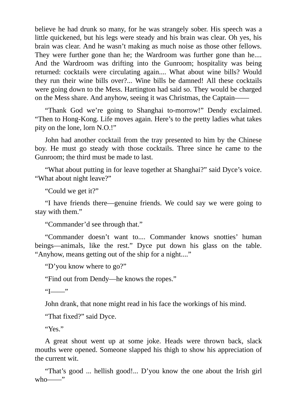believe he had drunk so many, for he was strangely sober. His speech was a little quickened, but his legs were steady and his brain was clear. Oh yes, his brain was clear. And he wasn't making as much noise as those other fellows. They were further gone than he; the Wardroom was further gone than he.... And the Wardroom was drifting into the Gunroom; hospitality was being returned: cocktails were circulating again.... What about wine bills? Would they run their wine bills over?... Wine bills be damned! All these cocktails were going down to the Mess. Hartington had said so. They would be charged on the Mess share. And anyhow, seeing it was Christmas, the Captain——

"Thank God we're going to Shanghai to-morrow!" Dendy exclaimed. "Then to Hong-Kong. Life moves again. Here's to the pretty ladies what takes pity on the lone, lorn N.O.!"

John had another cocktail from the tray presented to him by the Chinese boy. He must go steady with those cocktails. Three since he came to the Gunroom; the third must be made to last.

"What about putting in for leave together at Shanghai?" said Dyce's voice. "What about night leave?"

"Could we get it?"

"I have friends there—genuine friends. We could say we were going to stay with them."

"Commander'd see through that."

"Commander doesn't want to.... Commander knows snotties' human beings—animals, like the rest." Dyce put down his glass on the table. "Anyhow, means getting out of the ship for a night...."

"D'you know where to go?"

"Find out from Dendy—he knows the ropes."

 $"I$  "

John drank, that none might read in his face the workings of his mind.

"That fixed?" said Dyce.

"Yes."

A great shout went up at some joke. Heads were thrown back, slack mouths were opened. Someone slapped his thigh to show his appreciation of the current wit.

"That's good ... hellish good!... D'you know the one about the Irish girl  $who$ ——"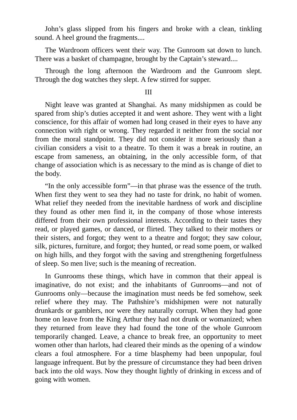John's glass slipped from his fingers and broke with a clean, tinkling sound. A heel ground the fragments....

The Wardroom officers went their way. The Gunroom sat down to lunch. There was a basket of champagne, brought by the Captain's steward....

Through the long afternoon the Wardroom and the Gunroom slept. Through the dog watches they slept. A few stirred for supper.

#### III

Night leave was granted at Shanghai. As many midshipmen as could be spared from ship's duties accepted it and went ashore. They went with a light conscience, for this affair of women had long ceased in their eyes to have any connection with right or wrong. They regarded it neither from the social nor from the moral standpoint. They did not consider it more seriously than a civilian considers a visit to a theatre. To them it was a break in routine, an escape from sameness, an obtaining, in the only accessible form, of that change of association which is as necessary to the mind as is change of diet to the body.

"In the only accessible form"—in that phrase was the essence of the truth. When first they went to sea they had no taste for drink, no habit of women. What relief they needed from the inevitable hardness of work and discipline they found as other men find it, in the company of those whose interests differed from their own professional interests. According to their tastes they read, or played games, or danced, or flirted. They talked to their mothers or their sisters, and forgot; they went to a theatre and forgot; they saw colour, silk, pictures, furniture, and forgot; they hunted, or read some poem, or walked on high hills, and they forgot with the saving and strengthening forgetfulness of sleep. So men live; such is the meaning of recreation.

In Gunrooms these things, which have in common that their appeal is imaginative, do not exist; and the inhabitants of Gunrooms—and not of Gunrooms only—because the imagination must needs be fed somehow, seek relief where they may. The Pathshire's midshipmen were not naturally drunkards or gamblers, nor were they naturally corrupt. When they had gone home on leave from the King Arthur they had not drunk or womanized; when they returned from leave they had found the tone of the whole Gunroom temporarily changed. Leave, a chance to break free, an opportunity to meet women other than harlots, had cleared their minds as the opening of a window clears a foul atmosphere. For a time blasphemy had been unpopular, foul language infrequent. But by the pressure of circumstance they had been driven back into the old ways. Now they thought lightly of drinking in excess and of going with women.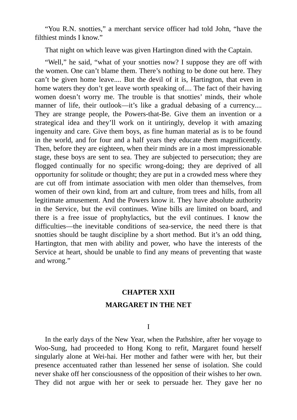"You R.N. snotties," a merchant service officer had told John, "have the filthiest minds I know."

That night on which leave was given Hartington dined with the Captain.

"Well," he said, "what of your snotties now? I suppose they are off with the women. One can't blame them. There's nothing to be done out here. They can't be given home leave.... But the devil of it is, Hartington, that even in home waters they don't get leave worth speaking of.... The fact of their having women doesn't worry me. The trouble is that snotties' minds, their whole manner of life, their outlook—it's like a gradual debasing of a currency.... They are strange people, the Powers-that-Be. Give them an invention or a strategical idea and they'll work on it untiringly, develop it with amazing ingenuity and care. Give them boys, as fine human material as is to be found in the world, and for four and a half years they educate them magnificently. Then, before they are eighteen, when their minds are in a most impressionable stage, these boys are sent to sea. They are subjected to persecution; they are flogged continually for no specific wrong-doing; they are deprived of all opportunity for solitude or thought; they are put in a crowded mess where they are cut off from intimate association with men older than themselves, from women of their own kind, from art and culture, from trees and hills, from all legitimate amusement. And the Powers know it. They have absolute authority in the Service, but the evil continues. Wine bills are limited on board, and there is a free issue of prophylactics, but the evil continues. I know the difficulties—the inevitable conditions of sea-service, the need there is that snotties should be taught discipline by a short method. But it's an odd thing, Hartington, that men with ability and power, who have the interests of the Service at heart, should be unable to find any means of preventing that waste and wrong."

### **CHAPTER XXII**

## **MARGARET IN THE NET**

I

In the early days of the New Year, when the Pathshire, after her voyage to Woo-Sung, had proceeded to Hong Kong to refit, Margaret found herself singularly alone at Wei-hai. Her mother and father were with her, but their presence accentuated rather than lessened her sense of isolation. She could never shake off her consciousness of the opposition of their wishes to her own. They did not argue with her or seek to persuade her. They gave her no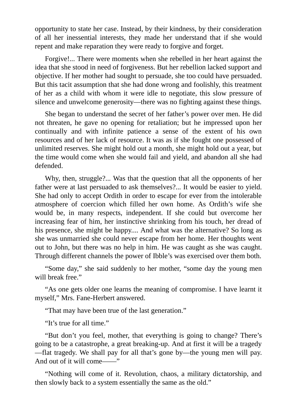opportunity to state her case. Instead, by their kindness, by their consideration of all her inessential interests, they made her understand that if she would repent and make reparation they were ready to forgive and forget.

Forgive!... There were moments when she rebelled in her heart against the idea that she stood in need of forgiveness. But her rebellion lacked support and objective. If her mother had sought to persuade, she too could have persuaded. But this tacit assumption that she had done wrong and foolishly, this treatment of her as a child with whom it were idle to negotiate, this slow pressure of silence and unwelcome generosity—there was no fighting against these things.

She began to understand the secret of her father's power over men. He did not threaten, he gave no opening for retaliation; but he impressed upon her continually and with infinite patience a sense of the extent of his own resources and of her lack of resource. It was as if she fought one possessed of unlimited reserves. She might hold out a month, she might hold out a year, but the time would come when she would fail and yield, and abandon all she had defended.

Why, then, struggle?... Was that the question that all the opponents of her father were at last persuaded to ask themselves?... It would be easier to yield. She had only to accept Ordith in order to escape for ever from the intolerable atmosphere of coercion which filled her own home. As Ordith's wife she would be, in many respects, independent. If she could but overcome her increasing fear of him, her instinctive shrinking from his touch, her dread of his presence, she might be happy.... And what was the alternative? So long as she was unmarried she could never escape from her home. Her thoughts went out to John, but there was no help in him. He was caught as she was caught. Through different channels the power of Ibble's was exercised over them both.

"Some day," she said suddenly to her mother, "some day the young men will break free."

"As one gets older one learns the meaning of compromise. I have learnt it myself," Mrs. Fane-Herbert answered.

"That may have been true of the last generation."

"It's true for all time."

"But don't you feel, mother, that everything is going to change? There's going to be a catastrophe, a great breaking-up. And at first it will be a tragedy —flat tragedy. We shall pay for all that's gone by—the young men will pay. And out of it will come——"

"Nothing will come of it. Revolution, chaos, a military dictatorship, and then slowly back to a system essentially the same as the old."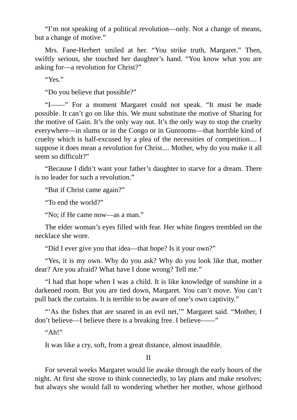"I'm not speaking of a political revolution—only. Not a change of means, but a change of motive."

Mrs. Fane-Herbert smiled at her. "You strike truth, Margaret." Then, swiftly serious, she touched her daughter's hand. "You know what you are asking for—a revolution for Christ?"

"Yes."

"Do you believe that possible?"

"I——" For a moment Margaret could not speak. "It must be made possible. It can't go on like this. We must substitute the motive of Sharing for the motive of Gain. It's the only way out. It's the only way to stop the cruelty everywhere—in slums or in the Congo or in Gunrooms—that horrible kind of cruelty which is half-excused by a plea of the necessities of competition.... I suppose it does mean a revolution for Christ.... Mother, why do you make it all seem so difficult?"

"Because I didn't want your father's daughter to starve for a dream. There is no leader for such a revolution."

"But if Christ came again?"

"To end the world?"

"No; if He came now—as a man."

The elder woman's eyes filled with fear. Her white fingers trembled on the necklace she wore.

"Did I ever give you that idea—that hope? Is it your own?"

"Yes, it is my own. Why do you ask? Why do you look like that, mother dear? Are you afraid? What have I done wrong? Tell me."

"I had that hope when I was a child. It is like knowledge of sunshine in a darkened room. But you are tied down, Margaret. You can't move. You can't pull back the curtains. It is terrible to be aware of one's own captivity."

"'As the fishes that are snared in an evil net," Margaret said. "Mother, I don't believe—I believe there is a breaking free. I believe——"

 $"Ah"$ 

It was like a cry, soft, from a great distance, almost inaudible.

II

For several weeks Margaret would lie awake through the early hours of the night. At first she strove to think connectedly, to lay plans and make resolves; but always she would fall to wondering whether her mother, whose girlhood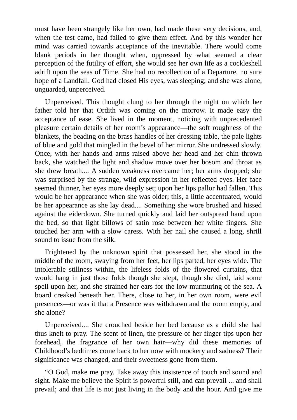must have been strangely like her own, had made these very decisions, and, when the test came, had failed to give them effect. And by this wonder her mind was carried towards acceptance of the inevitable. There would come blank periods in her thought when, oppressed by what seemed a clear perception of the futility of effort, she would see her own life as a cockleshell adrift upon the seas of Time. She had no recollection of a Departure, no sure hope of a Landfall. God had closed His eyes, was sleeping; and she was alone, unguarded, unperceived.

Unperceived. This thought clung to her through the night on which her father told her that Ordith was coming on the morrow. It made easy the acceptance of ease. She lived in the moment, noticing with unprecedented pleasure certain details of her room's appearance—the soft roughness of the blankets, the beading on the brass handles of her dressing-table, the pale lights of blue and gold that mingled in the bevel of her mirror. She undressed slowly. Once, with her hands and arms raised above her head and her chin thrown back, she watched the light and shadow move over her bosom and throat as she drew breath.... A sudden weakness overcame her; her arms dropped; she was surprised by the strange, wild expression in her reflected eyes. Her face seemed thinner, her eyes more deeply set; upon her lips pallor had fallen. This would be her appearance when she was older; this, a little accentuated, would be her appearance as she lay dead.... Something she wore brushed and hissed against the eiderdown. She turned quickly and laid her outspread hand upon the bed, so that light billows of satin rose between her white fingers. She touched her arm with a slow caress. With her nail she caused a long, shrill sound to issue from the silk.

Frightened by the unknown spirit that possessed her, she stood in the middle of the room, swaying from her feet, her lips parted, her eyes wide. The intolerable stillness within, the lifeless folds of the flowered curtains, that would hang in just those folds though she slept, though she died, laid some spell upon her, and she strained her ears for the low murmuring of the sea. A board creaked beneath her. There, close to her, in her own room, were evil presences—or was it that a Presence was withdrawn and the room empty, and she alone?

Unperceived.... She crouched beside her bed because as a child she had thus knelt to pray. The scent of linen, the pressure of her finger-tips upon her forehead, the fragrance of her own hair—why did these memories of Childhood's bedtimes come back to her now with mockery and sadness? Their significance was changed, and their sweetness gone from them.

"O God, make me pray. Take away this insistence of touch and sound and sight. Make me believe the Spirit is powerful still, and can prevail ... and shall prevail; and that life is not just living in the body and the hour. And give me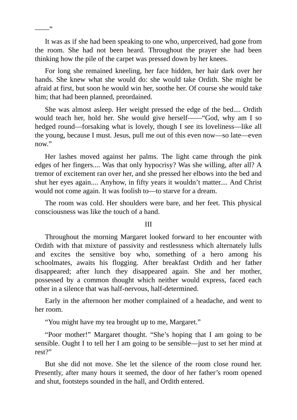It was as if she had been speaking to one who, unperceived, had gone from the room. She had not been heard. Throughout the prayer she had been thinking how the pile of the carpet was pressed down by her knees.

 $\overline{\phantom{a}}$ 

For long she remained kneeling, her face hidden, her hair dark over her hands. She knew what she would do: she would take Ordith. She might be afraid at first, but soon he would win her, soothe her. Of course she would take him; that had been planned, preordained.

She was almost asleep. Her weight pressed the edge of the bed.... Ordith would teach her, hold her. She would give herself——"God, why am I so hedged round—forsaking what is lovely, though I see its loveliness—like all the young, because I must. Jesus, pull me out of this even now—so late—even now."

Her lashes moved against her palms. The light came through the pink edges of her fingers.... Was that only hypocrisy? Was she willing, after all? A tremor of excitement ran over her, and she pressed her elbows into the bed and shut her eyes again.... Anyhow, in fifty years it wouldn't matter.... And Christ would not come again. It was foolish to—to starve for a dream.

The room was cold. Her shoulders were bare, and her feet. This physical consciousness was like the touch of a hand.

#### III

Throughout the morning Margaret looked forward to her encounter with Ordith with that mixture of passivity and restlessness which alternately lulls and excites the sensitive boy who, something of a hero among his schoolmates, awaits his flogging. After breakfast Ordith and her father disappeared; after lunch they disappeared again. She and her mother, possessed by a common thought which neither would express, faced each other in a silence that was half-nervous, half-determined.

Early in the afternoon her mother complained of a headache, and went to her room.

"You might have my tea brought up to me, Margaret."

"Poor mother!" Margaret thought. "She's hoping that I am going to be sensible. Ought I to tell her I am going to be sensible—just to set her mind at rest?"

But she did not move. She let the silence of the room close round her. Presently, after many hours it seemed, the door of her father's room opened and shut, footsteps sounded in the hall, and Ordith entered.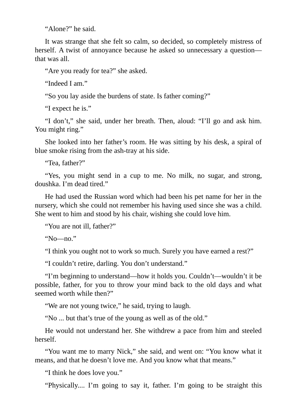"Alone?" he said.

It was strange that she felt so calm, so decided, so completely mistress of herself. A twist of annoyance because he asked so unnecessary a question that was all.

"Are you ready for tea?" she asked.

"Indeed I am."

"So you lay aside the burdens of state. Is father coming?"

"I expect he is."

"I don't," she said, under her breath. Then, aloud: "I'll go and ask him. You might ring."

She looked into her father's room. He was sitting by his desk, a spiral of blue smoke rising from the ash-tray at his side.

"Tea, father?"

"Yes, you might send in a cup to me. No milk, no sugar, and strong, doushka. I'm dead tired."

He had used the Russian word which had been his pet name for her in the nursery, which she could not remember his having used since she was a child. She went to him and stood by his chair, wishing she could love him.

"You are not ill, father?"

"No—no."

"I think you ought not to work so much. Surely you have earned a rest?"

"I couldn't retire, darling. You don't understand."

"I'm beginning to understand—how it holds you. Couldn't—wouldn't it be possible, father, for you to throw your mind back to the old days and what seemed worth while then?"

"We are not young twice," he said, trying to laugh.

"No ... but that's true of the young as well as of the old."

He would not understand her. She withdrew a pace from him and steeled herself.

"You want me to marry Nick," she said, and went on: "You know what it means, and that he doesn't love me. And you know what that means."

"I think he does love you."

"Physically.... I'm going to say it, father. I'm going to be straight this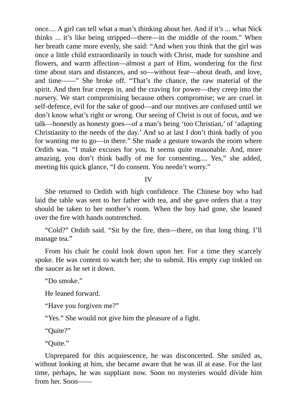once.... A girl can tell what a man's thinking about her. And if it's ... what Nick thinks ... it's like being stripped—there—in the middle of the room." When her breath came more evenly, she said: "And when you think that the girl was once a little child extraordinarily in touch with Christ, made for sunshine and flowers, and warm affection—almost a part of Him, wondering for the first time about stars and distances, and so—without fear—about death, and love, and time——" She broke off. "That's the chance, the raw material of the spirit. And then fear creeps in, and the craving for power—they creep into the nursery. We start compromising because others compromise; we are cruel in self-defence, evil for the sake of good—and our motives are confused until we don't know what's right or wrong. Our seeing of Christ is out of focus, and we talk—honestly as honesty goes—of a man's being 'too Christian,' of 'adapting Christianity to the needs of the day.' And so at last I don't think badly of you for wanting me to go—in there." She made a gesture towards the room where Ordith was. "I make excuses for you. It seems quite reasonable. And, more amazing, you don't think badly of me for consenting.... Yes," she added, meeting his quick glance, "I do consent. You needn't worry."

IV

She returned to Ordith with high confidence. The Chinese boy who had laid the table was sent to her father with tea, and she gave orders that a tray should be taken to her mother's room. When the boy had gone, she leaned over the fire with hands outstretched.

"Cold?" Ordith said. "Sit by the fire, then—there, on that long thing. I'll manage tea."

From his chair he could look down upon her. For a time they scarcely spoke. He was content to watch her; she to submit. His empty cup tinkled on the saucer as he set it down.

"Do smoke."

He leaned forward.

"Have you forgiven me?"

"Yes." She would not give him the pleasure of a fight.

"Quite?"

"Quite."

Unprepared for this acquiescence, he was disconcerted. She smiled as, without looking at him, she became aware that he was ill at ease. For the last time, perhaps, he was suppliant now. Soon no mysteries would divide him from her. Soon-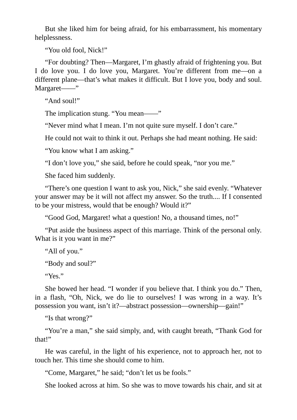But she liked him for being afraid, for his embarrassment, his momentary helplessness.

"You old fool, Nick!"

"For doubting? Then—Margaret, I'm ghastly afraid of frightening you. But I do love you. I do love you, Margaret. You're different from me—on a different plane—that's what makes it difficult. But I love you, body and soul. Margaret——"

"And soul!"

The implication stung. "You mean——"

"Never mind what I mean. I'm not quite sure myself. I don't care."

He could not wait to think it out. Perhaps she had meant nothing. He said:

"You know what I am asking."

"I don't love you," she said, before he could speak, "nor you me."

She faced him suddenly.

"There's one question I want to ask you, Nick," she said evenly. "Whatever your answer may be it will not affect my answer. So the truth.... If I consented to be your mistress, would that be enough? Would it?"

"Good God, Margaret! what a question! No, a thousand times, no!"

"Put aside the business aspect of this marriage. Think of the personal only. What is it you want in me?"

"All of you."

"Body and soul?"

"Yes."

She bowed her head. "I wonder if you believe that. I think you do." Then, in a flash, "Oh, Nick, we do lie to ourselves! I was wrong in a way. It's possession you want, isn't it?—abstract possession—ownership—gain!"

"Is that wrong?"

"You're a man," she said simply, and, with caught breath, "Thank God for that!"

He was careful, in the light of his experience, not to approach her, not to touch her. This time she should come to him.

"Come, Margaret," he said; "don't let us be fools."

She looked across at him. So she was to move towards his chair, and sit at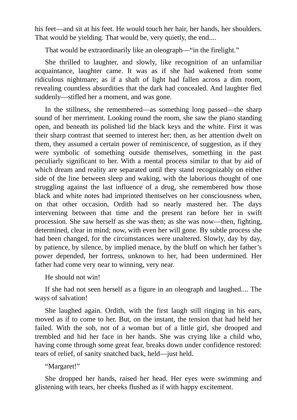his feet—and sit at his feet. He would touch her hair, her hands, her shoulders. That would be yielding. That would be, very quietly, the end....

That would be extraordinarily like an oleograph—"in the firelight."

She thrilled to laughter, and slowly, like recognition of an unfamiliar acquaintance, laughter came. It was as if she had wakened from some ridiculous nightmare; as if a shaft of light had fallen across a dim room, revealing countless absurdities that the dark had concealed. And laughter fled suddenly—stifled her a moment, and was gone.

In the stillness, she remembered—as something long passed—the sharp sound of her merriment. Looking round the room, she saw the piano standing open, and beneath its polished lid the black keys and the white. First it was their sharp contrast that seemed to interest her; then, as her attention dwelt on them, they assumed a certain power of reminiscence, of suggestion, as if they were symbolic of something outside themselves, something in the past peculiarly significant to her. With a mental process similar to that by aid of which dream and reality are separated until they stand recognizably on either side of the line between sleep and waking, with the laborious thought of one struggling against the last influence of a drug, she remembered how those black and white notes had imprinted themselves on her consciousness when, on that other occasion, Ordith had so nearly mastered her. The days intervening between that time and the present ran before her in swift procession. She saw herself as she was then; as she was now—then, fighting, determined, clear in mind; now, with even her will gone. By subtle process she had been changed, for the circumstances were unaltered. Slowly, day by day, by patience, by silence, by implied menace, by the bluff on which her father's power depended, her fortress, unknown to her, had been undermined. Her father had come very near to winning, very near.

He should not win!

If she had not seen herself as a figure in an oleograph and laughed.... The ways of salvation!

She laughed again. Ordith, with the first laugh still ringing in his ears, moved as if to come to her. But, on the instant, the tension that had held her failed. With the sob, not of a woman but of a little girl, she drooped and trembled and hid her face in her hands. She was crying like a child who, having come through some great fear, breaks down under confidence restored: tears of relief, of sanity snatched back, held—just held.

"Margaret!"

She dropped her hands, raised her head. Her eyes were swimming and glistening with tears, her cheeks flushed as if with happy excitement.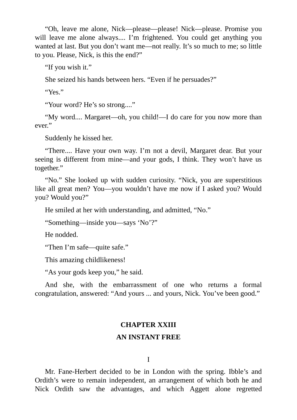"Oh, leave me alone, Nick—please—please! Nick—please. Promise you will leave me alone always.... I'm frightened. You could get anything you wanted at last. But you don't want me—not really. It's so much to me; so little to you. Please, Nick, is this the end?"

"If you wish it."

She seized his hands between hers. "Even if he persuades?"

"Yes."

"Your word? He's so strong...."

"My word.... Margaret—oh, you child!—I do care for you now more than ever."

Suddenly he kissed her.

"There.... Have your own way. I'm not a devil, Margaret dear. But your seeing is different from mine—and your gods, I think. They won't have us together."

"No." She looked up with sudden curiosity. "Nick, you are superstitious like all great men? You—you wouldn't have me now if I asked you? Would you? Would you?"

He smiled at her with understanding, and admitted, "No."

"Something—inside you—says 'No'?"

He nodded.

"Then I'm safe—quite safe."

This amazing childlikeness!

"As your gods keep you," he said.

And she, with the embarrassment of one who returns a formal congratulation, answered: "And yours ... and yours, Nick. You've been good."

# **CHAPTER XXIII**

## **AN INSTANT FREE**

I

Mr. Fane-Herbert decided to be in London with the spring. Ibble's and Ordith's were to remain independent, an arrangement of which both he and Nick Ordith saw the advantages, and which Aggett alone regretted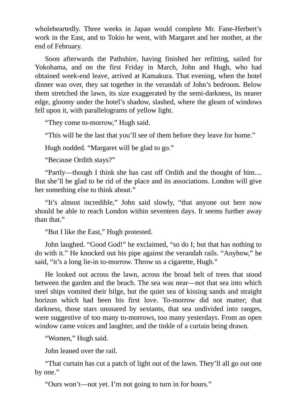wholeheartedly. Three weeks in Japan would complete Mr. Fane-Herbert's work in the East, and to Tokio he went, with Margaret and her mother, at the end of February.

Soon afterwards the Pathshire, having finished her refitting, sailed for Yokohama, and on the first Friday in March, John and Hugh, who had obtained week-end leave, arrived at Kamakura. That evening, when the hotel dinner was over, they sat together in the verandah of John's bedroom. Below them stretched the lawn, its size exaggerated by the semi-darkness, its nearer edge, gloomy under the hotel's shadow, slashed, where the gleam of windows fell upon it, with parallelograms of yellow light.

"They come to-morrow," Hugh said.

"This will be the last that you'll see of them before they leave for home."

Hugh nodded. "Margaret will be glad to go."

"Because Ordith stays?"

"Partly—though I think she has cast off Ordith and the thought of him.... But she'll be glad to be rid of the place and its associations. London will give her something else to think about."

"It's almost incredible," John said slowly, "that anyone out here now should be able to reach London within seventeen days. It seems further away than that."

"But I like the East," Hugh protested.

John laughed. "Good God!" he exclaimed, "so do I; but that has nothing to do with it." He knocked out his pipe against the verandah rails. "Anyhow," he said, "it's a long lie-in to-morrow. Throw us a cigarette, Hugh."

He looked out across the lawn, across the broad belt of trees that stood between the garden and the beach. The sea was near—not that sea into which steel ships vomited their bilge, but the quiet sea of kissing sands and straight horizon which had been his first love. To-morrow did not matter; that darkness, those stars unsnared by sextants, that sea undivided into ranges, were suggestive of too many to-morrows, too many yesterdays. From an open window came voices and laughter, and the tinkle of a curtain being drawn.

"Women," Hugh said.

John leaned over the rail.

"That curtain has cut a patch of light out of the lawn. They'll all go out one by one."

"Ours won't—not yet. I'm not going to turn in for hours."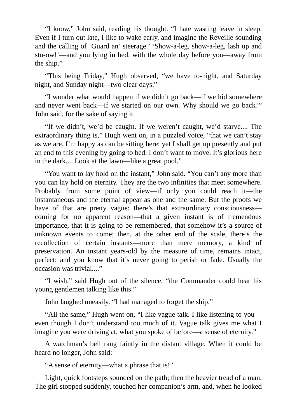"I know," John said, reading his thought. "I hate wasting leave in sleep. Even if I turn out late, I like to wake early, and imagine the Reveille sounding and the calling of 'Guard an' steerage.' 'Show-a-leg, show-a-leg, lash up and sto-ow!'—and you lying in bed, with the whole day before you—away from the ship."

"This being Friday," Hugh observed, "we have to-night, and Saturday night, and Sunday night—two clear days."

"I wonder what would happen if we didn't go back—if we hid somewhere and never went back—if we started on our own. Why should we go back?" John said, for the sake of saying it.

"If we didn't, we'd be caught. If we weren't caught, we'd starve.... The extraordinary thing is," Hugh went on, in a puzzled voice, "that we can't stay as we are. I'm happy as can be sitting here; yet I shall get up presently and put an end to this evening by going to bed. I don't want to move. It's glorious here in the dark.... Look at the lawn—like a great pool."

"You want to lay hold on the instant," John said. "You can't any more than you can lay hold on eternity. They are the two infinities that meet somewhere. Probably from some point of view—if only you could reach it—the instantaneous and the eternal appear as one and the same. But the proofs we have of that are pretty vague: there's that extraordinary consciousness coming for no apparent reason—that a given instant is of tremendous importance, that it is going to be remembered, that somehow it's a source of unknown events to come; then, at the other end of the scale, there's the recollection of certain instants—more than mere memory, a kind of preservation. An instant years-old by the measure of time, remains intact, perfect; and you know that it's never going to perish or fade. Usually the occasion was trivial...."

"I wish," said Hugh out of the silence, "the Commander could hear his young gentlemen talking like this."

John laughed uneasily. "I had managed to forget the ship."

"All the same," Hugh went on, "I like vague talk. I like listening to you even though I don't understand too much of it. Vague talk gives me what I imagine you were driving at, what you spoke of before—a sense of eternity."

A watchman's bell rang faintly in the distant village. When it could be heard no longer, John said:

"A sense of eternity—what a phrase that is!"

Light, quick footsteps sounded on the path; then the heavier tread of a man. The girl stopped suddenly, touched her companion's arm, and, when he looked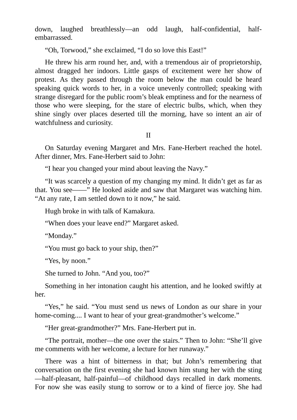down, laughed breathlessly—an odd laugh, half-confidential, halfembarrassed.

"Oh, Torwood," she exclaimed, "I do so love this East!"

He threw his arm round her, and, with a tremendous air of proprietorship, almost dragged her indoors. Little gasps of excitement were her show of protest. As they passed through the room below the man could be heard speaking quick words to her, in a voice unevenly controlled; speaking with strange disregard for the public room's bleak emptiness and for the nearness of those who were sleeping, for the stare of electric bulbs, which, when they shine singly over places deserted till the morning, have so intent an air of watchfulness and curiosity.

II

On Saturday evening Margaret and Mrs. Fane-Herbert reached the hotel. After dinner, Mrs. Fane-Herbert said to John:

"I hear you changed your mind about leaving the Navy."

"It was scarcely a question of my changing my mind. It didn't get as far as that. You see——" He looked aside and saw that Margaret was watching him. "At any rate, I am settled down to it now," he said.

Hugh broke in with talk of Kamakura.

"When does your leave end?" Margaret asked.

"Monday."

"You must go back to your ship, then?"

"Yes, by noon."

She turned to John. "And you, too?"

Something in her intonation caught his attention, and he looked swiftly at her.

"Yes," he said. "You must send us news of London as our share in your home-coming.... I want to hear of your great-grandmother's welcome."

"Her great-grandmother?" Mrs. Fane-Herbert put in.

"The portrait, mother—the one over the stairs." Then to John: "She'll give me comments with her welcome, a lecture for her runaway."

There was a hint of bitterness in that; but John's remembering that conversation on the first evening she had known him stung her with the sting —half-pleasant, half-painful—of childhood days recalled in dark moments. For now she was easily stung to sorrow or to a kind of fierce joy. She had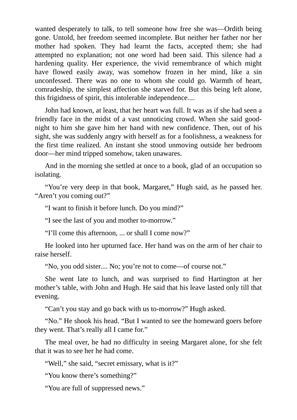wanted desperately to talk, to tell someone how free she was—Ordith being gone. Untold, her freedom seemed incomplete. But neither her father nor her mother had spoken. They had learnt the facts, accepted them; she had attempted no explanation; not one word had been said. This silence had a hardening quality. Her experience, the vivid remembrance of which might have flowed easily away, was somehow frozen in her mind, like a sin unconfessed. There was no one to whom she could go. Warmth of heart, comradeship, the simplest affection she starved for. But this being left alone, this frigidness of spirit, this intolerable independence....

John had known, at least, that her heart was full. It was as if she had seen a friendly face in the midst of a vast unnoticing crowd. When she said goodnight to him she gave him her hand with new confidence. Then, out of his sight, she was suddenly angry with herself as for a foolishness, a weakness for the first time realized. An instant she stood unmoving outside her bedroom door—her mind tripped somehow, taken unawares.

And in the morning she settled at once to a book, glad of an occupation so isolating.

"You're very deep in that book, Margaret," Hugh said, as he passed her. "Aren't you coming out?"

"I want to finish it before lunch. Do you mind?"

"I see the last of you and mother to-morrow."

"I'll come this afternoon, ... or shall I come now?"

He looked into her upturned face. Her hand was on the arm of her chair to raise herself.

"No, you odd sister.... No; you're not to come—of course not."

She went late to lunch, and was surprised to find Hartington at her mother's table, with John and Hugh. He said that his leave lasted only till that evening.

"Can't you stay and go back with us to-morrow?" Hugh asked.

"No." He shook his head. "But I wanted to see the homeward goers before they went. That's really all I came for."

The meal over, he had no difficulty in seeing Margaret alone, for she felt that it was to see her he had come.

"Well," she said, "secret emissary, what is it?"

"You know there's something?"

"You are full of suppressed news."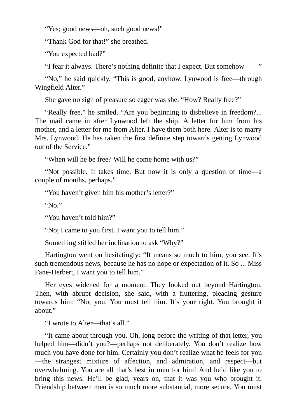"Yes; good news—oh, such good news!"

"Thank God for that!" she breathed.

"You expected bad?"

"I fear it always. There's nothing definite that I expect. But somehow——"

"No," he said quickly. "This is good, anyhow. Lynwood is free—through Wingfield Alter."

She gave no sign of pleasure so eager was she. "How? Really free?"

"Really free," he smiled. "Are you beginning to disbelieve in freedom?... The mail came in after Lynwood left the ship. A letter for him from his mother, and a letter for me from Alter. I have them both here. Alter is to marry Mrs. Lynwood. He has taken the first definite step towards getting Lynwood out of the Service."

"When will he be free? Will he come home with us?"

"Not possible. It takes time. But now it is only a question of time—a couple of months, perhaps."

"You haven't given him his mother's letter?"

" $N_0$ "

"You haven't told him?"

"No; I came to you first. I want you to tell him."

Something stifled her inclination to ask "Why?"

Hartington went on hesitatingly: "It means so much to him, you see. It's such tremendous news, because he has no hope or expectation of it. So ... Miss Fane-Herbert, I want you to tell him."

Her eyes widened for a moment. They looked out beyond Hartington. Then, with abrupt decision, she said, with a fluttering, pleading gesture towards him: "No; you. You must tell him. It's your right. You brought it about."

"I wrote to Alter—that's all."

"It came about through you. Oh, long before the writing of that letter, you helped him—didn't you?—perhaps not deliberately. You don't realize how much you have done for him. Certainly you don't realize what he feels for you —the strangest mixture of affection, and admiration, and respect—but overwhelming. You are all that's best in men for him! And he'd like you to bring this news. He'll be glad, years on, that it was you who brought it. Friendship between men is so much more substantial, more secure. You must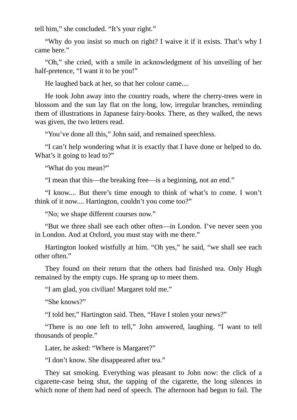tell him," she concluded. "It's your right."

"Why do you insist so much on right? I waive it if it exists. That's why I came here."

"Oh," she cried, with a smile in acknowledgment of his unveiling of her half-pretence, "I want it to be you!"

He laughed back at her, so that her colour came....

He took John away into the country roads, where the cherry-trees were in blossom and the sun lay flat on the long, low, irregular branches, reminding them of illustrations in Japanese fairy-books. There, as they walked, the news was given, the two letters read.

"You've done all this," John said, and remained speechless.

"I can't help wondering what it is exactly that I have done or helped to do. What's it going to lead to?"

"What do you mean?"

"I mean that this—the breaking free—is a beginning, not an end."

"I know.... But there's time enough to think of what's to come. I won't think of it now.... Hartington, couldn't you come too?"

"No; we shape different courses now."

"But we three shall see each other often—in London. I've never seen you in London. And at Oxford, you must stay with me there."

Hartington looked wistfully at him. "Oh yes," he said, "we shall see each other often."

They found on their return that the others had finished tea. Only Hugh remained by the empty cups. He sprang up to meet them.

"I am glad, you civilian! Margaret told me."

"She knows?"

"I told her," Hartington said. Then, "Have I stolen your news?"

"There is no one left to tell," John answered, laughing. "I want to tell thousands of people."

Later, he asked: "Where is Margaret?"

"I don't know. She disappeared after tea."

They sat smoking. Everything was pleasant to John now: the click of a cigarette-case being shut, the tapping of the cigarette, the long silences in which none of them had need of speech. The afternoon had begun to fail. The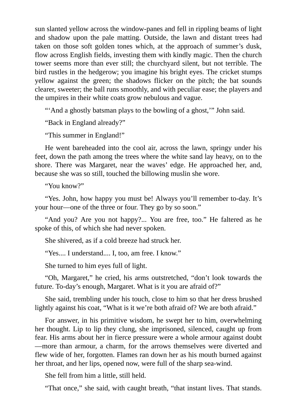sun slanted yellow across the window-panes and fell in rippling beams of light and shadow upon the pale matting. Outside, the lawn and distant trees had taken on those soft golden tones which, at the approach of summer's dusk, flow across English fields, investing them with kindly magic. Then the church tower seems more than ever still; the churchyard silent, but not terrible. The bird rustles in the hedgerow; you imagine his bright eyes. The cricket stumps yellow against the green; the shadows flicker on the pitch; the bat sounds clearer, sweeter; the ball runs smoothly, and with peculiar ease; the players and the umpires in their white coats grow nebulous and vague.

"'And a ghostly batsman plays to the bowling of a ghost," John said.

"Back in England already?"

"This summer in England!"

He went bareheaded into the cool air, across the lawn, springy under his feet, down the path among the trees where the white sand lay heavy, on to the shore. There was Margaret, near the waves' edge. He approached her, and, because she was so still, touched the billowing muslin she wore.

"You know?"

"Yes. John, how happy you must be! Always you'll remember to-day. It's your hour—one of the three or four. They go by so soon."

"And you? Are you not happy?... You are free, too." He faltered as he spoke of this, of which she had never spoken.

She shivered, as if a cold breeze had struck her.

"Yes.... I understand.... I, too, am free. I know."

She turned to him eyes full of light.

"Oh, Margaret," he cried, his arms outstretched, "don't look towards the future. To-day's enough, Margaret. What is it you are afraid of?"

She said, trembling under his touch, close to him so that her dress brushed lightly against his coat, "What is it we're both afraid of? We are both afraid."

For answer, in his primitive wisdom, he swept her to him, overwhelming her thought. Lip to lip they clung, she imprisoned, silenced, caught up from fear. His arms about her in fierce pressure were a whole armour against doubt —more than armour, a charm, for the arrows themselves were diverted and flew wide of her, forgotten. Flames ran down her as his mouth burned against her throat, and her lips, opened now, were full of the sharp sea-wind.

She fell from him a little, still held.

"That once," she said, with caught breath, "that instant lives. That stands.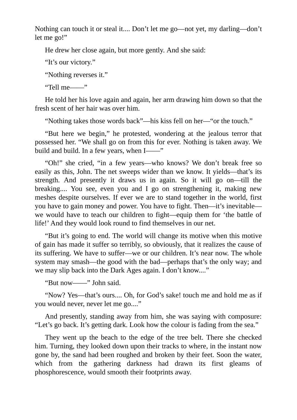Nothing can touch it or steal it.... Don't let me go—not yet, my darling—don't let me go!"

He drew her close again, but more gently. And she said:

"It's our victory."

"Nothing reverses it."

"Tell me——"

He told her his love again and again, her arm drawing him down so that the fresh scent of her hair was over him.

"Nothing takes those words back"—his kiss fell on her—"or the touch."

"But here we begin," he protested, wondering at the jealous terror that possessed her. "We shall go on from this for ever. Nothing is taken away. We build and build. In a few years, when I——"

"Oh!" she cried, "in a few years—who knows? We don't break free so easily as this, John. The net sweeps wider than we know. It yields—that's its strength. And presently it draws us in again. So it will go on—till the breaking.... You see, even you and I go on strengthening it, making new meshes despite ourselves. If ever we are to stand together in the world, first you have to gain money and power. You have to fight. Then—it's inevitable we would have to teach our children to fight—equip them for 'the battle of life!' And they would look round to find themselves in our net.

"But it's going to end. The world will change its motive when this motive of gain has made it suffer so terribly, so obviously, that it realizes the cause of its suffering. We have to suffer—we or our children. It's near now. The whole system may smash—the good with the bad—perhaps that's the only way; and we may slip back into the Dark Ages again. I don't know...."

"But now——" John said.

"Now? Yes—that's ours.... Oh, for God's sake! touch me and hold me as if you would never, never let me go...."

And presently, standing away from him, she was saying with composure: "Let's go back. It's getting dark. Look how the colour is fading from the sea."

They went up the beach to the edge of the tree belt. There she checked him. Turning, they looked down upon their tracks to where, in the instant now gone by, the sand had been roughed and broken by their feet. Soon the water, which from the gathering darkness had drawn its first gleams of phosphorescence, would smooth their footprints away.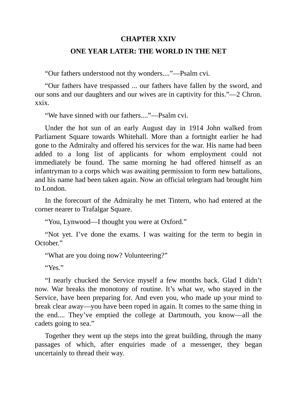### **CHAPTER XXIV**

## **ONE YEAR LATER: THE WORLD IN THE NET**

"Our fathers understood not thy wonders...."—Psalm cvi.

"Our fathers have trespassed ... our fathers have fallen by the sword, and our sons and our daughters and our wives are in captivity for this."—2 Chron. xxix.

"We have sinned with our fathers...."—Psalm cvi.

Under the hot sun of an early August day in 1914 John walked from Parliament Square towards Whitehall. More than a fortnight earlier he had gone to the Admiralty and offered his services for the war. His name had been added to a long list of applicants for whom employment could not immediately be found. The same morning he had offered himself as an infantryman to a corps which was awaiting permission to form new battalions, and his name had been taken again. Now an official telegram had brought him to London.

In the forecourt of the Admiralty he met Tintern, who had entered at the corner nearer to Trafalgar Square.

"You, Lynwood—I thought you were at Oxford."

"Not yet. I've done the exams. I was waiting for the term to begin in October."

"What are you doing now? Volunteering?"

" $V_{\text{P}S}$ "

"I nearly chucked the Service myself a few months back. Glad I didn't now. War breaks the monotony of routine. It's what we, who stayed in the Service, have been preparing for. And even you, who made up your mind to break clear away—you have been roped in again. It comes to the same thing in the end.... They've emptied the college at Dartmouth, you know—all the cadets going to sea."

Together they went up the steps into the great building, through the many passages of which, after enquiries made of a messenger, they began uncertainly to thread their way.